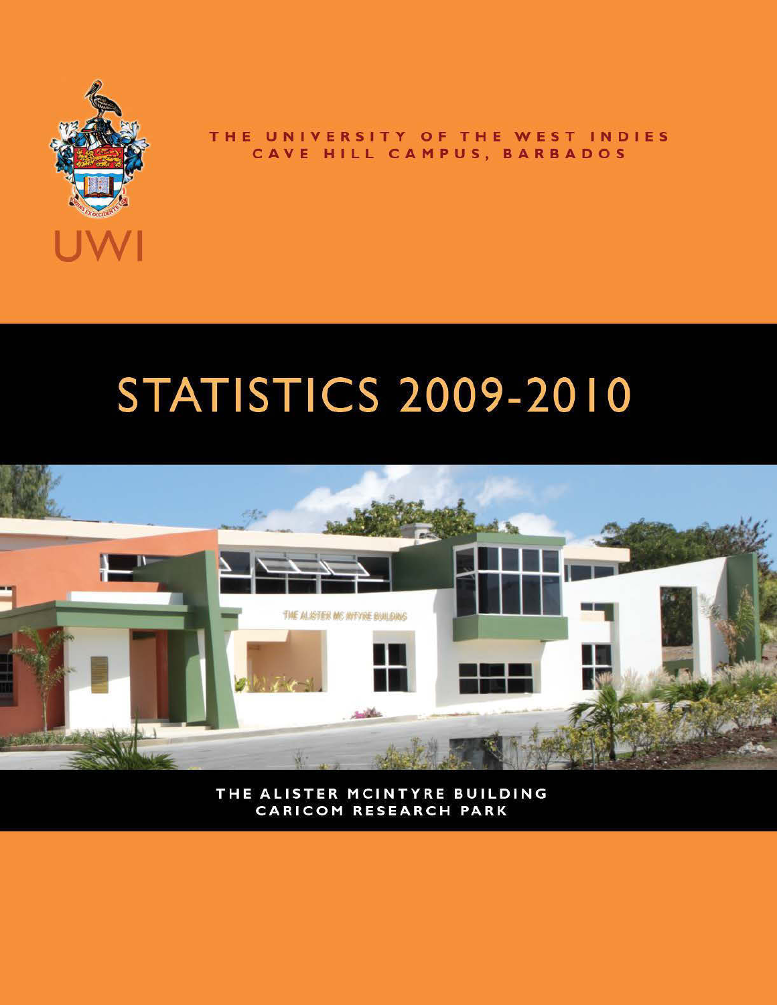

### THE UNIVERSITY OF THE WEST INDIES CAVE HILL CAMPUS, BARBADOS

### **STATISTICS 2009-2010**



THE ALISTER MCINTYRE BUILDING **CARICOM RESEARCH PARK**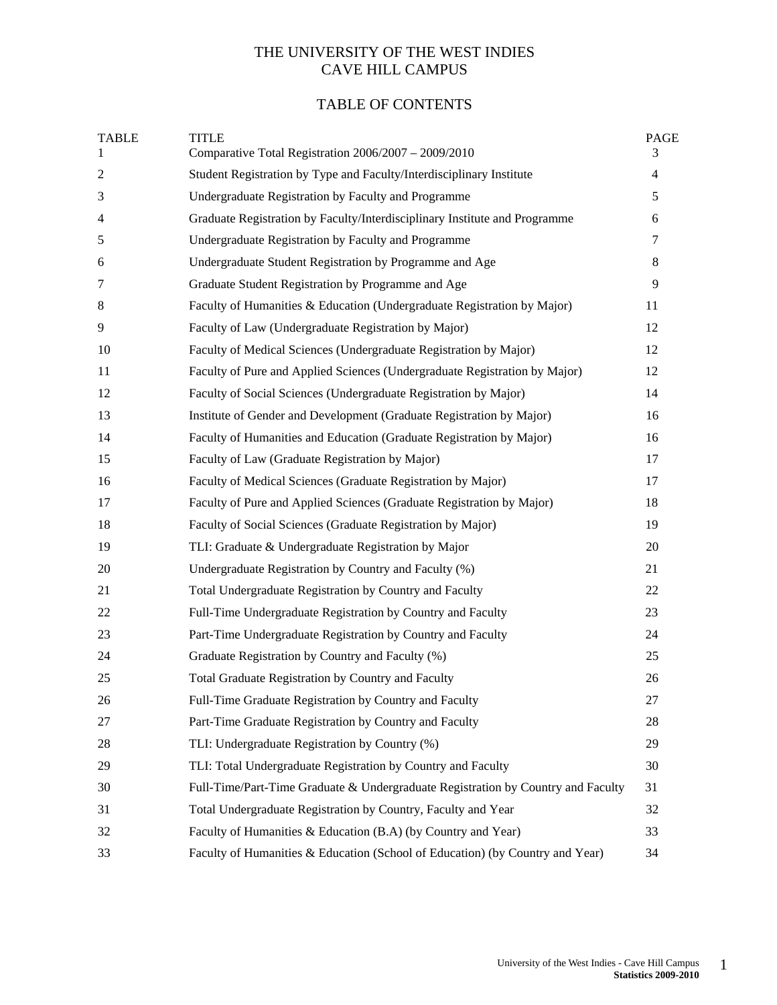### THE UNIVERSITY OF THE WEST INDIES CAVE HILL CAMPUS

### TABLE OF CONTENTS

| <b>TABLE</b><br>1 | <b>TITLE</b><br>Comparative Total Registration 2006/2007 - 2009/2010             | <b>PAGE</b><br>3 |
|-------------------|----------------------------------------------------------------------------------|------------------|
| $\boldsymbol{2}$  | Student Registration by Type and Faculty/Interdisciplinary Institute             | $\overline{4}$   |
| 3                 | Undergraduate Registration by Faculty and Programme                              | 5                |
| 4                 | Graduate Registration by Faculty/Interdisciplinary Institute and Programme       | 6                |
| 5                 | Undergraduate Registration by Faculty and Programme                              | $\tau$           |
| 6                 | Undergraduate Student Registration by Programme and Age                          | 8                |
| 7                 | Graduate Student Registration by Programme and Age                               | 9                |
| 8                 | Faculty of Humanities & Education (Undergraduate Registration by Major)          | 11               |
| 9                 | Faculty of Law (Undergraduate Registration by Major)                             | 12               |
| 10                | Faculty of Medical Sciences (Undergraduate Registration by Major)                | 12               |
| 11                | Faculty of Pure and Applied Sciences (Undergraduate Registration by Major)       | 12               |
| 12                | Faculty of Social Sciences (Undergraduate Registration by Major)                 | 14               |
| 13                | Institute of Gender and Development (Graduate Registration by Major)             | 16               |
| 14                | Faculty of Humanities and Education (Graduate Registration by Major)             | 16               |
| 15                | Faculty of Law (Graduate Registration by Major)                                  | 17               |
| 16                | Faculty of Medical Sciences (Graduate Registration by Major)                     | 17               |
| 17                | Faculty of Pure and Applied Sciences (Graduate Registration by Major)            | 18               |
| 18                | Faculty of Social Sciences (Graduate Registration by Major)                      | 19               |
| 19                | TLI: Graduate & Undergraduate Registration by Major                              | 20               |
| 20                | Undergraduate Registration by Country and Faculty (%)                            | 21               |
| 21                | Total Undergraduate Registration by Country and Faculty                          | 22               |
| 22                | Full-Time Undergraduate Registration by Country and Faculty                      | 23               |
| 23                | Part-Time Undergraduate Registration by Country and Faculty                      | 24               |
| 24                | Graduate Registration by Country and Faculty (%)                                 | 25               |
| 25                | Total Graduate Registration by Country and Faculty                               | 26               |
| $26\,$            | Full-Time Graduate Registration by Country and Faculty                           | $27\,$           |
| 27                | Part-Time Graduate Registration by Country and Faculty                           | 28               |
| 28                | TLI: Undergraduate Registration by Country (%)                                   | 29               |
| 29                | TLI: Total Undergraduate Registration by Country and Faculty                     | 30               |
| 30                | Full-Time/Part-Time Graduate & Undergraduate Registration by Country and Faculty | 31               |
| 31                | Total Undergraduate Registration by Country, Faculty and Year                    | 32               |
| 32                | Faculty of Humanities & Education (B.A) (by Country and Year)                    | 33               |
| 33                | Faculty of Humanities & Education (School of Education) (by Country and Year)    | 34               |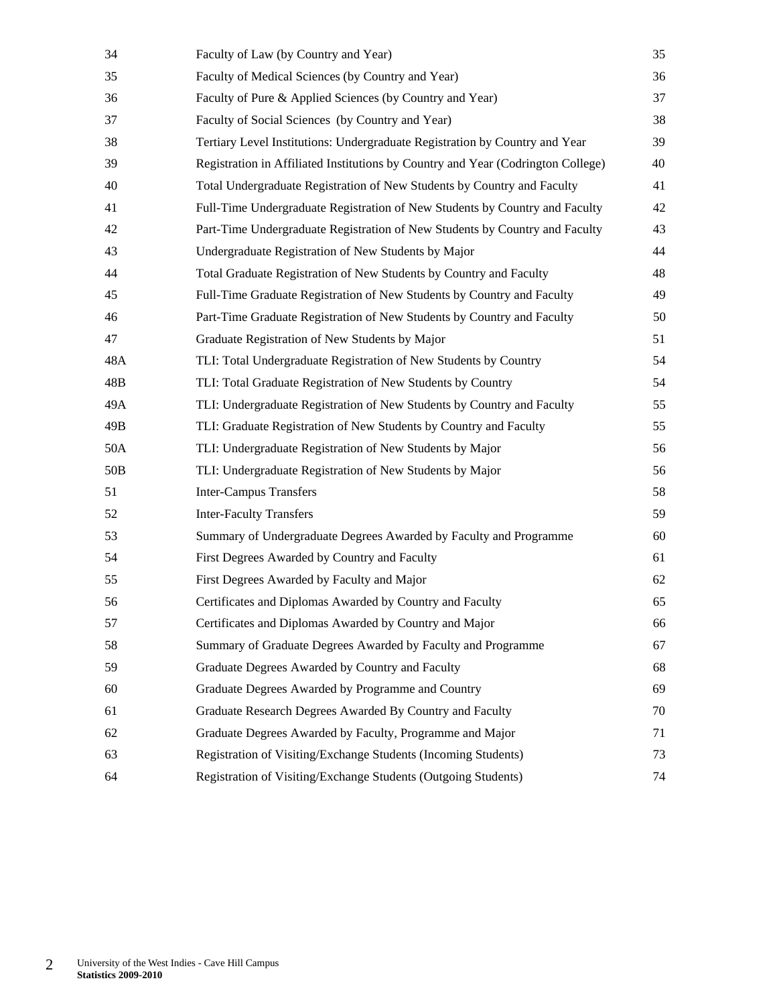| 34              | Faculty of Law (by Country and Year)                                             | 35 |
|-----------------|----------------------------------------------------------------------------------|----|
| 35              | Faculty of Medical Sciences (by Country and Year)                                | 36 |
| 36              | Faculty of Pure & Applied Sciences (by Country and Year)                         | 37 |
| 37              | Faculty of Social Sciences (by Country and Year)                                 | 38 |
| 38              | Tertiary Level Institutions: Undergraduate Registration by Country and Year      | 39 |
| 39              | Registration in Affiliated Institutions by Country and Year (Codrington College) | 40 |
| 40              | Total Undergraduate Registration of New Students by Country and Faculty          | 41 |
| 41              | Full-Time Undergraduate Registration of New Students by Country and Faculty      | 42 |
| 42              | Part-Time Undergraduate Registration of New Students by Country and Faculty      | 43 |
| 43              | Undergraduate Registration of New Students by Major                              | 44 |
| 44              | Total Graduate Registration of New Students by Country and Faculty               | 48 |
| 45              | Full-Time Graduate Registration of New Students by Country and Faculty           | 49 |
| 46              | Part-Time Graduate Registration of New Students by Country and Faculty           | 50 |
| 47              | Graduate Registration of New Students by Major                                   | 51 |
| 48A             | TLI: Total Undergraduate Registration of New Students by Country                 | 54 |
| 48B             | TLI: Total Graduate Registration of New Students by Country                      | 54 |
| 49A             | TLI: Undergraduate Registration of New Students by Country and Faculty           | 55 |
| 49B             | TLI: Graduate Registration of New Students by Country and Faculty                | 55 |
| 50A             | TLI: Undergraduate Registration of New Students by Major                         | 56 |
| 50 <sub>B</sub> | TLI: Undergraduate Registration of New Students by Major                         | 56 |
| 51              | <b>Inter-Campus Transfers</b>                                                    | 58 |
| 52              | <b>Inter-Faculty Transfers</b>                                                   | 59 |
| 53              | Summary of Undergraduate Degrees Awarded by Faculty and Programme                | 60 |
| 54              | First Degrees Awarded by Country and Faculty                                     | 61 |
| 55              | First Degrees Awarded by Faculty and Major                                       | 62 |
| 56              | Certificates and Diplomas Awarded by Country and Faculty                         | 65 |
| 57              | Certificates and Diplomas Awarded by Country and Major                           | 66 |
| 58              | Summary of Graduate Degrees Awarded by Faculty and Programme                     | 67 |
| 59              | Graduate Degrees Awarded by Country and Faculty                                  | 68 |
| 60              | Graduate Degrees Awarded by Programme and Country                                | 69 |
| 61              | Graduate Research Degrees Awarded By Country and Faculty                         | 70 |
| 62              | Graduate Degrees Awarded by Faculty, Programme and Major                         | 71 |
| 63              | Registration of Visiting/Exchange Students (Incoming Students)                   | 73 |
| 64              | Registration of Visiting/Exchange Students (Outgoing Students)                   | 74 |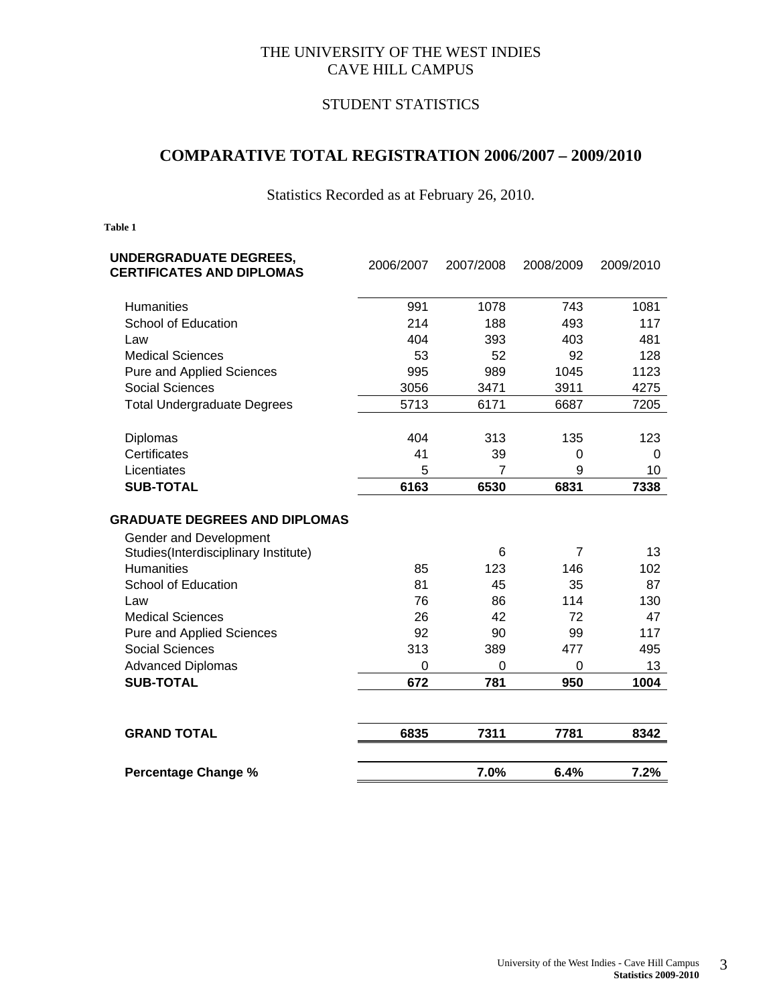### THE UNIVERSITY OF THE WEST INDIES CAVE HILL CAMPUS

### STUDENT STATISTICS

### **COMPARATIVE TOTAL REGISTRATION 2006/2007 – 2009/2010**

Statistics Recorded as at February 26, 2010.

| UNDERGRADUATE DEGREES,<br><b>CERTIFICATES AND DIPLOMAS</b> | 2006/2007   | 2007/2008 | 2008/2009      | 2009/2010 |
|------------------------------------------------------------|-------------|-----------|----------------|-----------|
| <b>Humanities</b>                                          | 991         | 1078      | 743            | 1081      |
| School of Education                                        | 214         | 188       | 493            | 117       |
| Law                                                        | 404         | 393       | 403            | 481       |
| <b>Medical Sciences</b>                                    | 53          | 52        | 92             | 128       |
| <b>Pure and Applied Sciences</b>                           | 995         | 989       | 1045           | 1123      |
| <b>Social Sciences</b>                                     | 3056        | 3471      | 3911           | 4275      |
| <b>Total Undergraduate Degrees</b>                         | 5713        | 6171      | 6687           | 7205      |
| Diplomas                                                   | 404         | 313       | 135            | 123       |
| Certificates                                               | 41          | 39        | 0              | $\Omega$  |
| Licentiates                                                | 5           | 7         | 9              | 10        |
| <b>SUB-TOTAL</b>                                           | 6163        | 6530      | 6831           | 7338      |
| <b>GRADUATE DEGREES AND DIPLOMAS</b>                       |             |           |                |           |
| Gender and Development                                     |             |           | $\overline{7}$ | 13        |
| Studies(Interdisciplinary Institute)<br><b>Humanities</b>  | 85          | 6<br>123  | 146            | 102       |
| School of Education                                        | 81          | 45        | 35             | 87        |
| Law                                                        | 76          | 86        | 114            | 130       |
| <b>Medical Sciences</b>                                    | 26          | 42        | 72             | 47        |
| <b>Pure and Applied Sciences</b>                           | 92          | 90        | 99             | 117       |
| <b>Social Sciences</b>                                     | 313         | 389       | 477            | 495       |
| <b>Advanced Diplomas</b>                                   | $\mathbf 0$ | 0         | 0              | 13        |
| <b>SUB-TOTAL</b>                                           | 672         | 781       | 950            | 1004      |
| <b>GRAND TOTAL</b>                                         | 6835        | 7311      | 7781           | 8342      |
|                                                            |             |           |                |           |
| <b>Percentage Change %</b>                                 |             | 7.0%      | 6.4%           | 7.2%      |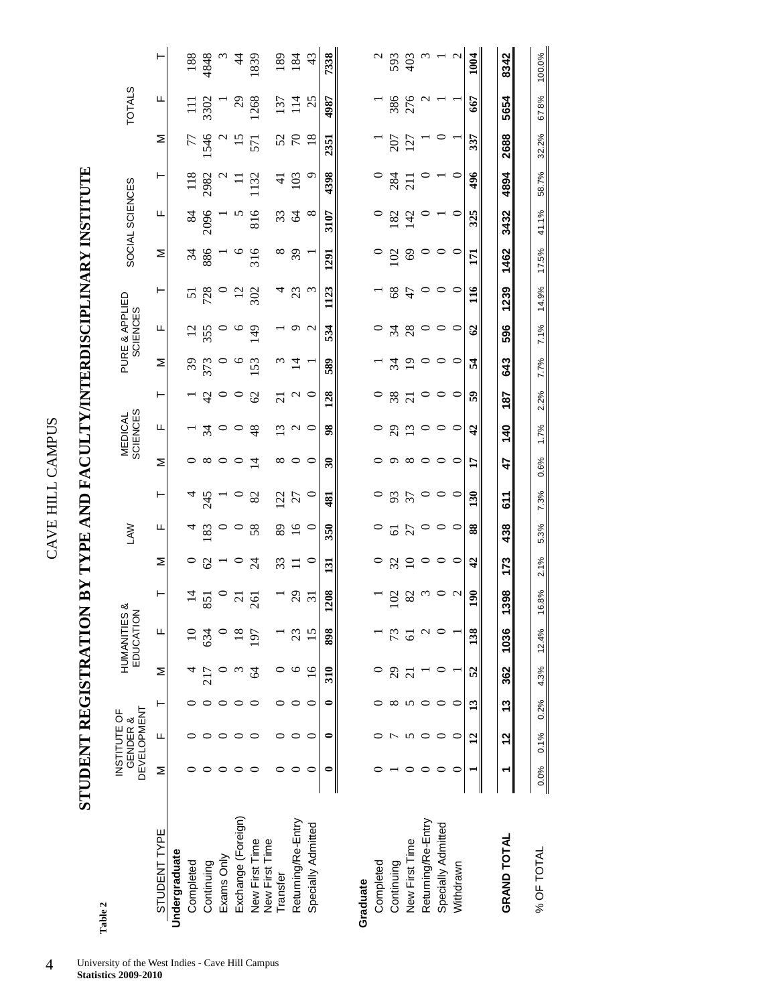| ļ<br>2<br>ï |  |
|-------------|--|
| i           |  |
|             |  |
|             |  |

# STUDENT REGISTRATION BY TYPE AND FACULTY/INTERDISCIPLINARY INSTITUTE **STUDENT REGISTRATION BY TYPE AND FACULTY/INTERDISCIPLINARY INSTITUTE**

|                                  | STUDENT REGISTRATION |                                                |   |        |                         | $\mathbf{N}$      |                 | <b>TYPE AND</b> | FA              | E              |                            |                |                 | TY/INTERDISCIPLINARY              |                 |                 | INSTIT          |                  |                |                  |                                           |
|----------------------------------|----------------------|------------------------------------------------|---|--------|-------------------------|-------------------|-----------------|-----------------|-----------------|----------------|----------------------------|----------------|-----------------|-----------------------------------|-----------------|-----------------|-----------------|------------------|----------------|------------------|-------------------------------------------|
| Table 2                          |                      |                                                |   |        |                         |                   |                 |                 |                 |                |                            |                |                 |                                   |                 |                 |                 |                  |                |                  |                                           |
|                                  |                      | <b>DEVELOPMENT</b><br>INSTITUTE OF<br>GENDER & |   |        | HUMANITIES<br>EDUCATION | ళ                 |                 | <b>NVT</b>      |                 |                | <b>SCIENCES</b><br>MEDICAL |                |                 | PURE & APPLIED<br><b>SCIENCES</b> |                 |                 | SOCIAL SCIENCES |                  |                | <b>TOTALS</b>    |                                           |
| STUDENT TYPE                     | Σ                    | щ                                              | ⊢ | Σ      | щ                       | $\vdash$          | Σ               | щ               | ⊢               | Σ              | щ                          | ⊢              | Σ               | щ                                 | ⊢               | Σ               | ட               | ⊢                | Σ              | щ                | ۲                                         |
| Undergraduate                    |                      |                                                |   |        |                         |                   |                 |                 |                 |                |                            |                |                 |                                   |                 |                 |                 |                  |                |                  |                                           |
| Completed                        |                      |                                                |   |        |                         | $\overline{4}$    |                 | 4               |                 |                |                            |                |                 |                                   | 5               |                 | $\frac{84}{5}$  |                  | 77             | $\Xi$            | 188                                       |
| Continuing                       |                      |                                                |   |        | 634                     | 851               | $\mathcal{O}$   | 183             | $\frac{4}{245}$ | $^{\infty}$    | $\mathcal{L}$              | $4^{\circ}$    | 373             | $\frac{12}{355}$                  | 728             | $rac{34}{886}$  | 2096            | 118<br>2982      | 1546           | 3302             |                                           |
| Exams Only                       |                      |                                                |   |        |                         |                   |                 | $\circ$         |                 |                |                            | $\circ$        |                 | $\circ$                           |                 |                 |                 |                  |                |                  | $\begin{array}{c} 4848 \\ 34 \end{array}$ |
| Exchange (Foreign)               |                      |                                                |   |        | $\frac{8}{18}$          | $\overline{c}$    |                 | $\circ$         | $\circ$         |                | $\circ$                    | $\circ$        | $\circ$         | $\circ$                           | $\overline{12}$ | $\circ$         |                 |                  | 15             | $\frac{1}{2}$ 38 |                                           |
| New First Time<br>New First Time |                      |                                                |   |        | 197                     | 261               | $\overline{24}$ | 58              | 82              | $\overline{1}$ | 48                         | $\mathcal{O}$  | 153             | 149                               | 302             | 316             | 816             | 132              | 571            |                  | 1839                                      |
| Transfer                         |                      |                                                |   |        |                         |                   | 33              | 89              | 122             | $^{\circ}$     | 13                         | $\overline{c}$ | $\omega$        |                                   | 4               | $\infty$        |                 | $\overline{4}$   |                | 137              |                                           |
| Returning/Re-Entry               |                      |                                                |   | ७      | 23                      | 29                | $\Xi$           | 16              | 27              | $\circ$        | $\mathfrak{a}$             | $\mathcal{L}$  | $\overline{1}$  | $\circ$                           | 23              | $\overline{3}9$ | 23              | 103              | 52<br>70       | 114              | $\frac{189}{184}$                         |
| Specially Admitted               |                      |                                                | ⊂ | $\geq$ | 15                      | $\overline{31}$   | ⊂               | $\circ$         | $\circ$         | ○              | $\circ$                    | $\circ$        |                 | $\sim$                            | $\omega$        |                 | $\infty$        | $\circ$          | $\frac{8}{18}$ | 25               | 43                                        |
|                                  | 0                    | 0                                              | 0 | 310    | 898                     | 208               | 131             | 350             | 481             | R              | $\frac{8}{3}$              | 128            | 589             | 534                               | 1123            | 1291            | 3107            | 4398             | 2351           | 4987             | 7338                                      |
| Graduate                         |                      |                                                |   |        |                         |                   |                 |                 |                 |                |                            |                |                 |                                   |                 |                 |                 |                  |                |                  |                                           |
| Completed                        |                      |                                                |   |        |                         |                   |                 |                 |                 |                |                            |                |                 |                                   |                 |                 |                 |                  |                |                  |                                           |
| Continuing                       |                      |                                                |   | 29     |                         | $\Xi$             | 32              |                 | 93              |                |                            |                | $\mathfrak{z}$  |                                   | $\frac{8}{3}$   | 102             |                 |                  |                |                  | 593                                       |
| New First Time                   |                      |                                                |   |        |                         | 82                | $\overline{10}$ | $\frac{61}{27}$ | 57              | $\infty$       | $29$ $13$                  | $38$<br>$21$   | $\overline{19}$ | 34.8                              | 47              | 69              | $rac{2}{142}$   | $\frac{28}{211}$ | 207<br>127     | 386<br>276       | 403                                       |
| Returning/Re-Entry               |                      |                                                |   |        |                         | $\omega$          | $\circ$         | $\circ$         | $\circ$         | $\circ$        | $\circ$                    |                |                 | $\circ$                           | $\circ$         |                 |                 |                  |                | $\sim$           |                                           |
| Specially Admitted               |                      |                                                |   |        |                         |                   | $\circ$         | $\circ$         | $\circ$         | ○              | $\circ$                    |                | ○               | $\circ$                           | $\circ$         |                 |                 |                  |                |                  |                                           |
| Withdrawn                        |                      |                                                |   |        |                         | $\mathbf{\Omega}$ | $\circ$         | $\circ$         | O               | 0              | $\circ$                    |                | O               | $\circ$                           | O               |                 |                 |                  |                |                  | $\mathbf 2$                               |

 $\overline{42}$ 

 $\mathbf{L}$ 

 $30$ 

 $88$ 

 $\overline{a}$ 

 $\mathbf{8}$ 

38

 $52$ 

 $\overline{13}$ 

 $\overline{a}$ 

 $59$ 

1004

667

337

496

 $325$ 

 $\overline{5}$ 

 $\mathbf{H}$ 

 $\mathcal{L}$ 

54

8342

5654

2688

4894

3432

1462

1239

596

643

187

140

100.0%

678%

32.2%

58.7%

41.1%

17.5%

14.9%

7.1%

7.7%

2.2%

1.7%

611

438

173

1398

1036

362

13

 $\frac{2}{3}$ 

 $\overline{ }$ 

**GRAND TOTAL** 

47

% OF TOTAL 0.0% 0.1% 0.2% 4.3% 12.4% 16.8% 2.1% 5.3% 7.3% 0.6% 1.7% 2.2% 7.7% 7.1% 14.9% 17.5% 41.1% 58.7% 32.2% 67 8% 100.0%

7.3%

5.3%

 $2.1%$ 

16.8%

 $12.4%$ 

4.3%

 $0.2\%$ 

 $0.1%$ 

 $0.0%$ 

% OF TOTAL

0.6%

4 University of the West Indies - Cave Hill Campus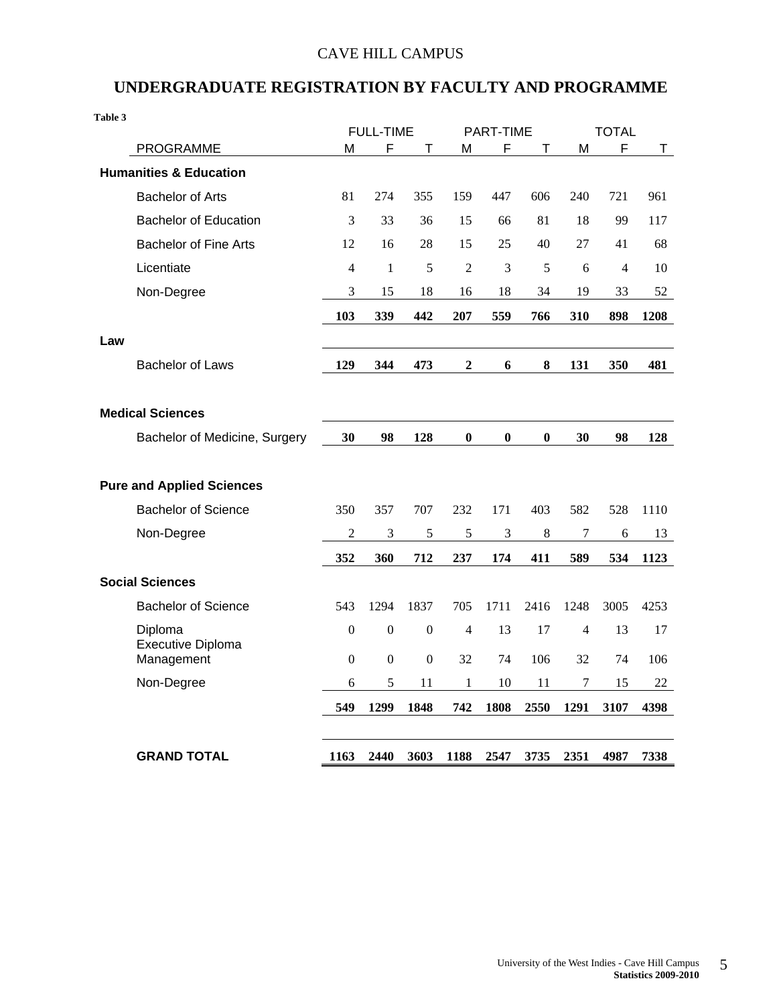### CAVE HILL CAMPUS

### **UNDERGRADUATE REGISTRATION BY FACULTY AND PROGRAMME**

| Table 3 |                                   |                  | <b>FULL-TIME</b> |                  |                  | PART-TIME      |                  |                  | <b>TOTAL</b>   |      |
|---------|-----------------------------------|------------------|------------------|------------------|------------------|----------------|------------------|------------------|----------------|------|
|         | <b>PROGRAMME</b>                  | М                | F                | Т                | M                | F              | T                | M                | F              | Τ    |
|         | <b>Humanities &amp; Education</b> |                  |                  |                  |                  |                |                  |                  |                |      |
|         | <b>Bachelor of Arts</b>           | 81               | 274              | 355              | 159              | 447            | 606              | 240              | 721            | 961  |
|         | <b>Bachelor of Education</b>      | 3                | 33               | 36               | 15               | 66             | 81               | 18               | 99             | 117  |
|         | <b>Bachelor of Fine Arts</b>      | 12               | 16               | 28               | 15               | 25             | 40               | 27               | 41             | 68   |
|         | Licentiate                        | $\overline{4}$   | $\mathbf{1}$     | 5                | $\overline{2}$   | 3              | 5                | 6                | $\overline{4}$ | 10   |
|         | Non-Degree                        | 3                | 15               | 18               | 16               | 18             | 34               | 19               | 33             | 52   |
|         |                                   | 103              | 339              | 442              | 207              | 559            | 766              | 310              | 898            | 1208 |
| Law     |                                   |                  |                  |                  |                  |                |                  |                  |                |      |
|         | <b>Bachelor of Laws</b>           | 129              | 344              | 473              | $\mathbf{2}$     | 6              | 8                | 131              | 350            | 481  |
|         |                                   |                  |                  |                  |                  |                |                  |                  |                |      |
|         | <b>Medical Sciences</b>           |                  |                  |                  |                  |                |                  |                  |                |      |
|         | Bachelor of Medicine, Surgery     | 30               | 98               | 128              | $\boldsymbol{0}$ | $\bf{0}$       | $\boldsymbol{0}$ | 30               | 98             | 128  |
|         |                                   |                  |                  |                  |                  |                |                  |                  |                |      |
|         | <b>Pure and Applied Sciences</b>  |                  |                  |                  |                  |                |                  |                  |                |      |
|         | <b>Bachelor of Science</b>        | 350              | 357              | 707              | 232              | 171            | 403              | 582              | 528            | 1110 |
|         | Non-Degree                        | $\overline{c}$   | 3                | 5                | 5                | $\mathfrak{Z}$ | $\,8\,$          | $\boldsymbol{7}$ | 6              | 13   |
|         |                                   | 352              | 360              | 712              | 237              | 174            | 411              | 589              | 534            | 1123 |
|         | <b>Social Sciences</b>            |                  |                  |                  |                  |                |                  |                  |                |      |
|         | <b>Bachelor of Science</b>        | 543              | 1294             | 1837             | 705              | 1711           | 2416             | 1248             | 3005           | 4253 |
|         | Diploma                           | $\boldsymbol{0}$ | $\boldsymbol{0}$ | $\boldsymbol{0}$ | 4                | 13             | 17               | $\overline{4}$   | 13             | 17   |
|         | Executive Diploma<br>Management   | $\theta$         | $\boldsymbol{0}$ | $\boldsymbol{0}$ | 32               | 74             | 106              | 32               | 74             | 106  |
|         | Non-Degree                        | 6                | 5                | 11               | $\mathbf{1}$     | 10             | 11               | 7                | 15             | 22   |
|         |                                   | 549              | 1299             | 1848             | 742              | 1808           | 2550             | 1291             | 3107           | 4398 |
|         |                                   |                  |                  |                  |                  |                |                  |                  |                |      |
|         | <b>GRAND TOTAL</b>                | 1163             | 2440             | 3603             | 1188             | 2547           | 3735             | 2351             | 4987           | 7338 |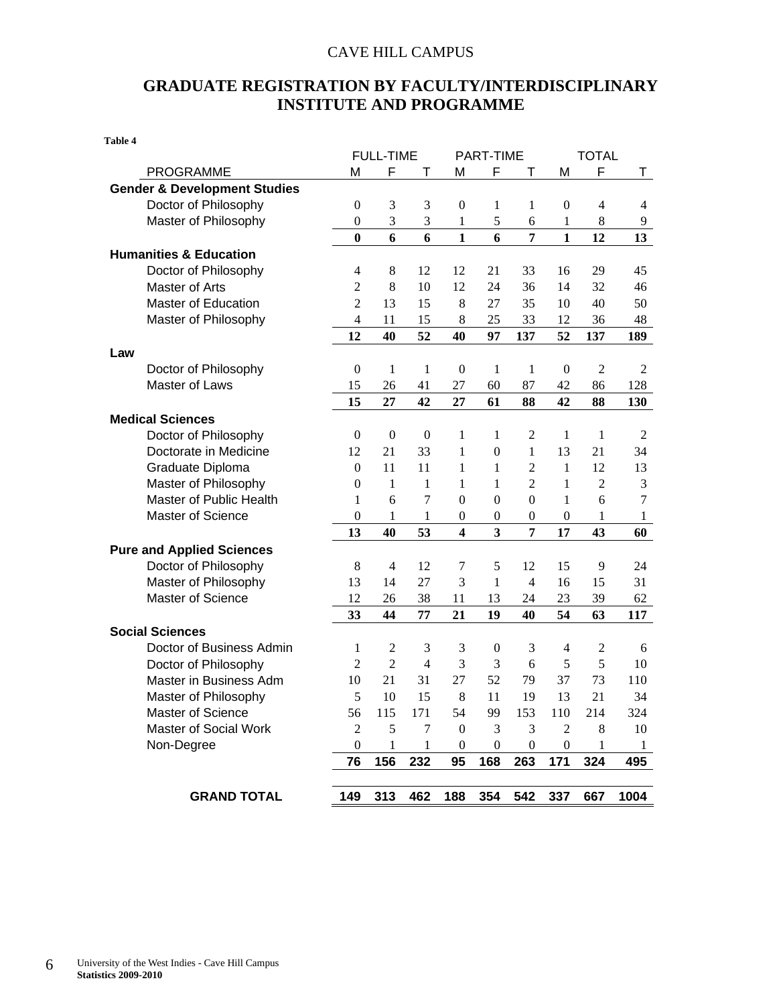### CAVE HILL CAMPUS

### **GRADUATE REGISTRATION BY FACULTY/INTERDISCIPLINARY INSTITUTE AND PROGRAMME**

|                                         |                  | <b>FULL-TIME</b> |                  |                         | PART-TIME               |                  |                          | <b>TOTAL</b>   |                |
|-----------------------------------------|------------------|------------------|------------------|-------------------------|-------------------------|------------------|--------------------------|----------------|----------------|
| <b>PROGRAMME</b>                        | M                | F                | т                | M                       | F                       | Τ                | M                        | F              | T.             |
| <b>Gender &amp; Development Studies</b> |                  |                  |                  |                         |                         |                  |                          |                |                |
| Doctor of Philosophy                    | $\mathbf{0}$     | 3                | 3                | $\boldsymbol{0}$        | 1                       | 1                | $\boldsymbol{0}$         | $\overline{4}$ | 4              |
| Master of Philosophy                    | $\overline{0}$   | 3                | 3                | 1                       | 5                       | 6                | 1                        | 8              | 9              |
|                                         | $\bf{0}$         | 6                | 6                | $\mathbf{1}$            | 6                       | 7                | $\mathbf{1}$             | 12             | 13             |
| <b>Humanities &amp; Education</b>       |                  |                  |                  |                         |                         |                  |                          |                |                |
| Doctor of Philosophy                    | 4                | $\,8\,$          | 12               | 12                      | 21                      | 33               | 16                       | 29             | 45             |
| Master of Arts                          | $\overline{2}$   | 8                | 10               | 12                      | 24                      | 36               | 14                       | 32             | 46             |
| <b>Master of Education</b>              | $\overline{2}$   | 13               | 15               | 8                       | 27                      | 35               | 10                       | 40             | 50             |
| Master of Philosophy                    | $\overline{4}$   | 11               | 15               | 8                       | 25                      | 33               | 12                       | 36             | 48             |
|                                         | 12               | 40               | 52               | 40                      | 97                      | 137              | 52                       | 137            | 189            |
| Law                                     |                  |                  |                  |                         |                         |                  |                          |                |                |
| Doctor of Philosophy                    | $\mathbf{0}$     | 1                | 1                | $\boldsymbol{0}$        | 1                       | 1                | $\overline{0}$           | $\overline{2}$ | 2              |
| Master of Laws                          | 15               | 26               | 41               | 27                      | 60                      | 87               | 42                       | 86             | 128            |
|                                         | 15               | 27               | 42               | 27                      | 61                      | 88               | 42                       | 88             | 130            |
| <b>Medical Sciences</b>                 |                  |                  |                  |                         |                         |                  |                          |                |                |
| Doctor of Philosophy                    | $\boldsymbol{0}$ | $\boldsymbol{0}$ | $\boldsymbol{0}$ | 1                       | 1                       | $\mathfrak{2}$   | 1                        | 1              | $\overline{c}$ |
| Doctorate in Medicine                   | 12               | 21               | 33               | 1                       | $\boldsymbol{0}$        | $\mathbf{1}$     | 13                       | 21             | 34             |
| Graduate Diploma                        | $\boldsymbol{0}$ | 11               | 11               | 1                       | 1                       | $\overline{2}$   | 1                        | 12             | 13             |
| Master of Philosophy                    | $\mathbf{0}$     | 1                | 1                | 1                       | 1                       | $\overline{2}$   | 1                        | $\overline{2}$ | 3              |
| Master of Public Health                 | 1                | 6                | 7                | $\boldsymbol{0}$        | $\boldsymbol{0}$        | $\boldsymbol{0}$ | 1                        | 6              | 7              |
| <b>Master of Science</b>                | $\boldsymbol{0}$ | 1                | $\mathbf{1}$     | $\boldsymbol{0}$        | $\boldsymbol{0}$        | $\boldsymbol{0}$ | $\boldsymbol{0}$         | 1              | $\mathbf{1}$   |
|                                         | 13               | 40               | 53               | $\overline{\mathbf{4}}$ | $\overline{\mathbf{3}}$ | $\overline{7}$   | 17                       | 43             | 60             |
| <b>Pure and Applied Sciences</b>        |                  |                  |                  |                         |                         |                  |                          |                |                |
| Doctor of Philosophy                    | 8                | 4                | 12               | 7                       | 5                       | 12               | 15                       | 9              | 24             |
| Master of Philosophy                    | 13               | 14               | 27               | 3                       | 1                       | $\overline{4}$   | 16                       | 15             | 31             |
| Master of Science                       | 12               | 26               | 38               | 11                      | 13                      | 24               | 23                       | 39             | 62             |
|                                         | 33               | 44               | 77               | 21                      | 19                      | 40               | 54                       | 63             | 117            |
| <b>Social Sciences</b>                  |                  |                  |                  |                         |                         |                  |                          |                |                |
| Doctor of Business Admin                | 1                | $\overline{c}$   | 3                | 3                       | $\boldsymbol{0}$        | 3                | $\overline{\mathcal{A}}$ | $\overline{2}$ | 6              |
| Doctor of Philosophy                    | $\overline{2}$   | $\overline{2}$   | $\overline{4}$   | 3                       | 3                       | 6                | 5                        | 5              | 10             |
| Master in Business Adm                  | 10               | 21               | 31               | 27                      | 52                      | 79               | 37                       | 73             | 110            |
| Master of Philosophy                    | 5                | 10               | 15               | 8                       | 11                      | 19               | 13                       | 21             | 34             |
| <b>Master of Science</b>                | 56               | 115              | 171              | 54                      | 99                      | 153              | 110                      | 214            | 324            |
| Master of Social Work                   | 2                | 5                | 7                | $\boldsymbol{0}$        | 3                       | 3                | 2                        | 8              | 10             |
| Non-Degree                              | $\boldsymbol{0}$ | 1                | $\mathbf{1}$     | $\boldsymbol{0}$        | $\boldsymbol{0}$        | $\boldsymbol{0}$ | $\boldsymbol{0}$         | 1              | $\mathbf{1}$   |
|                                         | 76               | 156              | 232              | 95                      | 168                     | 263              | 171                      | 324            | 495            |
|                                         |                  |                  |                  |                         |                         |                  |                          |                |                |
| <b>GRAND TOTAL</b>                      | 149              | 313              | 462              | 188                     | 354                     | 542              | 337                      | 667            | 1004           |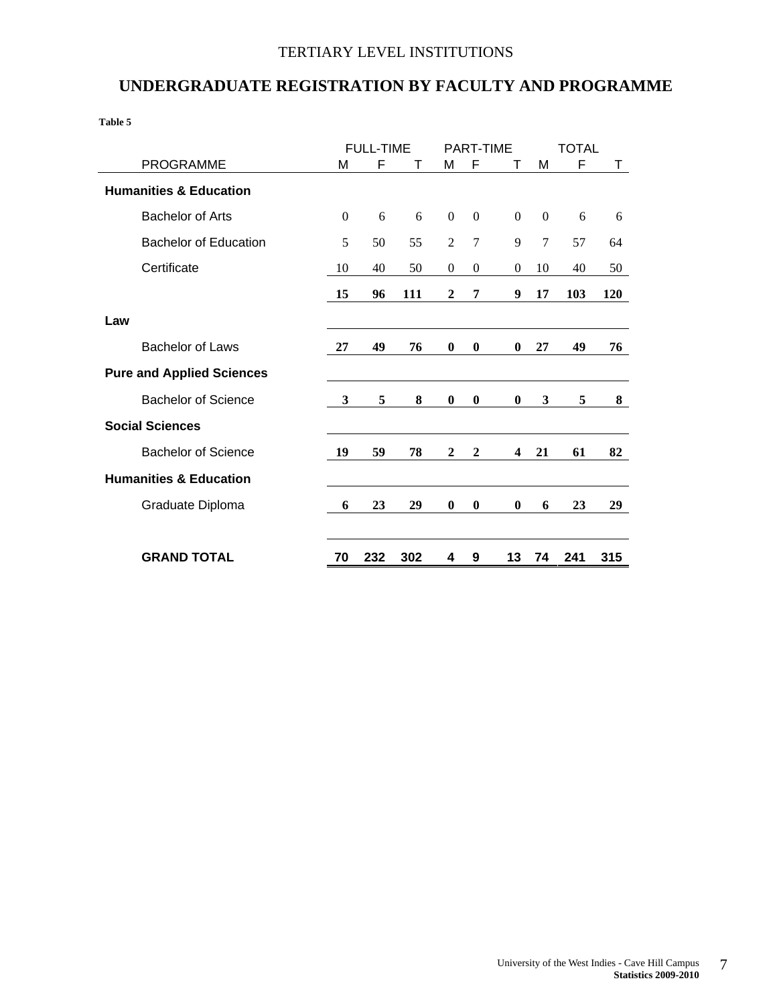### TERTIARY LEVEL INSTITUTIONS

### **UNDERGRADUATE REGISTRATION BY FACULTY AND PROGRAMME**

|                                   |              | <b>FULL-TIME</b> |     |                  | <b>PART-TIME</b> |              |                | <b>TOTAL</b> |     |
|-----------------------------------|--------------|------------------|-----|------------------|------------------|--------------|----------------|--------------|-----|
| <b>PROGRAMME</b>                  | M            | F                | T   | М                | F                | т            | M              | F            | Τ   |
| <b>Humanities &amp; Education</b> |              |                  |     |                  |                  |              |                |              |     |
| <b>Bachelor of Arts</b>           | $\mathbf{0}$ | 6                | 6   | $\boldsymbol{0}$ | $\mathbf{0}$     | $\mathbf{0}$ | $\theta$       | 6            | 6   |
| <b>Bachelor of Education</b>      | 5            | 50               | 55  | $\overline{2}$   | $\overline{7}$   | 9            | $\overline{7}$ | 57           | 64  |
| Certificate                       | 10           | 40               | 50  | $\mathbf{0}$     | $\mathbf{0}$     | $\mathbf{0}$ | 10             | 40           | 50  |
|                                   | 15           | 96               | 111 | $\boldsymbol{2}$ | 7                | 9            | 17             | 103          | 120 |
| Law                               |              |                  |     |                  |                  |              |                |              |     |
| <b>Bachelor of Laws</b>           | 27           | 49               | 76  | $\bf{0}$         | $\bf{0}$         | $\bf{0}$     | 27             | 49           | 76  |
| <b>Pure and Applied Sciences</b>  |              |                  |     |                  |                  |              |                |              |     |
| <b>Bachelor of Science</b>        | 3            | 5                | 8   | $\bf{0}$         | $\bf{0}$         | $\bf{0}$     | 3              | 5            | 8   |
| <b>Social Sciences</b>            |              |                  |     |                  |                  |              |                |              |     |
| <b>Bachelor of Science</b>        | 19           | 59               | 78  | $\mathbf{2}$     | $\mathbf{2}$     | 4            | 21             | 61           | 82  |
| <b>Humanities &amp; Education</b> |              |                  |     |                  |                  |              |                |              |     |
| Graduate Diploma                  | 6            | 23               | 29  | $\bf{0}$         | $\bf{0}$         | $\bf{0}$     | 6              | 23           | 29  |
| <b>GRAND TOTAL</b>                | 70           | 232              | 302 | 4                | 9                | 13           | 74             | 241          | 315 |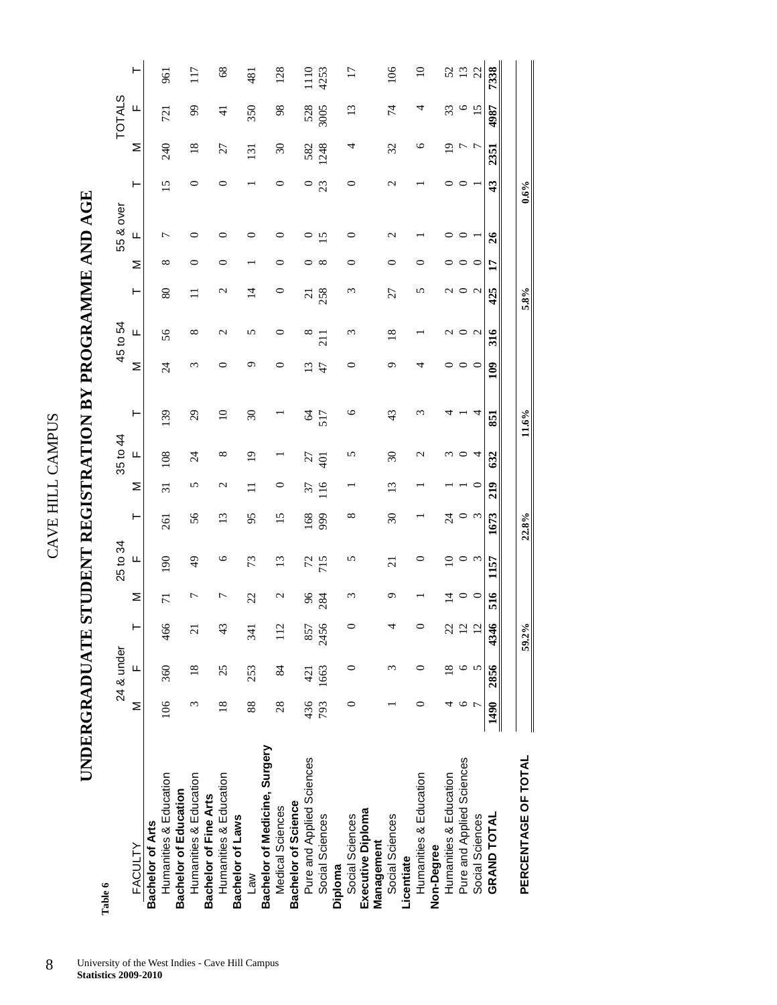# **UNDERGRADUATE STUDENT REGISTRATION BY PROGRAMME AND AGE**  UNDERGRADUATE STUDENT REGISTRATION BY PROGRAMME AND AGE

| Table 6                       |               |                |                 |                |                 |                          |                 |                          |               |                 |                 |                 |              |                  |                  |                |                 |                 |
|-------------------------------|---------------|----------------|-----------------|----------------|-----------------|--------------------------|-----------------|--------------------------|---------------|-----------------|-----------------|-----------------|--------------|------------------|------------------|----------------|-----------------|-----------------|
|                               |               | 24 & under     |                 |                | 25 to 34        |                          |                 | 35 to 44                 |               |                 | 45 to 54        |                 |              | 55 & over        |                  |                | <b>TOTALS</b>   |                 |
| <b>FACULTY</b>                | Σ             | Щ              | $\vdash$        | Σ              | Щ               | ۳                        | Σ               | щ                        | ⊢             | Σ               | Щ               | ۲               | Σ            | щ                | Н                | Σ              | Щ               | ۲               |
| Bachelor of Arts              |               |                |                 |                |                 |                          |                 |                          |               |                 |                 |                 |              |                  |                  |                |                 |                 |
| Humanities & Education        | 106           | 360            | 466             | $\overline{7}$ | 90              | 261                      | $\overline{31}$ | 108                      | 139           | $\overline{24}$ | 56              | 80              | ${}^{\circ}$ |                  | $\overline{15}$  | 240            | 721             | 961             |
| <b>Bachelor of Education</b>  |               |                |                 |                |                 |                          |                 |                          |               |                 |                 |                 |              |                  |                  |                |                 |                 |
| Humanities & Education        | ξ             | $\frac{8}{18}$ | $\overline{21}$ | ᠇              | 49              | 56                       | 5               | $\overline{24}$          | 29            | ς               | ∞               | Ξ               | ⊂            |                  | 0                | $\frac{8}{18}$ | 99              | 117             |
| <b>Bachelor of Fine Arts</b>  |               |                |                 |                |                 |                          |                 |                          |               |                 |                 |                 |              |                  |                  |                |                 |                 |
| Humanities & Education        | $\frac{8}{2}$ | 25             | 43              | ┍              | ७               | $\overline{13}$          | $\mathbf{\sim}$ | $^{\circ}$               | $\Omega$      | ○               | $\mathbf{\sim}$ | $\mathbf{\sim}$ | ⊂            |                  | ○                | 27             | $\pm$           | 68              |
| Bachelor of Laws              |               |                |                 |                |                 |                          |                 |                          |               |                 |                 |                 |              |                  |                  |                |                 |                 |
| Law                           | 88            | 253            | 341             | 22             | 73              | 95                       |                 | $\overline{0}$           | 30            | ᡡ               | n               | $\vec{4}$       |              |                  |                  | 131            | 350             | 481             |
| Bachelor of Medicine, Surgery |               |                |                 |                |                 |                          |                 |                          |               |                 |                 |                 |              |                  |                  |                |                 |                 |
| Medical Sciences              | 28            | 84             | 112             | $\mathcal{C}$  | $\overline{13}$ | 15                       | ○               |                          |               | 0               | 0               | 0               | ⊂            | c                | ○                | $\mathfrak{S}$ | 98              | 128             |
| Bachelor of Science           |               |                |                 |                |                 |                          |                 |                          |               |                 |                 |                 |              |                  |                  |                |                 |                 |
| Pure and Applied Sciences     | 436           | 421            | 857             | 96             | 72              | 168                      | 37              | 27                       | $\mathcal{Z}$ | G               | $^{\circ}$      | $\overline{c}$  |              |                  | $\circ$          | 582            | 528             | $\frac{1}{2}$   |
| Social Sciences               | 793           | 1663           | 2456            | 284            | 715             | 999                      | 116             | $\overline{5}$           | 517           | 47              | 211             | 258             | $\infty$     | n                | 23               | 1248           | 3005            | 4253            |
| Diploma                       |               |                |                 |                |                 |                          |                 |                          |               |                 |                 |                 |              |                  |                  |                |                 |                 |
| Social Sciences               | 0             | 0              | $\circ$         | ε              | 5               | $^{\circ}$               |                 | 5                        | ৩             | 0               | ε               | ς               | 0            | 0                | 0                | 4              | $\frac{13}{2}$  | $\overline{17}$ |
| Executive Diploma             |               |                |                 |                |                 |                          |                 |                          |               |                 |                 |                 |              |                  |                  |                |                 |                 |
| Management                    |               |                |                 |                |                 |                          |                 |                          |               |                 |                 |                 |              |                  |                  |                |                 |                 |
| Social Sciences               |               | 3              | 4               | ᡡ              | $\overline{21}$ | $\overline{\mathcal{E}}$ | $\tilde{1}$     | $\overline{\mathcal{E}}$ | 43            | ᡡ               | $\frac{8}{18}$  | 27              | ○            | $\mathrel{\sim}$ | $\mathrel{\sim}$ | 32             | 74              | 106             |
| Licentiate                    |               |                |                 |                |                 |                          |                 |                          |               |                 |                 |                 |              |                  |                  |                |                 |                 |
| Humanities & Education        |               |                |                 |                |                 |                          |                 |                          | ო             | 4               |                 | n               |              |                  |                  | ७              | 4               | $\Xi$           |
| Non-Degree                    |               |                |                 |                |                 |                          |                 |                          |               |                 |                 |                 |              |                  |                  |                |                 |                 |
| Humanities & Education        |               |                | 22              | $\vec{r}$      | $\supseteq$     | 24                       |                 |                          |               |                 |                 | N               |              |                  |                  | $\overline{9}$ | 33              |                 |
| Pure and Applied Sciences     |               |                | $\overline{c}$  | $\circ$        | $\circ$         | $\circ$                  |                 |                          |               | 0               | 0               | $\circ$         | 0            | 0                |                  | ŗ              | 9               | 52<br>13        |
| Social Sciences               |               |                | $\overline{2}$  | $\circ$        | $\epsilon$      | $\epsilon$               | ∊               | 4                        | 4             | $\circ$         | $\sim$          | $\sim$          | $\circ$      |                  |                  | ŗ              | $\overline{15}$ | 22              |
| <b>GRAND TOTAL</b>            | 1490          | 2856           | 4346            | 516            | 1157            | 1673                     | 219             | 632                      | 851           | 109             | 316             | 425             | 17           | $\delta$         | 43               | 2351           | 4987            | 7338            |
|                               |               |                |                 |                |                 |                          |                 |                          |               |                 |                 |                 |              |                  |                  |                |                 |                 |
| PERCENTAGE OF TOTAL           |               |                | 59.2%           |                |                 | 22.8%                    |                 |                          | 11.6%         |                 |                 | 5.8%            |              |                  | 0.6%             |                |                 |                 |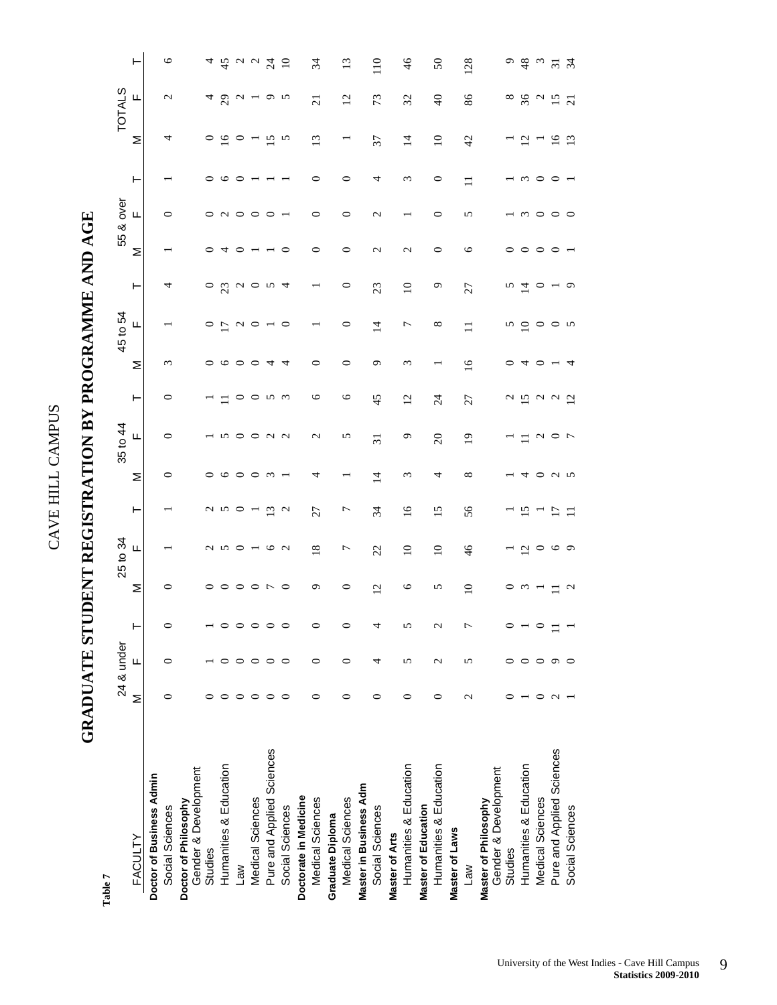## GRADUATE STUDENT REGISTRATION BY PROGRAMME AND AGE **GRADUATE STUDENT REGISTRATION BY PROGRAMME AND AGE**

| Table 7                                      |                 |                   |               |                |                 |                   |                          |                   |                                               |               |                 |                        |                 |                 |            |                 |                        |                 |
|----------------------------------------------|-----------------|-------------------|---------------|----------------|-----------------|-------------------|--------------------------|-------------------|-----------------------------------------------|---------------|-----------------|------------------------|-----------------|-----------------|------------|-----------------|------------------------|-----------------|
|                                              |                 | 24 & under        |               |                | 25 to 34        |                   |                          | 35 to 44          |                                               |               | 45 to 54        |                        |                 | 55 & over       |            |                 | <b>TOTALS</b>          |                 |
| FACULTY                                      | Σ               | щ                 | ⊢             | Σ              | Щ               | ⊢                 | Σ                        | щ                 | ⊢                                             | Σ             | Щ               | ۳                      | Σ               | щ               | ۲          | Σ               | Щ                      | ۲               |
| Doctor of Business Admin                     |                 |                   |               |                |                 |                   |                          |                   |                                               |               |                 |                        |                 |                 |            |                 |                        |                 |
| Social Sciences                              |                 |                   | $\circ$       | 0              |                 |                   | $\circ$                  | 0                 | $\circ$                                       | $\epsilon$    |                 | 4                      |                 | ○               |            | 4               | $\mathbf{\Omega}$      | $\circ$         |
| Gender & Development<br>Doctor of Philosophy |                 |                   |               |                |                 |                   |                          |                   |                                               |               |                 |                        |                 |                 |            |                 |                        |                 |
| Studies                                      |                 |                   |               | ᅌ              | $\sim$          |                   | $\circ$                  |                   |                                               | 0             | $\circ$         | $\circ$                |                 | $\circ$         |            | $\circ$         | 4                      | 4               |
| Humanities & Education                       |                 |                   | 0             | $\circ$        | $\Omega$        | u n               | $\circ$                  |                   |                                               | ७             | $\overline{L}$  | 23                     |                 | $\sim$          | ७          | $\frac{8}{1}$   | $\overline{c}$         | 45              |
| <b>Law</b>                                   |                 |                   | $\circ$       | $\circ$        |                 | $\circ$           | $\circ$                  | ○                 | $\circ$                                       | ᅌ             | $\mathbf{C}$    | $\mathbf{\mathcal{L}}$ |                 | $\circ$         | ⊂          | $\circ$         | $\mathbf{\mathcal{L}}$ | 004             |
| Medical Sciences                             |                 |                   | $\circ$       | $\circ$        | $ \circ$        |                   | $\circ$                  | ○                 | $\circ$                                       | $\circ$       | $\circ$         | $\circ$                |                 | $\circ$         |            |                 |                        |                 |
| Pure and Applied Sciences                    | ⊂               |                   | $\circ$       | $\overline{ }$ |                 | $\tilde{c}$       | $\omega$                 | ്റെ               | r<br>S                                        | 4             |                 | n                      |                 | $\circ$         |            | 15              | o v                    |                 |
| Social Sciences                              | ⊂               | ⊂                 | $\circ$       | $\circ$        | $\sim$          | $\mathbf{\Omega}$ |                          |                   |                                               | 4             | $\circ$         | 4                      | 0               |                 |            | $\sim$          |                        | $\overline{10}$ |
| Doctorate in Medicine                        |                 |                   |               |                |                 |                   |                          |                   |                                               |               |                 |                        |                 |                 |            |                 |                        |                 |
| Medical Sciences                             | ∊               | 0                 | $\circ$       | Q              | $\overline{18}$ | 27                | 4                        | $\mathbf{\Omega}$ | ৩                                             | $\circ$       |                 |                        | 0               | $\circ$         | 0          | 13              | $\overline{21}$        | 34              |
| Graduate Diploma                             |                 |                   |               |                |                 |                   |                          |                   |                                               |               |                 |                        |                 |                 |            |                 |                        |                 |
| Medical Sciences                             | 0               | 0                 | $\circ$       | 0              | $\overline{ }$  | $\overline{ }$    | $\overline{\phantom{0}}$ | 5                 | $\circ$                                       | $\circ$       | $\circ$         | 0                      | $\circ$         | $\circ$         | 0          |                 | $\overline{c}$         | $\overline{13}$ |
| Master in Business Adm                       |                 |                   |               |                |                 |                   |                          |                   |                                               |               |                 |                        |                 |                 |            |                 |                        |                 |
| Social Sciences                              | ∊               | 4                 | 4             | $\overline{c}$ | 22              | 34                | $\overline{4}$           | $\overline{31}$   | 45                                            | $\sigma$      | $\overline{4}$  | 23                     | $\mathcal{L}$   | $\mathcal{L}$   | 4          | 37              | 73                     | 110             |
| Master of Arts                               |                 |                   |               |                |                 |                   |                          |                   |                                               |               |                 |                        |                 |                 |            |                 |                        |                 |
| Humanities & Education                       | 0               | 5                 | 5             | $\circ$        | $\Xi$           | $\overline{16}$   | $\epsilon$               | Q                 | $\overline{c}$                                | $\epsilon$    | $\overline{ }$  | $\overline{10}$        | $\mathbf{\sim}$ |                 | $\epsilon$ | $\overline{4}$  | 32                     | $\frac{4}{6}$   |
| Master of Education                          |                 |                   |               |                |                 |                   |                          |                   |                                               |               |                 |                        |                 |                 |            |                 |                        |                 |
| Humanities & Education                       | ∊               | $\mathbf{\Omega}$ | $\mathcal{L}$ | S              | $\supseteq$     | $\overline{15}$   | 4                        | $\Omega$          | $\overline{24}$                               |               | $^{\circ}$      | C                      | $\circ$         | $\circ$         | $\circ$    | $\overline{10}$ | $\overline{a}$         | $50\,$          |
| Master of Laws                               |                 |                   |               |                |                 |                   |                          |                   |                                               |               |                 |                        |                 |                 |            |                 |                        |                 |
| <b>Me<sub>1</sub></b>                        | $\mathbf{\sim}$ | 5                 | Γ             | $\Omega$       | 46              | 56                | $\infty$                 | $\overline{0}$    | 27                                            | $\frac{8}{1}$ | $\equiv$        | 27                     | $\circ$         | 5               | $\Box$     | 42              | 86                     | 128             |
| Gender & Development<br>Master of Philosophy |                 |                   |               |                |                 |                   |                          |                   |                                               |               |                 |                        |                 |                 |            |                 |                        |                 |
| Studies                                      |                 |                   |               |                |                 |                   |                          |                   | $\mathfrak{g}$                                |               | п               | n                      |                 |                 |            |                 | $^{\circ}$             | Q               |
| Humanities & Education                       |                 |                   |               | $\omega$       | $\overline{c}$  | ≌                 | 4                        |                   | $\overline{15}$                               | 4             | $\Omega$        | 그                      | 0               | $\omega$        | ω          | $\Xi$           | 36                     | 48              |
| Medical Sciences                             |                 |                   | ○             |                | $\circ$         |                   | $\circ$                  |                   |                                               | $\circ$       | $\circ$         | 0                      | $\circ$         | $\circ$         | ○          |                 | $\sim$                 | $\omega$        |
| Pure and Applied Sciences                    | c               |                   |               | Ξ              | $\circ$ $\circ$ | $\overline{17}$   | $\omega$ $\omega$        | $\sim$ 0 $\sim$   | $\begin{array}{c} 2 & 0 \\ 0 & 0 \end{array}$ |               | $\circ$ $\circ$ |                        | $\circ$         | $\circ$ $\circ$ | ○          | $16$<br>$13$    | 15                     | $\frac{5}{2}$   |
| Social Sciences                              |                 |                   |               | $\sim$         |                 | $\Xi$             |                          |                   |                                               | 4             |                 | $\circ$                |                 |                 |            |                 | $\overline{c}$         |                 |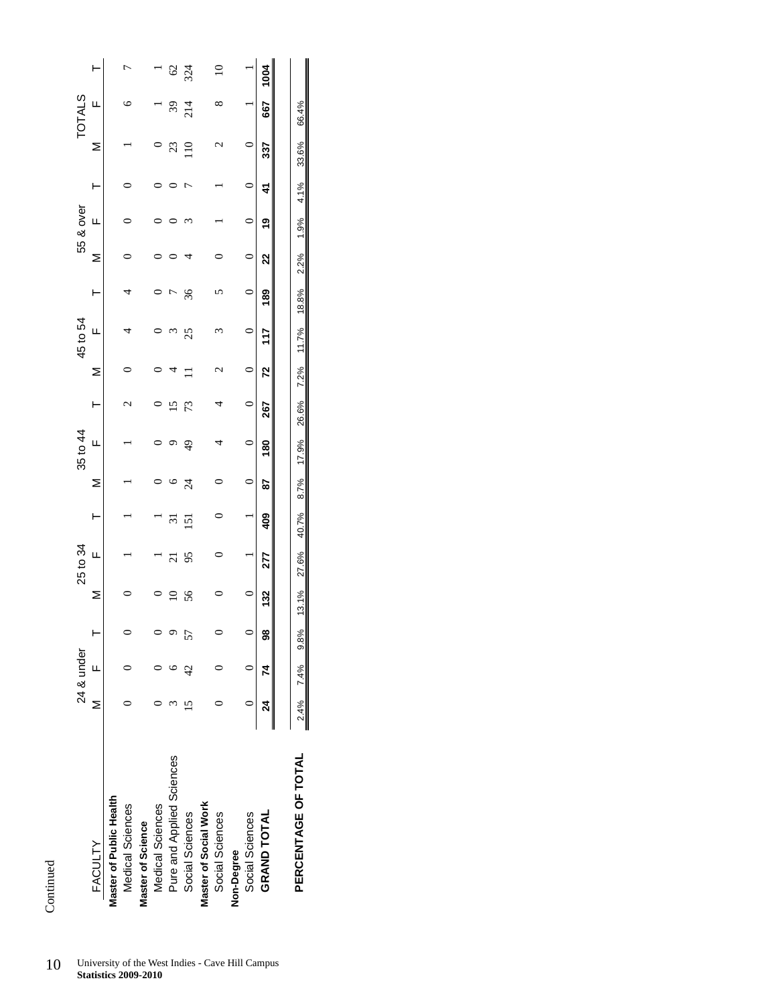| 10 | University of the West Indies - Cave Hill Campus |
|----|--------------------------------------------------|
|    | <b>Statistics 2009-2010</b>                      |

|                           |       | 24 & under      |   |     | 25 to 34       |       |                | 35 to 44      |                    |   | 45 to 54 |     |   | 55 & over |    |                    | <b>TOTALS</b> |               |
|---------------------------|-------|-----------------|---|-----|----------------|-------|----------------|---------------|--------------------|---|----------|-----|---|-----------|----|--------------------|---------------|---------------|
| FACULTY                   | ≥<br> | LL.             |   |     | Щ              |       |                | ц             |                    | ≥ | Щ        |     |   | ц         |    | ⋝                  | Щ             |               |
| Master of Public Health   |       |                 |   |     |                |       |                |               |                    |   |          |     |   |           |    |                    |               |               |
| Medical Sciences          |       |                 |   |     |                |       |                |               | $\scriptstyle\sim$ |   | 4        | 4   |   |           |    |                    | ७             |               |
| Master of Science         |       |                 |   |     |                |       |                |               |                    |   |          |     |   |           |    |                    |               |               |
| Medical Sciences          |       |                 |   |     |                |       |                |               |                    |   |          |     |   |           |    |                    |               |               |
| Pure and Applied Sciences |       |                 |   | ≘   | $\overline{c}$ | $\Xi$ |                |               | ≌                  | 4 | $\omega$ |     |   |           |    | 23                 | 39            | $\mathcal{S}$ |
| Social Sciences           |       |                 |   | 56  | 95             | 51    | $\overline{z}$ | $\frac{4}{9}$ | 73                 |   | 25       | 36  | 4 |           | ŗ  | $\frac{1}{10}$     | 214           | 324           |
| Master of Social Work     |       |                 |   |     |                |       |                |               |                    |   |          |     |   |           |    |                    |               |               |
| Social Sciences           |       |                 |   |     |                |       |                |               |                    |   |          |     |   |           |    | $\scriptstyle\sim$ |               | ≘             |
| Non-Degree                |       |                 |   |     |                |       |                |               |                    |   |          |     |   |           |    |                    |               |               |
| Social Sciences           |       |                 |   |     |                |       |                |               |                    |   |          |     |   |           |    |                    |               |               |
| <b>GRAND TOTAL</b>        | 24    | $\overline{74}$ | 8 | 132 | 277            | 409   | 28             | 80            | 267                | R | 117      | 189 | ຊ | ë         | 41 | 337                | 59            | 1004          |
|                           |       |                 |   |     |                |       |                |               |                    |   |          |     |   |           |    |                    |               |               |

**PERCENTAGE OF TOTAL** 2.4% 7.4% 9.8% 13.1% 27.6% 40.7% 8.7% 17.9% 26.6% 7.2% 11.7% 18.8% 2.2% 1.9% 4.1% 33.6% 66.4%

40.7%

27.6%

13.1%

9.8%

7.4%

 $2.4%$ 

PERCENTAGE OF TOTAL

8.7%

66.4%

33.6%

4.1%

1.9%

2.2%

18.8%

11.7%

7.2%

26.6%

17.9%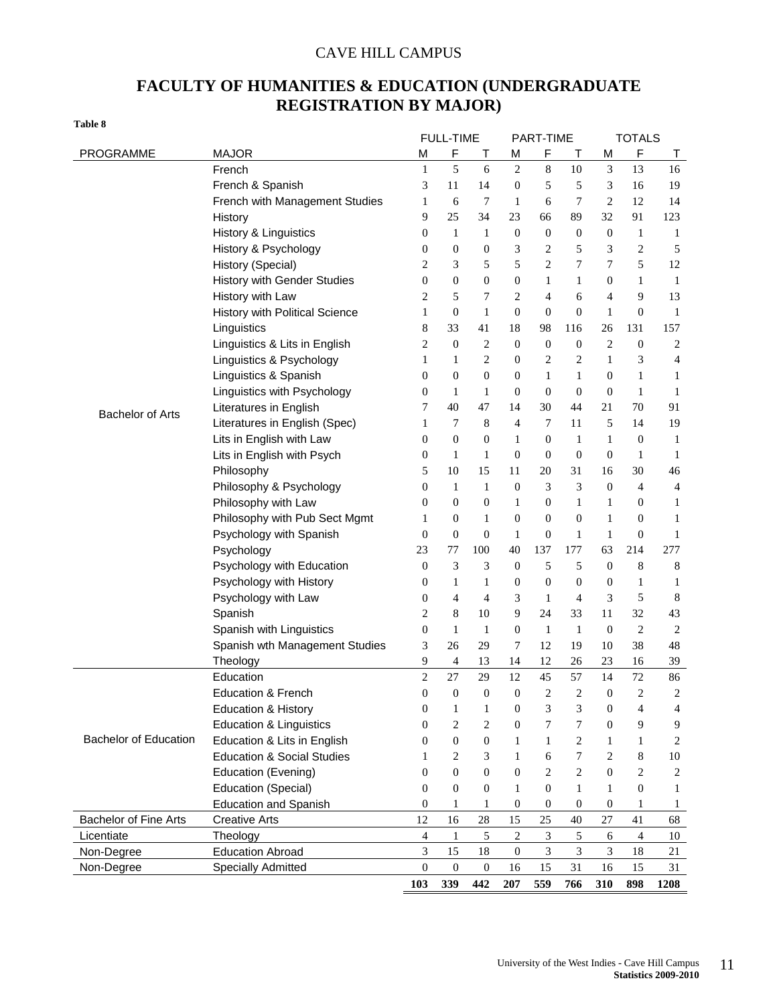### CAVE HILL CAMPUS

### **FACULTY OF HUMANITIES & EDUCATION (UNDERGRADUATE REGISTRATION BY MAJOR)**

| ۰.<br>v<br>۰.<br>×<br>۰.<br>۰.<br>×<br>.,<br>× |  |  |
|------------------------------------------------|--|--|
|------------------------------------------------|--|--|

|                              |                                       |                  | <b>FULL-TIME</b> |                  |                  | <b>PART-TIME</b>            |                  |                  | <b>TOTALS</b>    |                  |
|------------------------------|---------------------------------------|------------------|------------------|------------------|------------------|-----------------------------|------------------|------------------|------------------|------------------|
| PROGRAMME                    | <b>MAJOR</b>                          | M                | F                | т                | M                | F                           | Т                | M                | $\mathsf F$      | $\top$           |
|                              | French                                | $\mathbf{1}$     | 5                | 6                | $\mathbf{2}$     | $\,8\,$                     | 10               | 3                | 13               | 16               |
|                              | French & Spanish                      | 3                | 11               | 14               | $\boldsymbol{0}$ | 5                           | 5                | 3                | 16               | 19               |
|                              | French with Management Studies        | 1                | 6                | 7                | $\mathbf{1}$     | 6                           | 7                | $\overline{c}$   | 12               | 14               |
|                              | History                               | 9                | 25               | 34               | 23               | 66                          | 89               | 32               | 91               | 123              |
|                              | History & Linguistics                 | 0                | 1                | 1                | $\boldsymbol{0}$ | $\boldsymbol{0}$            | 0                | $\boldsymbol{0}$ | 1                | 1                |
|                              | History & Psychology                  | 0                | $\boldsymbol{0}$ | $\boldsymbol{0}$ | 3                | $\overline{c}$              | 5                | 3                | 2                | 5                |
|                              | History (Special)                     | 2                | 3                | 5                | 5                | $\overline{2}$              | 7                | 7                | 5                | 12               |
|                              | <b>History with Gender Studies</b>    | $\boldsymbol{0}$ | $\boldsymbol{0}$ | $\boldsymbol{0}$ | $\boldsymbol{0}$ | 1                           | 1                | $\boldsymbol{0}$ | 1                | 1                |
|                              | History with Law                      | 2                | 5                | 7                | $\overline{c}$   | 4                           | 6                | 4                | 9                | 13               |
|                              | History with Political Science        | 1                | $\boldsymbol{0}$ | $\mathbf{1}$     | $\boldsymbol{0}$ | $\boldsymbol{0}$            | $\boldsymbol{0}$ | $\mathbf{1}$     | $\mathbf{0}$     | 1                |
|                              | Linguistics                           | 8                | 33               | 41               | 18               | 98                          | 116              | 26               | 131              | 157              |
|                              | Linguistics & Lits in English         | 2                | $\boldsymbol{0}$ | $\overline{c}$   | $\boldsymbol{0}$ | $\boldsymbol{0}$            | $\boldsymbol{0}$ | $\overline{2}$   | $\mathbf{0}$     | $\overline{2}$   |
|                              | Linguistics & Psychology              | 1                | 1                | 2                | $\boldsymbol{0}$ | $\overline{2}$              | $\overline{c}$   | 1                | 3                | 4                |
|                              | Linguistics & Spanish                 | 0                | $\boldsymbol{0}$ | $\boldsymbol{0}$ | $\boldsymbol{0}$ | $\mathbf{1}$                | 1                | $\mathbf{0}$     | 1                | 1                |
|                              | Linguistics with Psychology           | 0                | 1                | 1                | $\boldsymbol{0}$ | $\boldsymbol{0}$            | $\boldsymbol{0}$ | $\boldsymbol{0}$ | 1                | 1                |
| <b>Bachelor of Arts</b>      | Literatures in English                | 7                | 40               | 47               | 14               | 30                          | 44               | 21               | 70               | 91               |
|                              | Literatures in English (Spec)         | 1                | 7                | 8                | 4                | 7                           | 11               | 5                | 14               | 19               |
|                              | Lits in English with Law              | 0                | $\boldsymbol{0}$ | $\boldsymbol{0}$ | $\mathbf{1}$     | $\boldsymbol{0}$            | 1                | 1                | 0                | 1                |
|                              | Lits in English with Psych            | 0                | 1                | 1                | $\boldsymbol{0}$ | $\boldsymbol{0}$            | $\boldsymbol{0}$ | $\boldsymbol{0}$ | 1                | 1                |
|                              | Philosophy                            | 5                | 10               | 15               | 11               | 20                          | 31               | 16               | 30               | 46               |
|                              | Philosophy & Psychology               | 0                | $\mathbf{1}$     | $\mathbf{1}$     | $\boldsymbol{0}$ | 3                           | 3                | $\mathbf{0}$     | 4                | $\overline{4}$   |
|                              | Philosophy with Law                   | 0                | $\boldsymbol{0}$ | $\boldsymbol{0}$ | $\mathbf{1}$     | $\boldsymbol{0}$            | 1                | 1                | 0                | 1                |
|                              | Philosophy with Pub Sect Mgmt         | 1                | $\boldsymbol{0}$ | $\mathbf{1}$     | $\boldsymbol{0}$ | $\boldsymbol{0}$            | $\boldsymbol{0}$ | $\mathbf{1}$     | $\boldsymbol{0}$ | 1                |
|                              | Psychology with Spanish               | $\boldsymbol{0}$ | $\boldsymbol{0}$ | $\boldsymbol{0}$ | $\mathbf{1}$     | $\boldsymbol{0}$            | $\mathbf{1}$     | $\mathbf{1}$     | $\mathbf{0}$     | $\mathbf{1}$     |
|                              | Psychology                            | 23               | 77               | 100              | 40               | 137                         | 177              | 63               | 214              | 277              |
|                              | Psychology with Education             | $\boldsymbol{0}$ | 3                | 3                | $\boldsymbol{0}$ | 5                           | 5                | $\mathbf{0}$     | 8                | 8                |
|                              | Psychology with History               | 0                | $\mathbf{1}$     | $\mathbf{1}$     | $\boldsymbol{0}$ | $\boldsymbol{0}$            | $\mathbf{0}$     | $\mathbf{0}$     | 1                | $\mathbf{1}$     |
|                              | Psychology with Law                   | 0                | 4                | 4                | 3                | $\mathbf{1}$                | 4                | 3                | 5                | 8                |
|                              | Spanish                               | 2                | 8                | 10               | 9                | 24                          | 33               | 11               | 32               | 43               |
|                              | Spanish with Linguistics              | $\boldsymbol{0}$ | $\mathbf{1}$     | $\mathbf{1}$     | $\boldsymbol{0}$ | $\mathbf{1}$                | $\mathbf{1}$     | $\boldsymbol{0}$ | $\overline{c}$   | $\overline{2}$   |
|                              | Spanish wth Management Studies        | 3                | 26               | 29               | 7                | 12                          | 19               | 10               | 38               | 48               |
|                              | Theology                              | 9                | 4                | 13               | 14               | 12                          | 26               | 23               | 16               | 39               |
|                              | Education                             | $\overline{c}$   | 27               | 29               | 12               | 45                          | 57               | 14               | 72               | 86               |
|                              | <b>Education &amp; French</b>         | $\boldsymbol{0}$ | $\boldsymbol{0}$ | $\boldsymbol{0}$ | $\boldsymbol{0}$ | $\overline{c}$              | $\overline{2}$   | $\boldsymbol{0}$ | 2                | $\boldsymbol{2}$ |
|                              | <b>Education &amp; History</b>        | $\boldsymbol{0}$ | $\mathbf{1}$     | $\mathbf{1}$     | $\boldsymbol{0}$ | 3                           | 3                | $\mathbf{0}$     | 4                | $\overline{4}$   |
|                              | <b>Education &amp; Linguistics</b>    | $\overline{0}$   | $\overline{c}$   | 2                | $\boldsymbol{0}$ | 7                           | 7                | $\overline{0}$   | 9                | $\overline{9}$   |
| <b>Bachelor of Education</b> | Education & Lits in English           | 0                | $\overline{0}$   | $\boldsymbol{0}$ | $\mathbf{1}$     | $\mathbf{1}$                | $\mathbf{2}$     | 1                | $\mathbf{1}$     | $\overline{2}$   |
|                              | <b>Education &amp; Social Studies</b> | 1                | 2                | 3                | $\mathbf{1}$     | 6                           | 7                | 2                | 8                | $10\,$           |
|                              | Education (Evening)                   | 0                | $\overline{0}$   | $\boldsymbol{0}$ | $\boldsymbol{0}$ | $\mathbf{2}$                | $\mathbf{2}$     | $\overline{0}$   | $\overline{2}$   | $\sqrt{2}$       |
|                              | <b>Education (Special)</b>            | 0                | $\overline{0}$   | $\overline{0}$   | $\mathbf{1}$     | $\mathbf{0}$                | $\mathbf{1}$     | $\mathbf{1}$     | $\mathbf{0}$     | 1                |
|                              | <b>Education and Spanish</b>          | 0                | 1                | 1                | $\boldsymbol{0}$ | $\mathbf{0}$                | 0                | $\boldsymbol{0}$ | 1                | $\mathbf{1}$     |
| <b>Bachelor of Fine Arts</b> | <b>Creative Arts</b>                  | 12               | 16               | 28               | 15               | 25                          | 40               | 27               | 41               | 68               |
| Licentiate                   | Theology                              | $\overline{4}$   | $\mathbf{1}$     | 5                | $\boldsymbol{2}$ | $\ensuremath{\mathfrak{Z}}$ | $\sqrt{5}$       | 6                | $\overline{4}$   | 10               |
| Non-Degree                   | <b>Education Abroad</b>               | $\mathfrak{Z}$   | 15               | 18               | $\boldsymbol{0}$ | $\mathfrak{Z}$              | $\mathfrak{Z}$   | 3                | 18               | 21               |
| Non-Degree                   | <b>Specially Admitted</b>             | $\boldsymbol{0}$ | $\boldsymbol{0}$ | $\boldsymbol{0}$ | 16               | 15                          | 31               | 16               | 15               | 31               |
|                              |                                       | 103              | 339              | 442              | 207              | 559                         | 766              | 310              | 898              | 1208             |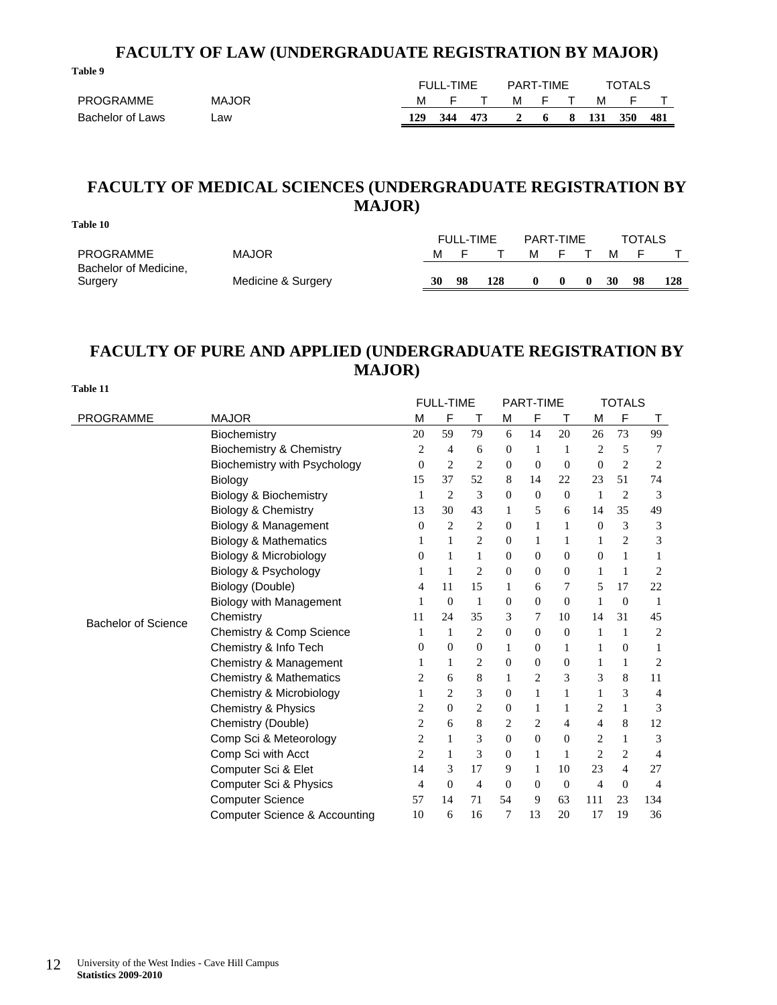### **FACULTY OF LAW (UNDERGRADUATE REGISTRATION BY MAJOR)**

|                  |              | <b>FULL-TIME</b><br>PART-TIME |       |     |       |    | <b>TOTALS</b> |       |            |      |
|------------------|--------------|-------------------------------|-------|-----|-------|----|---------------|-------|------------|------|
| <b>PROGRAMME</b> | <b>MAJOR</b> |                               | M F T |     | M F T |    |               |       | M F        |      |
| Bachelor of Laws | _aw          | 129                           | 344   | 473 |       | -6 | 8.1           | - 131 | <b>350</b> | -481 |

### **FACULTY OF MEDICAL SCIENCES (UNDERGRADUATE REGISTRATION BY MAJOR)**

| Table 10                                  |                    |    |                  |     |           |   |    |               |     |
|-------------------------------------------|--------------------|----|------------------|-----|-----------|---|----|---------------|-----|
|                                           |                    |    | <b>FULL-TIME</b> |     | PART-TIME |   |    | <b>TOTALS</b> |     |
| <b>PROGRAMME</b><br>Bachelor of Medicine, | <b>MAJOR</b>       | м  |                  |     | м         |   | м  | ►             |     |
| Surgery                                   | Medicine & Surgery | 30 | 98               | 128 |           | 0 | 30 | 98            | 128 |

### **FACULTY OF PURE AND APPLIED (UNDERGRADUATE REGISTRATION BY MAJOR)**

|                            |                                          |                | <b>FULL-TIME</b> |                |                | <b>PART-TIME</b> |                  |                | <b>TOTALS</b>  |                |
|----------------------------|------------------------------------------|----------------|------------------|----------------|----------------|------------------|------------------|----------------|----------------|----------------|
| <b>PROGRAMME</b>           | <b>MAJOR</b>                             | M              | F                | Т              | M              | F                | Т                | M              | F              | Τ              |
|                            | Biochemistry                             | 20             | 59               | 79             | 6              | 14               | 20               | 26             | 73             | 99             |
|                            | Biochemistry & Chemistry                 | 2              | 4                | 6              | 0              | $\mathbf{1}$     | 1                | 2              | 5              | 7              |
|                            | Biochemistry with Psychology             | $\Omega$       | 2                | $\overline{c}$ | $\Omega$       | $\theta$         | $\mathbf{0}$     | $\mathbf{0}$   | $\overline{c}$ | 2              |
|                            | Biology                                  | 15             | 37               | 52             | 8              | 14               | 22               | 23             | 51             | 74             |
|                            | Biology & Biochemistry                   | 1              | 2                | 3              | $\overline{0}$ | $\theta$         | $\overline{0}$   | 1              | $\overline{c}$ | 3              |
|                            | Biology & Chemistry                      | 13             | 30               | 43             | 1              | 5                | 6                | 14             | 35             | 49             |
|                            | Biology & Management                     | $\mathbf{0}$   | 2                | 2              | $\mathbf{0}$   | 1                | 1                | $\mathbf{0}$   | 3              | 3              |
|                            | <b>Biology &amp; Mathematics</b>         | 1              | 1                | 2              | 0              | 1                | $\mathbf{1}$     | 1              | $\overline{2}$ | 3              |
|                            | Biology & Microbiology                   | 0              |                  | 1              | 0              | $\mathbf{0}$     | $\overline{0}$   | 0              | 1              |                |
|                            | Biology & Psychology                     |                | 1                | 2              | $\Omega$       | $\boldsymbol{0}$ | $\boldsymbol{0}$ | 1              | 1              | 2              |
|                            | Biology (Double)                         | 4              | 11               | 15             | 1              | 6                | 7                | 5              | 17             | 22             |
|                            | Biology with Management                  |                | $\Omega$         | 1              | $\overline{0}$ | $\mathbf{0}$     | $\overline{0}$   | 1              | $\overline{0}$ | -1             |
| <b>Bachelor of Science</b> | Chemistry                                | 11             | 24               | 35             | 3              | 7                | 10               | 14             | 31             | 45             |
|                            | Chemistry & Comp Science                 |                | 1                | 2              | 0              | $\theta$         | $\mathbf{0}$     | 1              | 1              | 2              |
|                            | Chemistry & Info Tech                    | 0              | $\Omega$         | $\mathbf{0}$   | 1              | $\mathbf{0}$     | 1                | 1              | 0              | 1              |
|                            | Chemistry & Management                   |                | 1                | 2              | $\overline{0}$ | $\theta$         | $\boldsymbol{0}$ | 1              | $\mathbf{1}$   | 2              |
|                            | <b>Chemistry &amp; Mathematics</b>       | 2              | 6                | 8              | 1              | 2                | 3                | 3              | 8              | 11             |
|                            | Chemistry & Microbiology                 |                | $\overline{c}$   | 3              | $\Omega$       | 1                | 1                | 1              | 3              | 4              |
|                            | Chemistry & Physics                      | 2              | $\Omega$         | $\overline{c}$ | $\overline{0}$ | 1                | 1                | $\overline{c}$ | $\mathbf{1}$   | 3              |
|                            | Chemistry (Double)                       | 2              | 6                | 8              | 2              | 2                | 4                | 4              | 8              | 12             |
|                            | Comp Sci & Meteorology                   | 2              | 1                | 3              | 0              | $\theta$         | $\overline{0}$   | 2              | 1              | 3              |
|                            | Comp Sci with Acct                       | $\overline{c}$ | 1                | 3              | $\mathbf{0}$   | 1                | 1                | $\overline{2}$ | 2              | 4              |
|                            | Computer Sci & Elet                      | 14             | 3                | 17             | 9              | 1                | 10               | 23             | $\overline{4}$ | 27             |
|                            | Computer Sci & Physics                   | 4              | $\Omega$         | 4              | $\mathbf{0}$   | $\theta$         | $\mathbf{0}$     | 4              | $\Omega$       | $\overline{4}$ |
|                            | <b>Computer Science</b>                  | 57             | 14               | 71             | 54             | 9                | 63               | 111            | 23             | 134            |
|                            | <b>Computer Science &amp; Accounting</b> | 10             | 6                | 16             | 7              | 13               | 20               | 17             | 19             | 36             |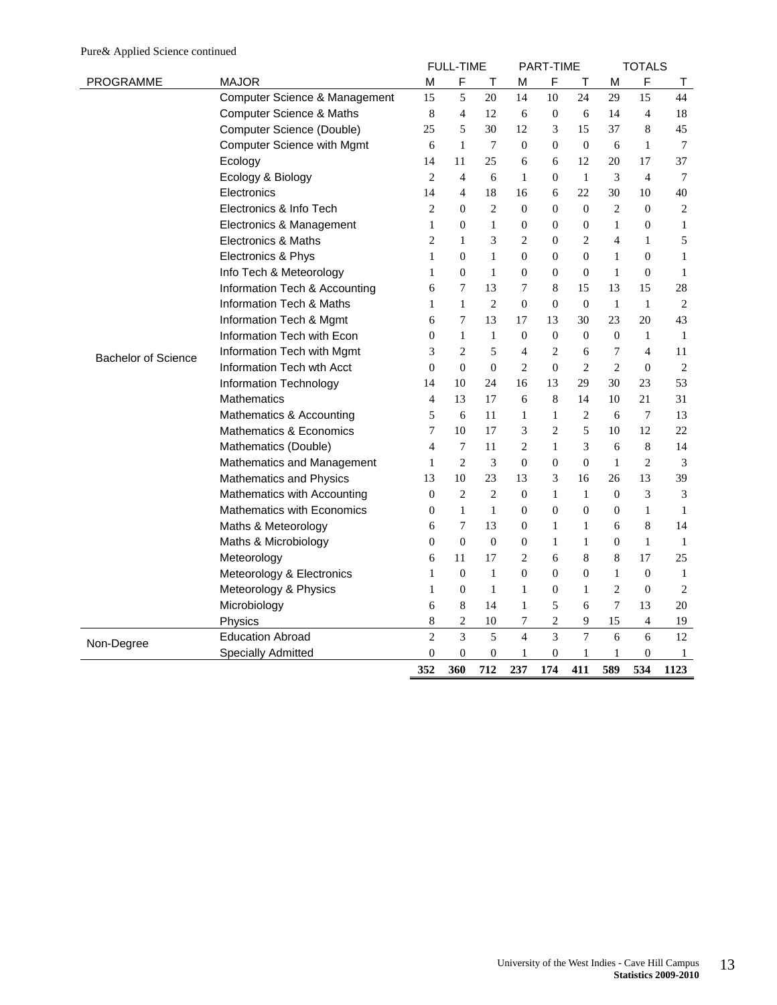|                            |                                     |                | <b>FULL-TIME</b> |                  |                | PART-TIME        |                |                | <b>TOTALS</b>    |                |
|----------------------------|-------------------------------------|----------------|------------------|------------------|----------------|------------------|----------------|----------------|------------------|----------------|
| <b>PROGRAMME</b>           | <b>MAJOR</b>                        | M              | F                | Τ                | М              | F                | $\top$         | M              | $\mathsf F$      | Τ              |
|                            | Computer Science & Management       | 15             | 5                | 20               | 14             | 10               | 24             | 29             | 15               | 44             |
|                            | <b>Computer Science &amp; Maths</b> | 8              | 4                | 12               | 6              | $\mathbf{0}$     | 6              | 14             | $\overline{4}$   | 18             |
|                            | Computer Science (Double)           | 25             | 5                | 30               | 12             | 3                | 15             | 37             | 8                | 45             |
|                            | <b>Computer Science with Mgmt</b>   | 6              | $\mathbf{1}$     | 7                | $\Omega$       | $\overline{0}$   | $\theta$       | 6              | 1                | 7              |
|                            | Ecology                             | 14             | 11               | 25               | 6              | 6                | 12             | 20             | 17               | 37             |
|                            | Ecology & Biology                   | $\overline{c}$ | $\overline{4}$   | 6                | $\mathbf{1}$   | $\mathbf{0}$     | 1              | 3              | $\overline{4}$   | $\overline{7}$ |
|                            | Electronics                         | 14             | $\overline{4}$   | 18               | 16             | 6                | 22             | 30             | 10               | 40             |
|                            | Electronics & Info Tech             | $\overline{c}$ | $\boldsymbol{0}$ | $\overline{c}$   | $\mathbf{0}$   | $\mathbf{0}$     | $\mathbf{0}$   | $\overline{2}$ | $\overline{0}$   | $\overline{c}$ |
|                            | Electronics & Management            | $\mathbf{1}$   | $\boldsymbol{0}$ | $\mathbf{1}$     | $\mathbf{0}$   | $\overline{0}$   | $\mathbf{0}$   | $\mathbf{1}$   | $\overline{0}$   | $\mathbf{1}$   |
|                            | Electronics & Maths                 | $\overline{c}$ | $\mathbf{1}$     | 3                | $\overline{2}$ | $\overline{0}$   | $\overline{c}$ | $\overline{4}$ | $\mathbf{1}$     | 5              |
|                            | Electronics & Phys                  | 1              | $\theta$         | $\mathbf{1}$     | $\Omega$       | $\mathbf{0}$     | $\theta$       | $\mathbf{1}$   | $\theta$         | $\mathbf{1}$   |
|                            | Info Tech & Meteorology             | 1              | $\mathbf{0}$     | 1                | $\mathbf{0}$   | $\mathbf{0}$     | $\mathbf{0}$   | $\mathbf{1}$   | $\mathbf{0}$     | $\mathbf{1}$   |
|                            | Information Tech & Accounting       | 6              | 7                | 13               | 7              | 8                | 15             | 13             | 15               | 28             |
|                            | Information Tech & Maths            | 1              | 1                | $\overline{c}$   | $\mathbf{0}$   | $\mathbf{0}$     | $\theta$       | 1              | $\mathbf{1}$     | $\overline{2}$ |
|                            | Information Tech & Mgmt             | 6              | 7                | 13               | 17             | 13               | 30             | 23             | 20               | 43             |
|                            | Information Tech with Econ          | $\overline{0}$ | $\mathbf{1}$     | $\mathbf{1}$     | $\mathbf{0}$   | $\overline{0}$   | $\Omega$       | $\Omega$       | $\mathbf{1}$     | $\mathbf{1}$   |
| <b>Bachelor of Science</b> | Information Tech with Mgmt          | 3              | 2                | 5                | 4              | 2                | 6              | 7              | 4                | 11             |
|                            | Information Tech wth Acct           | $\Omega$       | $\theta$         | $\boldsymbol{0}$ | $\overline{c}$ | $\mathbf{0}$     | $\overline{c}$ | $\overline{2}$ | $\boldsymbol{0}$ | $\overline{2}$ |
|                            | Information Technology              | 14             | 10               | 24               | 16             | 13               | 29             | 30             | 23               | 53             |
|                            | <b>Mathematics</b>                  | $\overline{4}$ | 13               | 17               | 6              | 8                | 14             | 10             | 21               | 31             |
|                            | Mathematics & Accounting            | 5              | 6                | 11               | $\mathbf{1}$   | 1                | $\overline{2}$ | 6              | $\overline{7}$   | 13             |
|                            | Mathematics & Economics             | 7              | 10               | 17               | 3              | $\mathbf{2}$     | 5              | 10             | 12               | 22             |
|                            | Mathematics (Double)                | $\overline{4}$ | $\tau$           | 11               | 2              | $\mathbf{1}$     | 3              | 6              | 8                | 14             |
|                            | Mathematics and Management          | 1              | $\overline{c}$   | 3                | $\mathbf{0}$   | $\mathbf{0}$     | $\mathbf{0}$   | $\mathbf{1}$   | $\overline{2}$   | 3              |
|                            | Mathematics and Physics             | 13             | 10               | 23               | 13             | 3                | 16             | 26             | 13               | 39             |
|                            | Mathematics with Accounting         | $\mathbf{0}$   | $\overline{2}$   | $\mathbf{2}$     | $\theta$       | 1                | $\mathbf{1}$   | $\Omega$       | 3                | 3              |
|                            | Mathematics with Economics          | $\theta$       | $\mathbf{1}$     | $\mathbf{1}$     | $\theta$       | $\boldsymbol{0}$ | $\mathbf{0}$   | $\overline{0}$ | $\mathbf{1}$     | $\mathbf{1}$   |
|                            | Maths & Meteorology                 | 6              | 7                | 13               | $\theta$       | 1                | 1              | 6              | 8                | 14             |
|                            | Maths & Microbiology                | $\overline{0}$ | $\theta$         | $\theta$         | $\theta$       | $\mathbf{1}$     | 1              | $\Omega$       | $\mathbf{1}$     | $\mathbf{1}$   |
|                            | Meteorology                         | 6              | 11               | 17               | $\overline{c}$ | 6                | 8              | 8              | 17               | 25             |
|                            | Meteorology & Electronics           | 1              | $\theta$         | $\mathbf{1}$     | $\mathbf{0}$   | $\mathbf{0}$     | $\overline{0}$ | $\mathbf{1}$   | $\mathbf{0}$     | 1              |
|                            | Meteorology & Physics               | $\mathbf{1}$   | $\boldsymbol{0}$ | $\mathbf{1}$     | $\mathbf{1}$   | $\boldsymbol{0}$ | $\mathbf{1}$   | $\overline{2}$ | $\mathbf{0}$     | $\mathbf{2}$   |
|                            | Microbiology                        | 6              | 8                | 14               | $\mathbf{1}$   | 5                | 6              | 7              | 13               | 20             |
|                            | Physics                             | 8              | $\mathbf{2}$     | 10               | 7              | $\mathbf{2}$     | 9              | 15             | $\overline{4}$   | 19             |
|                            | <b>Education Abroad</b>             | $\overline{c}$ | $\overline{3}$   | 5                | $\overline{4}$ | 3                | $\overline{7}$ | 6              | 6                | 12             |
| Non-Degree                 | <b>Specially Admitted</b>           | $\overline{0}$ | $\theta$         | $\boldsymbol{0}$ | 1              | $\mathbf{0}$     | 1              | $\mathbf{1}$   | $\overline{0}$   | 1              |
|                            |                                     | 352            | 360              | 712              | 237            | 174              | 411            | 589            | 534              | 1123           |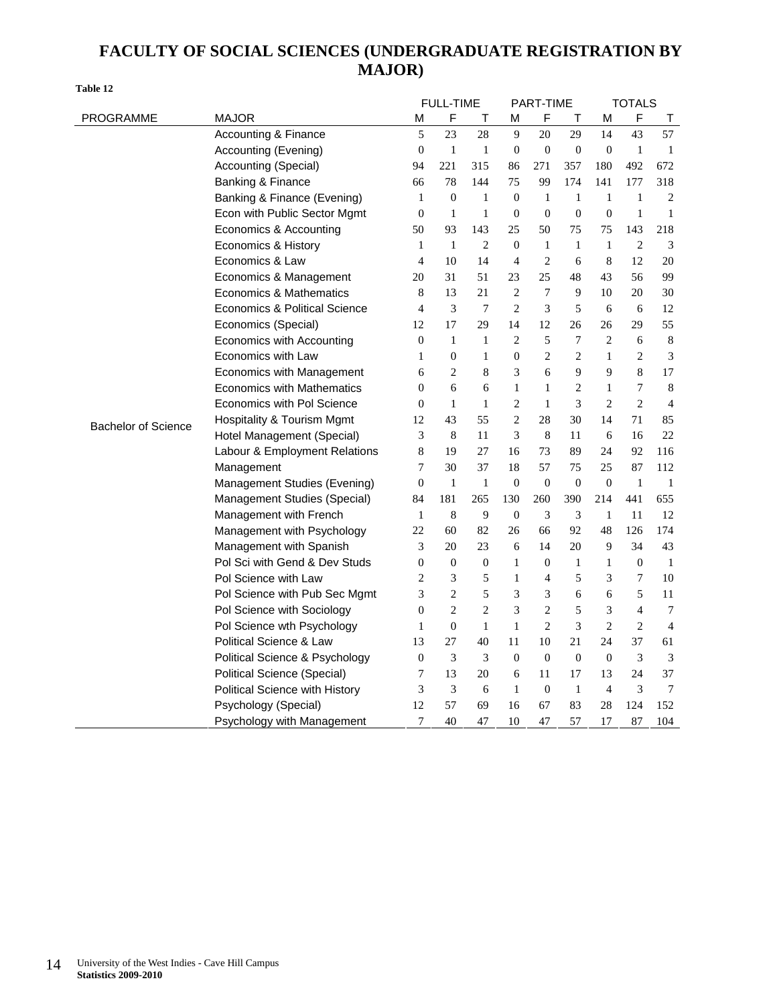### **FACULTY OF SOCIAL SCIENCES (UNDERGRADUATE REGISTRATION BY MAJOR)**

| Table 12         |                      |    |                  |     |          |                  |          |          |               |     |
|------------------|----------------------|----|------------------|-----|----------|------------------|----------|----------|---------------|-----|
|                  |                      |    | <b>FULL-TIME</b> |     |          | <b>PART-TIME</b> |          |          | <b>TOTALS</b> |     |
| <b>PROGRAMME</b> | <b>MAJOR</b>         | м  |                  |     | м        | F.               |          | М        |               |     |
|                  | Accounting & Finance |    | 23               | 28  |          | 20               | 29       | 14       | 43            | 57  |
|                  | Accounting (Evening) |    |                  |     | $\Omega$ | $\Omega$         | $\Omega$ | $\Omega$ |               |     |
|                  | Accounting (Special) | 94 |                  | 315 | 86       | 271              | 357      | 180      | 492           | 672 |
|                  |                      |    |                  |     |          |                  |          |          |               |     |

|                            | Accounting & Finance               | 5                | 23               | 28               | 9                        | 20               | 29               | 14               | 43               | 57             |
|----------------------------|------------------------------------|------------------|------------------|------------------|--------------------------|------------------|------------------|------------------|------------------|----------------|
|                            | Accounting (Evening)               | $\boldsymbol{0}$ | $\mathbf{1}$     | $\mathbf{1}$     | $\mathbf{0}$             | $\boldsymbol{0}$ | $\boldsymbol{0}$ | $\theta$         | $\mathbf{1}$     | -1             |
|                            | Accounting (Special)               | 94               | 221              | 315              | 86                       | 271              | 357              | 180              | 492              | 672            |
|                            | Banking & Finance                  | 66               | 78               | 144              | 75                       | 99               | 174              | 141              | 177              | 318            |
|                            | Banking & Finance (Evening)        | 1                | $\boldsymbol{0}$ | $\mathbf{1}$     | $\mathbf{0}$             | $\mathbf{1}$     | $\mathbf{1}$     | $\mathbf{1}$     | $\mathbf{1}$     | 2              |
|                            | Econ with Public Sector Mgmt       | $\boldsymbol{0}$ | $\mathbf{1}$     | $\mathbf{1}$     | $\boldsymbol{0}$         | $\boldsymbol{0}$ | $\boldsymbol{0}$ | $\boldsymbol{0}$ | $\mathbf{1}$     | 1              |
|                            | Economics & Accounting             | 50               | 93               | 143              | 25                       | 50               | 75               | 75               | 143              | 218            |
|                            | Economics & History                | $\mathbf{1}$     | $\mathbf{1}$     | 2                | $\mathbf{0}$             | $\mathbf{1}$     | $\mathbf{1}$     | $\mathbf{1}$     | $\overline{2}$   | $\overline{3}$ |
|                            | Economics & Law                    | $\overline{4}$   | 10               | 14               | $\overline{\mathcal{L}}$ | $\overline{c}$   | 6                | $\,$ 8 $\,$      | 12               | 20             |
|                            | Economics & Management             | 20               | 31               | 51               | 23                       | 25               | 48               | 43               | 56               | 99             |
|                            | Economics & Mathematics            | 8                | 13               | 21               | 2                        | 7                | 9                | 10               | 20               | 30             |
|                            | Economics & Political Science      | $\overline{4}$   | 3                | $\overline{7}$   | $\overline{2}$           | 3                | 5                | 6                | 6                | 12             |
|                            | Economics (Special)                | 12               | 17               | 29               | 14                       | 12               | 26               | $26\,$           | 29               | 55             |
|                            | Economics with Accounting          | $\boldsymbol{0}$ | 1                | $\mathbf{1}$     | $\overline{2}$           | 5                | 7                | $\overline{c}$   | $\sqrt{6}$       | $\,8\,$        |
|                            | Economics with Law                 | $\mathbf{1}$     | $\mathbf{0}$     | $\mathbf{1}$     | $\overline{0}$           | $\overline{c}$   | $\overline{c}$   | $\mathbf{1}$     | $\mathfrak{2}$   | 3              |
|                            | Economics with Management          | 6                | 2                | 8                | 3                        | 6                | 9                | 9                | 8                | 17             |
|                            | <b>Economics with Mathematics</b>  | $\overline{0}$   | 6                | 6                | $\mathbf{1}$             | 1                | $\overline{c}$   | $\mathbf{1}$     | $\overline{7}$   | $\,8\,$        |
|                            | Economics with Pol Science         | 0                | 1                | $\mathbf{1}$     | 2                        | $\mathbf{1}$     | 3                | $\overline{c}$   | $\overline{2}$   | $\overline{4}$ |
| <b>Bachelor of Science</b> | Hospitality & Tourism Mgmt         | 12               | 43               | 55               | 2                        | 28               | 30               | 14               | 71               | 85             |
|                            | Hotel Management (Special)         | 3                | 8                | 11               | 3                        | 8                | 11               | 6                | 16               | 22             |
|                            | Labour & Employment Relations      | 8                | 19               | 27               | 16                       | 73               | 89               | 24               | 92               | 116            |
|                            | Management                         | 7                | 30               | 37               | 18                       | 57               | 75               | 25               | 87               | 112            |
|                            | Management Studies (Evening)       | $\boldsymbol{0}$ | $\mathbf{1}$     | $\mathbf{1}$     | $\boldsymbol{0}$         | $\boldsymbol{0}$ | $\boldsymbol{0}$ | $\boldsymbol{0}$ | $\mathbf{1}$     | 1              |
|                            | Management Studies (Special)       | 84               | 181              | 265              | 130                      | 260              | 390              | 214              | 441              | 655            |
|                            | Management with French             | $\mathbf{1}$     | $\,$ 8 $\,$      | 9                | $\boldsymbol{0}$         | 3                | 3                | $\mathbf{1}$     | 11               | 12             |
|                            | Management with Psychology         | 22               | 60               | 82               | 26                       | 66               | 92               | 48               | 126              | 174            |
|                            | Management with Spanish            | 3                | 20               | 23               | 6                        | 14               | 20               | 9                | 34               | 43             |
|                            | Pol Sci with Gend & Dev Studs      | $\boldsymbol{0}$ | $\boldsymbol{0}$ | $\boldsymbol{0}$ | $\mathbf{1}$             | $\boldsymbol{0}$ | $\mathbf{1}$     | $\mathbf{1}$     | $\boldsymbol{0}$ | -1             |
|                            | Pol Science with Law               | 2                | 3                | 5                | $\mathbf{1}$             | 4                | 5                | 3                | 7                | 10             |
|                            | Pol Science with Pub Sec Mgmt      | 3                | $\overline{c}$   | 5                | 3                        | 3                | 6                | 6                | 5                | 11             |
|                            | Pol Science with Sociology         | $\boldsymbol{0}$ | $\mathbf{2}$     | $\overline{c}$   | 3                        | $\overline{c}$   | 5                | 3                | $\overline{4}$   | 7              |
|                            | Pol Science wth Psychology         | $\mathbf{1}$     | $\boldsymbol{0}$ | $\mathbf{1}$     | $\mathbf{1}$             | $\overline{c}$   | 3                | $\overline{c}$   | $\mathfrak{2}$   | $\overline{4}$ |
|                            | <b>Political Science &amp; Law</b> | 13               | 27               | 40               | 11                       | 10               | 21               | 24               | 37               | 61             |
|                            | Political Science & Psychology     | $\boldsymbol{0}$ | 3                | 3                | $\overline{0}$           | $\overline{0}$   | $\boldsymbol{0}$ | $\boldsymbol{0}$ | 3                | $\mathfrak{Z}$ |
|                            | Political Science (Special)        | 7                | 13               | 20               | 6                        | 11               | 17               | 13               | 24               | 37             |
|                            | Political Science with History     | 3                | 3                | 6                | $\mathbf{1}$             | $\boldsymbol{0}$ | $\mathbf{1}$     | $\overline{4}$   | 3                | 7              |
|                            | Psychology (Special)               | 12               | 57               | 69               | 16                       | 67               | 83               | 28               | 124              | 152            |
|                            | Psychology with Management         | 7                | 40               | 47               | 10                       | 47               | 57               | 17               | 87               | 104            |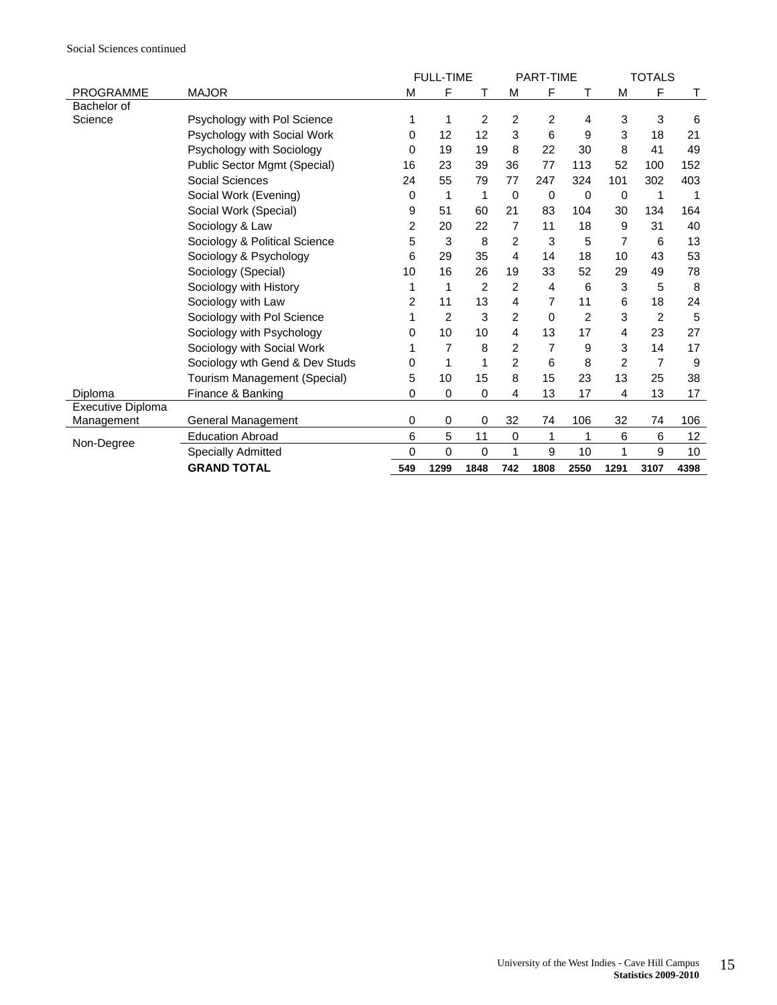|                   |                                |     | <b>FULL-TIME</b> |                |                | <b>PART-TIME</b> |             |      | <b>TOTALS</b> |      |
|-------------------|--------------------------------|-----|------------------|----------------|----------------|------------------|-------------|------|---------------|------|
| <b>PROGRAMME</b>  | <b>MAJOR</b>                   | M   | F                | т              | M              | F                | т           | M    | F             | Τ    |
| Bachelor of       |                                |     |                  |                |                |                  |             |      |               |      |
| Science           | Psychology with Pol Science    | 1   | 1                | 2              | 2              | 2                | 4           | 3    | 3             | 6    |
|                   | Psychology with Social Work    | 0   | 12               | 12             | 3              | 6                | 9           | 3    | 18            | 21   |
|                   | Psychology with Sociology      | 0   | 19               | 19             | 8              | 22               | 30          | 8    | 41            | 49   |
|                   | Public Sector Mgmt (Special)   | 16  | 23               | 39             | 36             | 77               | 113         | 52   | 100           | 152  |
|                   | Social Sciences                | 24  | 55               | 79             | 77             | 247              | 324         | 101  | 302           | 403  |
|                   | Social Work (Evening)          | 0   | 1                | 1              | 0              | 0                | $\mathbf 0$ | 0    | 1             |      |
|                   | Social Work (Special)          | 9   | 51               | 60             | 21             | 83               | 104         | 30   | 134           | 164  |
|                   | Sociology & Law                | 2   | 20               | 22             | 7              | 11               | 18          | 9    | 31            | 40   |
|                   | Sociology & Political Science  | 5   | 3                | 8              | $\overline{2}$ | 3                | 5           | 7    | 6             | 13   |
|                   | Sociology & Psychology         | 6   | 29               | 35             | 4              | 14               | 18          | 10   | 43            | 53   |
|                   | Sociology (Special)            | 10  | 16               | 26             | 19             | 33               | 52          | 29   | 49            | 78   |
|                   | Sociology with History         | 1   | 1                | $\overline{2}$ | $\overline{c}$ | 4                | 6           | 3    | 5             | 8    |
|                   | Sociology with Law             | 2   | 11               | 13             | 4              | 7                | 11          | 6    | 18            | 24   |
|                   | Sociology with Pol Science     | 1   | 2                | 3              | 2              | 0                | 2           | 3    | 2             | 5    |
|                   | Sociology with Psychology      | 0   | 10               | 10             | 4              | 13               | 17          | 4    | 23            | 27   |
|                   | Sociology with Social Work     | 1   | 7                | 8              | 2              | 7                | 9           | 3    | 14            | 17   |
|                   | Sociology wth Gend & Dev Studs | 0   | $\mathbf{1}$     | 1              | $\overline{c}$ | 6                | 8           | 2    | 7             | 9    |
|                   | Tourism Management (Special)   | 5   | 10               | 15             | 8              | 15               | 23          | 13   | 25            | 38   |
| Diploma           | Finance & Banking              | 0   | $\mathbf 0$      | 0              | 4              | 13               | 17          | 4    | 13            | 17   |
| Executive Diploma |                                |     |                  |                |                |                  |             |      |               |      |
| Management        | General Management             | 0   | $\pmb{0}$        | 0              | 32             | 74               | 106         | 32   | 74            | 106  |
| Non-Degree        | <b>Education Abroad</b>        | 6   | 5                | 11             | $\pmb{0}$      | 1                | 1           | 6    | 6             | 12   |
|                   | <b>Specially Admitted</b>      | 0   | $\mathbf 0$      | 0              | 1              | 9                | 10          | 1    | 9             | 10   |
|                   | <b>GRAND TOTAL</b>             | 549 | 1299             | 1848           | 742            | 1808             | 2550        | 1291 | 3107          | 4398 |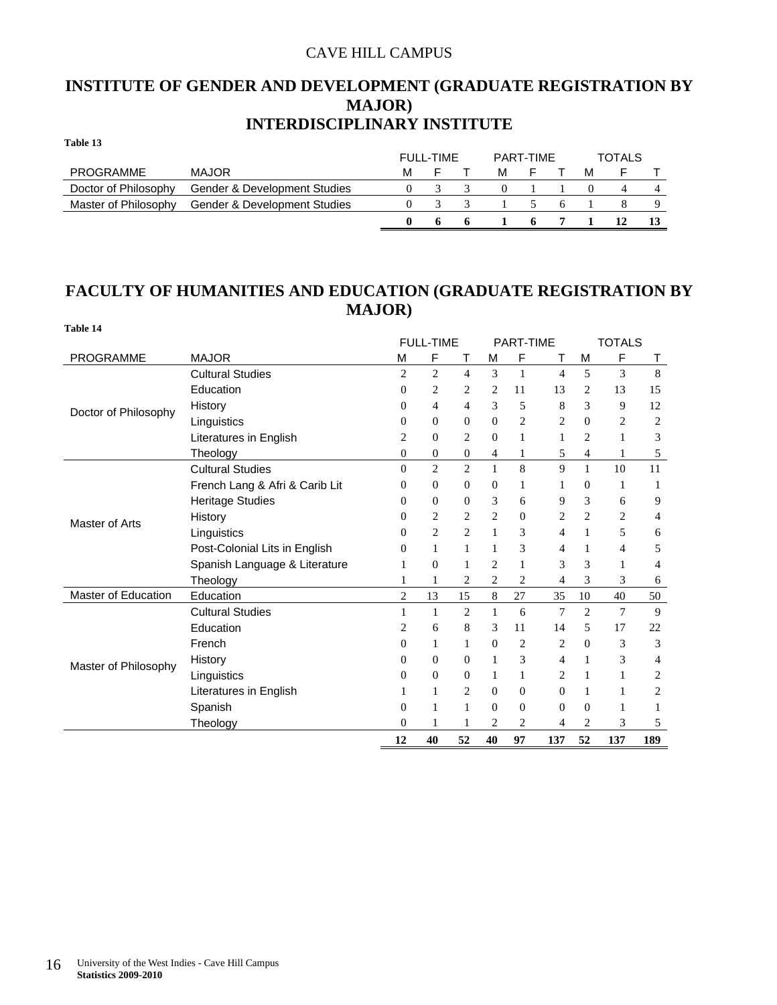### CAVE HILL CAMPUS

### **INSTITUTE OF GENDER AND DEVELOPMENT (GRADUATE REGISTRATION BY MAJOR) INTERDISCIPLINARY INSTITUTE**

| Table 13             |                              |   |           |   |           |   |   |        |  |
|----------------------|------------------------------|---|-----------|---|-----------|---|---|--------|--|
|                      |                              |   | FULL-TIME |   | PART-TIME |   |   | TOTALS |  |
| PROGRAMME            | <b>MAJOR</b>                 | М |           | м |           |   | м |        |  |
| Doctor of Philosophy | Gender & Development Studies |   |           |   |           |   |   |        |  |
| Master of Philosophy | Gender & Development Studies |   |           |   |           | h |   |        |  |
|                      |                              |   |           |   | -6        |   |   |        |  |

### **FACULTY OF HUMANITIES AND EDUCATION (GRADUATE REGISTRATION BY MAJOR)**

| Table 14             |                                |                  |                  |                  |                |                |                |                |               |     |
|----------------------|--------------------------------|------------------|------------------|------------------|----------------|----------------|----------------|----------------|---------------|-----|
|                      |                                |                  | <b>FULL-TIME</b> |                  |                | PART-TIME      |                |                | <b>TOTALS</b> |     |
| PROGRAMME            | <b>MAJOR</b>                   | M                | F                | т                | М              | F              | т              | M              | F             | т   |
|                      | <b>Cultural Studies</b>        | $\overline{c}$   | $\overline{c}$   | $\overline{4}$   | 3              | 1              | 4              | 5              | 3             | 8   |
|                      | Education                      | $\mathbf{0}$     | 2                | 2                | 2              | 11             | 13             | 2              | 13            | 15  |
| Doctor of Philosophy | History                        | $\theta$         | 4                | 4                | 3              | 5              | 8              | 3              | 9             | 12  |
|                      | Linguistics                    | $\mathbf{0}$     | $\overline{0}$   | $\mathbf{0}$     | $\Omega$       | $\overline{c}$ | 2              | $\mathbf{0}$   | 2             | 2   |
|                      | Literatures in English         | $\overline{2}$   | $\Omega$         | $\overline{c}$   | $\Omega$       | 1              | 1              | $\overline{c}$ | 1             | 3   |
|                      | Theology                       | $\boldsymbol{0}$ | 0                | $\boldsymbol{0}$ | 4              | 1              | 5              | 4              | 1             | 5   |
|                      | <b>Cultural Studies</b>        | $\theta$         | $\overline{c}$   | $\mathbf{2}$     | $\mathbf{1}$   | 8              | 9              | $\mathbf{1}$   | 10            | 11  |
|                      | French Lang & Afri & Carib Lit | $\theta$         | $\overline{0}$   | $\mathbf{0}$     | $\Omega$       | 1              | 1              | $\overline{0}$ | 1             | 1   |
|                      | <b>Heritage Studies</b>        | $\Omega$         | 0                | $\theta$         | 3              | 6              | 9              | 3              | 6             | 9   |
| Master of Arts       | History                        | $\mathbf{0}$     | $\overline{c}$   | 2                | $\overline{2}$ | $\mathbf{0}$   | 2              | 2              | 2             | 4   |
|                      | Linguistics                    | $\Omega$         | $\overline{c}$   | $\overline{c}$   | $\mathbf{1}$   | 3              | 4              | 1              | 5             | 6   |
|                      | Post-Colonial Lits in English  | $\mathbf{0}$     | $\mathbf{1}$     | 1                | 1              | 3              | 4              | 1              | 4             | 5   |
|                      | Spanish Language & Literature  | 1                | $\mathbf{0}$     | 1                | $\overline{2}$ | 1              | 3              | 3              | 1             | 4   |
|                      | Theology                       | 1                | 1                | 2                | $\overline{2}$ | 2              | 4              | 3              | 3             | 6   |
| Master of Education  | Education                      | 2                | 13               | 15               | 8              | 27             | 35             | 10             | 40            | 50  |
|                      | <b>Cultural Studies</b>        | 1                | 1                | 2                | 1              | 6              | 7              | $\overline{c}$ | 7             | 9   |
|                      | Education                      | 2                | 6                | 8                | 3              | 11             | 14             | 5              | 17            | 22  |
|                      | French                         | $\Omega$         | 1                | 1                | $\Omega$       | $\overline{c}$ | $\overline{c}$ | $\Omega$       | 3             | 3   |
| Master of Philosophy | History                        | $\mathbf{0}$     | $\overline{0}$   | $\mathbf{0}$     | 1              | 3              | 4              | 1              | 3             | 4   |
|                      | Linguistics                    | $\mathbf{0}$     | $\Omega$         | $\Omega$         | 1              | 1              | 2              | 1              | 1             | 2   |
|                      | Literatures in English         | 1                | $\mathbf{1}$     | 2                | $\Omega$       | $\mathbf{0}$   | $\overline{0}$ | 1              | 1             | 2   |
|                      | Spanish                        | $\mathbf{0}$     | 1                | 1                | $\Omega$       | $\overline{0}$ | $\overline{0}$ | $\overline{0}$ | 1             | 1   |
|                      | Theology                       | $\mathbf{0}$     |                  |                  | 2              | 2              | 4              | 2              | 3             | 5   |
|                      |                                | 12               | 40               | 52               | 40             | 97             | 137            | 52             | 137           | 189 |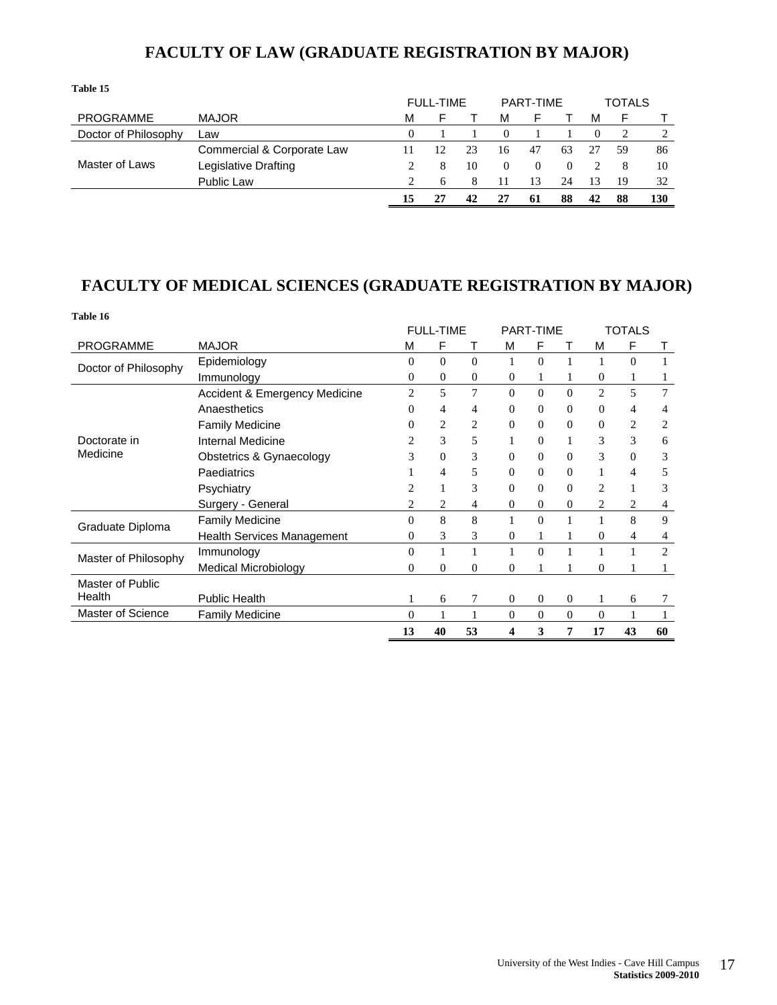| Table 15             |                            |    |                  |    |          |           |    |          |               |     |
|----------------------|----------------------------|----|------------------|----|----------|-----------|----|----------|---------------|-----|
|                      |                            |    | <b>FULL-TIME</b> |    |          | PART-TIME |    |          | <b>TOTALS</b> |     |
| <b>PROGRAMME</b>     | <b>MAJOR</b>               | М  |                  |    | м        |           |    | м        | F             |     |
| Doctor of Philosophy | ∟aw                        | 0  |                  |    | 0        |           |    | $\theta$ |               | 2   |
|                      | Commercial & Corporate Law | 11 | 12               | 23 | 16       | 47        | 63 |          | 59            | 86  |
| Master of Laws       | Legislative Drafting       | 2  | 8                | 10 | $\left($ | $\Omega$  | 0  |          | 8             | 10  |
|                      | Public Law                 | 2  | 6                | 8  | 11       | 13        | 24 | 13       | 19            | 32  |
|                      |                            | 15 |                  | 42 |          | 61        | 88 | 42       | 88            | 130 |

### **FACULTY OF LAW (GRADUATE REGISTRATION BY MAJOR)**

### **FACULTY OF MEDICAL SCIENCES (GRADUATE REGISTRATION BY MAJOR)**

| Table 16             |                               |                |                  |                  |                  |                |                |                |                |                |
|----------------------|-------------------------------|----------------|------------------|------------------|------------------|----------------|----------------|----------------|----------------|----------------|
|                      |                               |                | <b>FULL-TIME</b> |                  |                  | PART-TIME      |                |                | TOTALS         |                |
| <b>PROGRAMME</b>     | <b>MAJOR</b>                  | М              | F                | т                | М                | F              | т              | м              | F              | Т              |
| Doctor of Philosophy | Epidemiology                  | $\Omega$       | $\Omega$         | $\Omega$         | 1                | $\Omega$       |                | 1              | $\Omega$       |                |
|                      | Immunology                    | $\overline{0}$ | 0                | $\boldsymbol{0}$ | $\boldsymbol{0}$ | 1              |                | 0              |                |                |
|                      | Accident & Emergency Medicine | $\overline{c}$ | 5                | 7                | $\mathbf{0}$     | $\Omega$       | $\Omega$       | $\overline{2}$ | 5              | 7              |
|                      | Anaesthetics                  | 0              | 4                | 4                | $\theta$         | $\overline{0}$ | $\mathbf{0}$   | $\Omega$       | 4              | 4              |
|                      | <b>Family Medicine</b>        | 0              | 2                | 2                | $\overline{0}$   | $\overline{0}$ | $\theta$       | $\mathbf{0}$   | 2              | 2              |
| Doctorate in         | <b>Internal Medicine</b>      | 2              | 3                | 5                | 1                | $\overline{0}$ |                | 3              | 3              | 6              |
| Medicine             | Obstetrics & Gynaecology      | 3              | $\overline{0}$   | 3                | $\Omega$         | $\Omega$       | $\Omega$       | 3              | $\Omega$       | 3              |
|                      | Paediatrics                   |                | 4                | 5                | $\Omega$         | $\Omega$       | $\Omega$       | 1              | $\overline{4}$ | 5              |
|                      | Psychiatry                    | $\overline{c}$ |                  | 3                | $\Omega$         | $\Omega$       | $\theta$       | $\overline{c}$ |                | 3              |
|                      | Surgery - General             | $\overline{2}$ | 2                | 4                | $\mathbf{0}$     | $\mathbf{0}$   | $\overline{0}$ | 2              | 2              | 4              |
| Graduate Diploma     | <b>Family Medicine</b>        | $\Omega$       | 8                | 8                | 1                | $\Omega$       | 1              | 1              | 8              | 9              |
|                      | Health Services Management    | 0              | 3                | 3                | $\overline{0}$   | 1              |                | $\mathbf{0}$   | 4              | 4              |
| Master of Philosophy | Immunology                    | $\Omega$       | $\mathbf{1}$     |                  | $\mathbf{1}$     | $\overline{0}$ |                |                |                | $\overline{c}$ |
|                      | <b>Medical Microbiology</b>   | 0              | $\overline{0}$   | $\overline{0}$   | $\theta$         |                |                | $\Omega$       |                | 1              |
| Master of Public     |                               |                |                  |                  |                  |                |                |                |                |                |
| Health               | <b>Public Health</b>          |                | 6                | 7                | $\theta$         | $\overline{0}$ | $\overline{0}$ | 1              | 6              |                |
| Master of Science    | <b>Family Medicine</b>        | $\Omega$       |                  |                  | $\mathbf{0}$     | $\overline{0}$ | $\theta$       | $\theta$       |                |                |
|                      |                               | 13             | 40               | 53               | 4                | 3              | 7              | 17             | 43             | 60             |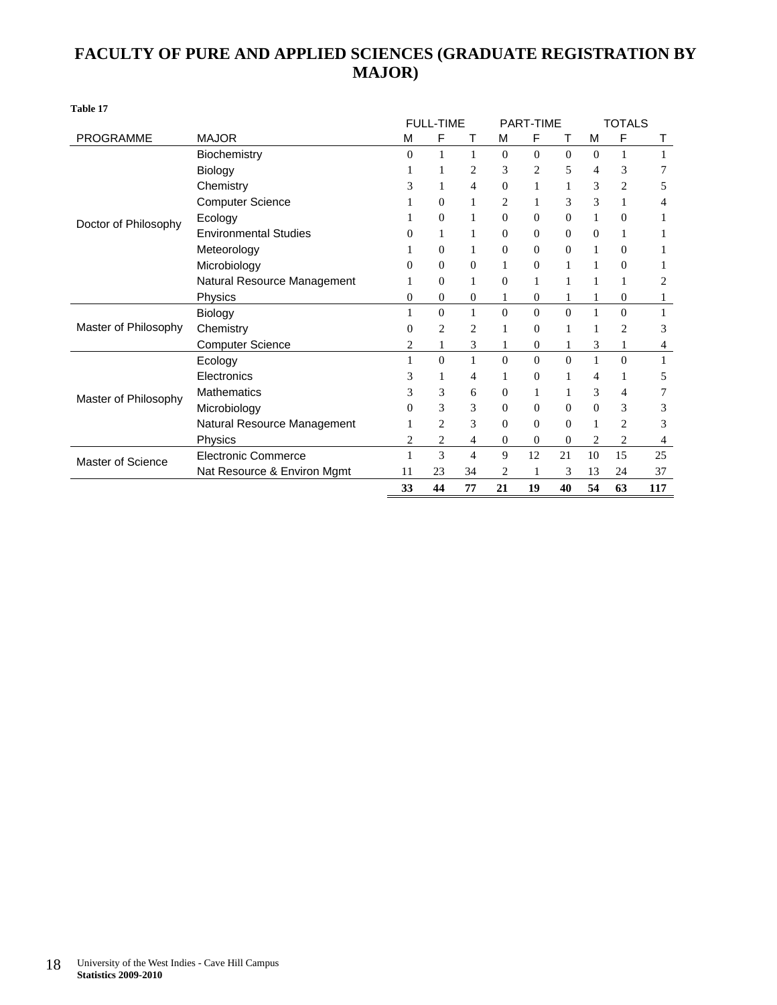### **FACULTY OF PURE AND APPLIED SCIENCES (GRADUATE REGISTRATION BY MAJOR)**

|                      |                              |                  | <b>FULL-TIME</b> |                |                  | <b>PART-TIME</b> |                |              | <b>TOTALS</b>  |     |
|----------------------|------------------------------|------------------|------------------|----------------|------------------|------------------|----------------|--------------|----------------|-----|
| <b>PROGRAMME</b>     | <b>MAJOR</b>                 | M                | F                |                | M                | F                |                | M            | F              | т   |
|                      | Biochemistry                 | $\overline{0}$   | 1                | 1              | $\mathbf{0}$     | $\overline{0}$   | $\theta$       | $\theta$     |                |     |
|                      | Biology                      |                  |                  | $\overline{c}$ | 3                | $\overline{2}$   | 5              | 4            | 3              |     |
|                      | Chemistry                    | 3                | 1                | 4              | $\overline{0}$   | 1                |                | 3            | $\overline{c}$ | 5   |
|                      | <b>Computer Science</b>      |                  | 0                | 1              | 2                |                  | 3              | 3            |                |     |
| Doctor of Philosophy | Ecology                      |                  | $\boldsymbol{0}$ | 1              | $\overline{0}$   | $\overline{0}$   | $\mathbf{0}$   |              | $\overline{0}$ |     |
|                      | <b>Environmental Studies</b> | 0                | 1                | 1              | $\overline{0}$   | $\overline{0}$   | $\mathbf{0}$   | $\Omega$     |                |     |
|                      | Meteorology                  |                  | $\overline{0}$   | 1              | $\overline{0}$   | $\overline{0}$   | $\overline{0}$ | 1            | $\mathbf{0}$   |     |
|                      | Microbiology                 | 0                | $\overline{0}$   | $\overline{0}$ | 1                | $\overline{0}$   | 1              |              | $\Omega$       |     |
|                      | Natural Resource Management  |                  | 0                | 1              | $\overline{0}$   | 1                | 1              | 1            |                |     |
|                      | Physics                      | 0                | $\boldsymbol{0}$ | $\mathbf{0}$   | 1                | $\theta$         | 1              | 1            | $\mathbf{0}$   |     |
|                      | Biology                      |                  | $\boldsymbol{0}$ |                | $\overline{0}$   | $\overline{0}$   | $\theta$       |              | $\Omega$       |     |
| Master of Philosophy | Chemistry                    | $\boldsymbol{0}$ | 2                | 2              |                  | $\overline{0}$   |                |              | 2              | 3   |
|                      | <b>Computer Science</b>      | 2                | 1                | 3              | 1                | $\mathbf{0}$     | 1              | 3            |                | 4   |
|                      | Ecology                      | 1                | $\overline{0}$   | 1              | $\Omega$         | $\Omega$         | $\Omega$       | 1            | $\Omega$       |     |
|                      | Electronics                  | 3                | 1                | 4              | 1                | $\overline{0}$   |                | 4            |                | 5   |
| Master of Philosophy | Mathematics                  | 3                | 3                | 6              | $\boldsymbol{0}$ | 1                |                | 3            | 4              |     |
|                      | Microbiology                 | 0                | 3                | 3              | $\mathbf{0}$     | $\overline{0}$   | $\theta$       | $\mathbf{0}$ | 3              | 3   |
|                      | Natural Resource Management  |                  | 2                | 3              | $\overline{0}$   | $\Omega$         | $\mathbf{0}$   |              | $\overline{c}$ | 3   |
|                      | Physics                      | 2                | 2                | 4              | $\overline{0}$   | $\overline{0}$   | $\mathbf{0}$   | 2            | 2              | 4   |
| Master of Science    | <b>Electronic Commerce</b>   | 1                | 3                | $\overline{4}$ | 9                | 12               | 21             | 10           | 15             | 25  |
|                      | Nat Resource & Environ Mgmt  | 11               | 23               | 34             | 2                |                  | 3              | 13           | 24             | 37  |
|                      |                              | 33               | 44               | 77             | 21               | 19               | 40             | 54           | 63             | 117 |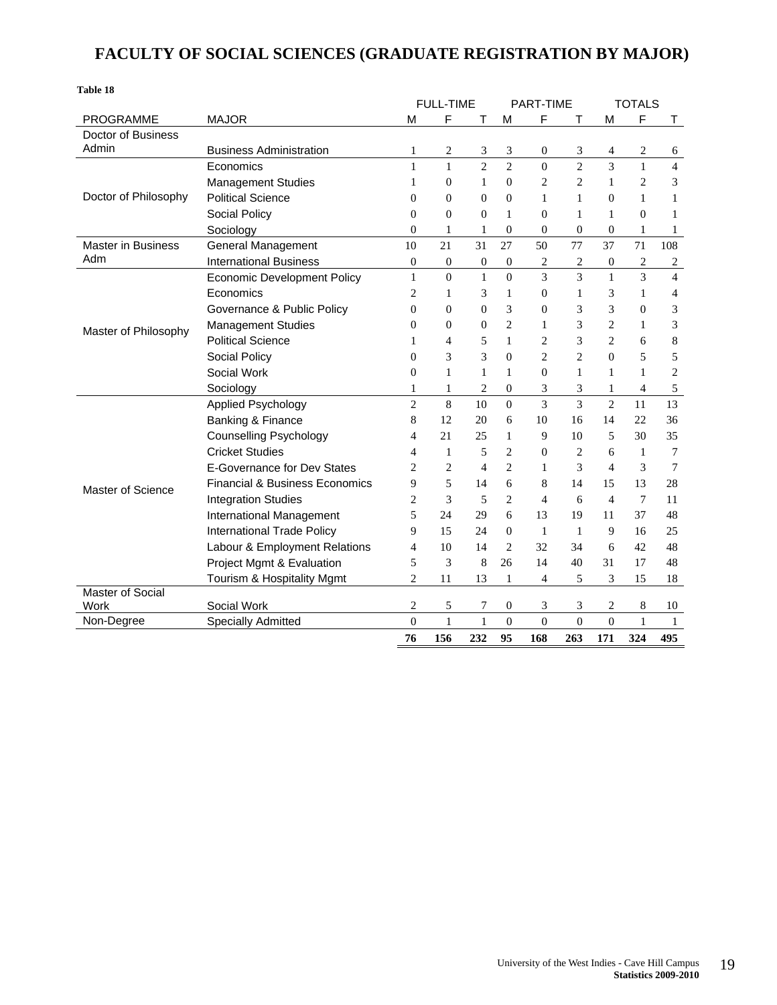### **FACULTY OF SOCIAL SCIENCES (GRADUATE REGISTRATION BY MAJOR)**

| Table 18                |                                           |                          |                         |                  |                  |                  |                          |                  |                |                |
|-------------------------|-------------------------------------------|--------------------------|-------------------------|------------------|------------------|------------------|--------------------------|------------------|----------------|----------------|
|                         |                                           |                          | <b>FULL-TIME</b>        |                  |                  | <b>PART-TIME</b> |                          |                  | <b>TOTALS</b>  |                |
| <b>PROGRAMME</b>        | <b>MAJOR</b>                              | М                        | F                       | т                | м                | F                |                          | M                | F              | т              |
| Doctor of Business      |                                           |                          |                         |                  |                  |                  |                          |                  |                |                |
| Admin                   | <b>Business Administration</b>            | $\mathbf{1}$             | $\overline{\mathbf{c}}$ | 3                | 3                | $\boldsymbol{0}$ | 3                        | 4                | 2              | 6              |
|                         | Economics                                 | 1                        | $\mathbf{1}$            | $\overline{2}$   | $\overline{c}$   | $\theta$         | $\overline{2}$           | $\overline{3}$   | $\mathbf{1}$   | $\overline{4}$ |
|                         | <b>Management Studies</b>                 | 1                        | $\mathbf{0}$            | 1                | $\Omega$         | 2                | $\overline{c}$           | 1                | 2              | 3              |
| Doctor of Philosophy    | <b>Political Science</b>                  | $\overline{0}$           | $\overline{0}$          | $\overline{0}$   | $\overline{0}$   | 1                | 1                        | $\mathbf{0}$     | 1              | 1              |
|                         | Social Policy                             | $\theta$                 | $\mathbf{0}$            | $\overline{0}$   | $\mathbf{1}$     | $\theta$         | 1                        | $\mathbf{1}$     | $\overline{0}$ | 1              |
|                         | Sociology                                 | $\overline{0}$           | 1                       | $\mathbf{1}$     | $\overline{0}$   | $\overline{0}$   | $\boldsymbol{0}$         | $\boldsymbol{0}$ | 1              | 1              |
| Master in Business      | <b>General Management</b>                 | 10                       | 21                      | 31               | 27               | 50               | 77                       | 37               | 71             | 108            |
| Adm                     | <b>International Business</b>             | $\mathbf{0}$             | $\boldsymbol{0}$        | $\boldsymbol{0}$ | $\boldsymbol{0}$ | 2                | 2                        | $\boldsymbol{0}$ | 2              | 2              |
|                         | <b>Economic Development Policy</b>        | $\mathbf{1}$             | $\mathbf{0}$            | $\mathbf{1}$     | $\mathbf{0}$     | $\overline{3}$   | $\overline{3}$           | $\mathbf{1}$     | $\overline{3}$ | $\overline{4}$ |
|                         | Economics                                 | $\overline{2}$           | 1                       | 3                | $\mathbf{1}$     | $\mathbf{0}$     | 1                        | 3                | 1              | 4              |
|                         | Governance & Public Policy                | $\overline{0}$           | $\mathbf{0}$            | $\overline{0}$   | 3                | $\Omega$         | 3                        | 3                | $\mathbf{0}$   | 3              |
| Master of Philosophy    | <b>Management Studies</b>                 | $\Omega$                 | $\Omega$                | $\overline{0}$   | $\overline{2}$   | 1                | 3                        | $\overline{c}$   | 1              | 3              |
|                         | <b>Political Science</b>                  | 1                        | 4                       | 5                | $\mathbf{1}$     | $\overline{2}$   | 3                        | $\overline{2}$   | 6              | 8              |
|                         | Social Policy                             | $\Omega$                 | 3                       | 3                | $\overline{0}$   | $\overline{c}$   | $\overline{c}$           | $\mathbf{0}$     | 5              | 5              |
|                         | Social Work                               | $\overline{0}$           | $\mathbf{1}$            | $\mathbf{1}$     | $\mathbf{1}$     | $\theta$         | 1                        | 1                | $\mathbf{1}$   | $\overline{c}$ |
|                         | Sociology                                 | 1                        | 1                       | $\overline{c}$   | $\overline{0}$   | 3                | 3                        | $\mathbf{1}$     | $\overline{4}$ | 5              |
|                         | <b>Applied Psychology</b>                 | $\overline{2}$           | 8                       | 10               | $\Omega$         | 3                | $\overline{\mathcal{E}}$ | $\overline{2}$   | 11             | 13             |
|                         | Banking & Finance                         | 8                        | 12                      | 20               | 6                | 10               | 16                       | 14               | 22             | 36             |
|                         | <b>Counselling Psychology</b>             | 4                        | 21                      | 25               | 1                | 9                | 10                       | 5                | 30             | 35             |
|                         | <b>Cricket Studies</b>                    | $\overline{\mathcal{A}}$ | 1                       | 5                | $\overline{c}$   | $\Omega$         | $\overline{c}$           | 6                | 1              | 7              |
|                         | <b>E-Governance for Dev States</b>        | $\overline{c}$           | $\overline{c}$          | 4                | $\overline{c}$   | 1                | 3                        | $\overline{4}$   | 3              | 7              |
| Master of Science       | <b>Financial &amp; Business Economics</b> | 9                        | 5                       | 14               | 6                | 8                | 14                       | 15               | 13             | 28             |
|                         | <b>Integration Studies</b>                | $\overline{c}$           | 3                       | 5                | $\overline{2}$   | $\overline{4}$   | 6                        | $\overline{4}$   | 7              | 11             |
|                         | International Management                  | 5                        | 24                      | 29               | 6                | 13               | 19                       | 11               | 37             | 48             |
|                         | <b>International Trade Policy</b>         | 9                        | 15                      | 24               | $\theta$         | $\mathbf{1}$     | $\mathbf{1}$             | 9                | 16             | 25             |
|                         | Labour & Employment Relations             | 4                        | 10                      | 14               | $\overline{2}$   | 32               | 34                       | 6                | 42             | 48             |
|                         | Project Mgmt & Evaluation                 | 5                        | 3                       | 8                | 26               | 14               | 40                       | 31               | 17             | 48             |
|                         | Tourism & Hospitality Mgmt                | $\overline{2}$           | 11                      | 13               | 1                | $\overline{4}$   | 5                        | 3                | 15             | 18             |
| <b>Master of Social</b> |                                           |                          |                         |                  |                  |                  |                          |                  |                |                |
| Work                    | Social Work                               | 2                        | 5                       | 7                | 0                | 3                | 3                        | 2                | 8              | 10             |
| Non-Degree              | <b>Specially Admitted</b>                 | $\theta$                 | $\mathbf{1}$            | $\mathbf{1}$     | $\overline{0}$   | $\overline{0}$   | $\overline{0}$           | $\overline{0}$   | $\mathbf{1}$   | $\mathbf{1}$   |
|                         |                                           | 76                       | 156                     | 232              | 95               | 168              | 263                      | 171              | 324            | 495            |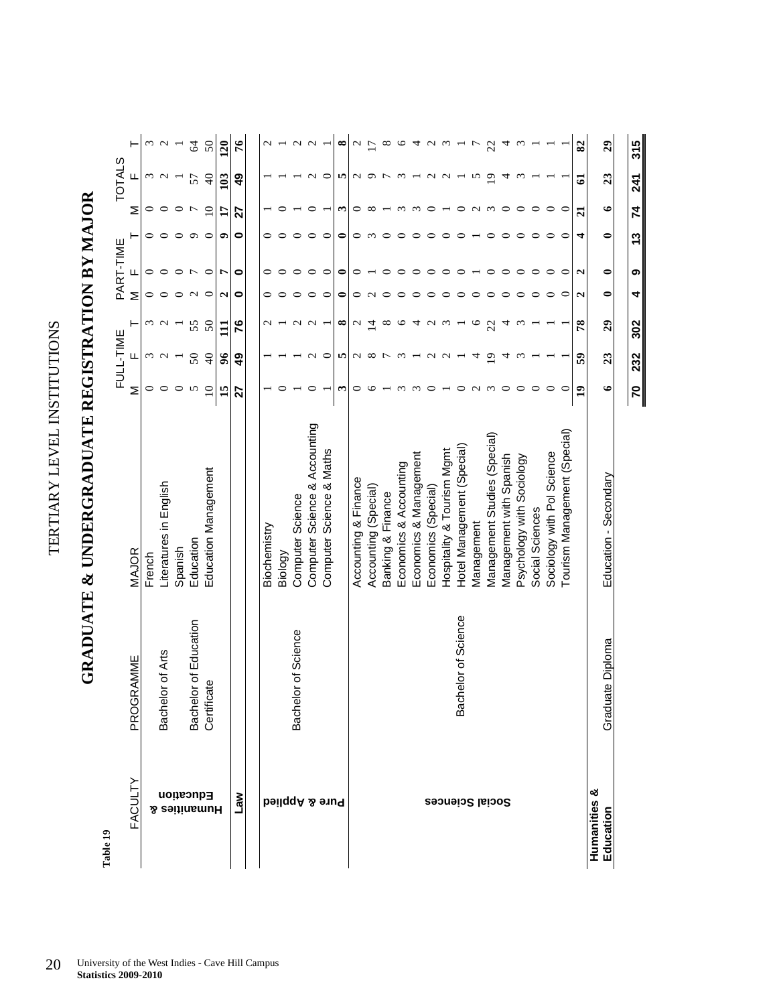TERTIARY LEVEL INSTITUTIONS TERTIARY LEVEL INSTITUTIONS

GRADUATE & UNDERGRADUATE REGISTRATION BY MAJOR **GRADUATE & UNDERGRADUATE REGISTRATION BY MAJOR** 

| Table 19                     |                       |                               |                 | FULL-TIME         |                          |                   | PART-TIME         |            |                 | <b>TOTALS</b>     |                   |
|------------------------------|-----------------------|-------------------------------|-----------------|-------------------|--------------------------|-------------------|-------------------|------------|-----------------|-------------------|-------------------|
| FACULTY                      | PROGRAMME             | MAJOR                         | Σ               | ட                 | ۲                        | Σ                 | щ                 |            | Σ               |                   | ⊢                 |
|                              |                       | French                        | $\circ$         |                   |                          | 0                 | 0                 | 0          | 0               | ς                 | Σ                 |
|                              | Bachelor of Arts      | Literatures in English        | $\circ$         | $\omega$ $\omega$ | $\omega$ $\omega$        | $\circ$           | 0                 | $\circ$    |                 | $\sim$            | $\sim$ $-$        |
| <b>Education</b>             |                       | Spanish                       | $\circ$         |                   | $\overline{\phantom{0}}$ | $\circ$           | $\circ$           | $\circ$    | $\circ$         |                   |                   |
|                              | Bachelor of Education | Education                     | S               | $50\,$            | 55                       | $\sim$            | $\overline{ }$    | $\sigma$   | $\overline{ }$  | 57                | $\mathcal{Z}$     |
| Humanities &                 | cate<br>Certifi       | Education Management          | $\Omega$        | $\Theta$          | $50\,$                   | $\circ$           | $\circ$           | $\circ$    | $\overline{10}$ | $\Theta$          | 50                |
|                              |                       |                               | 15              | $\frac{6}{5}$     | $\Xi$                    | N                 | r                 | ۰          | H               | 103               | 120               |
| MeT                          |                       |                               | 27              | 49                | 76                       | $\bullet$         | $\bullet$         | 0          | 27              | 49                | $\tilde{76}$      |
|                              |                       |                               |                 |                   |                          |                   |                   |            |                 |                   |                   |
|                              |                       | Biochemistry                  |                 |                   | $\mathbf{\sim}$          | 0                 | 0                 | 0          |                 |                   |                   |
|                              |                       | Biology                       |                 |                   |                          |                   |                   | $\circ$    |                 |                   |                   |
|                              | Bachelor of Science   | Computer Science              |                 |                   |                          |                   |                   | $\circ$    |                 |                   | $\mathbf{\Omega}$ |
|                              |                       | Computer Science & Accounting | 0               | $\mathbf{\Omega}$ | $\sim$                   | 0                 | 0                 | $\circ$    |                 |                   | $\sim$            |
| <b>beilqqA &amp; enuq</b>    |                       | Computer Science & Maths      |                 | ○                 |                          | ○                 | ○                 | $\circ$    |                 | ○                 |                   |
|                              |                       |                               | $\bm{\epsilon}$ | <b>In</b>         | $^{\circ}$               | 0                 | 0                 | 0          | $\bm{\epsilon}$ | n                 | ∞                 |
|                              |                       | Accounting & Finance          | 0               | $\mathbf{C}$      | $\sim$                   | 0                 | 0                 | $\circ$    | 0               | N                 | $\sim$ $\sim$     |
|                              |                       | Accounting (Special)          | ७               | $^{\circ}$        | $\overline{4}$           | $\mathbf{\Omega}$ |                   | $\epsilon$ | ∞               | $\circ$           |                   |
|                              |                       | Banking & Finance             |                 | $\overline{ }$    | ${}^{\circ}$             |                   |                   | $\circ$    |                 |                   | $^{\circ}$        |
|                              |                       | Economics & Accounting        | $\sim$          | $\omega$          | P                        |                   |                   | $\circ$    |                 | $\omega$          | $\circ$           |
|                              |                       | Economics & Management        | $\infty$        |                   | 4                        |                   | ○                 | 0          | $\epsilon$      |                   | 4                 |
|                              |                       | Economics (Special)           |                 | $\sim$            | $\sim$                   |                   |                   | ○          | ⊂               | $\mathbf{\Omega}$ | $\sim$            |
| Social Sciences              |                       | Hospitality & Tourism Mgmt    |                 | $\sim$            | $\omega$                 |                   |                   | ⊂          |                 | $\mathbf{\sim}$   | $\omega$          |
|                              | Bachelor of Science   | Hotel Management (Special)    | ○               |                   |                          | ⊂                 |                   | ○          | ○               |                   |                   |
|                              |                       | Management                    | $\sim$          | ₹                 | O                        |                   |                   |            | $\sim$          | S                 |                   |
|                              |                       | Management Studies (Special)  | $\omega$        | $\overline{9}$    | 22                       | ○                 | ∊                 | ᅌ          | $\omega$        | $\overline{9}$    | 22                |
|                              |                       | Management with Spanish       | $\circ$         | 4                 | 4                        | ○                 | $\circ$           | $\circ$    | $\circ$         | 4                 | 4                 |
|                              |                       | Psychology with Sociology     | $\circ$         | $\omega$          | $\omega$                 | ○                 | $\circ$           | $\circ$    | $\circ$         | $\epsilon$        | $\omega$          |
|                              |                       | Social Sciences               | $\circ$         |                   |                          | $\circ$           | $\circ$           | $\circ$    | $\circ$         |                   |                   |
|                              |                       | Sociology with Pol Science    | $\circ$         |                   |                          | ○                 | $\circ$           | $\circ$    | $\circ$         |                   |                   |
|                              |                       | Tourism Management (Special)  |                 |                   |                          | ⊂                 | ○                 | $\circ$    | $\subset$       |                   |                   |
|                              |                       |                               | $\overline{1}$  | 59                | 78                       | $\mathbf{C}$      | $\mathbf{\Omega}$ | 4          | $\overline{a}$  | ପ                 | 82                |
| ఱ<br>Humanities<br>Education | ate Diploma<br>Gradu  | Education - Secondary         | $\bullet$       | 23                | $\boldsymbol{c}$         | $\bullet$         | $\bullet$         | $\bullet$  | $\bullet$       | 23                | 29                |
|                              |                       |                               |                 |                   |                          |                   |                   |            |                 |                   |                   |
|                              |                       |                               | 20              | 232               | 302                      | 4                 | თ                 | 13         | 74              | 241               | 315               |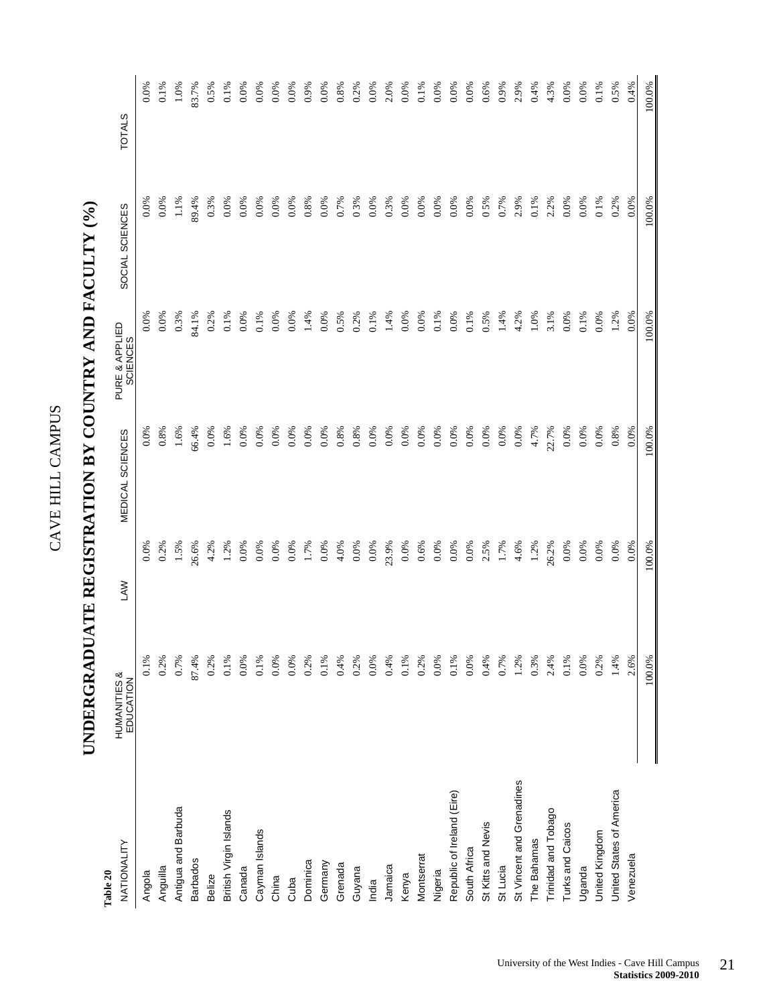| ŗ<br>٥<br>t<br>><br>C         |  |
|-------------------------------|--|
| $\overline{H}$<br>щ<br>.<br>ح |  |

| Table 20                   |                           |                 |                         |                            |                                               |                                                                                                                        |
|----------------------------|---------------------------|-----------------|-------------------------|----------------------------|-----------------------------------------------|------------------------------------------------------------------------------------------------------------------------|
| NATIONALITY                | HUMANITIES &<br>EDUCATION | <b>LAW</b>      | <b>MEDICAL SCIENCES</b> | PURE & APPLIED<br>SCIENCES | SOCIAL SCIENCES                               | <b>TOTALS</b>                                                                                                          |
| Angola                     | 0.1%                      | 0.0%            | 0.0%                    | 0.0%                       | 0.0%                                          |                                                                                                                        |
| Anguilla                   | 0.2%                      | 0.2%            | 0.8%                    | 0.0%                       | 0.0%                                          | $0.0\%$<br>$0.1\%$                                                                                                     |
| Antigua and Barbuda        | 0.7%                      | 1.5%            | 1.6%                    | 0.3%                       | 1.1%                                          | 1.0%                                                                                                                   |
| <b>Barbados</b>            | 87.4%                     | 26.6%           | 56.4%                   | 34.1%                      | 89.4%                                         | 33.7%                                                                                                                  |
| Belize                     | 0.2%                      |                 | 0.0%                    |                            |                                               |                                                                                                                        |
| British Virgin Islands     | 0.1%                      | $4.2\%$<br>1.2% | 1.6%                    | $0.2\%$<br>$0.1\%$         | $\begin{array}{c} 0.3\% \\ 0.0\% \end{array}$ |                                                                                                                        |
| Canada                     | 0.0%                      | 0.0%            | 0.0%                    | 0.0%                       | 0.0%                                          | $\begin{array}{l} 0.5\% \\ 0.1\% \\ 0.00\% \\ 0.00\% \\ 0.00\% \\ 0.00\% \\ 0.00\% \\ 0.00\% \end{array}$              |
| Cayman Islands             | 0.1%                      | $0.0\%$         | 0.0%                    | 0.1%                       | 0.0%                                          |                                                                                                                        |
| China                      | $0.0\%$                   | 0.0%            | 0.0%                    | 0.0%                       | $0.0\%$                                       |                                                                                                                        |
| Cuba                       | 0.0%                      |                 | 0.0%                    | 0.0%                       | 0.0%                                          |                                                                                                                        |
| Dominica                   | 0.2%                      | $0.0\%$<br>1.7% | 0.0%                    | 1.4%                       | 0.8%                                          |                                                                                                                        |
| Germany                    | 0.1%                      | 0.0%            | 0.0%                    | 0.0%                       | 0.0%                                          |                                                                                                                        |
| Grenada                    | 0.4%                      | 4.0%            | 0.8%                    | 0.5%                       | 0.7%                                          |                                                                                                                        |
| Guyana                     | 0.2%                      | $0.0\%$         | 0.8%                    | 0.2%                       |                                               |                                                                                                                        |
| India                      | 0.0%                      | 0.0%            | 0.0%                    | 0.1%                       | $\frac{0.3\%}{0.0\%}$                         | $\begin{array}{l} 0.8\% \\ 0.2\% \\ 0.00\% \\ 0.00\% \\ 0.00\% \\ 0.00\% \\ 0.00\% \\ 0.00\% \\ 0.00\% \\ \end{array}$ |
| Jamaica                    | 0.4%                      | 23.9%           | $0.0\%$                 | 1.4%                       | 0.3%                                          |                                                                                                                        |
| Kenya                      | 0.1%                      | 0.0%            | 0.0%                    | 0.0%                       | 0.0%                                          |                                                                                                                        |
| Montserrat                 | 0.2%                      | 0.6%            | 0.0%                    | 0.0%                       | 0.0%                                          |                                                                                                                        |
| Nigeria                    | 0.0%                      | 0.0%            | 0.0%                    | 0.1%                       | $0.0\%$<br>$0.0\%$<br>$0.0\%$                 |                                                                                                                        |
| Republic of Ireland (Eire) | 0.1%                      | 0.0%            | 0.0%                    | 0.0%                       |                                               |                                                                                                                        |
| South Africa               | 0.0%                      | 0.0%            | 0.0%                    | 0.1%                       |                                               |                                                                                                                        |
| St Kitts and Nevis         | 0.4%                      | 2.5%            | 0.0%                    | 0.5%                       | 0.5%                                          | 0.6%                                                                                                                   |
| St Lucia                   | 0.7%                      | 1.7%            | 0.0%                    | 1.4%                       | 0.7%                                          | 0.9%                                                                                                                   |
| St Vincent and Grenadines  | 1.2%                      | 4.6%            | 0.0%                    | 4.2%                       | 2.9%                                          | 2.9%                                                                                                                   |
| The Bahamas                | 0.3%                      | 1.2%            | 4.7%                    | 1.0%                       | 0.1%                                          | 0.4%                                                                                                                   |
| Trinidad and Tobago        | 2.4%                      | 26.2%           | 22.7%                   | 3.1%                       | 2.2%                                          | 4.3%                                                                                                                   |
| Turks and Caicos           | 0.1%                      | 0.0%            | 0.0%                    | 0.0%                       | 0.0%                                          | 0.0%                                                                                                                   |
| Uganda                     | 0.0%                      | 0.0%            | 0.0%                    | $0.1\%$                    | 0.0%                                          | 0.0%                                                                                                                   |
| United Kingdom             | 0.2%                      | 0.0%            | 0.0%                    | $0.0\%$                    | 01%                                           | $0.1\%$                                                                                                                |
| United States of America   | 1.4%                      | 0.0%            | 0.8%                    | 1.2%                       | 0.2%                                          | 0.5%                                                                                                                   |
| Venezuela                  | 2.6%                      | 0.0%            | 0.0%                    | 0.0%                       | 0.0%                                          | 0.4%                                                                                                                   |
|                            | 100.0%                    | 100.0%          | 100.0%                  | 100.0%                     | 100.0%                                        | 100.0%                                                                                                                 |

## UNDERGRADUATE REGISTRATION BY COUNTRY AND FACULTY (%) **UNDERGRADUATE REGISTRATION BY COUNTRY AND FACULTY (%)**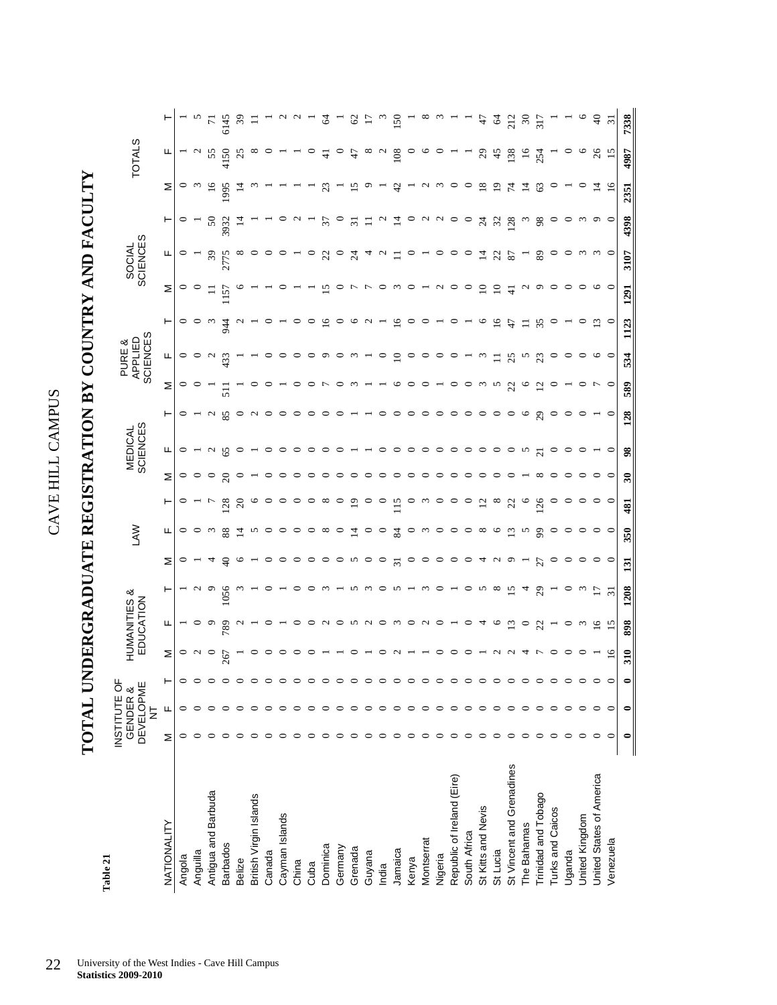## **TOTAL UNDERGRADUATE REGISTRATION BY COUNTRY AND FACULTY**  TOTAL UNDERGRADUATE REGISTRATION BY COUNTRY AND FACULTY

Table 21 **Table 21** 

|                            | INSTITUTE OF | <b>DEVELOPME</b><br>GENDER &<br>Ż |         |         | HUMANITIES &<br>EDUCATION |                 |                  | <b>NAU</b> |               |                            | MEDICAL<br>SCIENCES      |                                  | <b>SCIENCES</b><br>APPLIED<br>PURE & |                                   |                 | <b>SCIENCES</b><br>SOCIAL |                |                 | <b>TOTALS</b> |                |
|----------------------------|--------------|-----------------------------------|---------|---------|---------------------------|-----------------|------------------|------------|---------------|----------------------------|--------------------------|----------------------------------|--------------------------------------|-----------------------------------|-----------------|---------------------------|----------------|-----------------|---------------|----------------|
| NATIONALITY                | Σ            | Щ                                 | ۳       | Σ       | щ                         | ۳               | Σ                | щ          | ۳             | Σ                          | щ                        | ۳                                | Σ                                    | ۲<br>щ                            | Σ               | щ                         | ۳              | Σ               | щ             | ۳              |
| Angola                     |              | ⊂                                 | 0       | $\circ$ |                           |                 |                  | 0          |               | 0                          |                          | 0                                | $\circ$                              | ○                                 | P<br>0          | $\circ$                   | $\circ$        | ⊂               |               |                |
| Anguilla                   |              |                                   |         | $\sim$  |                           |                 |                  |            |               |                            |                          |                                  |                                      | っ<br>$\circ$                      |                 |                           |                |                 |               |                |
| Antigua and Barbuda        |              |                                   |         | $\circ$ | $\circ$                   | ∘               |                  | $\omega$   |               |                            | $\sim$                   | $\mathbf{\mathsf{C}}$            |                                      | $\omega$<br>$\sim$                |                 | $\mathcal{E}$             | 50             | $\overline{16}$ | 55            | $\overline{r}$ |
| <b>Barbados</b>            |              |                                   | 0       | 267     | 789                       | 1056            | ¥                | 88         | 128           |                            | 65                       | $\overline{51}$<br>85            | 433                                  | 944                               | $\overline{15}$ |                           | 3932           | 995             | 4150          | 6145           |
| Belize                     |              |                                   | $\circ$ |         |                           |                 |                  | ⊒          | $\mathcal{S}$ |                            | ⊂                        | ∊                                |                                      |                                   |                 | ∝                         |                |                 | 25            | $\mathcal{E}$  |
| British Virgin Islands     |              |                                   |         |         |                           |                 |                  |            | ⊂             |                            |                          | $\sim$                           |                                      |                                   |                 |                           |                |                 |               |                |
| Canada                     |              |                                   |         |         |                           |                 |                  |            | ⊂             |                            | ⊂                        | ⊂                                |                                      | ⊂                                 |                 |                           |                |                 |               |                |
| Cayman Islands             |              |                                   |         |         |                           |                 |                  | ∊          | $\circ$       |                            | ⊂                        | ⊂                                |                                      | ⊂                                 |                 |                           |                |                 |               |                |
| China                      |              |                                   |         |         | c                         |                 | c                | ∊          | $\circ$       |                            | ⊂                        | $\circ$                          | c                                    | ⊂                                 | ⊂               |                           | $\sim$         |                 |               |                |
| Cuba                       |              |                                   |         |         | $\circ$                   |                 | c                | ∊          | $\circ$       | ⊂                          | ⊂                        | ⊂                                | c                                    | ⊂                                 | ∊               |                           |                |                 | c             |                |
| Dominica                   |              |                                   |         |         | $\sim$                    | S               | c                | $^{\circ}$ | $\infty$      |                            |                          | ⊂                                | -5                                   | $\widetilde{\phantom{a}}$<br>∘    |                 | 22                        | 57             | $\mathbb{Z}^3$  | ₹             |                |
| Germany                    |              |                                   |         |         | $\circ$                   |                 |                  |            | $\circ$       |                            |                          |                                  | ⊂                                    | っ                                 |                 | $\circ$                   | $\circ$        |                 | $\circ$       |                |
| Grenada                    |              |                                   |         |         | n                         |                 |                  | 4          | 2             |                            |                          |                                  |                                      | $\sim$                            |                 | $\overline{\mathcal{A}}$  | ಸ              | 51              | 47            | 8              |
| Guyana                     |              |                                   |         |         | $\sim$                    |                 | ⊂                |            | ⊂             |                            |                          |                                  |                                      |                                   |                 |                           | ニ              | σ               | $^{\circ}$    |                |
| India                      |              |                                   |         |         | $\circ$                   | ⊂               | P                | $\circ$    | ⊂             |                            |                          |                                  |                                      | っ                                 |                 |                           | $\sim$         |                 | $\sim$        |                |
| Jamaica                    |              | ⊂                                 |         |         | $\omega$                  | ∽               | $\overline{31}$  | 84         | 15            |                            |                          |                                  | $\Xi$<br>⊾                           | $\overline{16}$                   |                 | Ξ                         | 그              | A,              | 108           | 150            |
| Kenya                      |              | ⊂                                 |         |         | $\circ$                   |                 | P                |            | 0             |                            |                          | ⊂                                | 0                                    | $\circ$                           | P               | P                         | P              |                 |               |                |
| Montserrat                 |              | ⊂                                 |         |         | $\sim$                    |                 | ◡                |            | $\omega$      |                            | ⊂                        | っ                                | ⊂                                    | $\circ$                           |                 |                           | $\sim$         |                 | ७             |                |
| Nigeria                    |              | ⊂                                 |         |         | $\circ$                   |                 | c                | $\circ$    | $\circ$       |                            | 0                        | ○                                |                                      | 0                                 |                 | 0                         | $\sim$         | $\omega$        |               |                |
| Republic of Ireland (Eire) |              | ⊂                                 | ⊂       |         |                           |                 | ◡                | 0          | 0             |                            | 0                        | ○                                | c                                    | $\circ$                           |                 | $\circ$                   | $\circ$        | 0               |               |                |
| South Africa               |              |                                   |         |         | $\circ$                   |                 |                  | $\circ$    | $\circ$       |                            |                          | 0                                | c                                    |                                   |                 | P                         | $\circ$        | ⊂               |               |                |
| St Kitts and Nevis         |              |                                   |         |         | 4                         |                 | ব                | $^{\circ}$ | $\Xi$         |                            |                          | $\circ$                          | $\omega$                             | $\omega$                          |                 | $\overline{4}$            | $\overline{c}$ | $\overline{18}$ | $^{29}$       | A              |
| St Lucia                   |              |                                   |         |         | $\circ$                   | $\infty$        | $\sim$           | ७          | $\infty$      |                            |                          | 0                                | S                                    | $\Xi$                             | $\Xi$           | S                         | 32             | $\overline{0}$  | 45            | $\mathcal{R}$  |
| St Vincent and Grenadines  |              |                                   |         |         | $\mathbf{r}$              | 15              |                  | $\Xi$      | S             |                            |                          | S<br>$\circ$                     | 25                                   | $\ddot{t}$                        | ₩               | 87                        | 128            | $\mathcal{L}$   | 138           | 212            |
| The Bahamas                |              | ⊂                                 |         |         | $\circ$                   | 4               |                  | n          | ७             |                            | S                        | 9                                | ७                                    | コ<br>n                            |                 |                           | $\omega$       | 14              | 16            | ಸ              |
| Trinidad and Tobago        |              | ⊂                                 | ⊂       |         | 22                        | 29              | 5Î               | 99         | <b>26</b>     |                            | $\overline{c}$           | ≌<br>$\mathcal{L}^{\mathcal{O}}$ | 23                                   | 35                                | σ               | 89                        | 98             | S               | 254           | 317            |
| Turks and Caicos           |              | ⊂                                 | $\circ$ |         |                           |                 |                  | Ç          | 0             |                            | $\circ$                  | ∊                                | c                                    | 0                                 | ⊂               | ⊂                         | 0              |                 |               |                |
| Uganda                     | ∊            | $\circ$                           | 0       |         | $\circ$                   |                 | ⊂                | ⊂          | 0             | ⊂                          | 0                        | ∊                                |                                      | $\circ$                           | 0               | ⊂                         | $\circ$        |                 | 0             |                |
| United Kingdom             | ∊            | $\circ$                           | $\circ$ |         | $\omega$                  |                 | ⊂                | ⊂          | $\circ$       | ⊂                          |                          | ⊂                                | $\circ$                              | 0<br>$\circ$                      | ⊂               | $\sim$                    | $\omega$       | ⊂               | $\circ$       |                |
| United States of America   | ∊            | $\circ$                           | $\circ$ |         | $\overline{16}$           | F               | っ                | $\circ$    | $\circ$       | $\circ$                    |                          |                                  | г                                    | $\frac{13}{9}$<br>$\circ$ $\circ$ | ७               | $\sim$                    | $\circ$        | 4               | 26            | $\Theta$       |
| Venezuela                  | ∊            | $\circ$                           | $\circ$ | 16      | 15                        | $\overline{31}$ | $\circ$          | $\circ$    | $\circ$       | $\circ$                    | $\circ$                  | $\circ$                          | $\circ$                              |                                   | $\circ$         | $\circ$                   |                | 16              | 15            | $\Xi$          |
|                            |              |                                   |         | 310     | 898                       | 1208            | $\overline{131}$ | 350        | 481           | $\boldsymbol{\mathcal{E}}$ | 128<br>$\boldsymbol{98}$ | 589                              | 534                                  | 1123                              | 1291            | 3107                      | 4398           | 2351            | 4987          | 7338           |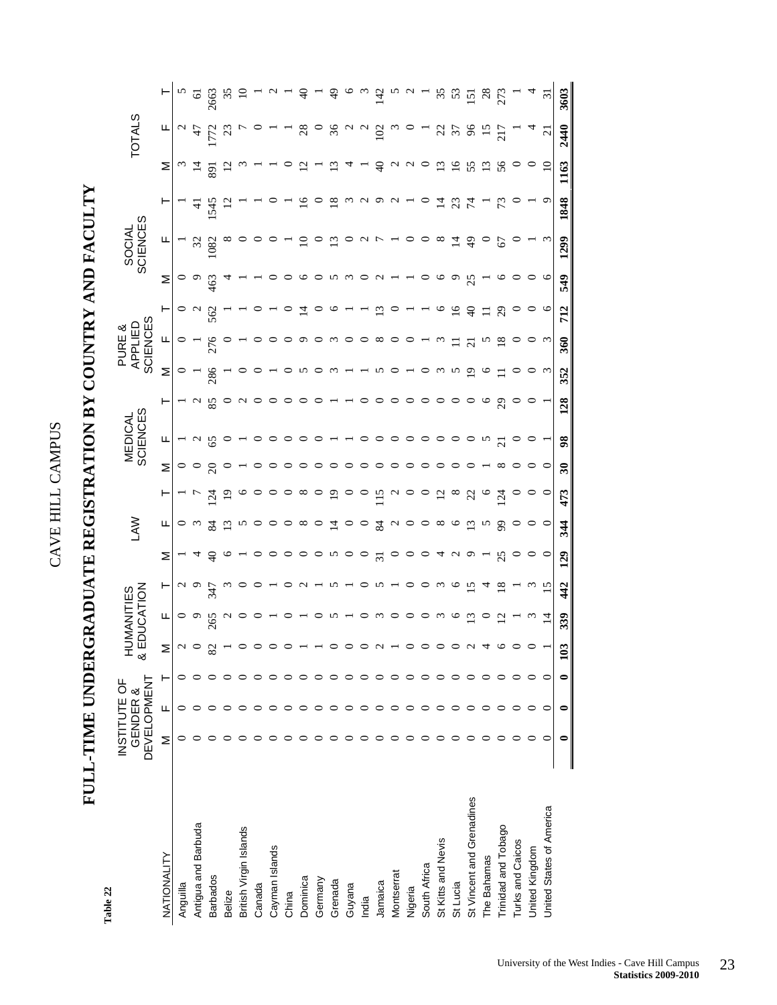# **FULL-TIME UNDERGRADUATE REGISTRATION BY COUNTRY AND FACULTY**  FULL-TIME UNDERGRADUATE REGISTRATION BY COUNTRY AND FACULTY

Table 22 **Table 22** 

|                           | <b>DEVELOPMENT</b><br>INSTITUTE OF | GENDER & | Ĩ<br>$\overline{8}$ | CATION<br><b>JMANITIES</b> |                 |                | ₹                           |                 |                          | SCIENCES<br><b>MEDICAL</b> |                 |          | <b>SCIENCES</b><br>APPLIED<br>PURE & |               |         | SOCIAL<br>SCIENCES |                |                           | <b>TOTALS</b>            |                |
|---------------------------|------------------------------------|----------|---------------------|----------------------------|-----------------|----------------|-----------------------------|-----------------|--------------------------|----------------------------|-----------------|----------|--------------------------------------|---------------|---------|--------------------|----------------|---------------------------|--------------------------|----------------|
| NATIONALITY               | Σ                                  | Щ        | ↽                   | щ                          | $\vdash$        | Σ              | щ                           | ۲               | Σ                        | щ                          |                 | Σ        | щ                                    |               | Σ       | щ                  |                | Σ                         | щ                        |                |
| Anguilla                  |                                    |          |                     | $\circ$                    |                 |                |                             |                 |                          |                            |                 |          |                                      |               | $\circ$ |                    |                | $\omega$                  |                          |                |
| Antigua and Barbuda       |                                    |          |                     | $\sim$                     | $\sim$ $\sim$   | ॼ              | $\omega$                    |                 |                          | $\sim$                     | $\sim$          |          |                                      |               |         | $\frac{32}{1082}$  | $\pm$          | $\vec{a}$                 | 47                       | $\sqrt{2}$     |
| <b>Barbados</b>           |                                    |          | $\infty$            | 265                        | 347             | $\frac{1}{2}$  | $\frac{8}{4}$               | $\overline{54}$ | $\Omega$                 | 65                         | 85              | 286      | 276                                  | 562           | 463     |                    | 1545           | 891                       |                          | 2663           |
| Belize                    |                                    |          |                     | $\mathfrak{a}$             |                 | $\mathbf{c}$   | $\Xi$                       |                 |                          |                            |                 |          |                                      |               |         |                    |                | $\overline{c}$            | $\mathbb{S}$             | 35             |
| British Virgin Islands    |                                    |          |                     |                            |                 |                | n                           |                 |                          |                            | $\sim$          |          |                                      |               |         |                    |                |                           |                          |                |
| Canada                    |                                    |          |                     |                            |                 |                |                             |                 |                          |                            |                 |          |                                      |               |         |                    |                |                           |                          |                |
| Cayman Islands            |                                    |          |                     |                            |                 |                |                             |                 |                          |                            |                 |          |                                      |               |         |                    |                |                           |                          |                |
| China                     |                                    |          |                     |                            |                 | $\circ$        |                             |                 |                          |                            |                 |          |                                      |               |         |                    |                |                           |                          |                |
| Dominica                  |                                    |          |                     |                            | $\sim$          | $\circ$        | $\infty$                    |                 |                          |                            |                 |          |                                      |               |         |                    | $\Xi$          | $\Xi$                     | $^{28}$                  | ¥              |
| Germany                   |                                    |          |                     |                            |                 | $\circ$        |                             |                 |                          |                            |                 |          |                                      |               |         |                    |                |                           |                          |                |
| Grenada                   |                                    |          |                     | S                          | n               | n              | $\overline{4}$              | $\overline{5}$  |                          |                            |                 |          |                                      |               |         |                    | $\frac{8}{1}$  | $\frac{2}{3}$             | 36                       | $\frac{1}{2}$  |
| Guyana                    |                                    |          |                     |                            |                 | $\circ$        | $\circ$                     |                 |                          |                            |                 |          |                                      |               |         |                    |                |                           |                          |                |
| India                     |                                    |          |                     |                            |                 | $\circ$        | $\circ$                     |                 |                          |                            |                 |          |                                      |               |         | $\sim$ $\sim$      |                |                           | $\sim$                   | $\omega$       |
| Jamaica                   |                                    |          |                     | $\omega$                   | n               | $\overline{5}$ | $\frac{84}{5}$              | $\overline{15}$ |                          |                            |                 |          | $\infty$                             | $\Xi$         |         |                    | ᡡ              | ੩                         | 102                      | 142            |
| Montserrat                |                                    |          |                     | $\circ$                    |                 |                | $\sim$                      | $\sim$          |                          | $\circ$                    |                 |          |                                      |               |         |                    | $\sim$         |                           |                          | n              |
| Nigeria                   |                                    |          |                     | $\circ$                    | $\circ$         |                | $\circ$                     |                 |                          | $\circ$                    |                 |          |                                      |               |         |                    |                | $\alpha$ $\alpha$ $\circ$ |                          |                |
| South Africa              |                                    |          |                     | $\circ$                    | $\circ$         | $\circ$        | $\circ$                     |                 |                          | $\circ$ $\circ$            |                 |          |                                      |               |         | $\circ$ $\infty$   |                |                           |                          |                |
| St Kitts and Nevis        |                                    |          |                     | $\omega$                   | $\omega$        |                | $\infty$                    | $\overline{c}$  |                          |                            |                 |          |                                      |               |         |                    | $\vec{a}$      | 13                        | $\mathcal{Z}$            | 35             |
| St Lucia                  |                                    |          |                     | $\circ$                    | $\circ$         | 4 U            | $\circ$                     | $\infty$        |                          | $\circ$                    |                 |          |                                      | $\frac{6}{1}$ |         | $\overline{4}$     | $\mathfrak{L}$ | $\frac{91}{2}$            | $\overline{\mathcal{E}}$ | 53             |
| St Vincent and Grenadines |                                    |          |                     | $\Xi$                      | $\frac{5}{2}$   | $\sigma$       | $\overline{13}$             | S               |                          | $\circ$                    |                 | ≘        | $\overline{N}$                       | ੩             | 25      | $\frac{4}{3}$      | $\mathcal{L}$  | 55                        | $\%$                     | 15             |
| The Bahamas               |                                    |          |                     |                            |                 |                | $\omega$                    |                 |                          | $\sim$                     |                 |          |                                      |               |         |                    |                | $\frac{13}{56}$           | $\overline{5}$           | $^{28}$        |
| Trinidad and Tobago       |                                    |          |                     | $\overline{c}$             | $\frac{8}{18}$  | $\mathcal{S}$  | $\mathcal{S}^{\mathcal{O}}$ | $\overline{5}$  | $\infty$                 | $\overline{c}$             | $\mathcal{S}^2$ |          | $\frac{8}{18}$                       | $^{29}$       |         | 67                 |                |                           | $\overline{217}$         | 273            |
| <b>Turks and Caicos</b>   |                                    |          |                     |                            |                 |                |                             |                 |                          | $\circ$                    |                 |          |                                      |               |         |                    |                |                           |                          |                |
| United Kingdom            |                                    |          |                     | $\omega$                   | $\omega$        |                |                             |                 |                          |                            |                 |          |                                      |               |         |                    |                |                           | $\Delta$                 |                |
| United States of America  |                                    |          |                     | $\overline{4}$             | $\overline{15}$ | $\circ$        | $\circ$                     | $\circ$         | $\circ$                  |                            |                 | $\omega$ | $\omega$                             | $\circ$       | $\circ$ | $\omega$           | σ              | $\overline{10}$           | $\overline{c}$           | $\overline{5}$ |
|                           |                                    |          | $\Xi$               | 339                        | 442             | 129            | 344                         | 473             | $\overline{\mathbf{30}}$ | 98                         | 128             | 352      | 360                                  | 712           | 549     | 1299               | 1848           | 1163                      | 2440                     | 3603           |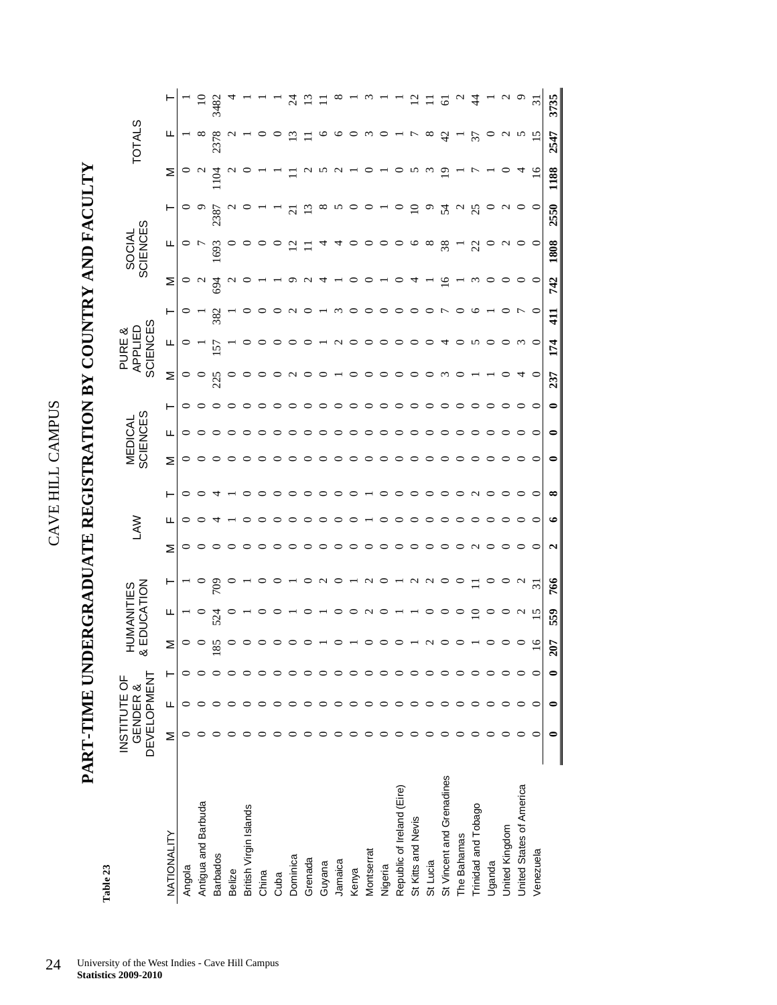# **PART-TIME UNDERGRADUATE REGISTRATION BY COUNTRY AND FACULTY**  PART-TIME UNDERGRADUATE REGISTRATION BY COUNTRY AND FACULTY

Table 23 **Table 23** 

|                            | <b>DEVELOPMENT</b><br>INSTITUTE OF | GENDER & |                 | & EDUCATION<br>HUMANITIES                                              |                                                                                         |                                                                                                              | Š       |                                                                                                                                                                                                                                                                                                                                                                                                                                                                                       |                           | <b>SCIENCES</b><br><b>MEDICAL</b> |         |                  | SCIENCES<br>APPLIED<br>PURE & |                |                                                                                                                                                                                                                                                                                                                                   | SOCIAL<br>SCIENCES |                |                                                           | <b>TOTALS</b>   |                |
|----------------------------|------------------------------------|----------|-----------------|------------------------------------------------------------------------|-----------------------------------------------------------------------------------------|--------------------------------------------------------------------------------------------------------------|---------|---------------------------------------------------------------------------------------------------------------------------------------------------------------------------------------------------------------------------------------------------------------------------------------------------------------------------------------------------------------------------------------------------------------------------------------------------------------------------------------|---------------------------|-----------------------------------|---------|------------------|-------------------------------|----------------|-----------------------------------------------------------------------------------------------------------------------------------------------------------------------------------------------------------------------------------------------------------------------------------------------------------------------------------|--------------------|----------------|-----------------------------------------------------------|-----------------|----------------|
| NATIONALITY                | Σ                                  | щ        | Σ               | щ                                                                      | $\vdash$                                                                                | Σ                                                                                                            | щ       | ⊢                                                                                                                                                                                                                                                                                                                                                                                                                                                                                     | Σ                         | ட                                 | ۳       | Σ                | щ                             | ⊢              | Σ                                                                                                                                                                                                                                                                                                                                 | щ                  | $\vdash$       | Σ                                                         | щ               |                |
| Angola                     |                                    |          | $\circ$         |                                                                        |                                                                                         |                                                                                                              |         |                                                                                                                                                                                                                                                                                                                                                                                                                                                                                       |                           |                                   | $\circ$ | P                |                               |                |                                                                                                                                                                                                                                                                                                                                   |                    |                | $\circ$                                                   |                 |                |
| Antigua and Barbuda        |                                    |          |                 |                                                                        |                                                                                         |                                                                                                              |         | $\circ$ $\circ$ 4                                                                                                                                                                                                                                                                                                                                                                                                                                                                     |                           | $\circ\circ\circ$                 |         |                  |                               | $rac{1}{382}$  | $\circ$ a $\tilde{g}$                                                                                                                                                                                                                                                                                                             |                    | $\circ$        | $\sim$                                                    |                 |                |
| <b>Barbados</b>            |                                    |          |                 | 524                                                                    | $\frac{60}{5}$                                                                          | 00000                                                                                                        |         |                                                                                                                                                                                                                                                                                                                                                                                                                                                                                       |                           |                                   |         | 225              | 157                           |                |                                                                                                                                                                                                                                                                                                                                   | 1693               | 2387           | 104                                                       | 2378            | $10$<br>3482   |
| <b>Belize</b>              |                                    |          |                 |                                                                        |                                                                                         |                                                                                                              |         |                                                                                                                                                                                                                                                                                                                                                                                                                                                                                       | $\circ$                   | $\circ$                           | $\circ$ |                  |                               |                |                                                                                                                                                                                                                                                                                                                                   |                    |                |                                                           |                 |                |
| British Virgin Islands     |                                    |          |                 |                                                                        |                                                                                         |                                                                                                              |         |                                                                                                                                                                                                                                                                                                                                                                                                                                                                                       | ○                         |                                   |         |                  |                               |                | $\sim$ 0                                                                                                                                                                                                                                                                                                                          |                    |                |                                                           |                 |                |
| China                      |                                    |          |                 | $\circ$                                                                |                                                                                         | $\circ$                                                                                                      | ○       | ${\small \begin{array}{c} \multicolumn{2}{c}{} \multicolumn{2}{c}{} \multicolumn{2}{c}{} \multicolumn{2}{c}{} \multicolumn{2}{c}{} \multicolumn{2}{c}{} \multicolumn{2}{c}{} \multicolumn{2}{c}{} \multicolumn{2}{c}{} \multicolumn{2}{c}{} \multicolumn{2}{c}{} \multicolumn{2}{c}{} \multicolumn{2}{c}{} \multicolumn{2}{c}{} \multicolumn{2}{c}{} \multicolumn{2}{c}{} \multicolumn{2}{c}{} \multicolumn{2}{c}{} \multicolumn{2}{c}{} \multicolumn{2}{c}{} \multicolumn{2}{c}{} \$ | $\circ$                   | $\circ$ $\circ$                   | $\circ$ |                  |                               |                |                                                                                                                                                                                                                                                                                                                                   |                    |                |                                                           |                 |                |
| Cuba                       |                                    |          |                 | $\circ$                                                                | $\circ$                                                                                 | $\circ$                                                                                                      | ○       |                                                                                                                                                                                                                                                                                                                                                                                                                                                                                       | $\circ$                   | $\circ$                           | ○       |                  |                               |                |                                                                                                                                                                                                                                                                                                                                   |                    |                |                                                           |                 |                |
| Dominica                   |                                    |          |                 |                                                                        | $\begin{array}{c} \n - \circ \circ \circ - \circ \circ - \circ \circ \circ \end{array}$ | $\circ$                                                                                                      | っ       |                                                                                                                                                                                                                                                                                                                                                                                                                                                                                       | $\circ$                   | $\circ$                           |         | $\sim$           |                               | $\sim$ 0       | $\begin{array}{c} 0 & 0 & 1 \\ 0 & 0 & 0 \\ 0 & 0 & 0 \\ 0 & 0 & 0 \\ 0 & 0 & 0 \\ 0 & 0 & 0 \\ 0 & 0 & 0 \\ 0 & 0 & 0 \\ 0 & 0 & 0 \\ 0 & 0 & 0 \\ 0 & 0 & 0 \\ 0 & 0 & 0 \\ 0 & 0 & 0 & 0 \\ 0 & 0 & 0 & 0 \\ 0 & 0 & 0 & 0 \\ 0 & 0 & 0 & 0 & 0 \\ 0 & 0 & 0 & 0 & 0 \\ 0 & 0 & 0 & 0 & 0 \\ 0 & 0 & 0 & 0 & 0 & 0 \\ 0 & 0 &$ | $\overline{5}$     | $\overline{c}$ |                                                           | $\Xi$           | $\mathbb{Z}$   |
| Grenada                    |                                    |          |                 | $\circ$                                                                |                                                                                         | $\circ$                                                                                                      | ○       |                                                                                                                                                                                                                                                                                                                                                                                                                                                                                       | $\circ$                   | $\circ$                           | $\circ$ | $\circ$          |                               |                |                                                                                                                                                                                                                                                                                                                                   |                    |                |                                                           |                 |                |
| Guyana                     |                                    |          |                 |                                                                        |                                                                                         |                                                                                                              |         |                                                                                                                                                                                                                                                                                                                                                                                                                                                                                       | $\circ$                   | $\circ$                           | $\circ$ | $\circ$          |                               |                |                                                                                                                                                                                                                                                                                                                                   |                    |                |                                                           |                 |                |
| Jamaica                    |                                    |          |                 |                                                                        |                                                                                         |                                                                                                              | $\circ$ |                                                                                                                                                                                                                                                                                                                                                                                                                                                                                       | $\circ$                   |                                   | $\circ$ |                  |                               |                |                                                                                                                                                                                                                                                                                                                                   |                    | N              |                                                           |                 |                |
| Kenya                      |                                    |          |                 |                                                                        |                                                                                         |                                                                                                              |         |                                                                                                                                                                                                                                                                                                                                                                                                                                                                                       |                           |                                   | $\circ$ | $\circ$          |                               |                |                                                                                                                                                                                                                                                                                                                                   |                    | $\circ$        |                                                           |                 |                |
| Montserrat                 |                                    |          |                 |                                                                        |                                                                                         |                                                                                                              |         |                                                                                                                                                                                                                                                                                                                                                                                                                                                                                       |                           | $\circ \circ \circ \circ$         | $\circ$ | $\circ$ $\circ$  |                               |                |                                                                                                                                                                                                                                                                                                                                   |                    | $\circ$        |                                                           | $\omega$ 0      | ന              |
| Nigeria                    |                                    |          |                 |                                                                        |                                                                                         |                                                                                                              | $\circ$ |                                                                                                                                                                                                                                                                                                                                                                                                                                                                                       |                           |                                   | $\circ$ |                  |                               |                |                                                                                                                                                                                                                                                                                                                                   |                    |                |                                                           |                 |                |
| Republic of Ireland (Eire) |                                    |          |                 | $\begin{array}{c} \n - \circ \circ \circ \circ \circ \neg \end{array}$ |                                                                                         | $\begin{array}{c} \circ \circ \circ \circ \circ \circ \circ \circ \circ \circ \circ \circ \circ \end{array}$ | $\circ$ |                                                                                                                                                                                                                                                                                                                                                                                                                                                                                       | $\circ \circ \circ \circ$ | $\circ$                           | $\circ$ | $\circ$          | NOOOO                         | moooooor       |                                                                                                                                                                                                                                                                                                                                   | 00000000077        | $\circ$        | $\begin{array}{c} \n 0 \\ 1 \\ 0 \\ 0 \\ 0\n \end{array}$ | $ \overline{z}$ |                |
| St Kitts and Nevis         |                                    |          |                 |                                                                        |                                                                                         |                                                                                                              | $\circ$ |                                                                                                                                                                                                                                                                                                                                                                                                                                                                                       | $\circ$                   | $\circ$                           | $\circ$ | $\circ$          | $\circ$ $\circ$               |                | 4                                                                                                                                                                                                                                                                                                                                 |                    | $\Xi$          |                                                           |                 |                |
| St Lucia                   |                                    |          | $\sim$          | $\circ$                                                                |                                                                                         |                                                                                                              | $\circ$ |                                                                                                                                                                                                                                                                                                                                                                                                                                                                                       | $\circ$                   | $\circ$                           | $\circ$ | $\circ$          |                               |                |                                                                                                                                                                                                                                                                                                                                   |                    | $\circ$        |                                                           | $\infty$        |                |
| St Vincent and Grenadines  |                                    |          | $\circ$         | $\circ$ $\circ$                                                        |                                                                                         |                                                                                                              | $\circ$ |                                                                                                                                                                                                                                                                                                                                                                                                                                                                                       | $\circ$                   | $\circ$                           | $\circ$ | $\omega$ $\circ$ | $\overline{4}$ $\circ$        |                | $\overline{16}$                                                                                                                                                                                                                                                                                                                   |                    | $24$ $\sigma$  |                                                           | $\overline{a}$  | ତି             |
| The Bahamas                |                                    |          |                 |                                                                        |                                                                                         |                                                                                                              | $\circ$ |                                                                                                                                                                                                                                                                                                                                                                                                                                                                                       | $\circ$                   | $\circ$                           | $\circ$ |                  |                               | $\circ$        |                                                                                                                                                                                                                                                                                                                                   |                    |                |                                                           | $-57$           |                |
| Trinidad and Tobago        |                                    |          |                 | $\overline{10}$                                                        |                                                                                         |                                                                                                              | $\circ$ |                                                                                                                                                                                                                                                                                                                                                                                                                                                                                       | $\circ$                   | $\circ$                           | $\circ$ |                  | N                             | $\circ$        |                                                                                                                                                                                                                                                                                                                                   |                    | 25             |                                                           |                 | $\frac{4}{4}$  |
| Uganda                     |                                    |          |                 |                                                                        |                                                                                         |                                                                                                              | ○       |                                                                                                                                                                                                                                                                                                                                                                                                                                                                                       | $\circ$                   | $\circ$                           |         |                  |                               |                | $\begin{array}{c} \n\mathfrak{m} \circ \mathfrak{0} \circ \mathfrak{0} \end{array}$                                                                                                                                                                                                                                               |                    |                |                                                           |                 |                |
| United Kingdom             |                                    |          |                 |                                                                        | $\circ$ a                                                                               |                                                                                                              | $\circ$ |                                                                                                                                                                                                                                                                                                                                                                                                                                                                                       | $\circ$                   | $\circ$                           | $\circ$ |                  | $\circ$                       | $\circ$ $\sim$ |                                                                                                                                                                                                                                                                                                                                   |                    | $\sim$         | $\circ$                                                   | $\sim$          | $\sim$ $\sim$  |
| United States of America   |                                    |          | $\circ$         | $0$ $\alpha$ $\overline{2}$                                            |                                                                                         |                                                                                                              | ○       |                                                                                                                                                                                                                                                                                                                                                                                                                                                                                       | ○                         | $\circ$                           |         |                  |                               |                |                                                                                                                                                                                                                                                                                                                                   | $\sim$ 0           |                | ᠴ                                                         |                 |                |
| Venezuela                  |                                    |          | $\overline{16}$ |                                                                        | $\overline{31}$                                                                         |                                                                                                              | $\circ$ |                                                                                                                                                                                                                                                                                                                                                                                                                                                                                       | $\circ$                   | $\circ$                           | $\circ$ | $\circ$          | $\circ$                       | $\circ$        |                                                                                                                                                                                                                                                                                                                                   |                    | $\circ$        | $\overline{16}$                                           | 15              | $\overline{3}$ |
|                            |                                    |          | 207             | 559                                                                    | 766                                                                                     | $\mathbf{\hat{c}}$                                                                                           | ے       | $\infty$                                                                                                                                                                                                                                                                                                                                                                                                                                                                              | 0                         | 0                                 | 0       | 237              | 174                           | 411            | 742                                                                                                                                                                                                                                                                                                                               | 1808               | 2550           | 1188                                                      | 2547            | 3735           |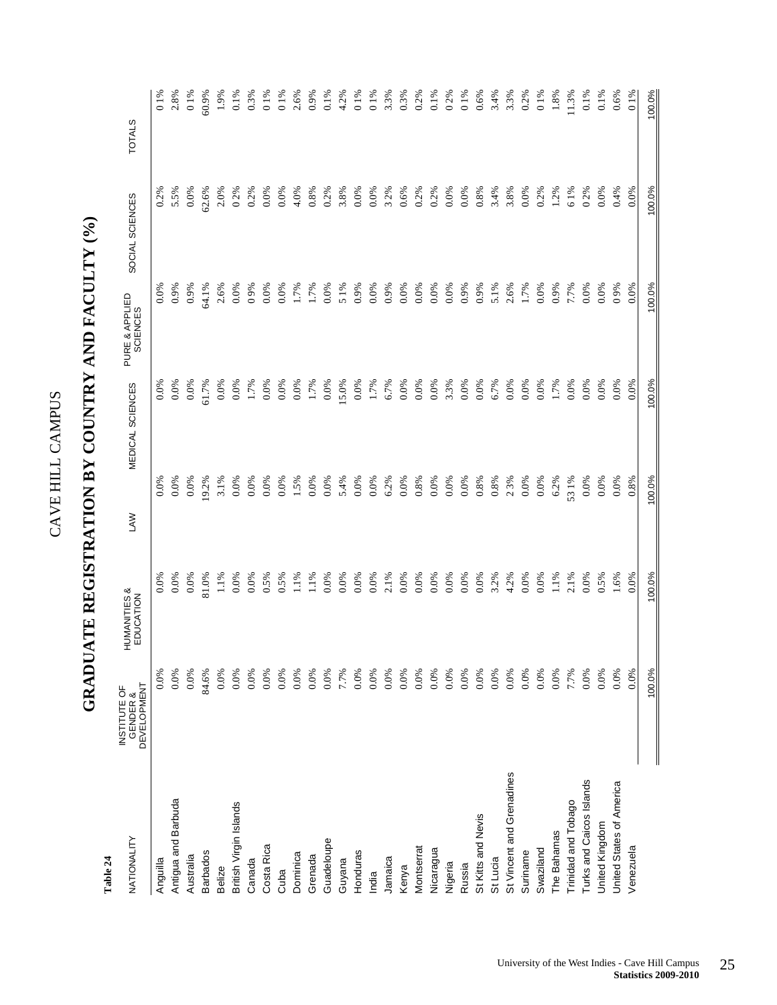| くりし<br>)<br>)<br>ļ |  |
|--------------------|--|
| ۔<br>آ             |  |
|                    |  |
| Ц<br>Ī.            |  |

## GRADUATE REGISTRATION BY COUNTRY AND FACULTY  $(\%$ **GRADUATE REGISTRATION BY COUNTRY AND FACULTY (%)**

| NATIONALITY               | <b>DEVELOPMENT</b><br>INSTITUTE OF<br>GENDER & | HUMANITIES&<br>EDUCATION                                                                                                                   | MEDICAL SCIENCES<br><b>SAN</b> |                          | PURE & APPLIED<br>SCIENCES                                                        | SOCIAL SCIENCES | <b>TOTALS</b>         |
|---------------------------|------------------------------------------------|--------------------------------------------------------------------------------------------------------------------------------------------|--------------------------------|--------------------------|-----------------------------------------------------------------------------------|-----------------|-----------------------|
| Anguilla                  | 0.0%                                           |                                                                                                                                            | 0.0%                           | 0.0%                     |                                                                                   | 0.2%            | 01%                   |
| Antigua and Barbuda       | 0.0%                                           | $0.0%$<br>0.0%                                                                                                                             | $0.0\%$                        | 0.0%                     |                                                                                   | 5.5%            | 2.8%                  |
| Australia                 | 0.0%                                           |                                                                                                                                            | $0.0\%$                        |                          |                                                                                   | $0.0\%$         |                       |
| <b>Barbados</b>           | 84.6%                                          | 81.0%                                                                                                                                      |                                | $0.0\%$<br>51.7%<br>0.0% | %0.9%<br>0.9%<br>5.1%                                                             | 62.6%           | 0 1%<br>50.9%         |
| Belize                    | 0.0%                                           |                                                                                                                                            | 9.2%<br>3.1%                   |                          |                                                                                   | 2.0%            | 1.9%                  |
| British Virgin Islands    | 0.0%                                           |                                                                                                                                            | 0.0%                           | 0.0%                     |                                                                                   | 0.2%            | $0.1\%$               |
| Canada                    | 0.0%                                           |                                                                                                                                            | 0.0%                           | 1.7%                     |                                                                                   | $0.2\%$         | 0.3%                  |
| Costa Rica                | 0.0%                                           |                                                                                                                                            | 0.0%                           | 0.0%                     |                                                                                   | 0.0%            | 0 1%<br>0 1%          |
| Cuba                      | 0.0%                                           |                                                                                                                                            | 0.0%                           | 0.0%                     |                                                                                   | 0.0%            |                       |
| Dominica                  | 0.0%                                           | $\begin{array}{l} 1.1\% \\ 0.00\% \\ 0.5\% \\ 0.5\% \\ 1.1\% \\ 1.1\% \\ 0.00\% \end{array}$                                               | 1.5%                           | 0.0%                     |                                                                                   | 4.0%            | 2.6%                  |
| Grenada                   | 0.0%                                           |                                                                                                                                            | 0.0%                           | 1.7%                     |                                                                                   | 0.8%            | 0.9%                  |
| Guadeloupe                | $0.0\%$                                        |                                                                                                                                            | $0.0\%$                        | 0.0%                     |                                                                                   | 0.2%            | $0.1\%$               |
| Guyana                    | 7.7%                                           | 0.0%                                                                                                                                       | 5.4%                           | 15.0%                    |                                                                                   | 3.8%            |                       |
| Honduras                  | 0.0%                                           | 0.0%                                                                                                                                       | 0.0%                           | 0.0%                     |                                                                                   | 0.0%            | $4.2\%$<br>0 1 %      |
| India                     | 0.0%                                           | $\begin{array}{l} 0.0\% \\ 0.0\% \\ 0.0\% \\ 0.0\% \\ 0.0\% \\ 0.0\% \\ 0.0\% \\ 0.0\% \\ 0.0\% \\ 0.0\% \\ 0.0\% \\ 0.0\% \\ \end{array}$ | 0.0%                           | 1.7%                     |                                                                                   | 0.0%            | 01%                   |
| Jamaica                   | 0.0%                                           |                                                                                                                                            | 6.2%                           | 6.7%                     |                                                                                   | 32%             | 3.3%                  |
| Kenya                     | 0.0%                                           |                                                                                                                                            | 0.0%                           | 0.0%                     |                                                                                   | 0.6%            | 0.3%                  |
| Montserrat                | 0.0%                                           |                                                                                                                                            | 0.8%                           | 0.0%                     |                                                                                   | 0.2%            | 0.2%                  |
| Nicaragua                 | 0.0%                                           |                                                                                                                                            | 0.0%                           | 0.0%                     | 0.0%                                                                              | 0.2%            | 0.1%                  |
| Nigeria                   | 0.0%                                           |                                                                                                                                            | $0.0\%$                        |                          |                                                                                   | 0.0%            |                       |
| Russia                    | 0.0%                                           |                                                                                                                                            | 0.0%                           | $3.3\%$<br>$0.0\%$       | $\begin{array}{l} 0.0\% \\ 0.9\% \\ 0.9\% \\ 5.1\% \\ 2.6\% \\ 1.7\% \end{array}$ | $0.0\%$         | 0 2%<br>0 1 %<br>0.6% |
| St Kitts and Nevis        | 0.0%                                           |                                                                                                                                            | 0.8%                           | 0.0%                     |                                                                                   | 0.8%            |                       |
| St Lucia                  | 0.0%                                           |                                                                                                                                            | 0.8%                           | $6.7\%$<br>0.0%          |                                                                                   | 3.4%            | 3.4%                  |
| St Vincent and Grenadines | 0.0%                                           |                                                                                                                                            | 23%                            |                          |                                                                                   | 3.8%            | 3.3%                  |
| Suriname                  | 0.0%                                           |                                                                                                                                            | 0.0%                           | 0.0%                     |                                                                                   | $0.0\%$         | 0.2%                  |
| Swaziland                 | 0.0%                                           | $0.0\%$                                                                                                                                    | 0.0%                           | 0.0%                     | 0.0%                                                                              | 0.2%            | $0~1\%$               |
| The Bahamas               | 0.0%                                           | 1.1%                                                                                                                                       | 6.2%                           | 1.7%                     | 0.9%                                                                              | 1.2%            | 1.8%                  |
| Trinidad and Tobago       | 7.7%                                           | 2.1%                                                                                                                                       | 531%                           | 0.0%                     | 7.7%                                                                              | 61%             | 11.3%                 |
| Turks and Caicos Islands  | 0.0%                                           | 0.0%                                                                                                                                       | 0.0%                           | 0.0%                     | 0.0%                                                                              | 0.2%            | 0.1%                  |
| United Kingdom            | 0.0%                                           | 0.5%                                                                                                                                       | $0.0\%$                        | 0.0%                     | 0.0%                                                                              | 0.0%            | $0.1\%$               |
| United States of America  | 0.0%                                           | 1.6%                                                                                                                                       | 0.0%                           | 0.0%                     | 0.9%                                                                              | 0.4%            | 0.6%                  |
| Venezuela                 | 0.0%                                           | 0.0%                                                                                                                                       | 0.8%                           | 0.0%                     | 0.0%                                                                              | 0.0%            | 01%                   |
|                           | 100.0%                                         | 100.0%                                                                                                                                     | 100.0%                         | 100.0%                   | 100.0%                                                                            | 100.0%          | 100.0%                |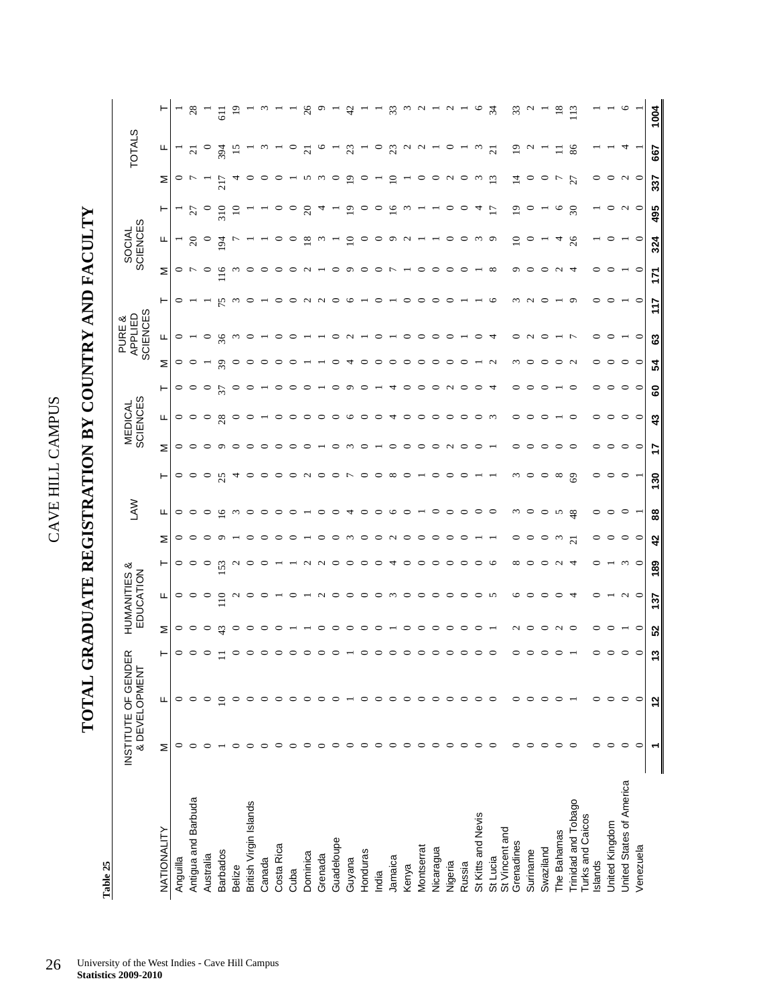**TOTAL GRADUATE REGISTRATION BY COUNTRY AND FACULTY**  TOTAL GRADUATE REGISTRATION BY COUNTRY AND FACULTY

> Table 25 **Table 25**

|                                                |         | INSTITUTE OF GENDE<br>& DEVELOPMENT | ≃ |         | HUMANITIES &<br>EDUCATION |          |                  | <b>NVT</b> |            |         | MEDICAL<br>SCIENCES |         |         | <b>SCIENCES</b><br>PURE &<br>APPLIED |        |               | SOCIAL<br>SCIENCES |                          |                 | <b>TOTALS</b>          |                |
|------------------------------------------------|---------|-------------------------------------|---|---------|---------------------------|----------|------------------|------------|------------|---------|---------------------|---------|---------|--------------------------------------|--------|---------------|--------------------|--------------------------|-----------------|------------------------|----------------|
| <b>NATIONALITY</b>                             | Σ       | Щ                                   |   | Σ       | щ                         | ۳        | Σ                | щ          | ۳          | Σ       | Щ                   | ۳       | Σ       | щ                                    | ۳      | Σ             | щ                  | Η                        | Σ               | щ                      |                |
| Anguilla                                       |         |                                     |   | $\circ$ | ○                         | 0        |                  | $\circ$    | 0          | 0       | ⇨                   | 0       | $\circ$ |                                      |        | $\circ$       |                    |                          | 0               |                        |                |
| Antigua and Barbuda                            |         |                                     |   | $\circ$ | $\circ$                   | ○        |                  | $\circ$    | $\circ$    | ⊂       | $\circ$             | $\circ$ |         |                                      |        |               | $\Omega$           | 27                       |                 | $\overline{c}$         | 28             |
| Australia                                      |         |                                     |   | ⊂       | ⊂                         | c        |                  | $\circ$    | $\circ$    |         | 0                   | ⊂       |         |                                      |        | ∊             | $\circ$            | $\circ$                  |                 | $\circ$                |                |
| <b>Barbados</b>                                |         |                                     |   |         | $\frac{0}{11}$            | S        |                  | ِ          | 25         |         | 28                  | 5       | 39      | 36                                   |        | $\frac{6}{1}$ | 54                 | 310                      | 217             | 394                    | $\overline{5}$ |
| <b>Belize</b>                                  |         |                                     |   |         |                           |          |                  |            | 4          |         |                     |         |         |                                      |        |               |                    | $\Xi$                    |                 | 15                     | $\Xi$          |
| British Virgin Islands                         |         |                                     |   |         |                           |          |                  |            | ⊂          |         |                     |         |         |                                      |        |               |                    |                          |                 |                        |                |
| Canada                                         |         |                                     |   |         |                           |          |                  |            |            |         |                     |         |         |                                      |        |               |                    |                          |                 |                        |                |
| Costa Rica                                     |         |                                     |   |         |                           |          |                  |            |            |         |                     |         |         |                                      |        |               |                    |                          |                 |                        |                |
| Cuba                                           |         |                                     |   |         |                           |          |                  |            | ○          |         | ⊂                   |         |         |                                      |        |               |                    | っ                        |                 |                        |                |
| Dominica                                       |         |                                     |   |         |                           | $\sim$   |                  |            | $\sim$     |         | ⊂                   |         |         |                                      |        |               | $\infty$           | $\Omega$                 | S               | $\sim$                 | ಸ              |
| Grenada                                        |         |                                     |   |         | $\sim$                    | $\sim$   |                  | ⊂          | ○          |         | ⊂                   |         |         |                                      | $\sim$ |               |                    |                          |                 |                        |                |
| Guadeloupe                                     |         |                                     |   |         | っ                         | っ        |                  | ⊂          | ○          |         | ⊂                   | ⊂       |         |                                      | ⊂      |               |                    |                          |                 |                        |                |
| Guyana                                         |         |                                     |   |         | ⊂                         | ⊂        |                  | 4          | r          | ç       | ৩                   | ○       |         |                                      | ७      | σ             | ≘                  | P                        | $\circ$         | 23                     |                |
| Honduras                                       |         |                                     |   |         | っ                         | ⊂        |                  | ⊂          | っ          |         | ⊂                   |         |         |                                      |        |               |                    |                          |                 |                        |                |
| India                                          |         |                                     |   |         | っ                         | ⊂        |                  | ⊂          | っ          |         | ⊂                   |         |         |                                      |        |               |                    |                          |                 | $\circ$                |                |
| Jamaica                                        |         |                                     |   |         | $\omega$                  | ᅿ        |                  | ⊾          | $\infty$   |         | 4                   |         |         |                                      |        |               |                    | 9                        | ≘               | $\mathfrak{L}$         | $\mathfrak{Z}$ |
| Kenya                                          |         |                                     |   |         | っ                         | ⊂        |                  |            |            |         | っ                   |         |         |                                      |        |               | $\mathbf{\sim}$    |                          |                 | $\sim$                 |                |
| Montserrat                                     |         |                                     |   |         | ○                         |          |                  |            |            |         | ○                   |         | 0       |                                      |        |               |                    |                          |                 | $\mathbf{\mathcal{L}}$ |                |
| Nicaragua                                      |         | っ                                   |   |         | $\circ$                   | ○        |                  | ⊂          | ⊂          |         | ○                   | ⊂       | 0       | ⊂                                    | ⊂      |               |                    |                          | ∘               |                        |                |
| Nigeria                                        |         | っ                                   |   |         | $\circ$                   | ○        |                  | ⊂          | c          |         | ○                   | $\sim$  | ∊       | ⊂                                    |        |               |                    |                          | $\mathbf{\sim}$ | 0                      |                |
| Russia                                         |         |                                     |   |         | っ                         | ○        |                  | ⊂          |            |         | ○                   | ⊂       |         |                                      |        |               | 0                  |                          | 0               |                        |                |
| St Kitts and Nevis                             |         | ⊂                                   |   |         | ᅌ                         | っ        |                  | ⊂          |            |         | ○                   | ⊂       |         |                                      |        |               |                    | 4                        | S               | $\omega$               | c              |
| St Lucia                                       |         | ⊂                                   |   |         | 5                         | ╰        |                  | ∊          |            |         | $\sim$              |         |         |                                      | ⊾      |               | P                  |                          | $\mathbf{r}$    | $\overline{\Omega}$    | 34             |
| St Vincent and<br>Grenadines                   |         | ⊂                                   |   |         | ⊾                         | ∞        | 0                | $\omega$   | $\omega$   | ∊       | 0                   | ⊂       |         |                                      |        |               | $\mathsf{D}$       | $\mathsf{D}$             | ⋣               | $\mathbf{D}$           | 33             |
| Suriname                                       |         |                                     |   | ⊂       | ⊂                         | c        |                  | $\circ$    | ○          | ⊂       | ⊂                   |         |         |                                      |        |               | ∊                  |                          |                 | $\mathbf{\sim}$        |                |
| Swaziland                                      |         |                                     |   |         |                           |          |                  | っ          | ○          | ⊂       | ⊂                   |         |         |                                      |        |               |                    |                          |                 |                        |                |
| The Bahamas                                    |         |                                     |   |         | c                         |          |                  | n          | $^{\circ}$ |         |                     |         |         |                                      |        |               | 4                  | ७                        |                 | ニ                      | ≌              |
| Trinidad and Tobago<br><b>Turks and Caicos</b> | ⊂       |                                     |   | ⊂       |                           |          | $\overline{c}$   | 48         | $\odot$    | $\circ$ | ⊂                   |         |         |                                      |        |               | 26                 | $\overline{\mathcal{E}}$ | 27              | 86                     |                |
| Islands                                        | 0       | っ                                   |   | ⊂       | ⊂                         | c        |                  | 0          | 0          | 0       | 0                   | っ       |         |                                      |        |               |                    |                          | 0               |                        |                |
| United Kingdom                                 | $\circ$ | $\circ$                             |   |         |                           |          |                  | ⊂          | ○          | っ       | ⊂                   |         |         |                                      |        |               |                    | ⊂                        | 0               |                        |                |
| United States of America                       | $\circ$ | $\circ$                             |   |         | $\sim$ 0                  | $\omega$ | ∘                | $\circ$    | $\circ$    | $\circ$ | $\circ$             | ᅌ       | ○       |                                      |        |               |                    | $\sim$                   | $\sim$          |                        |                |
| Venezuela                                      | ⊂       | $\circ$                             |   | $\circ$ |                           | $\circ$  | $\circ$          |            |            | $\circ$ | $\circ$             | $\circ$ | $\circ$ | $\circ$                              | ⊂      | $\circ$       | $\circ$            | $\circ$                  | $\circ$         |                        |                |
|                                                |         |                                     | ∾ | ន       | 137                       | 189      | $\boldsymbol{3}$ | 88         | 130        | ÷       | $\boldsymbol{3}$    | 8       | 54      | ය                                    | t      | Ę             | 324                | 495                      | 337             | 667                    | 1004           |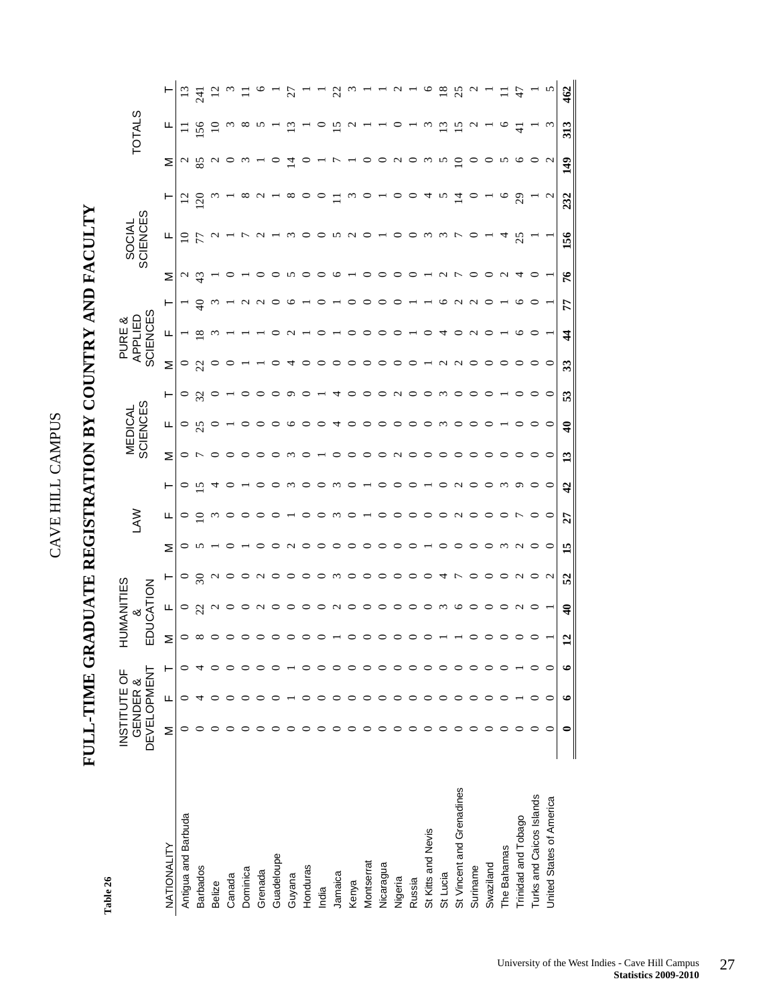## **FULL-TIME GRADUATE REGISTRATION BY COUNTRY AND FACULTY**  FULL-TIME GRADUATE REGISTRATION BY COUNTRY AND FACULTY

Table 26 **Table 26** 

|                           | INSTITUTE OF<br>GENDER & |   |   | ┷                                | <b>NANI</b>             |                |                 |             |                |                                                                          |                           |            |                 | PURE &              |                   |                                  |                    |                  |                    |                                                  |                  |
|---------------------------|--------------------------|---|---|----------------------------------|-------------------------|----------------|-----------------|-------------|----------------|--------------------------------------------------------------------------|---------------------------|------------|-----------------|---------------------|-------------------|----------------------------------|--------------------|------------------|--------------------|--------------------------------------------------|------------------|
|                           | <b>DEVELOPMEN</b>        |   |   |                                  | EDUCATION<br>య          |                |                 | ≷<br>≧      |                |                                                                          | MEDICAL<br>SCIENCES       |            |                 | SCIENCES<br>APPLIED |                   |                                  | SOCIAL<br>SCIENCES |                  |                    | <b>TOTALS</b>                                    |                  |
| NATIONALITY               | Σ                        | ட | ۲ | Σ                                | щ                       | ۳              | Σ               | щ           | ⊢              | Σ                                                                        | щ                         | ⊢          | Σ               | щ                   | ⊢                 | Σ                                | ட                  | ۳                | Σ                  | щ                                                | ۳                |
| Antigua and Barbuda       |                          |   |   | $\circ$ $\infty$                 |                         |                | $\circ$         | $\circ$     | $\circ$        | $\circ$                                                                  |                           |            |                 |                     |                   | $\frac{2}{4}$                    | $\frac{10}{7}$     | $\overline{5}$   |                    |                                                  | $\Xi$            |
| <b>Barbados</b>           |                          |   |   |                                  | $\circ$ 2               | $rac{6}{5}$    |                 | $\supseteq$ | $\bar{c}$      | $\overline{ }$                                                           | $\frac{0}{25}$            | $\circ$ 33 | $\frac{1}{22}$  | ≌                   | $\theta$          |                                  |                    | $\overline{20}$  | $\frac{2}{8}$      | 156                                              | $\overline{241}$ |
| Belize                    |                          |   |   |                                  | $\mathcal{L}$           |                |                 | $\omega$    | 4              |                                                                          |                           |            |                 |                     |                   |                                  |                    |                  |                    | $\Xi$                                            | $\overline{5}$   |
| Canada                    |                          |   |   | $\circ \circ \circ$              |                         | $\sim$ 0       |                 |             |                | $\circ$                                                                  |                           |            |                 |                     |                   |                                  |                    |                  | $0 \circ \omega -$ |                                                  |                  |
| Dominica                  |                          |   |   |                                  |                         |                |                 |             |                | $\circ$                                                                  |                           |            |                 |                     |                   |                                  |                    | $\infty$         |                    |                                                  |                  |
| Grenada                   |                          |   |   |                                  | $\circ$ $\sim$          | $\sim$         |                 |             |                |                                                                          |                           |            |                 |                     |                   |                                  | $\sim$             | $\sim$           |                    |                                                  |                  |
| Guadeloupe                |                          |   |   |                                  | $\circ$                 |                |                 |             |                |                                                                          |                           |            |                 |                     |                   |                                  |                    |                  | $\circ$            |                                                  |                  |
| Guyana                    |                          |   |   |                                  | $\circ$                 |                | $\sim$          |             | $\omega$       | $\omega$                                                                 | $\circ$                   | $\circ$    |                 |                     |                   | n o                              | $\omega$           | $\infty$         | $\vec{a}$          | $\overline{13}$                                  | 27               |
| Honduras                  |                          |   |   | $\circ$                          |                         |                |                 |             |                |                                                                          |                           |            |                 |                     |                   |                                  | $\circ$            |                  | $\circ$            |                                                  |                  |
| India                     |                          |   |   |                                  |                         |                |                 |             |                |                                                                          |                           |            |                 |                     |                   | $\circ$                          | $\circ$            |                  | $ \sim$            |                                                  |                  |
| Jamaica                   |                          |   |   | $\circ$ $\overline{\phantom{0}}$ |                         |                | $\circ$         | $\omega$    | $\omega$       | $\circ$                                                                  | 4                         | 4          | $\circ$         |                     |                   |                                  |                    |                  |                    | $\tilde{5}$                                      | $\mathcal{Z}$    |
| Kenya                     |                          |   |   | $\circ$                          | a o o o o o o m o o     | m o o o o o o  | $\circ$ $\circ$ | $\circ$     | $\circ$        | $\begin{array}{c} \circ \circ \circ \circ \circ \circ \circ \end{array}$ | $\circ$ $\circ$           | $\circ$    | $\circ$ $\circ$ | $\circ$             | $\circ$           | $\circ$ $ \circ$                 | n do 100 wwro      |                  | - o o u o w w d o  | $\begin{array}{c} \n\alpha & \alpha \end{array}$ |                  |
| Montserrat                |                          |   |   | $\circ$                          |                         |                |                 |             |                |                                                                          |                           | $\circ$    |                 | $\circ$             | $\circ$           |                                  |                    |                  |                    |                                                  |                  |
| Nicaragua                 |                          |   |   | $\circ$                          |                         |                | $\circ$         | $\circ$     | $\circ$        |                                                                          | $\circ$                   | $\circ$    | $\circ$         | $\circ$             | $\circ$           | $\circ$                          |                    |                  |                    |                                                  |                  |
| Nigeria                   |                          |   |   | $\circ$                          |                         |                | $\circ$         | $\circ$     | $\circ$        |                                                                          | $\circ$                   | $\sim$ 0   | $\circ$         | $\circ$             | $\circ$           | $\circ$                          |                    |                  |                    |                                                  | $\sim$           |
| Russia                    |                          |   |   | $\circ$                          |                         |                | $\circ$         | $\circ$     |                |                                                                          |                           |            | $\circ$         |                     |                   | $\circ$                          |                    |                  |                    |                                                  |                  |
| St Kitts and Nevis        |                          |   |   | $\circ$                          |                         |                |                 | $\circ$     |                |                                                                          |                           |            |                 | $\circ$             |                   |                                  |                    | 4v               |                    | $\omega$                                         |                  |
| St Lucia                  |                          |   |   |                                  |                         | 4              |                 | $\circ$     | $\circ$        | $\circ$ $\circ$                                                          | $\circ \circ \circ \circ$ | $\omega$   |                 | 4                   |                   |                                  |                    |                  |                    | $\overline{13}$                                  | $\overline{8}$   |
| St Vincent and Grenadines |                          |   |   |                                  |                         | $\overline{r}$ | $\circ$         | $\sim$      | $\sim$         |                                                                          |                           | $\circ$    | $Q \cup Q$      |                     | $\omega$ $\alpha$ | $ \land$ $\land$ $\circ$ $\circ$ |                    | $\overline{4}$ o |                    | $\overline{15}$                                  | $\mathfrak{L}$   |
| Suriname                  |                          |   |   |                                  |                         | $\circ$        | $\circ$         | $\circ$     |                | $\circ$                                                                  |                           |            |                 | $\sim$              |                   |                                  |                    |                  |                    | $\mathbf{\Omega}$                                |                  |
| Swaziland                 |                          |   |   |                                  | $\circ$                 | $\circ$        | $\circ$         |             | $\circ$        | $\circ$                                                                  |                           |            |                 |                     |                   |                                  |                    |                  |                    |                                                  |                  |
| The Bahamas               |                          |   |   |                                  |                         |                | $\omega$        |             | $\omega$       |                                                                          |                           |            |                 |                     |                   | $\sim$                           |                    | $\circ$          |                    | $\circ$                                          |                  |
| Trinidad and Tobago       | ⊂                        |   |   | $\circ \circ \circ$              | $\sim$                  | $\sim$         | $\sim$          | ŗ           | $\circ$        |                                                                          |                           |            |                 |                     |                   | $\overline{4}$                   | 25                 | 29               | $On$ $Oo$ $On$     |                                                  | $47$             |
| Turks and Caicos Islands  | ○                        | ○ |   |                                  |                         | $\circ$ $\sim$ |                 |             |                |                                                                          |                           |            |                 |                     |                   |                                  |                    |                  |                    |                                                  |                  |
| United States of America  | ⊂                        | C |   |                                  |                         |                | $\circ$         | $\circ$     | $\circ$        | $\circ$                                                                  | $\circ$                   | $\circ$    | $\circ$         |                     |                   |                                  |                    | $\mathfrak{g}$   |                    | $\omega$                                         |                  |
|                           | 0                        |   |   | $\mathbf{\Omega}$                | $\widehat{\mathcal{A}}$ | 52             | 15              | 27          | $\overline{4}$ | 13                                                                       | $\widehat{\mathcal{A}}$   | 53         | 33              | $\frac{4}{3}$       | 77                | 76                               | 156                | 232              | 149                | 313                                              | 462              |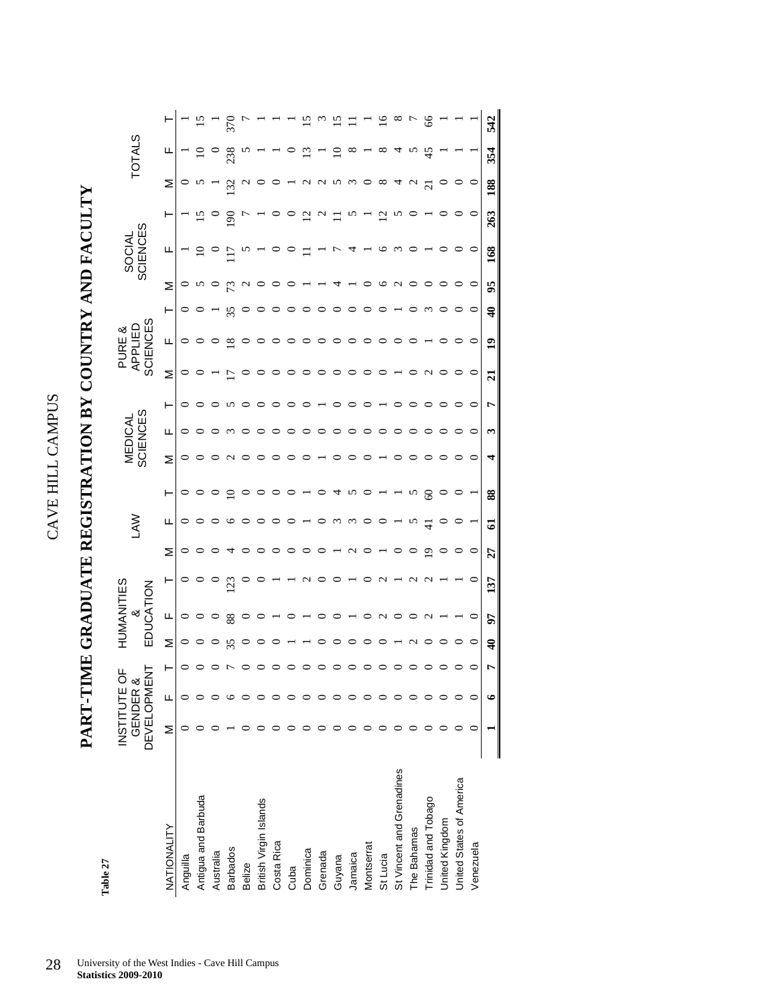## **PART-TIME GRADUATE REGISTRATION BY COUNTRY AND FACULTY**  PART-TIME GRADUATE REGISTRATION BY COUNTRY AND FACULTY

Table **Table 27** 

|                           | <b>DEVELOPMENT</b> | INSTITUTE OF<br>GENDER & |            | Ē<br>UNAN<br>N<br>ళ | <b>CIES</b><br>중  |         | ξ             |             |                 | SCIENCES<br>MEDICAL |         |                   | <b>SCIENCES</b><br>APPLIED<br>PURE & |                  |                        | SCIENCES<br>SOCIAL |                |                     | <b>TOTALS</b> |     |
|---------------------------|--------------------|--------------------------|------------|---------------------|-------------------|---------|---------------|-------------|-----------------|---------------------|---------|-------------------|--------------------------------------|------------------|------------------------|--------------------|----------------|---------------------|---------------|-----|
| NATIONALITY               | Σ                  | Щ                        | Σ          | щ                   | ۳                 | Σ       | щ             | ۳           | Σ               | щ                   | ۲       | Σ                 | щ                                    | ۲                | Σ                      | щ                  | ۲              | Σ                   | щ             |     |
| Anguilla                  |                    |                          |            | $\circ$             | $\circ$           | $\circ$ | $\circ$       | $\circ$     | 0               | っ                   | 0       |                   |                                      | 0                | $\circ$                |                    |                |                     |               |     |
| Antigua and Barbuda       |                    |                          |            |                     | $\circ$           |         | $\circ$       |             |                 |                     |         |                   |                                      |                  |                        |                    | $\frac{5}{1}$  |                     |               |     |
| Australia                 |                    |                          |            |                     | $\circ$           |         | ○             |             |                 |                     |         |                   |                                      |                  |                        |                    |                |                     |               |     |
| <b>Barbados</b>           |                    |                          |            | 88                  | <sup>23</sup>     | ч       | ७             | $\subseteq$ | $\mathbf{\sim}$ |                     | n       | r                 | $\overline{8}$                       | 35               |                        | $\overline{17}$    | $\overline{5}$ | $\overline{32}$     | 238           |     |
| Belize                    |                    |                          |            |                     |                   |         | っ             | ○           | っ               |                     |         |                   |                                      |                  | $\mathbf{\mathsf{C}}$  |                    |                |                     |               |     |
| British Virgin Islands    |                    |                          |            |                     |                   |         | ○             | 0           |                 |                     |         |                   |                                      |                  |                        |                    |                |                     |               |     |
| Costa Rica                |                    |                          |            |                     |                   |         |               |             |                 |                     |         |                   |                                      |                  |                        |                    |                |                     |               |     |
| Cuba                      |                    |                          |            |                     |                   |         | ⊂             |             |                 |                     |         |                   |                                      |                  |                        |                    | $\circ$        |                     |               |     |
| Dominica                  |                    |                          |            |                     | $\mathbf{\sim}$   |         |               |             |                 |                     |         |                   |                                      |                  |                        |                    | $\overline{c}$ | ς                   |               |     |
| Grenada                   |                    |                          |            |                     |                   |         |               |             |                 |                     |         |                   |                                      |                  |                        |                    | $\mathcal{L}$  | C<br>N              |               |     |
| Guyana                    |                    |                          |            |                     |                   |         | $\omega$      | ↴           |                 |                     |         | $\circ$           |                                      |                  |                        |                    | $\Xi$          | ∽                   |               |     |
| Jamaica                   |                    |                          |            |                     |                   | c       | $\omega$      | S           |                 |                     |         |                   |                                      |                  |                        |                    | n              | $\omega$            |               |     |
| Montserrat                |                    |                          |            | 0                   |                   |         | C             |             |                 |                     |         |                   |                                      |                  |                        |                    |                |                     |               |     |
| St Lucia                  |                    |                          |            | C                   | c                 |         | C             |             |                 |                     |         |                   |                                      |                  | ७                      | ७                  | $\Xi$          | $\infty$            | ∞             |     |
| St Vincent and Grenadines |                    |                          |            |                     |                   |         |               |             |                 |                     |         |                   |                                      |                  | $\mathbf{\mathcal{L}}$ | $\omega$           | n              | प                   |               |     |
| The Bahamas               |                    |                          |            |                     | $\sim$            |         | n             | n           |                 |                     |         |                   |                                      |                  |                        |                    |                |                     |               |     |
| Trinidad and Tobago       |                    |                          |            | ٢                   | $\mathbf{\Omega}$ | ≏       | $\frac{1}{4}$ | 3           |                 |                     |         | $\mathbf{\Omega}$ |                                      |                  |                        |                    |                | $\overline{\Omega}$ | 45            |     |
| United Kingdom            |                    |                          |            |                     |                   |         |               |             |                 |                     |         |                   |                                      |                  |                        |                    |                |                     |               |     |
| United States of America  |                    |                          |            |                     |                   |         |               |             | ○               |                     |         |                   |                                      | ○                |                        |                    |                |                     |               |     |
| Venezuela                 |                    |                          | ○          | 0                   | ○                 | $\circ$ |               |             | $\circ$         | 0                   | $\circ$ | $\circ$           | ○                                    | $\circ$          | $\circ$                | $\circ$            | $\circ$        | $\circ$             |               |     |
|                           |                    | ७                        | $\ddot{ }$ | 57                  | 137               | 27      | ଗ             | 88          | 4               | 3                   | Ļ       | $\overline{a}$    | $\overline{1}$                       | $\ddot{\bullet}$ | 95                     | 168                | 263            | 188                 | 354           | 542 |
|                           |                    |                          |            |                     |                   |         |               |             |                 |                     |         |                   |                                      |                  |                        |                    |                |                     |               |     |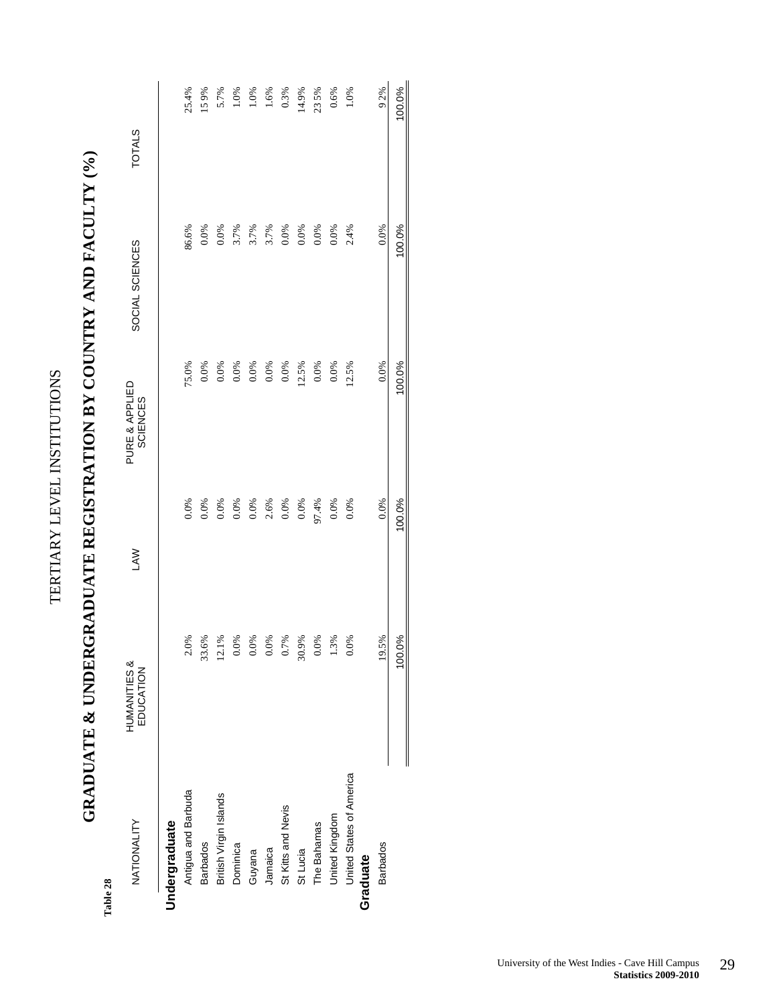| 100.0%<br>2.4%<br>0.0%<br>3.7%<br>0.0%<br>86.6%<br>3.7%<br>3.7%<br>0.0%<br>0.0%<br>0.0%<br>0.0%<br>0.0%<br>SOCIAL SCIENCES<br>100.0%<br>0.0%<br>0.0%<br>12.5%<br>75.0%<br>0.0%<br>0.0%<br>12.5%<br>0.0%<br>0.0%<br>0.0%<br>0.0%<br>0.0%<br>PURE & APPLIED<br><b>SCIENCES</b><br>100.0%<br>0.0%<br>2.6%<br>97.4%<br>0.0%<br>0.0%<br>0.0%<br>0.0%<br>0.0%<br>0.0%<br>0.0%<br>0.0%<br>0.0%<br><b>LAW</b><br>100.0%<br>33.6%<br>$\frac{8}{6}$<br>0.7%<br>1.3%<br>0.0%<br>19.5%<br>2.0%<br>0.0%<br>$0.0\%$<br>$0.0\%$<br>30.9%<br>$0.0\%$<br>12.1<br>HUMANITIES &<br>EDUCATION<br>United States of America<br>Antigua and Barbuda<br>British Virgin Islands<br>St Kitts and Nevis<br>United Kingdom<br>NATIONALITY<br>Undergraduate<br>The Bahamas<br><b>Barbados</b><br>Dominica<br><b>Barbados</b><br>St Lucia<br>Jamaica<br>Guyana<br>Graduate | Table 28 | <b>NEW WARRENT WARRENT WARRENT WARRENT WARRENT WARRANT WARRANT WAS</b> |  | $\frac{1}{2}$ |               |
|----------------------------------------------------------------------------------------------------------------------------------------------------------------------------------------------------------------------------------------------------------------------------------------------------------------------------------------------------------------------------------------------------------------------------------------------------------------------------------------------------------------------------------------------------------------------------------------------------------------------------------------------------------------------------------------------------------------------------------------------------------------------------------------------------------------------------------------------|----------|------------------------------------------------------------------------|--|---------------|---------------|
|                                                                                                                                                                                                                                                                                                                                                                                                                                                                                                                                                                                                                                                                                                                                                                                                                                              |          |                                                                        |  |               | <b>TOTALS</b> |
|                                                                                                                                                                                                                                                                                                                                                                                                                                                                                                                                                                                                                                                                                                                                                                                                                                              |          |                                                                        |  |               |               |
|                                                                                                                                                                                                                                                                                                                                                                                                                                                                                                                                                                                                                                                                                                                                                                                                                                              |          |                                                                        |  |               | 25.4%         |
|                                                                                                                                                                                                                                                                                                                                                                                                                                                                                                                                                                                                                                                                                                                                                                                                                                              |          |                                                                        |  |               | 159%          |
|                                                                                                                                                                                                                                                                                                                                                                                                                                                                                                                                                                                                                                                                                                                                                                                                                                              |          |                                                                        |  |               | 5.7%          |
|                                                                                                                                                                                                                                                                                                                                                                                                                                                                                                                                                                                                                                                                                                                                                                                                                                              |          |                                                                        |  |               | 1.0%          |
|                                                                                                                                                                                                                                                                                                                                                                                                                                                                                                                                                                                                                                                                                                                                                                                                                                              |          |                                                                        |  |               | 1.0%          |
|                                                                                                                                                                                                                                                                                                                                                                                                                                                                                                                                                                                                                                                                                                                                                                                                                                              |          |                                                                        |  |               | 1.6%          |
|                                                                                                                                                                                                                                                                                                                                                                                                                                                                                                                                                                                                                                                                                                                                                                                                                                              |          |                                                                        |  |               | 0.3%          |
|                                                                                                                                                                                                                                                                                                                                                                                                                                                                                                                                                                                                                                                                                                                                                                                                                                              |          |                                                                        |  |               | 14.9%         |
|                                                                                                                                                                                                                                                                                                                                                                                                                                                                                                                                                                                                                                                                                                                                                                                                                                              |          |                                                                        |  |               | 235%          |
|                                                                                                                                                                                                                                                                                                                                                                                                                                                                                                                                                                                                                                                                                                                                                                                                                                              |          |                                                                        |  |               | 0.6%          |
|                                                                                                                                                                                                                                                                                                                                                                                                                                                                                                                                                                                                                                                                                                                                                                                                                                              |          |                                                                        |  |               | 1.0%          |
|                                                                                                                                                                                                                                                                                                                                                                                                                                                                                                                                                                                                                                                                                                                                                                                                                                              |          |                                                                        |  |               |               |
|                                                                                                                                                                                                                                                                                                                                                                                                                                                                                                                                                                                                                                                                                                                                                                                                                                              |          |                                                                        |  |               | 92%           |
|                                                                                                                                                                                                                                                                                                                                                                                                                                                                                                                                                                                                                                                                                                                                                                                                                                              |          |                                                                        |  |               | 100.0%        |

# GRADUATE & UNDERGRADUATE REGISTRATION BY COUNTRY AND FACULTY (%) **GRADUATE & UNDERGRADUATE REGISTRATION BY COUNTRY AND FACULTY (%)**

TERTIARY LEVEL INSTITUTIONS

TERTIARY LEVEL INSTITUTIONS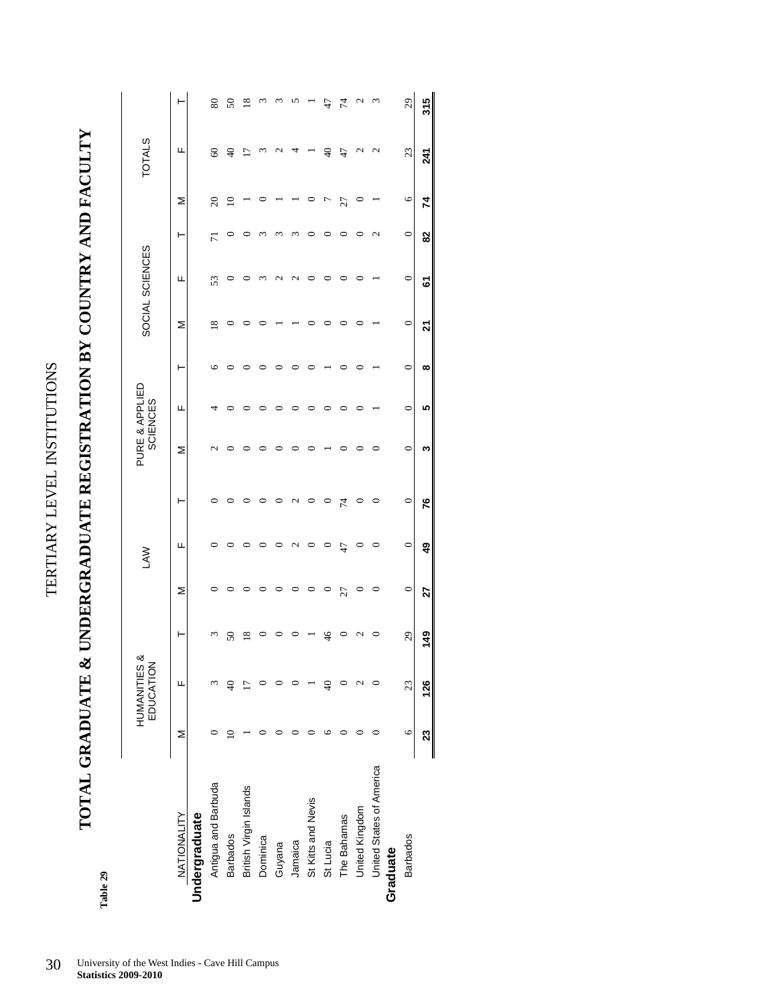TERTIARY LEVEL INSTITUTIONS TERTIARY LEVEL INSTITUTIONS

**TOTAL GRADUATE & UNDERGRADUATE REGISTRATION BY COUNTRY AND FACULTY**  TOTAL GRADUATE & UNDERGRADUATE REGISTRATION BY COUNTRY AND FACULTY

> Table 29 **Table 29**

|                          |         | <b>HUMANITIES &amp;</b><br>EDUCATION |                         |         | <b>NV</b>       |                        |                 | PURE & APPLIED<br><b>SCIENCES</b> |          |         | SOCIAL SCIENCES |                |                | <b>TOTALS</b> |                             |
|--------------------------|---------|--------------------------------------|-------------------------|---------|-----------------|------------------------|-----------------|-----------------------------------|----------|---------|-----------------|----------------|----------------|---------------|-----------------------------|
| NATIONALITY              | Σ       | Щ                                    | ۲                       | Σ       | щ               | ۲                      | Σ               | щ                                 | ۲        | Σ       | щ               | ۲              | Σ              | щ             |                             |
| Undergraduate            |         |                                      |                         |         |                 |                        |                 |                                   |          |         |                 |                |                |               |                             |
| Antigua and Barbuda      |         |                                      | S                       | 0       | ∊               | 0                      | $\mathbf{\sim}$ |                                   | ७        | 18      | 53              | $\overline{7}$ | $\overline{c}$ | $\delta$      | $\pmb{80}$                  |
| <b>Barbados</b>          |         |                                      | 50                      |         |                 |                        |                 |                                   |          |         |                 | ∊              | $\supseteq$    | $\frac{1}{2}$ | $\boldsymbol{S}$            |
| British Virgin Islands   |         |                                      | $\overline{\mathbf{8}}$ |         |                 |                        |                 |                                   |          |         |                 |                |                | 2             | $\frac{8}{2}$               |
| Dominica                 |         |                                      |                         |         |                 |                        |                 |                                   |          |         |                 | co             |                | S             |                             |
| Guyana                   |         |                                      |                         |         |                 |                        |                 |                                   |          |         | 4<br>٢          | ო              |                |               |                             |
| Jamaica                  |         |                                      |                         |         | $\mathbf{\sim}$ | $\mathbf{\mathcal{L}}$ |                 |                                   |          |         | 4<br>٢          | co             |                |               |                             |
| St Kitts and Nevis       |         |                                      |                         |         |                 |                        |                 |                                   |          |         |                 |                |                |               |                             |
| St Lucia                 |         | $\frac{1}{2}$                        | 46                      | $\circ$ |                 | $\circ$                |                 |                                   |          |         |                 |                | ŗ              | $\frac{1}{2}$ | 47                          |
| The Bahamas              |         |                                      |                         | 27      | 47              | 74                     |                 |                                   |          |         |                 |                | 27             | 47            | 74                          |
| United Kingdom           |         | ٢                                    |                         | 0       | 0               | 0                      |                 |                                   |          | ⊂       |                 | c              |                | $\mathcal{C}$ |                             |
| United States of America |         |                                      | $\circ$                 | $\circ$ | 0               | $\circ$                | 0               |                                   |          |         |                 | 2              |                | 2             | ŝ                           |
| Graduate                 |         |                                      |                         |         |                 |                        |                 |                                   |          |         |                 |                |                |               |                             |
| <b>Barbados</b>          | $\circ$ | 23                                   | 29                      | $\circ$ | $\circ$         | $\circ$                | $\circ$         | 0                                 | $\circ$  | $\circ$ | $\circ$         | $\circ$        | $\circ$        | 23            | $\mathcal{L}^{\mathcal{O}}$ |
|                          | 23      | 126                                  | 149                     | 27      | 49              | 76                     | ო               | 5                                 | $\infty$ | 21      | <u>ভ</u>        | 82             | 74             | 241           | 315                         |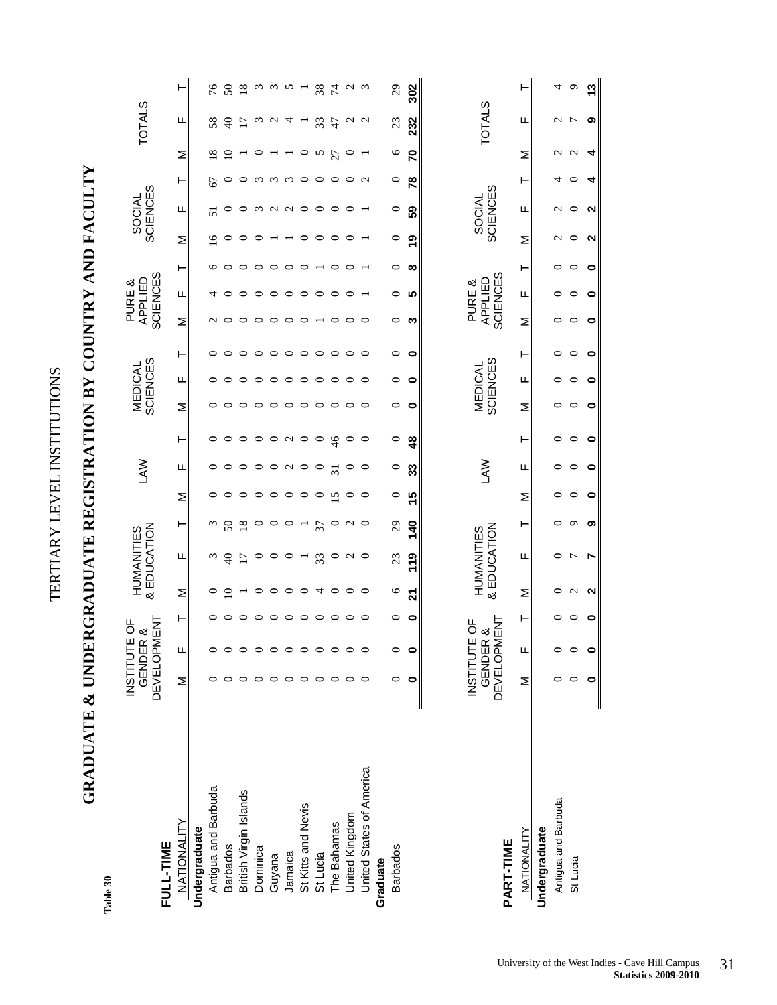TERTIARY LEVEL INSTITUTIONS TERTIARY LEVEL INSTITUTIONS

# **GRADUATE & UNDERGRADUATE REGISTRATION BY COUNTRY AND FACULTY**  GRADUATE & UNDERGRADUATE REGISTRATION BY COUNTRY AND FACULTY

Table 30 **Table 30** 

| FULL-TIME                | <b>INSTITUTE</b>                                      | <b>GENDER &amp;<br/>DEVELOPMENT</b><br>Ъ |                           | & EDUCATION<br><b>HUMANITIES</b> |                   |                | Š               |               |         | SCIENCES<br><b>MEDICAL</b>        |           |                 | SCIENCES<br>APPLIED<br>PURE & |         |               | SCIENCES<br>SOCIAL |                   |                   | <b>TOTALS</b>     |                   |
|--------------------------|-------------------------------------------------------|------------------------------------------|---------------------------|----------------------------------|-------------------|----------------|-----------------|---------------|---------|-----------------------------------|-----------|-----------------|-------------------------------|---------|---------------|--------------------|-------------------|-------------------|-------------------|-------------------|
| NATIONALITY              | Σ                                                     | Щ                                        | Σ<br>⊢                    | щ                                | ⊢                 | Σ              | Щ               | ⊢             | Σ       | щ                                 | ⊢         | Σ               | Щ                             | ⊢       | Σ             | щ                  | ⊢                 | Σ                 | щ                 | ⊢                 |
| Undergraduate            |                                                       |                                          |                           |                                  |                   |                |                 |               |         |                                   |           |                 |                               |         |               |                    |                   |                   |                   |                   |
| Antigua and Barbuda      |                                                       |                                          | $\circ$                   | $\omega$                         | $\omega$          | 0              | $\circ$         | $\circ$       | $\circ$ | $\circ$                           | 0         | $\mathbf{\sim}$ | 4                             | ७       | $\frac{6}{1}$ | 51                 | 67                | $\frac{8}{18}$    | 58                | 76                |
| <b>Barbados</b>          |                                                       | $\circ$                                  | $\overline{10}$           | $\Theta$                         | $50\,$            |                | 0               | $\circ$       | $\circ$ | $\circ$                           | 0         | $\circ$         |                               |         | 0             |                    |                   | $\Omega$          | $\Theta$          | $\boldsymbol{S}$  |
| British Virgin Islands   |                                                       | $\circ$                                  | $\overline{\phantom{0}}$  | $\overline{1}$                   | $\frac{8}{18}$    |                | $\circ$         | $\circ$       | $\circ$ | ○                                 | 0         |                 |                               |         |               | 0                  |                   |                   | $\overline{17}$   | $\frac{8}{18}$    |
| Dominica                 |                                                       | $\circ$                                  | $\circ$<br>○              | $\circ$                          | $\circ$           |                | $\circ$         | $\circ$       | $\circ$ | $\circ$                           | $\circ$   | 0               |                               | っ       | 0             | $\omega$           | $\omega$          |                   | $\omega$          |                   |
| Guyana                   |                                                       | $\circ$                                  | $\circ$<br>○              | $\circ$                          | 0                 | 0              | $\circ$         | $\circ$       | $\circ$ | $\circ$                           | $\circ$   |                 |                               |         |               | $\sim$             | $\omega$          |                   | $\mathbf{\Omega}$ | $\omega$ $\omega$ |
| Jamaica                  |                                                       | $\circ$                                  | $\circ$<br>$\circ$        | $\circ$                          | $\circ$           | ○              | $\sim$          | $\sim$ 0      | $\circ$ | $\circ$                           | $\circ$   | $\circ$         | っ                             | 0       |               | $\sim$ 0           | $\omega$          |                   | 4                 | $\sim$            |
| St Kitts and Nevis       |                                                       | $\circ$                                  | $\circ$<br>$\circ$        |                                  |                   | $\circ$        |                 |               | $\circ$ | $\circ$                           | $\circ$   | 0               | っ                             | 0       | $\circ$       |                    | $\circ$           | $\circ$           |                   |                   |
| St Lucia                 |                                                       | $\circ$                                  | $\overline{4}$<br>$\circ$ | 33                               | 37                | $\circ$        | $\circ$         | $\circ$       | $\circ$ | $\circ$                           | $\circ$   |                 | ○                             |         | $\circ$       | $\circ$            | $\circ$           | n                 | 33                | 38                |
| The Bahamas              |                                                       | $\circ$                                  | $\circ$<br>$\circ$        | $\circ$                          | $\circ$           | $\overline{5}$ | $\overline{31}$ | $\frac{4}{6}$ | $\circ$ | $\circ$                           | $\circ$   | $\circ$         | $\circ$                       | 0       | $\circ$       | $\circ$            | $\circ$           | 27                | 47                | 74                |
| United Kingdom           |                                                       | $\circ$                                  | $\circ$<br>$\circ$        | $\sim$ 0                         | $\mathbf{\Omega}$ | ○              | $\circ$         | $\circ$       | $\circ$ | $\circ$                           | $\circ$   | $\circ$         | $\circ$                       | ⊂       | ○             | $\circ$            | $\circ$           | $\circ$           | $\sim$ $\sim$     | $\omega$ $\omega$ |
| United States of America |                                                       | $\circ$                                  | $\circ$<br>$\circ$        |                                  | $\circ$           | $\circ$        | $\circ$         | $\circ$       | $\circ$ | $\circ$                           | $\circ$   | $\circ$         |                               |         |               |                    | $\mathbf{\Omega}$ |                   |                   |                   |
| Graduate                 |                                                       |                                          |                           |                                  |                   |                |                 |               |         |                                   |           |                 |                               |         |               |                    |                   |                   |                   |                   |
| <b>Barbados</b>          | ⊂                                                     | 0                                        | $\circ$<br>$\circ$        | 23                               | 29                | $\circ$        | $\circ$         | $\circ$       | $\circ$ | $\circ$                           | $\circ$   | $\circ$         | 0                             | $\circ$ | $\circ$       | $\circ$            | $\circ$           | $\circ$           | 23                | 29                |
|                          | 0                                                     | $\bullet$                                | 21<br>$\bullet$           | <b>119</b>                       | 140               | 15             | 33              | $\frac{8}{4}$ | 0       | $\bullet$                         | $\bullet$ | ო               | ۱Ω                            | ထ       | ల్లి          | 59                 | 78                | 2                 | 232               | 302               |
|                          |                                                       |                                          |                           |                                  |                   |                |                 |               |         |                                   |           |                 |                               |         |               |                    |                   |                   |                   |                   |
|                          | <b>GENDER &amp;<br/>DEVELOPMEN</b><br><b>INSTITUT</b> | <b>MENT</b><br><b>FOF</b>                |                           | & EDUCATION<br><b>HUMANITIES</b> |                   |                | ≶<br>∆          |               |         | <b>SCIENCES</b><br><b>MEDICAL</b> |           |                 | SCIENCES<br>APPLIED<br>PURE & |         |               | SCIENCES<br>SOCIAL |                   |                   | <b>TOTALS</b>     |                   |
| PART-TIME                |                                                       |                                          |                           |                                  |                   |                |                 |               |         |                                   |           |                 |                               |         |               |                    |                   |                   |                   |                   |
| <b>NATIONALITY</b>       | Σ                                                     | Щ                                        | Σ<br>⊢                    | щ                                | ⊢                 | Σ              | щ               | ⊢             | Σ       | щ                                 | ⊢         | Σ               | щ                             | ⊢       | Σ             | щ                  | ⊢                 | Σ                 | щ                 | ⊢                 |
| Undergraduate            |                                                       |                                          |                           |                                  |                   |                |                 |               |         |                                   |           |                 |                               |         |               |                    |                   |                   |                   |                   |
| Antigua and Barbuda      |                                                       | $\circ$                                  | $\circ$<br>0              | 0                                | 0                 | 0              | $\circ$         | $\circ$       | $\circ$ | $\circ$                           | $\circ$   | $\circ$         | $\circ$                       | 0       | $\sim$ $\sim$ | $\sim$ $\sim$      | 4                 | $\mathbf{\sim}$   | י ה               | 4                 |
| St Lucia                 |                                                       | $\circ$                                  | $\mathbf{C}$<br>$\circ$   | $\overline{r}$                   | $\sigma$          | ∊              | $\circ$         | $\circ$       | ∊       | $\subset$                         | $\circ$   | $\subset$       | $\circ$                       | $\circ$ |               |                    | ∊                 | $\mathbf{\Omega}$ |                   | P                 |

 $\bullet$ 

 $\bullet$ 

 $\bullet$ 

 $\bullet$ 

თ

N

 $\mathbf{\Omega}$ 

 $\bullet$ 

 $\bullet$ 

 $\bullet$ 

 $\bullet$ 

13

თ

 $\blacktriangleleft$ 

 $\blacktriangleright$ 

 $\mathbf{\Omega}$ 

 $\mathbf{\Omega}$ 

 $\bullet$ 

 $\bullet$ 

 $\bullet$ 

 $\bullet$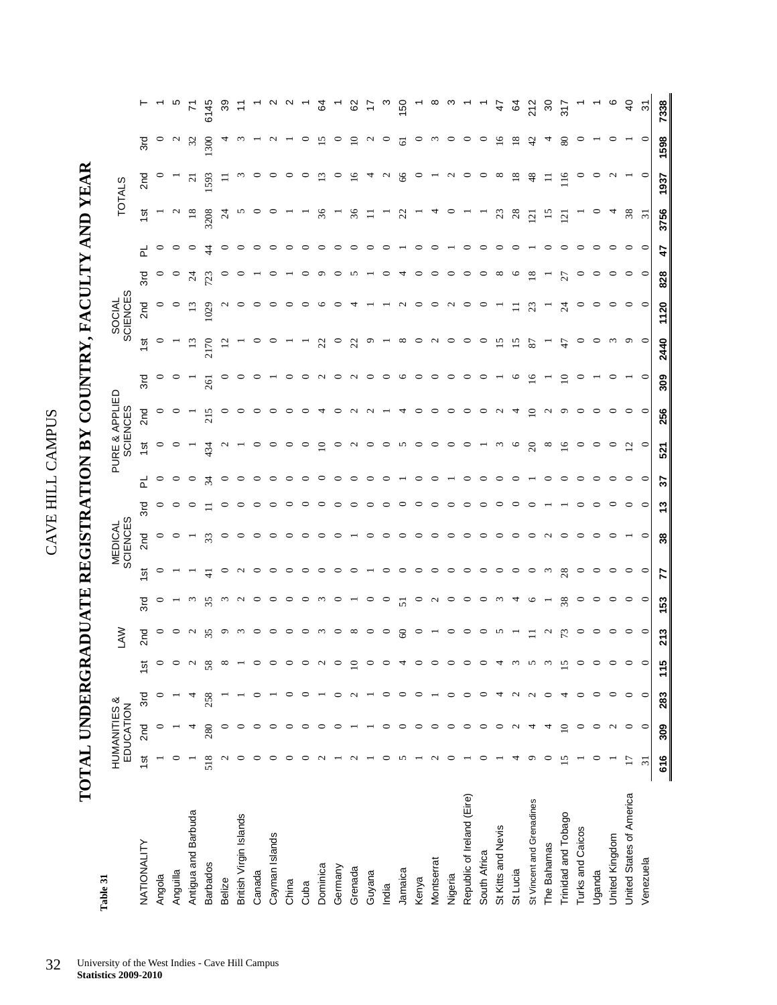| $\frac{1}{2}$<br>ļ<br>Ĭ |  |
|-------------------------|--|
| ì                       |  |
| $\Xi$                   |  |
| 4<br>۱.                 |  |

# TOTAL UNDERGRADUATE REGISTRATION BY COUNTRY, FACULTY AND YEAR **TOTAL UNDERGRADUATE REGISTRATION BY COUNTRY, FACULTY AND YEAR**

| Table 31                   |                   | HUMANITIES &<br>EDUCATION |              |       | <b>NAJ</b>             |                 |          | MEDICAL<br>SCIENCES   |         |         | <b>SCIENCES</b> | PURE & APPLIED    |                 |                 | SOCIAL<br>SCIENCES |                 |                            | <b>TOTALS</b>   |                        |                  |
|----------------------------|-------------------|---------------------------|--------------|-------|------------------------|-----------------|----------|-----------------------|---------|---------|-----------------|-------------------|-----------------|-----------------|--------------------|-----------------|----------------------------|-----------------|------------------------|------------------|
| NATIONALITY                | $\frac{1}{2}$     | 2 <sub>nd</sub>           | 3rd          | 15t   | 2nd                    | 3rd             | 15t      | 2nd                   | 3rd     | 군       | 1st             | 2 <sub>nd</sub>   | 3rd             | 15t             | 2nd                | 군<br>3rd        | 15t                        | 2 <sub>nd</sub> | 3rd                    |                  |
| Angola                     |                   |                           |              |       | $\circ$                | ○               | 0        | $\circ$               | $\circ$ | $\circ$ | $\circ$         | $\circ$           | $\circ$         | $\circ$         | $\circ$            | $\circ$         | $\circ$                    |                 | $\circ$                |                  |
| Anguilla                   |                   |                           |              |       | $\circ$                |                 |          |                       |         | ∘       |                 | $\circ$           | $\circ$         |                 | $\circ$            | $\circ$         | $\sim$<br>$\circ$          |                 | $\mathcal{L}$          |                  |
| Antigua and Barbuda        |                   |                           |              |       | $\sim$                 | $\omega$        |          |                       |         | $\circ$ |                 |                   |                 | $\Xi$           | 13                 | $\overline{24}$ | $\overline{18}$<br>$\circ$ | $\overline{z}$  | 32                     | $\overline{r}$   |
| <b>Barbados</b>            | 518               | 280                       | 258          | 58    | 35                     | 35              | ╤        | 33                    |         | 34      | 434             | 215               | 261             | 2170            | 1029               | ₹<br>723        | 3208                       | 1593            | 300                    | 6145             |
| Belize                     | $\mathbf 2$       |                           |              |       | ⌒                      | $\omega$        | $\circ$  |                       | ⊂       | $\circ$ |                 | ∘                 | $\circ$         |                 |                    |                 | $\overline{24}$<br>$\circ$ | Ξ               |                        | 39               |
| British Virgin Islands     |                   |                           |              |       | $\omega$               | $\sim$          | $\sim$   |                       |         | $\circ$ |                 | ○                 | $\circ$         |                 |                    |                 | n<br>$\circ$               |                 |                        | Ξ                |
| Canada                     |                   |                           |              |       | っ                      | $\circ$         | $\circ$  |                       |         | $\circ$ |                 |                   |                 | P               |                    |                 | $\circ$                    | P               |                        |                  |
| Cayman Islands             | 0                 |                           |              |       | ⊂                      | $\circ$         | $\circ$  |                       |         | $\circ$ |                 |                   |                 |                 |                    |                 | $\circ$                    | $\circ$         |                        |                  |
| China                      | 0                 |                           |              |       | っ                      | $\circ$         | $\circ$  |                       |         | ∘       |                 | c                 | $\circ$         |                 |                    |                 |                            | $\circ$         |                        |                  |
| Cuba                       | ○                 |                           |              |       | ⊂                      | $\circ$         | $\circ$  |                       |         | $\circ$ | Ç               | c                 | $\circ$         |                 |                    |                 |                            | $\circ$         | $\circ$                |                  |
| Dominica                   |                   |                           |              |       | $\omega$               | ്റ              | $\circ$  |                       |         | ∘       | $\Xi$           |                   | $\sim$          | $\overline{2}$  | ७                  | ᡡ               | 36                         | $\Xi$           | 15                     | ढ                |
| Germany                    |                   |                           |              |       | っ                      |                 | っ        |                       |         |         |                 |                   | $\circ$         | $\circ$         |                    | c               |                            | $\circ$         | $\circ$                |                  |
| Grenada                    |                   |                           |              | $\Xi$ | $^{\circ}$             |                 | $\circ$  |                       |         |         |                 |                   | $\sim$          | S               |                    |                 | 36                         | $\frac{6}{2}$   | $\overline{10}$        | 8                |
| Guyana                     |                   |                           |              |       | $\circ$                | $\circ$         |          |                       |         |         | ∊               |                   | $\circ$         | $\circ$         |                    |                 | Ξ                          | 4               | $\mathbf{\mathcal{L}}$ | ₽                |
| India                      | 0                 | 0                         | 0            |       | $\circ$                | $\circ$         | $\circ$  |                       | ∊       | ∘       | っ               |                   | $\circ$         |                 |                    | ∊               | 0                          | $\sim$          | $\circ$                | ო                |
| Jamaica                    | 5                 | 0                         | $\circ$      |       | $\infty$               | 51              | $\circ$  | ∘                     | ∘       |         | S               |                   | $\circ$         | $\infty$        | $\sim$             |                 | $\mathfrak{Z}$             | 66              | $\overline{6}$         | 150              |
| Kenya                      |                   | $\circ$                   | $\circ$      |       | $\circ$                | $\circ$         | $\circ$  | ∘                     | ⊂       | ⊂       | $\circ$         | ⊂                 | $\circ$         | $\circ$         | ○                  | ⊂               |                            | $\circ$         | $\circ$                |                  |
| Montserrat                 | $\mathbf{\Omega}$ | $\circ$                   |              |       |                        | $\sim$          | $\circ$  | ○                     | ⊂       |         | $\circ$         | ∘                 | $\circ$         | $\sim$          | $\circ$            | ∘               |                            |                 | $\omega$               | œ                |
| Nigeria                    |                   | ∊                         | ∊            |       | $\circ$                | $\circ$         | $\circ$  | ○                     | ∊       |         | $\circ$         | $\circ$           | $\circ$         | $\circ$         | $\sim$             | $\circ$         | ⊂                          | $\sim$          | $\circ$                | ო                |
| Republic of Ireland (Eire) |                   | ○                         | $\circ$      |       | $\circ$                | $0$ $0$ $m$ $4$ | $\circ$  |                       | 0       |         | $\circ$         | $\circ$           | $\circ$         | $\circ$         | $\circ$            | $\circ$         | $\circ$                    | $\circ$         | $\circ$                |                  |
| South Africa               |                   |                           | $\circ$      |       | っ                      |                 | $\circ$  |                       |         |         |                 |                   | $\circ$         | $\circ$         |                    | c               |                            |                 | $\circ$                |                  |
| St Kitts and Nevis         |                   |                           | 4            |       | n                      |                 | $\circ$  |                       | c       |         |                 |                   |                 | $\overline{15}$ |                    | $^{\circ}$      | 23                         | $\infty$        | $\frac{6}{2}$          | 47               |
| St Lucia                   |                   |                           | $\mathbf{c}$ |       |                        |                 | $\circ$  |                       |         |         | $\circ$         |                   | $\circ$         | 15              | Ξ                  | ⊵               | 28<br>$\circ$              | $\overline{18}$ | $\overline{18}$        | ढ                |
| St Vincent and Grenadines  |                   | 4                         | $\mathbf{c}$ |       |                        | ७               | $\circ$  |                       |         |         | $\overline{c}$  | $\overline{10}$   | $\overline{16}$ | 87              | 23                 | $\frac{8}{18}$  | 121                        | 48              | 42                     | 212              |
| The Bahamas                |                   | 4                         | $\circ$      |       | $\mathbf{\mathcal{L}}$ |                 | $\omega$ | $\mathbf{\mathsf{C}}$ |         |         | $^{\circ}$      | $\mathbf{\Omega}$ |                 |                 |                    |                 | 15                         | ᆖ               |                        | వ్               |
| Trinidad and Tobago        | 15                | $\overline{10}$           | 4            | 15    |                        | 38              | 28       |                       |         | ⊂       | $\Xi$           | $\circ$           | $\Xi$           | t               | $\mathfrak{p}$     | 27              | $\overline{2}$             | 116             | $80\,$                 | 317              |
| Turks and Caicos           |                   | $\circ$                   | $\circ$      |       | $\circ$                | $\circ$         | $\circ$  |                       |         | ⊂       |                 | ⊂                 | ⊂               | $\circ$         | ⊂                  | 0               | O                          | O               | ∊                      |                  |
| Uganda                     | 0                 | $\circ$                   | $\circ$      |       | $\circ$                | $\circ$         | $\circ$  |                       |         | ○       |                 | $\circ$           |                 | $\circ$         | $\circ$            | $\circ$         | 0<br>$\circ$               | ∘               |                        |                  |
| United Kingdom             |                   | $\mathcal{L}$             | $\circ$      |       | $\circ$                | $\circ$         | $\circ$  |                       | ⊂       |         | $\circ$         | $\circ$           | ∘               | $\omega$        | ∘                  | $\circ$         | 4<br>$\circ$               | $\sim$          | 0                      | ဖ                |
| United States of America   | $\overline{17}$   | $\circ$                   | $\circ$      |       | $\circ$ $\circ$        | $\circ$ $\circ$ | $\circ$  |                       | $\circ$ | $\circ$ | $\overline{c}$  | $\circ$           |                 | $\circ$         | $\circ$            | $\circ$         | $38\,$<br>$\circ$          |                 |                        | $\overline{4}$   |
| Venezuela                  | $\overline{31}$   | $\circ$                   | $\circ$      |       |                        |                 | $\circ$  | ∊                     | $\circ$ | $\circ$ | $\circ$         | $\circ$           | $\circ$         | $\circ$         | $\circ$            | $\circ$         | $\overline{31}$<br>∊       | $\circ$         | $\circ$                | $\tilde{\bm{c}}$ |
|                            | 616               | 309                       | 283          | 115   | 213                    | 153             | 77       | 38                    | 13      | 22      | 521             | 256               | 309             | 2440            | 1120               | 47<br>828       | 3756                       | 1937            | 1598                   | 7338             |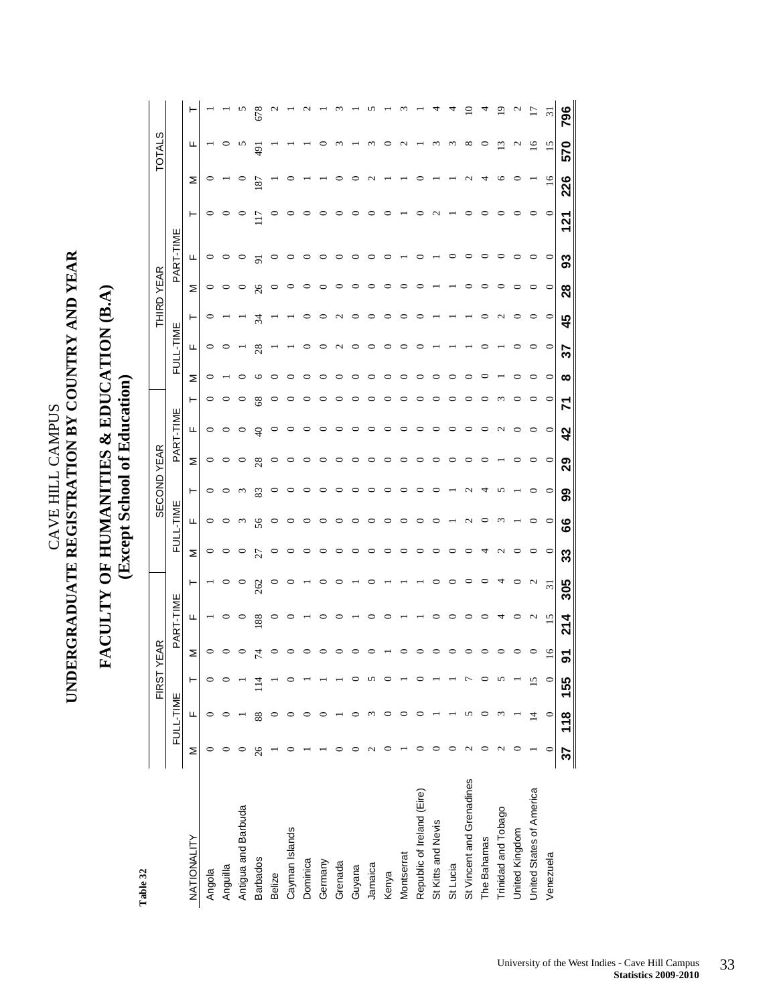$\begin{array}{ll} \text{CAVE HILL CAMPUS} \\ \text{UNDERGRADUATE REGISTRATION BY COUNTRY AND YEAR} \end{array}$ **UNDERGRADUATE REGISTRATION BY COUNTRY AND YEAR** 

CAVE HILL CAMPUS

### **FACULTY OF HUMANITIES & EDUCATION (B.A)**  FACULTY OF HUMANITIES & EDUCATION (B.A) **(Except School of Education)**  (Except School of Education)

Table 32 **Table 32** 

|                            |           |                | FIRST Y | EAR       |           |                 |           |               | <b>GECOND</b> | YEAR      |                  |           |           |                       | $\mathbf{R}$<br>舌 | YEAR          |           |          |     | cr,<br>₹<br>5 |     |
|----------------------------|-----------|----------------|---------|-----------|-----------|-----------------|-----------|---------------|---------------|-----------|------------------|-----------|-----------|-----------------------|-------------------|---------------|-----------|----------|-----|---------------|-----|
|                            |           | FULL-TIME      |         |           | PART-TIME |                 | 己         | <b>ENIL--</b> |               |           | PART-TIME        |           |           | FULL-TIME             |                   |               | PART-TIME |          |     |               |     |
| NATIONALITY                | Σ         | щ              | ۲       | Σ         | щ         | ۳               | Σ         | щ             | ۳             | Σ         | щ                |           | Σ         | щ                     | ۳                 | Σ             | щ         | ⊢        | Σ   | ட             |     |
| Angola                     |           |                |         | $\subset$ |           |                 |           |               |               | $\circ$   | 0                |           |           | ∘                     |                   | $\circ$       | $\circ$   | $\circ$  | 0   |               |     |
| Anguilla                   |           |                |         |           |           |                 |           |               |               |           |                  |           |           |                       |                   |               | $\circ$   |          |     |               |     |
| Antigua and Barbuda        |           |                |         |           | $\circ$   |                 |           |               |               |           |                  |           |           |                       |                   |               | P         |          |     |               |     |
| <b>Barbados</b>            | 26        | 88             |         |           | 88        | 262             |           | 56            | 83            | 28        |                  |           |           | 28                    | र्ज़              | $\frac{8}{5}$ | 능         |          | 187 | $\frac{1}{2}$ | 678 |
| Belize                     |           |                |         |           |           |                 |           |               |               |           |                  |           |           |                       |                   |               | 0         |          |     |               |     |
| Cayman Islands             |           |                |         |           |           |                 |           |               |               |           |                  |           |           |                       |                   |               |           |          |     |               |     |
| Dominica                   |           |                |         |           |           |                 |           |               |               |           |                  |           |           |                       |                   |               |           |          |     |               |     |
| Germany                    |           |                |         |           |           |                 |           |               |               |           |                  |           |           |                       |                   |               |           |          |     |               |     |
| Grenada                    |           |                |         |           |           |                 |           |               |               |           |                  |           |           | $\mathbf{\mathsf{C}}$ | $\sim$            |               |           |          |     |               |     |
| Guyana                     |           |                |         |           |           |                 |           |               |               |           |                  |           |           | $\circ$               | $\circ$           |               | ∘         |          |     |               |     |
| Jamaica                    |           |                |         |           |           |                 |           |               |               |           |                  |           |           |                       |                   |               |           |          |     |               |     |
| Kenya                      |           |                |         |           |           |                 |           |               |               |           |                  |           |           |                       |                   |               |           |          |     |               |     |
| Montserrat                 |           |                |         |           |           |                 |           |               |               |           |                  |           |           |                       |                   |               |           |          |     |               |     |
| Republic of Ireland (Eire) |           |                |         |           |           |                 |           |               |               |           |                  |           |           |                       |                   |               |           |          |     |               |     |
| St Kitts and Nevis         |           |                |         |           |           |                 |           |               |               |           |                  |           |           |                       |                   |               |           |          |     |               |     |
| St Lucia                   |           |                |         |           |           |                 |           |               |               |           |                  |           |           |                       |                   |               |           |          |     |               |     |
| St Vincent and Grenadines  |           |                |         |           |           |                 |           |               |               |           |                  |           |           |                       |                   |               |           |          |     |               |     |
| The Bahamas                |           |                |         |           |           |                 |           |               |               |           |                  |           |           |                       |                   |               |           |          |     |               |     |
| Trinidad and Tobago        |           |                |         |           |           |                 |           |               |               |           |                  |           |           |                       |                   |               |           |          |     |               |     |
| United Kingdom             |           |                |         |           |           |                 |           |               |               |           |                  |           |           |                       |                   |               | っ         |          |     | $\sim$        |     |
| United States of America   |           | $\overline{4}$ | 51      |           | $\sim$    |                 |           |               |               |           |                  |           |           |                       |                   |               |           |          |     | $\frac{6}{1}$ |     |
| Venezuela                  | $\subset$ | $\subset$      | ∊       |           | 15        | $\overline{31}$ | $\subset$ | $\circ$       | $\subset$     | $\subset$ | $\subset$        | $\subset$ | $\subset$ | $\circ$               | $\circ$           | $\circ$       | $\circ$   | $\circ$  | 16  | 15            |     |
|                            | 37        | 118            | 155     |           | 4<br>ন    | 305             | ౘ         | 89            | 99            | 29        | $\boldsymbol{3}$ | 71        | ထ         | 22                    | 45                | 28            | 33        | <u>ম</u> | 226 | 570           | 796 |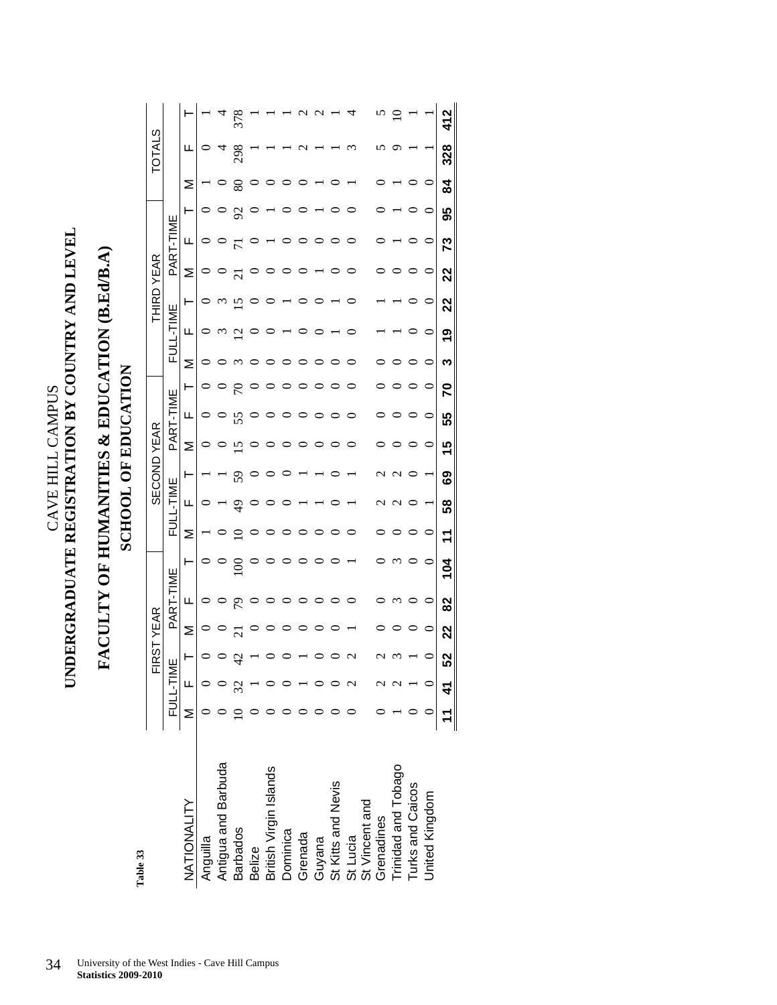$\begin{tabular}{ll} \multicolumn{2}{l}{\textbf{CAVE HIL}}\end{tabular} \end{tabular} \begin{tabular}{ll} \multicolumn{2}{l}{\textbf{CAVE HIL}}\end{tabular} \begin{tabular}{ll} \multicolumn{2}{l}{\textbf{CAND LE}}\\ \multicolumn{2}{l}{\textbf{LIVEN} \end{tabular} \end{tabular} \begin{tabular}{ll} \multicolumn{2}{l}{\textbf{CAND LE}}\\ \multicolumn{2}{l}{\textbf{LIVEN} \end{tabular} \end{tabular} \begin{tabular}{ll} \multicolumn{2}{l}{\textbf{CAND LE}}\\ \multicolumn{2}{l}{$ **UNDERGRADUATE REGISTRATION BY COUNTRY AND LEVEL**  CAVE HILL CAMPUS

### **FACULTY OF HUMANITIES & EDUCATION (B.Ed/B.A)**  FACULTY OF HUMANITIES & EDUCATION (B.EdJB.A) **SCHOOL OF EDUCATION SCHOOL OF EDUCATION**

Table 33 **Table 33** 

|                        |                |                 | RST | YEAR    |         |                |         |               |    | <b>SECOND YEAR</b> |           |         |   |          | <b>THIRD</b> | YEAR           |         |         |                | U,<br>TOTAL     |                |
|------------------------|----------------|-----------------|-----|---------|---------|----------------|---------|---------------|----|--------------------|-----------|---------|---|----------|--------------|----------------|---------|---------|----------------|-----------------|----------------|
|                        |                | <u>FULL-TIN</u> | ш   |         | PART-TI | ₩              | Fυ      | <b>L-TIME</b> |    |                    | PART-TIME |         | 군 | $-71$ ME |              | PART-TI        |         | ╙       |                |                 |                |
| NATIONALITY            |                | $\overline{a}$  |     | Σ       | Щ       |                | Σ       | щ             | ⊢  | Σ                  | щ         | ⊢       | Σ | щ        |              | Σ              | щ       |         | ⋝              | щ               |                |
| Anguilla               |                |                 |     |         | ○       |                |         |               |    |                    |           |         |   |          |              |                |         |         |                | $\circ$         |                |
| Antigua and Barbuda    |                |                 |     |         | $\circ$ | $\circ$        |         |               |    |                    |           |         |   | $\omega$ | $\omega$     |                |         |         |                |                 | $\overline{a}$ |
| <b>Barbados</b>        |                |                 |     |         | 54      | $\overline{5}$ |         | क्            | 59 | $\overline{15}$    | 55        | 5       |   | ≌        | ≌            | $\overline{z}$ |         | 55      | 80             | 298             | 378            |
| <b>Belize</b>          |                |                 |     |         | $\circ$ | $\circ$        |         |               |    |                    | $\circ$   |         |   |          |              |                |         |         |                |                 |                |
| British Virgin Islands |                |                 |     |         | $\circ$ |                |         |               |    |                    |           |         |   |          |              |                |         |         |                |                 |                |
| Dominica               |                |                 |     |         | ○       |                |         |               |    |                    |           |         |   |          |              |                |         |         |                |                 |                |
| Grenada                |                |                 |     |         |         |                |         |               |    |                    |           |         |   |          |              |                |         |         |                | $\mathbf{\sim}$ | $\sim$         |
| Guyana                 |                |                 |     |         |         |                |         |               |    |                    |           |         |   |          |              |                |         |         |                |                 |                |
| St Kitts and Nevis     |                |                 |     |         |         |                |         |               |    |                    |           |         |   |          |              |                |         |         |                |                 |                |
| St Lucia               |                |                 |     |         |         |                |         |               |    |                    |           |         |   |          |              |                |         |         |                |                 |                |
| St Vincent and         |                |                 |     |         |         |                |         |               |    |                    |           |         |   |          |              |                |         |         |                |                 |                |
| Grenadines             |                |                 |     |         |         |                |         |               |    |                    |           |         |   |          |              |                |         |         |                |                 |                |
| Trinidad and Tobago    |                |                 |     |         |         |                |         |               |    |                    |           |         |   |          |              |                |         |         |                |                 |                |
| Turks and Caicos       |                |                 |     |         |         |                |         |               |    |                    |           |         |   |          |              |                |         |         |                |                 |                |
| United Kingdom         |                |                 |     | $\circ$ | $\circ$ | $\circ$        | $\circ$ |               |    | $\circ$            | $\circ$   | $\circ$ |   | $\circ$  | $\circ$      | $\circ$        | $\circ$ | $\circ$ | $\circ$        |                 |                |
|                        | $\overline{ }$ | $\frac{4}{1}$   |     | 22      | 82      | 104            |         | 58            | ಙ  | 15                 | 55        | 5       | ო | <u>ღ</u> | 22           | 22             | ಌ       | 95      | $\overline{a}$ | 328             |                |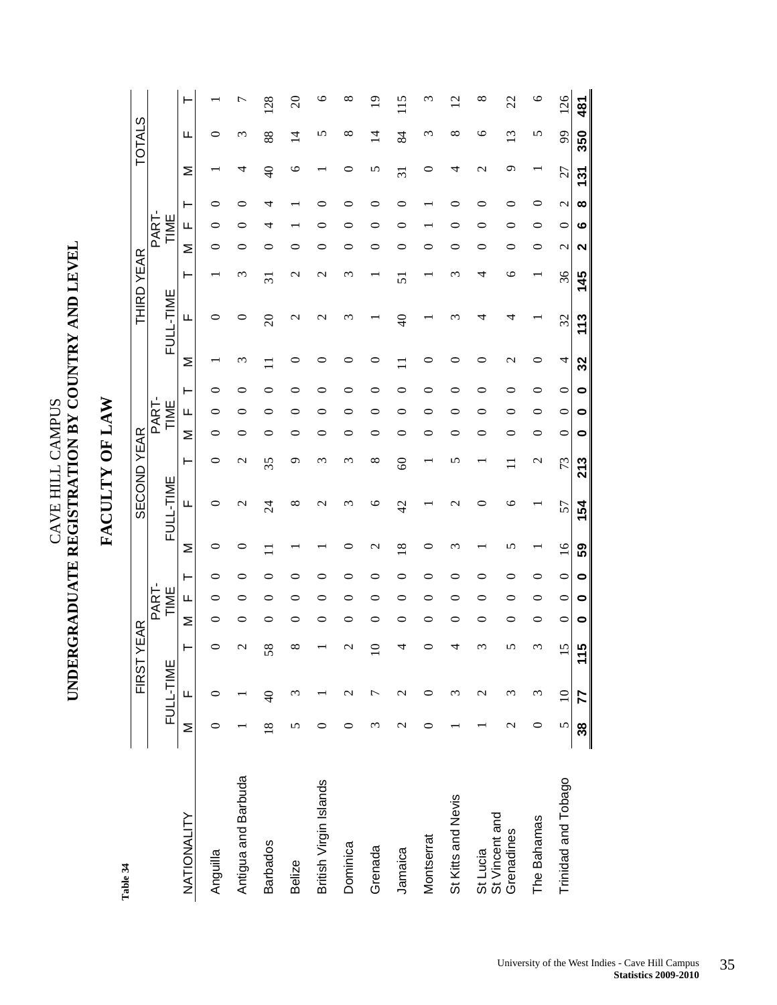### $\begin{tabular}{ll} \multicolumn{2}{l}{\textbf{CAVE HILL}}\end{tabular} \end{tabular} \begin{tabular}{ll} \multicolumn{2}{l}{\textbf{CAVE HILL}}\end{tabular} \begin{tabular}{ll} \multicolumn{2}{l}{\textbf{CAND LEVEL}}\end{tabular} \end{tabular}$ **UNDERGRADUATE REGISTRATION BY COUNTRY AND LEVEL**  CAVE HILL CAMPUS

**FACULTY OF LAW**

FACULTY OF LAW

|                              |                 |                  | FIRST <sup>-</sup> | YEAR |       |   |                 |                 | <b>SECOND YEAR</b> |   |           |   |    |                  | THIRD YEAR |               |             |                   |                  | <b>TOTALS</b> |               |
|------------------------------|-----------------|------------------|--------------------|------|-------|---|-----------------|-----------------|--------------------|---|-----------|---|----|------------------|------------|---------------|-------------|-------------------|------------------|---------------|---------------|
|                              |                 |                  |                    |      | PART- |   |                 |                 |                    |   | PART-     |   |    |                  |            |               | <b>PART</b> |                   |                  |               |               |
|                              |                 | FULL-TIME        |                    |      | TIME  |   |                 | FULL-TIME       |                    |   | TIME      |   |    | FULL-TIME        |            |               | TIME        |                   |                  |               |               |
| NATIONALITY                  | Σ               | Щ                |                    | Σ    | щ     |   | Σ               | щ               | ⊢                  | Σ | щ         | ⊢ | Σ  | щ                | ⊢          | Σ             | щ           |                   | Σ                | щ             |               |
| Anguilla                     |                 |                  |                    |      |       |   |                 |                 |                    |   |           |   |    |                  |            |               |             |                   |                  |               |               |
| Antigua and Barbuda          |                 |                  |                    |      |       |   |                 | $\mathbf{\sim}$ | $\mathcal{C}$      |   |           |   |    |                  | ς          |               |             |                   |                  | ω             |               |
| <b>Barbados</b>              | $\overline{18}$ | $\overline{4}$   |                    |      |       |   |                 | $\overline{24}$ | 35                 |   |           |   |    | $\approx$        | ಸ          |               |             |                   |                  | 88            | 128           |
| <b>Belize</b>                | n               | S                |                    |      |       |   |                 | ∞               | σ                  |   |           |   |    | $\mathrel{\sim}$ |            |               |             |                   | C                | 4             | $\approx$     |
| British Virgin Islands       | 冖               |                  |                    |      |       |   |                 |                 |                    |   |           |   |    |                  |            |               |             |                   |                  |               | ≌             |
| Dominica                     | ⊂               |                  |                    |      |       |   |                 |                 |                    |   |           |   |    |                  |            |               |             |                   |                  | ∞             | ∝             |
| Grenada                      | ω               |                  |                    |      |       |   |                 | ⊂               | ∞                  |   |           |   |    |                  |            |               |             |                   | n                | $\vec{4}$     |               |
| Jamaica                      | $\mathbf{\sim}$ | $\mathrel{\sim}$ |                    |      |       |   | ∞               | $\frac{1}{4}$   | 8                  |   |           |   |    | ₹                | 5          |               |             |                   | ನ                | 84            | $\frac{5}{1}$ |
| Montserrat                   | ⊂               | ⊂                |                    |      |       |   |                 |                 |                    |   |           |   |    |                  |            |               |             |                   |                  | ო             |               |
| St Kitts and Nevis           |                 | ∾                |                    |      |       |   |                 |                 | ທ                  |   |           |   |    |                  |            |               |             |                   |                  | ∞             | $\sim$        |
| St Lucia                     |                 | $\mathrel{\sim}$ |                    |      |       |   |                 |                 |                    |   |           |   |    |                  |            |               |             |                   | $\mathrel{\sim}$ | ∘             | ∞             |
| St Vincent and<br>Grenadines | $\mathcal{L}$   | 3                |                    |      |       |   |                 | ℃               |                    |   |           |   |    |                  | ७          |               |             |                   | σ                | ς             | 22            |
| The Bahamas                  | 0               | ξ                |                    |      |       |   |                 |                 | $\mathbf{\sim}$    |   |           |   |    |                  |            |               | c           |                   |                  | n             | ७             |
| Trinidad and Tobago          | 5               | $\approx$        | 5                  | ⊂    | ⊂     | ⊂ | $\overline{16}$ | 57              | 73                 | ⊂ | ⊂         | ⊂ | 4  | 32               | 36         | $\mathcal{C}$ | ⊂           | $\mathbf{\Omega}$ | 27               | 99            | 126           |
|                              | 38              | 77               | <u> LN</u><br>٣    | 0    | 0     | 0 | 59              | 154             | 213                | 0 | $\bullet$ | 0 | 32 | 113              | 145        | 2             | ဖ           | ထ                 | 131              | 350           | 481           |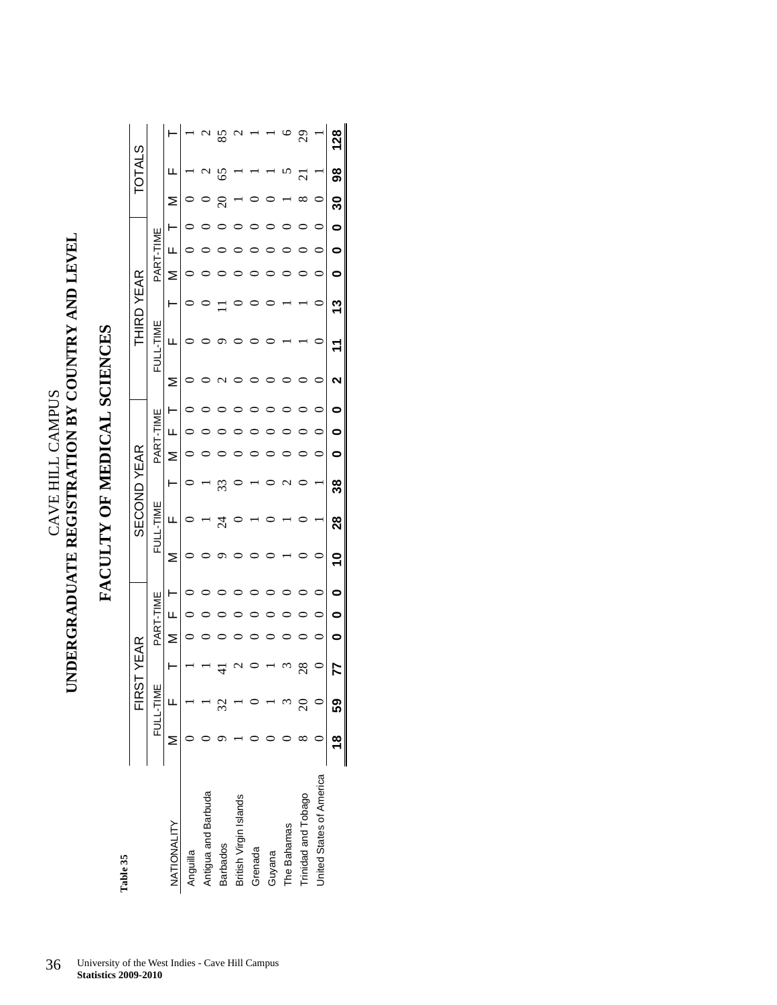### $\begin{tabular}{ll} \multicolumn{2}{l}{\textbf{CAVE HILL} \textbf{CANDUS}} \\ \multicolumn{2}{l}{\textbf{UNDERGRADUATE REGISTRATION BY COUNTRY AND LEVEL}} \end{tabular}$ **UNDERGRADUATE REGISTRATION BY COUNTRY AND LEVEL**  CAVE HILL CAMPUS

### FACULTY OF MEDICAL SCIENCES **FACULTY OF MEDICAL SCIENCES**

| Table 35                 |        |           |         |         |           |   |             |        |   |           |   |   |              |   |   |           |   |          |                     |     |
|--------------------------|--------|-----------|---------|---------|-----------|---|-------------|--------|---|-----------|---|---|--------------|---|---|-----------|---|----------|---------------------|-----|
|                          |        | EI<br>K   | 55      | 仁AR<br> |           |   | SECOND YEAR |        |   |           |   |   | THIRD YEAR   |   |   |           |   |          | TOTAL               | U,  |
|                          |        | FULL-TIME |         |         | PART-TIME | 说 | L-TIME      |        |   | PART-TIME |   |   | ≝<br>FULL-TI |   |   | PART-TIME |   |          |                     |     |
| NATIONALITY              | ≥      | LL.       |         | ⋝       | ц         | Σ | щ           | ۲      | ⋝ | ш         |   |   | щ            |   | ⋝ | щ         |   | ⋝        | щ                   |     |
| Anguilla                 |        |           |         |         |           |   |             |        | C |           | C | C |              | C | C |           | C |          |                     |     |
| Antigua and Barbuda      |        |           |         |         |           |   |             |        |   |           |   |   |              |   |   |           |   |          | ٢<br>₹              | 1   |
| <b>Barbados</b>          |        |           |         |         |           |   | 24          | 33     |   |           |   |   |              |   |   |           |   | $\Omega$ | 65                  | 85  |
| British Virgin Islands   |        |           |         |         |           |   |             |        |   |           |   |   |              |   |   |           |   |          |                     |     |
| Grenada                  |        |           |         |         |           |   |             |        |   |           |   |   |              |   |   |           |   |          |                     |     |
| Guyana                   |        |           |         |         |           |   |             |        |   |           |   |   |              |   |   |           |   |          |                     |     |
| The Bahamas              |        |           |         |         |           |   |             | 1<br>c |   |           |   |   |              |   |   |           |   |          |                     |     |
| Trinidad and Tobago      |        |           | $^{28}$ |         |           |   |             |        |   |           |   |   |              |   |   |           |   | ∞        | $\overline{\Omega}$ | 29  |
| United States of America |        |           |         | 0       | 0         |   |             |        | 0 | 0         | 0 | 0 |              | 0 | 0 | 0         | 0 | $\circ$  |                     |     |
|                          | æ<br>T | 59        | 77      | c       | c         | ٩ | 28          | ని     | c | c         |   | ິ |              | ౼ | c | c         | 0 | వి       | 8                   | 128 |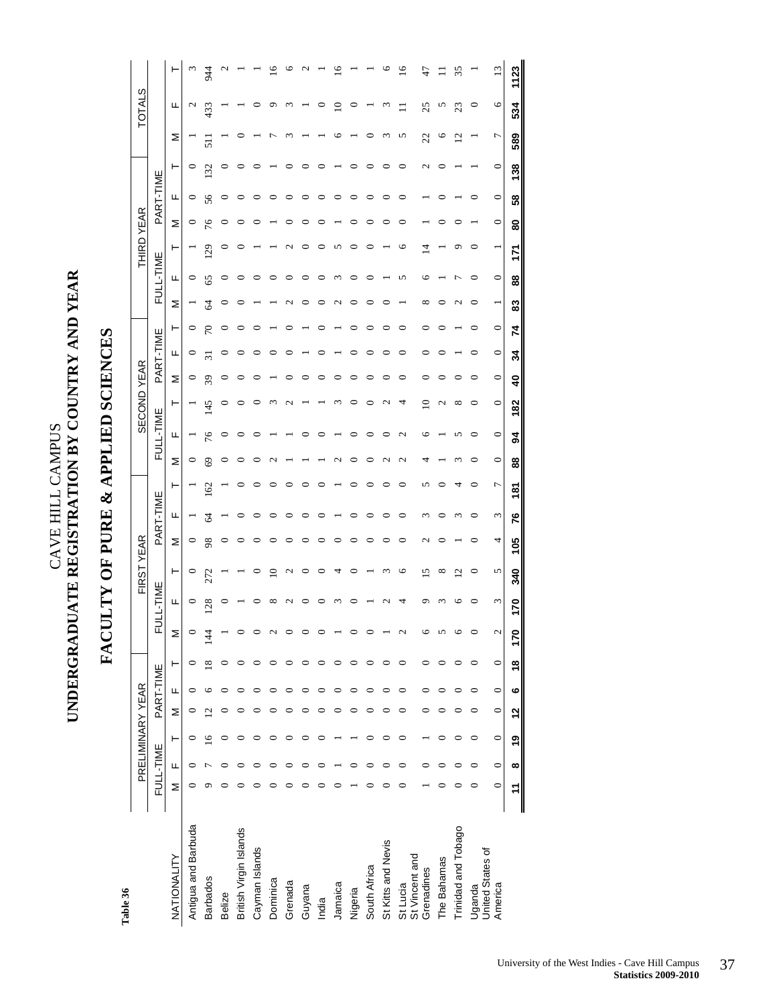### UNDERGRADUATE REGISTRATION BY COUNTRY AND YEAR **UNDERGRADUATE REGISTRATION BY COUNTRY AND YEAR**  CAVE HILL CAMPUS CAVE HILL CAMPUS

**FACULTY OF PURE & APPLIED SCIENCES** 

FACULTY OF PURE & APPLIED SCIENCES

### Table 36 **Table 36**

|                            |         | PRELIMINARY YEAR |         |                         |           |                         |                   |          | FIRST YEAR               |     |               |                |         |                   | <b>SECOND YEAR</b> |                         |                    |               |           | <b>THIRD YEAR</b> |         |           |         |                         | <b>TOTALS</b> |                 |
|----------------------------|---------|------------------|---------|-------------------------|-----------|-------------------------|-------------------|----------|--------------------------|-----|---------------|----------------|---------|-------------------|--------------------|-------------------------|--------------------|---------------|-----------|-------------------|---------|-----------|---------|-------------------------|---------------|-----------------|
|                            |         | FULL-TIME        |         |                         | PART-TIME |                         | щ                 | ULL-TIME |                          |     | PART-TIME     |                |         | FULL-TIME         |                    |                         | PART-TIME          |               | FULL-TIME |                   |         | PART-TIME |         |                         |               |                 |
| NATIONALITY                | Σ       | щ                | ⊢       | Σ                       | щ         | ⊢                       | Σ                 | щ        | ⊢                        | Σ   | щ             | ۳              | Σ       | щ                 | ۳                  | Σ                       | ⊢<br>щ             | Σ             | щ         | ۳                 | Σ       | щ         | ۲       | Σ                       | щ             |                 |
| Antigua and Barbuda        | ⊂       | 0                |         |                         |           |                         | $\circ$           | 0        | 0                        | 0   |               |                | 0       |                   |                    | 0                       | 0<br>$\circ$       |               | 0         |                   | 0       | $\circ$   | $\circ$ |                         | $\mathbf 2$   |                 |
| <b>Barbados</b>            |         |                  |         | $\mathbf{\mathsf{C}}$   |           | $\approx$               | $\frac{4}{4}$     | 128      | 272                      | 98  | $\mathcal{L}$ | 162            | 69      | 76                | 145                | 39                      |                    | $\mathcal{L}$ | 65        | 129               | 76      | 56        | 132     | $\overline{51}$         | 433           | 944             |
| Belize                     |         |                  |         |                         |           |                         |                   |          |                          |     |               |                |         |                   |                    |                         |                    |               |           |                   |         |           |         |                         |               |                 |
| British Virgin Islands     |         |                  |         |                         |           |                         |                   |          |                          |     |               |                |         |                   |                    |                         |                    |               |           |                   |         |           |         |                         |               |                 |
| Cayman Islands             |         |                  |         |                         |           |                         | $\circ$           |          |                          |     |               |                |         |                   |                    |                         |                    |               |           |                   |         |           |         |                         |               |                 |
| Dominica                   |         |                  |         |                         |           |                         | 2                 |          | ≘                        |     |               |                |         |                   |                    |                         |                    |               |           |                   |         |           |         |                         |               | ⊵               |
| Grenada                    |         |                  |         |                         |           |                         | $\circ$           |          | $\mathbf{\sim}$          |     |               |                |         |                   |                    |                         |                    |               |           |                   |         |           |         |                         |               |                 |
| Guyana                     |         |                  |         |                         |           |                         | $\circ$           |          | 0                        |     |               |                |         |                   |                    |                         |                    |               |           |                   |         |           |         |                         |               |                 |
| India                      |         |                  |         |                         |           |                         | $\circ$           |          | 0                        |     |               |                |         |                   |                    |                         |                    |               |           |                   |         |           |         |                         |               |                 |
| Jamaica                    |         |                  |         |                         |           |                         |                   |          | 4                        |     |               |                |         |                   |                    |                         |                    |               |           |                   |         |           |         |                         | ≘             | $\frac{6}{2}$   |
| Nigeria                    |         |                  |         |                         |           |                         | $\circ$           |          |                          |     |               |                |         |                   |                    |                         |                    |               |           |                   |         |           |         |                         |               |                 |
| South Africa               |         |                  |         |                         |           |                         | $\circ$           |          |                          |     |               |                |         |                   |                    |                         |                    |               |           |                   |         |           |         |                         |               |                 |
| St Kitts and Nevis         |         |                  |         |                         |           |                         |                   |          | 3                        |     |               |                |         | ⊂                 | $\sim$             |                         |                    |               |           |                   |         |           |         |                         |               | ७               |
| St Vincent and<br>St Lucia |         | 0                |         |                         |           | ∊                       | 2                 |          | 9                        | 0   | ∊             | ∊              | 2       | $\mathbf{\Omega}$ | 4                  | ⊂                       |                    |               | 5         | ७                 |         |           |         | 5                       |               | $\overline{16}$ |
| Grenadines                 |         | ⊂                |         |                         |           | ⊂                       | 6                 |          | ٥                        | 2   |               | n              |         | ⊾                 | ≘                  | ⊂                       |                    |               | ╰         | ₫                 |         |           | $\sim$  | 22                      | 25            |                 |
| The Bahamas                |         |                  |         |                         |           |                         | 5                 |          | ∞                        |     |               |                |         |                   | $\scriptstyle\sim$ |                         |                    |               |           |                   |         |           |         | ७                       | n             |                 |
| Trinidad and Tobago        |         |                  |         |                         |           |                         | ৩                 |          | $\overline{\mathcal{C}}$ |     |               |                |         | n                 | $\infty$           |                         |                    |               |           | ᡋ                 |         |           |         | $\overline{\mathbf{c}}$ | 23            | 35              |
| United States of<br>Uganda |         | ∊                | 0       |                         |           | 0                       | $\circ$           |          | $\circ$                  |     |               | ⊂              | ⊂       | ⊂                 | 0                  | ⊂                       | ⊂                  |               | 0         |                   |         |           |         |                         | ∊             |                 |
| America                    | $\circ$ | $\circ$          | $\circ$ | $\circ$                 | $\circ$   | $\circ$                 | $\mathbf{\Omega}$ | 3        | 5                        | 4   | 3             | $\overline{ }$ | $\circ$ | $\circ$           | $\circ$            | $\circ$                 | $\circ$<br>$\circ$ | ÷             | $\circ$   |                   | $\circ$ | $\circ$   | $\circ$ | $\overline{ }$          | $\circ$       | ≌               |
|                            |         | œ                | စ္      | $\overline{\mathbf{C}}$ | ဖ         | $\overline{\mathbf{6}}$ | 170               | 170      | 340                      | 105 | 76            | 181            | 88      | S,                | 182                | $\overline{\mathbf{a}}$ | 74<br>34           | 83            | 88        | Ę                 | 8       | 58        | 138     | 589                     | 534           | 1123            |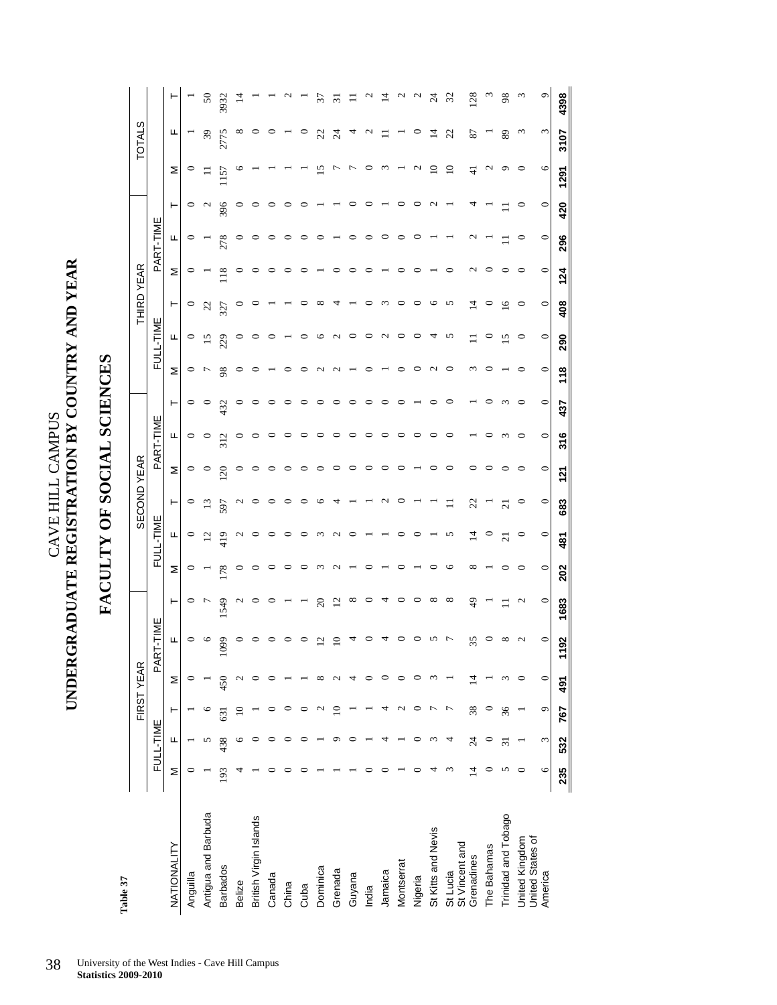**UNDERGRADUATE REGISTRATION BY COUNTRY AND YEAR**  UNDERGRADUATE REGISTRATION BY COUNTRY AND YEAR CAVE HILL CAMPUS CAVE HILL CAMPUS

**FACULTY OF SOCIAL SCIENCES** 

FACULTY OF SOCIAL SCIENCES

50

 $\overline{1}$ 

United States of

America

 $\subset$ 

 $\subset$ 481

 $\subset$ 202

 $\subset$ 

 $\epsilon$ 

 $\subset$ 491

 $\circ$ 767

¢

 $\subset$ 

 $316$ 

 $121$ 

683

1683

1192

532

235

437

4398

3107

420  $\subset$ 

296

 $124$ 

 $\mathbf{C}$ 

 $\subset$ 408

 $\subset$ 290

 $\subset$  $118$ 

 $\subset$ 

 $\circ$ 

 $\mathbf{r}$ 

١c 1291

 $28$  $\tilde{3}$ 98

 $\mathfrak{L}$ 

 $\mathfrak{p}$ 

 $\overline{4}$ 

### 38 University of the West Indies - Cave Hill Campus **Statistics 2009-2010**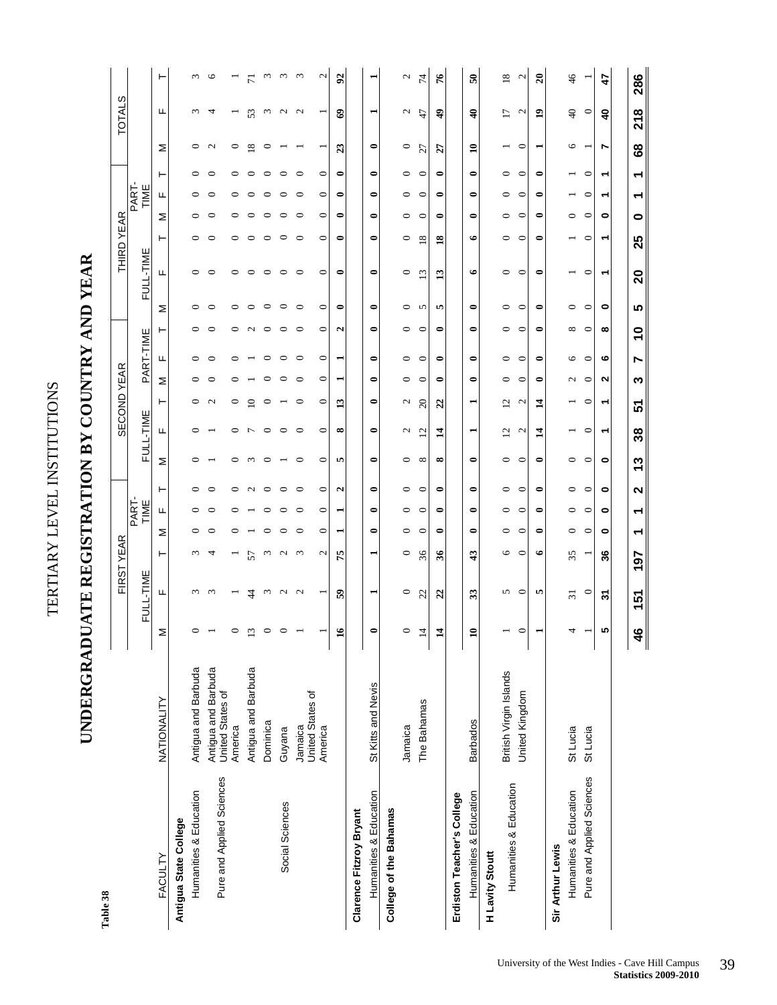TERTIARY LEVEL INSTITUTIONS TERTIARY LEVEL INSTITUTIONS

### UNDERGRADUATE REGISTRATION BY COUNTRY AND YEAR **UNDERGRADUATE REGISTRATION BY COUNTRY AND YEAR**

Table 38 **Table 38** 

|                            |                                         |                |                   | FIRST YEAR             |         |                    |                     |               | SECOND YEAR       |                          |                          |                   |           |               | <b>THIRD YEAR</b> |           |               |           |                            | <b>TOTALS</b>           |                   |
|----------------------------|-----------------------------------------|----------------|-------------------|------------------------|---------|--------------------|---------------------|---------------|-------------------|--------------------------|--------------------------|-------------------|-----------|---------------|-------------------|-----------|---------------|-----------|----------------------------|-------------------------|-------------------|
|                            |                                         |                | FULL-TIME         |                        |         | PART-<br>TIME      |                     | FULL-TIME     |                   |                          | PART-TIME                |                   |           | FULL-TIME     |                   |           | TIME<br>PART. |           |                            |                         |                   |
| FACULTY                    | NATIONALITY                             | ⋝              | щ                 | ⊢                      | Σ       | ⊢<br>щ             | Σ                   | щ             | ۳                 | Σ                        | Щ                        | ⊢                 | Σ         | Щ             | ⊢                 | Σ         | щ             | ۳         | Σ                          | Щ                       | ⊢                 |
| Antigua State College      |                                         |                |                   |                        |         |                    |                     |               |                   |                          |                          |                   |           |               |                   |           |               |           |                            |                         |                   |
| Humanities & Education     | Antigua and Barbuda                     |                | $\omega$          |                        |         |                    |                     |               |                   |                          |                          | 0                 | 0         | 0             | 0                 |           |               |           | 0                          | S                       | $\omega$          |
| Pure and Applied Sciences  | Antigua and Barbuda<br>United States of |                | $\epsilon$        |                        |         |                    |                     |               | $\sim$            |                          | ⊂                        |                   | ⊂         | 0             | ⊂                 |           |               |           | $\mathbf{\Omega}$          |                         | ⊾                 |
|                            | America                                 |                |                   |                        |         | 0                  | ⊂                   | ⊂             | 0                 |                          | ⊂                        | 0                 | 0         | 0             |                   | ⊂         |               |           | 0                          |                         |                   |
|                            | Antigua and Barbuda                     |                | $\frac{4}{3}$     | 57                     |         |                    | $\sim$              |               | $\subseteq$       |                          |                          | $\mathbf{\Omega}$ |           | ⊂             | $\circ$           |           |               |           | $\infty$                   | 53                      |                   |
|                            | Dominica                                |                | $\omega$          | 3                      |         | 0                  | ⊂                   | ⊂             |                   |                          | ⊂                        | $\circ$           | ⊂         | 0             | $\circ$           |           |               |           |                            | $\omega$                | w                 |
| Social Sciences            | Guyana                                  |                | $\mathbf{c}$      | $\mathbf{\sim}$        |         |                    |                     | ⊂             |                   |                          | ⊂                        | っ                 |           | $\circ$       | ○                 |           |               |           |                            | $\sim$                  | $\omega$          |
|                            | United States of<br>Jamaica             |                | $\mathbf{\Omega}$ | $\omega$               | ⊂       | 0                  | $\circ$<br>⊂        | $\circ$       | 0                 | ⊂                        | $\circ$                  | $\circ$           | $\circ$   | $\circ$       | $\circ$           | ⊂         | ∊             | 0         |                            | $\sim$                  | $\omega$          |
|                            | America                                 |                |                   | $\mathbf{\mathcal{L}}$ | $\circ$ | $\circ$            | $\circ$<br>$\circ$  | $\circ$       | $\circ$           | $\circ$                  | $\circ$                  | $\circ$           | $\circ$   | $\circ$       | $\circ$           | $\circ$   | $\circ$       | $\circ$   |                            |                         | $\mathbf{\Omega}$ |
|                            |                                         | ۰              | $\boldsymbol{5}$  | 75                     | −       |                    | S<br>$\mathbf{c}$   | $\infty$      | $\mathbf{13}$     | $\overline{\phantom{0}}$ | $\overline{\phantom{0}}$ | N                 | $\bullet$ | $\bullet$     | 0                 | $\bullet$ | $\bullet$     | $\bullet$ | $\boldsymbol{\mathcal{Z}}$ | $\mathbf{e}$            | $\boldsymbol{S}$  |
| Clarence Fitzroy Bryant    |                                         |                |                   |                        |         |                    |                     |               |                   |                          |                          |                   |           |               |                   |           |               |           |                            |                         |                   |
| Humanities & Education     | St Kitts and Nevis                      |                |                   |                        | 0       | $\bullet$          | 0<br>0              | $\bullet$     | 0                 | 0                        | $\bullet$                | 0                 | 0         | 0             | 0                 | 0         | $\bullet$     | $\bullet$ | 0                          |                         |                   |
| College of the Bahamas     |                                         |                |                   |                        |         |                    |                     |               |                   |                          |                          |                   |           |               |                   |           |               |           |                            |                         |                   |
|                            | Jamaica                                 | $\circ$        | $\circ$           | $\circ$                | 0       | 0                  | $\circ$<br>0        | $\mathcal{L}$ | $\mathcal{L}$     | $\circ$                  | 0                        | $\circ$           | $\circ$   | $\circ$       | $\circ$           | $\circ$   | 0             | 0         | $\circ$                    | $\mathcal{L}$           | $\mathcal{L}$     |
|                            | The Bahamas                             | 4              | 22                | 36                     | $\circ$ | $\circ$            | $\infty$<br>$\circ$ | 12            | $\overline{c}$    | $\circ$                  | $\circ$                  | $\circ$           | $\sim$    | $\mathbf{r}$  | $\overline{8}$    | $\circ$   | $\circ$       | $\circ$   | 27                         | $\ddot{t}$              | $\overline{7}$    |
|                            |                                         | 4              | 22                | $\frac{36}{5}$         | 0       | 0                  | $\infty$<br>0       | $\vec{a}$     | $\overline{c}$    | 0                        | 0                        | 0                 | m         | $\mathbf{13}$ | ≌                 | 0         | 0             | $\bullet$ | 27                         | ₽                       | 56                |
| Erdiston Teacher's College |                                         |                |                   |                        |         |                    |                     |               |                   |                          |                          |                   |           |               |                   |           |               |           |                            |                         |                   |
| Humanities & Education     | <b>Barbados</b>                         |                | 33                | 43                     | 0       | 0                  | 0<br>0              | −             |                   | 0                        | 0                        | 0                 | 0         | ی             | ७                 | 0         | 0             | $\bullet$ | $\mathbf{a}$               | ₹                       | $\overline{50}$   |
| <b>H Lavity Stoutt</b>     |                                         |                |                   |                        |         |                    |                     |               |                   |                          |                          |                   |           |               |                   |           |               |           |                            |                         |                   |
| Humanities & Education     | British Virgin Islands                  |                | S                 | O                      | $\circ$ | $\circ$            | $\circ$<br>$\circ$  | 12            | 12                | $\circ$                  | $\circ$                  | $\circ$           | $\circ$   | $\circ$       | $\circ$           | $\circ$   | $\circ$       | $\circ$   |                            | $\Box$                  | $^{18}$           |
|                            | United Kingdom                          | ⊂              | $\circ$           | $\circ$                | $\circ$ | $\circ$            | $\circ$<br>$\circ$  | $\mathbf{C}$  | $\mathbf{\Omega}$ | $\circ$                  | $\circ$                  | $\circ$           | $\circ$   | $\circ$       | $\circ$           | $\circ$   | $\circ$       | $\circ$   | $\circ$                    | $\mathbf{\mathcal{L}}$  | $\mathbf{\sim}$   |
|                            |                                         |                | 5                 | ی                      | 0       | $\bullet$          | 0<br>$\bullet$      | ᅼ             | 4                 | 0                        | $\bullet$                | $\bullet$         | $\bullet$ | $\bullet$     | 0                 | $\bullet$ | 0             | $\bullet$ |                            | $\mathbf{a}$            | $\overline{a}$    |
| Sir Arthur Lewis           |                                         |                |                   |                        |         |                    |                     |               |                   |                          |                          |                   |           |               |                   |           |               |           |                            |                         |                   |
| Humanities & Education     | St Lucia                                |                | ಸ                 | 35                     | $\circ$ | $\circ$            | 0<br>0              |               |                   | $\mathcal{L}$            | O                        | ${}^{\circ}$      | $\circ$   |               |                   | $\circ$   |               |           | O                          | $\Theta$                | 46                |
| Pure and Applied Sciences  | St Lucia                                |                | $\circ$           |                        | $\circ$ | $\circ$<br>$\circ$ | $\circ$             | $\circ$       | $\circ$           | $\circ$                  | $\circ$                  | $\circ$           | $\circ$   | $\circ$       | $\circ$           | $\circ$   | $\circ$       | ○         |                            | $\circ$                 |                   |
|                            |                                         | ഥ              | స్                | 36                     | 0       | 0<br>0             | 0                   | ٣             | ᡪ                 | ٩                        | ဖ                        | ထ                 | 0         | ᡪ             | ᡪ                 | 0         | ٣             | ᡪ         | r                          | $\overline{\mathbf{a}}$ | 47                |
|                            |                                         |                |                   |                        |         |                    |                     |               |                   |                          |                          |                   |           |               |                   |           |               |           |                            |                         |                   |
|                            |                                         | $\frac{46}{5}$ | 151               | 197                    | ↽       | 2<br>↽             | S                   | 38            | 5                 | Μ                        | r                        | $\overline{1}$    | 5         | <u>ន</u>      | 25                | 0         |               | ↽         | 89                         | <b>218</b>              | 286               |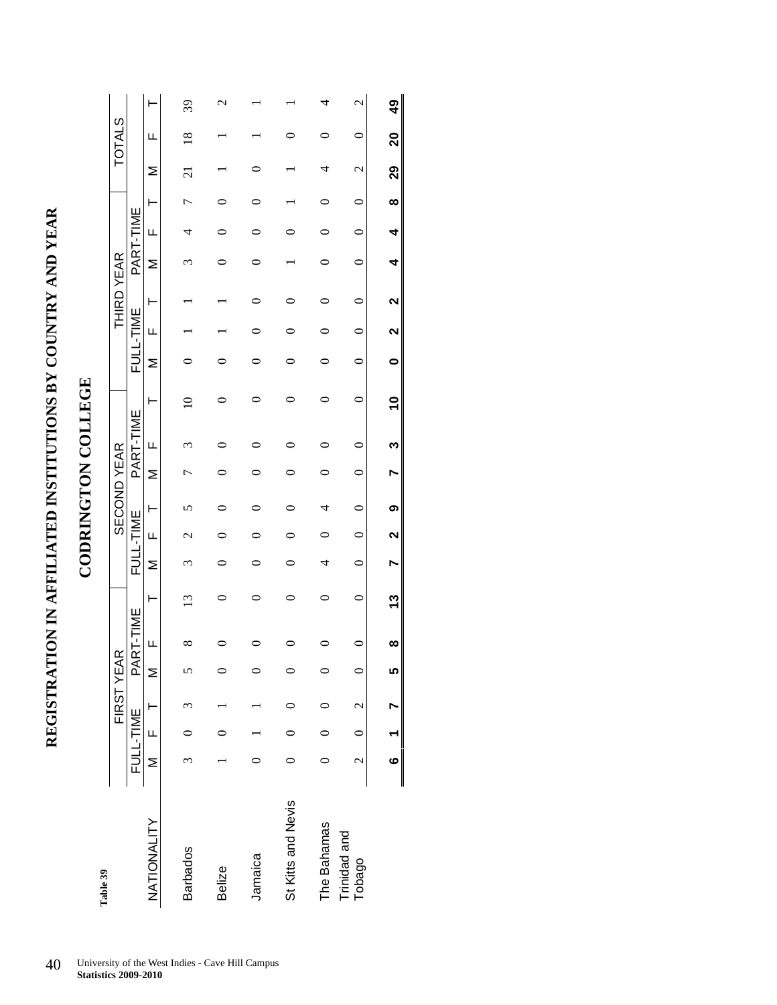### REGISTRATION IN AFFILIATED INSTITUTIONS BY COUNTRY AND YEAR **REGISTRATION IN AFFILIATED INSTITUTIONS BY COUNTRY AND YEAR**

### **CODRINGTON COLLEGE CODRINGTON COLLEGE**

| Table 39               |   |                                              | FIRST YEAR |          |          |         |         |                   | <b>SECOND YEAR</b> |         |              |             |         |           | <b>THIRD YEAR</b> |           |           |          |                   | <b>TOTALS</b>  |                   |
|------------------------|---|----------------------------------------------|------------|----------|----------|---------|---------|-------------------|--------------------|---------|--------------|-------------|---------|-----------|-------------------|-----------|-----------|----------|-------------------|----------------|-------------------|
|                        |   | FULL-TIME                                    |            | ₫        | RT-TIME  |         |         | FULL-TIME         |                    |         | PART-TIME    |             |         | FULL-TIME |                   | PART-TIME |           |          |                   |                |                   |
| NATIONALITY            | z | LL.                                          | H          | Σ        | Щ        | ۲       | Σ       | Щ                 | ۲                  | Σ       | Щ            | ۲           | Σ       | Щ         | ۲                 | Σ         | Щ         | ⊢        | Σ                 | Щ              | ۲                 |
| <b>Barbados</b>        | ω |                                              |            | n        | ∞        | ن       |         | c                 |                    |         |              |             |         |           |                   |           | 4         | 冖        | $\Xi$             | $\frac{8}{10}$ | 39                |
| <b>Belize</b>          |   |                                              |            |          |          |         |         |                   |                    |         |              |             |         |           |                   |           |           |          |                   |                | r                 |
| Jamaica                |   |                                              |            |          |          |         |         |                   |                    |         |              |             |         |           |                   |           |           |          |                   |                |                   |
| St Kitts and Nevis     |   |                                              |            |          |          |         |         |                   |                    |         |              |             |         |           |                   |           |           |          |                   |                |                   |
| The Bahamas            |   |                                              |            |          |          |         | 4       |                   |                    |         |              |             |         |           |                   |           |           |          |                   |                |                   |
| Trinidad and<br>Tobago |   | $2 \quad 0 \quad 2$                          |            | $\circ$  | 0        | $\circ$ | $\circ$ | $\circ$           | $\circ$            | $\circ$ | $\mathsf{C}$ | $\circ$     | $\circ$ | ∊         | $\circ$           | $\circ$   | $\subset$ | ∊        | $\mathbf{\Omega}$ | 0              | $\mathbf{\Omega}$ |
|                        |   | $\begin{matrix} 6 & 1 \\ 1 & 6 \end{matrix}$ |            | <u>ທ</u> | $\infty$ | 13      | Ņ       | $\mathbf{\Omega}$ | ග                  |         | ო            | $\tilde{e}$ | 0       | 2         | 2                 | 4         | 4         | $\infty$ | 29                | 20             | 9                 |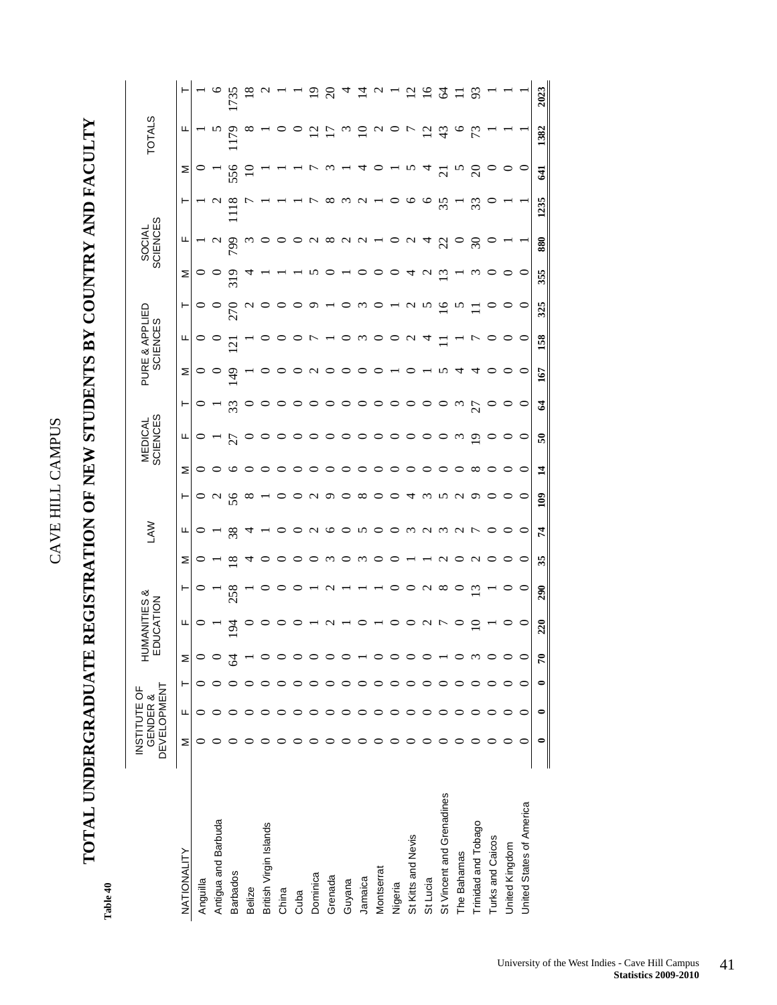## **TOTAL UNDERGRADUATE REGISTRATION OF NEW STUDENTS BY COUNTRY AND FACULTY**  TOTAL UNDERGRADUATE REGISTRATION OF NEW STUDENTS BY COUNTRY AND FACULTY

Table 40 **Table 40** 

|                           | DEVELOPMENT<br>INSTITUTE OF | GENDER & |           | NUH<br>즶     | <b>IANITIES &amp;<br/>UCATION</b> |     |          | ŠΥ            |               |              | <b>SCIENCES</b><br>MEDICAL |          | PURE & APPLIED | <b>SCIENCES</b> |                 |     | SOCIAL<br>SCIENCES |       |                          | <b>TOTALS</b>     |                    |
|---------------------------|-----------------------------|----------|-----------|--------------|-----------------------------------|-----|----------|---------------|---------------|--------------|----------------------------|----------|----------------|-----------------|-----------------|-----|--------------------|-------|--------------------------|-------------------|--------------------|
| NATIONALITY               | Σ                           | Щ        | ۲         | Σ            | щ                                 | ۳   | Σ        | щ             | ۳             | Σ            | щ                          | ۳        | Σ              | щ               | ۳               | Σ   | щ                  | ۳     | Σ                        | щ                 |                    |
| Anguilla                  |                             |          |           |              |                                   |     |          |               |               |              |                            | 0        |                |                 |                 |     |                    |       |                          |                   |                    |
| Antigua and Barbuda       |                             |          |           |              |                                   |     |          |               | $\sim$        |              |                            |          |                |                 |                 |     |                    |       |                          | ∽                 |                    |
| <b>Barbados</b>           |                             |          |           |              | P                                 | 258 | ∞        | $\frac{8}{3}$ | 56            |              | 27                         | 33       | $\frac{9}{4}$  | $\overline{C}$  | $\overline{27}$ |     | 799                |       | 556                      | <b>PLI</b>        |                    |
| Belize                    |                             |          |           |              |                                   |     |          |               | $^{\circ}$    |              |                            | ○        |                |                 |                 |     |                    |       |                          | ∞                 |                    |
| British Virgin Islands    |                             |          |           |              |                                   |     |          |               |               |              |                            | 0        |                |                 |                 |     |                    |       |                          |                   |                    |
| China                     |                             |          |           |              |                                   |     |          |               |               |              |                            |          |                |                 |                 |     |                    |       |                          |                   |                    |
| Cuba                      |                             |          |           |              |                                   |     |          |               |               |              |                            | っ        |                |                 |                 |     |                    |       |                          |                   |                    |
| Dominica                  |                             |          |           |              |                                   |     |          | ⊂             |               |              |                            |          | c              |                 | ᡡ               |     |                    |       |                          | C<br>7            |                    |
| Grenada                   |                             |          |           |              |                                   |     | $\omega$ | ७             | o             |              |                            | ᅌ        |                |                 |                 |     | $^{\circ}$         | œ     |                          |                   | $\mathbf{\bar{c}}$ |
| Guyana                    |                             | $\circ$  |           |              |                                   |     |          |               |               |              |                            | ○        |                |                 |                 |     |                    | c     |                          | $\omega$          |                    |
| Jamaica                   |                             | 0        |           |              |                                   |     | $\omega$ | S             | ∞             |              |                            | ○        |                | $\omega$        | W               |     | c                  | c     |                          | $\supseteq$       |                    |
| Montserrat                |                             |          |           |              |                                   |     |          |               |               |              |                            | ○        |                |                 |                 |     |                    |       |                          | $\mathbf{\Omega}$ |                    |
| Nigeria                   |                             |          |           |              |                                   |     |          |               |               |              |                            | 0        |                |                 |                 |     |                    |       |                          |                   |                    |
| St Kitts and Nevis        |                             |          |           |              |                                   |     |          | m             |               |              |                            |          |                |                 |                 |     |                    | ⊂     |                          | ŋ                 |                    |
| St Lucia                  |                             |          |           |              | ς                                 | C   |          | $\sim$        |               |              |                            | 0        |                |                 | r,              |     | Ч                  | 9     |                          | $\overline{c}$    |                    |
| St Vincent and Grenadines |                             |          |           |              | ŗ                                 | ∞   |          | $\omega$      |               |              |                            |          |                |                 | ଵ               | ω,  | $\overline{c}$     | 55    | $\overline{\mathcal{C}}$ | 43                | ट्ट                |
| The Bahamas               |                             |          |           |              |                                   |     |          | $\sim$        |               |              | $\omega$                   | $\omega$ | प              |                 |                 |     |                    |       | r,                       | $\circ$           |                    |
| Trinidad and Tobago       |                             |          |           |              |                                   | ≌   |          | τ             |               | ∞            | P                          | 27       | प              |                 |                 |     | $\Im$              | $\Im$ | $\Omega$                 | 73                | S                  |
| Turks and Caicos          |                             |          |           |              |                                   |     |          |               |               |              |                            |          |                |                 |                 |     |                    |       |                          |                   |                    |
| United Kingdom            | 0                           | 0        |           |              |                                   |     |          |               |               |              |                            | 0        |                |                 |                 |     |                    |       |                          |                   |                    |
| United States of America  | ∊                           | ⊂        |           |              |                                   | c   | ∊        | $\circ$       | ⊂             | ⊂            | ○                          | $\circ$  | $\circ$        | $\circ$         | $\circ$         |     |                    |       | $\circ$                  |                   |                    |
|                           | $\bullet$                   | 0        | $\bullet$ | $\mathbf{r}$ | 220                               | 290 | 35       | 74            | $\frac{1}{2}$ | $\mathbf{1}$ | 50                         | 2        | 167            | 158             | 325             | 355 | 880                | 1235  | 41                       | 1382              | 2023               |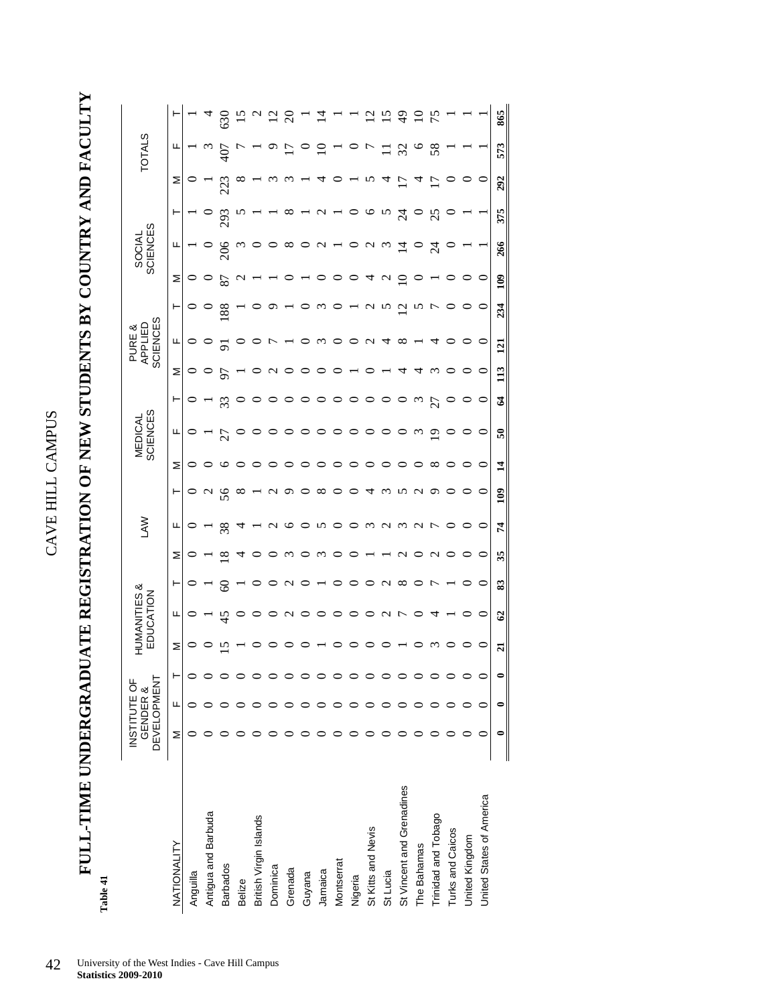**FULL-TIME UNDERGRADUATE REGISTRATION OF NEW STUDENTS BY COUNTRY AND FACULTY**  FULL-TIME UNDERGRADUATE REGISTRATION OF NEW STUDENTS BY COUNTRY AND FACULTY

| ٥ |  |
|---|--|
|   |  |

|                           | <b>DEVELOPMENT</b> | INSTITUTE OF<br><b>GENDER &amp;</b> |   |   | HUMANITIES &<br>EDUCATION |    |          | ŠΣ            |                 |                | <b>SCIENCES</b><br>MEDICAL |               |    | <b>SCIENCES</b><br>APPLIED<br>PURE & |                       |                   | <b>SCIENCES</b><br>SOCIAL |               |         | <b>TOTALS</b> |     |
|---------------------------|--------------------|-------------------------------------|---|---|---------------------------|----|----------|---------------|-----------------|----------------|----------------------------|---------------|----|--------------------------------------|-----------------------|-------------------|---------------------------|---------------|---------|---------------|-----|
| NATIONALITY               | Σ                  | щ                                   | ۲ | Σ | щ                         | ۳  | Σ        | щ             | ۳               | Σ              | щ                          | ۳             | Σ  | щ                                    | ۳                     | Σ                 | щ                         | H             | Σ       | щ             |     |
| Anguilla                  |                    |                                     |   |   |                           |    |          |               |                 | ◡              |                            |               |    |                                      |                       |                   |                           |               |         |               |     |
| Antigua and Barbuda       |                    |                                     |   |   |                           |    |          |               | $\mathbf{\sim}$ |                |                            |               |    |                                      | $\cup$                | $\circ$           | $\cup$                    |               |         |               |     |
| <b>Barbados</b>           |                    |                                     |   |   | 45                        | 8  | $\infty$ | $\frac{8}{3}$ | 56              | ┕              | 27                         | 33            |    |                                      | 188                   | 78                | $\frac{8}{3}$             | 293           | 223     |               |     |
| Belize                    |                    |                                     |   |   |                           |    |          |               | $\infty$        |                |                            |               |    |                                      |                       | $\mathbf \sigma$  | $\omega$                  |               |         |               |     |
| British Virgin Islands    |                    |                                     |   |   |                           |    |          |               |                 |                |                            |               |    |                                      |                       |                   |                           |               |         |               |     |
| Dominica                  |                    |                                     |   |   |                           |    |          |               |                 |                |                            |               |    |                                      |                       |                   |                           |               |         |               |     |
| Grenada                   |                    |                                     |   |   | c                         |    | ٦        |               |                 |                |                            |               |    |                                      |                       |                   | $\infty$                  | ∞             |         |               |     |
| Guyana                    |                    |                                     |   |   |                           |    |          |               |                 |                |                            |               |    |                                      |                       |                   |                           |               |         |               |     |
| Jamaica                   |                    |                                     |   |   |                           |    |          | ∽             | ∞               |                |                            |               |    | $\omega$                             | $\mathbf{\mathsf{C}}$ |                   | $\mathbf{\hat{c}}$        |               |         |               |     |
| Montserrat                |                    |                                     |   |   |                           |    |          |               |                 |                |                            |               |    |                                      |                       |                   |                           |               |         |               |     |
| Nigeria                   |                    |                                     |   |   |                           |    |          |               |                 |                |                            |               |    |                                      |                       |                   |                           |               |         |               |     |
| St Kitts and Nevis        |                    |                                     |   |   |                           |    |          | $\omega$      |                 |                |                            |               |    |                                      | C<br>1                | ᠴ                 | $\mathbf c$<br>J,         | 9             |         |               |     |
| St Lucia                  |                    |                                     |   |   | c                         | c  |          | ч<br>ς        |                 |                |                            |               |    | Д                                    | N                     | $\mathbf{\Omega}$ | $\omega$                  | $\sim$        |         |               |     |
| St Vincent and Grenadines |                    |                                     |   |   |                           | ∞  |          | $\omega$      |                 |                |                            |               |    | $\infty$                             | $\overline{c}$        | ⊇                 | $\overline{1}$            | $\frac{5}{4}$ |         | $\Im$         |     |
| The Bahamas               |                    |                                     |   |   |                           |    |          | $\sim$        |                 |                | $\omega$                   | $\omega$      |    |                                      |                       |                   |                           |               |         |               |     |
| Trinidad and Tobago       |                    |                                     |   |   |                           |    |          |               |                 | $\infty$       | ≏                          | 27            | ٣  |                                      | t                     |                   | $\mathbb{Z}$              | $\mathcal{S}$ |         | $\frac{8}{5}$ |     |
| Turks and Caicos          |                    |                                     |   |   |                           |    |          |               |                 |                |                            |               |    |                                      |                       |                   |                           |               |         |               |     |
| United Kingdom            |                    |                                     |   |   |                           |    |          |               |                 |                |                            |               |    |                                      |                       |                   |                           |               |         |               |     |
| United States of America  |                    |                                     |   | 0 | 0                         | 0  | 0        | 0             | 0               | 0              | $\circ$                    | $\circ$       | 0  | $\circ$                              | $\circ$               | $\circ$           |                           |               | $\circ$ |               |     |
|                           |                    |                                     |   | ដ | $\mathcal{C}$             | 33 | 35       | 74            | $\frac{6}{2}$   | $\overline{1}$ | 50                         | $\mathcal{L}$ | 13 | $\overline{121}$                     | 234                   | $\frac{8}{10}$    | 266                       | 375           | 292     | 573           | 865 |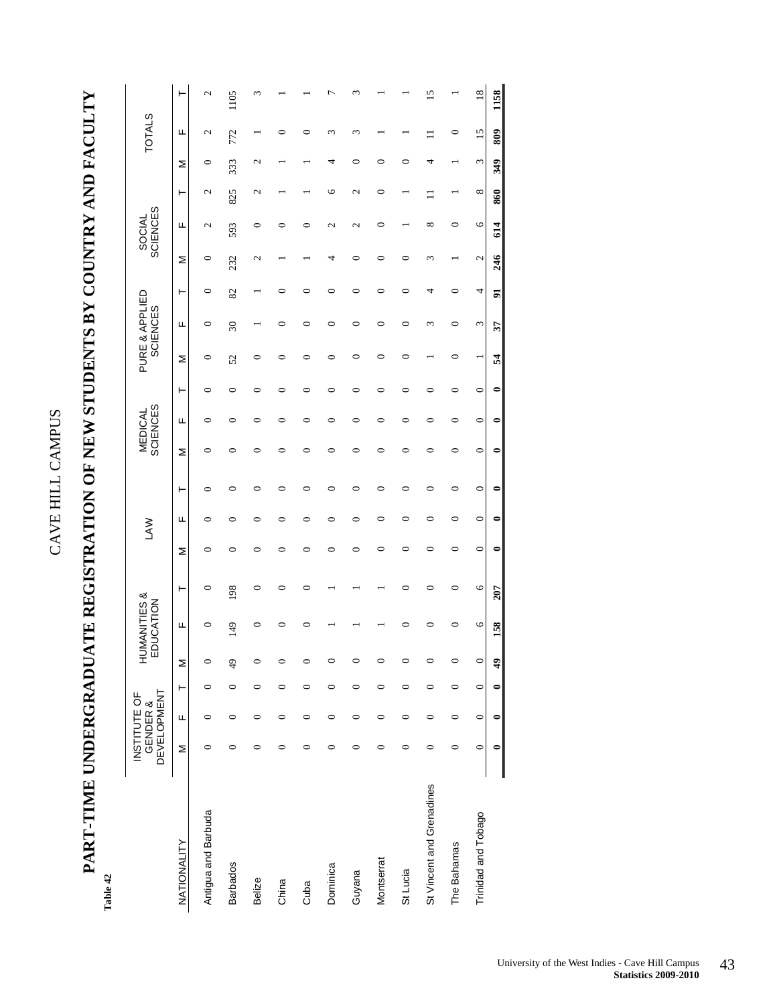## **PART-TIME UNDERGRADUATE REGISTRATION OF NEW STUDENTS BY COUNTRY AND FACULTY**  PART-TIME UNDERGRADUATE REGISTRATION OF NEW STUDENTS BY COUNTRY AND FACULTY

Table 42 **Table 42** 

|                           | <b>DEVELOPMENT</b> | INSTITUTE OF<br><b>GENDER &amp;</b> |         |            | HUMANITIES &<br>EDUCATION |         |         | <b>LAW</b> |         | <b>SCIENCES</b><br><b>MEDICAL</b> |         |         | <b>SCIENCES</b> | PURE & APPLIED           |    |         | <b>SCIENCES</b><br>SOCIAL |            |     | <b>TOTALS</b>             |      |
|---------------------------|--------------------|-------------------------------------|---------|------------|---------------------------|---------|---------|------------|---------|-----------------------------------|---------|---------|-----------------|--------------------------|----|---------|---------------------------|------------|-----|---------------------------|------|
| <b>NATIONALITY</b>        | Σ                  | Щ                                   | ۳       | Σ          | щ                         | ۲       | Σ       | щ          | ۲       | Σ                                 | щ       | ۲       | Σ               | щ                        | ۲  | Σ       | щ                         | ۲          | Σ   | щ                         | ۲    |
| Antigua and Barbuda       | 0                  | 0                                   | 0       | $\circ$    | 0                         | 0       |         |            |         | 0                                 | c       | 0       | 0               | 0                        | 0  | $\circ$ | 2                         | 2          | 0   | N                         | N    |
| <b>Barbados</b>           | 0                  | 0                                   | 0       | 49         | 149                       | 198     |         |            | ⊂       | ⊂                                 |         | 0       | 52              | $\overline{\mathcal{E}}$ | 82 | 232     | 593                       | 825        | 333 | 772                       | 1105 |
| Belize                    | 0                  | $\circ$                             | $\circ$ | $\circ$    | ∊                         | 0       |         |            | 0       | 0                                 |         | ⊂       | 0               |                          |    | 2       | $\circ$                   | 2          | 2   |                           |      |
| China                     | 0                  | 0                                   | 0       | 0          |                           | 0       |         |            | ∊       | 0                                 |         |         | 0               |                          |    |         | 0                         |            |     |                           |      |
| Cuba                      | 0                  | $\circ$                             | $\circ$ | 0          |                           | 0       |         |            | 0       | 0                                 | 0       | 0       | 0               |                          |    |         | ⊂                         |            |     |                           |      |
| Dominica                  | 0                  | $\circ$                             | 0       | 0          |                           |         |         | ∊          | $\circ$ | 0                                 | ∊       | 0       | ⊂               | ⊂                        |    | 4       | 2                         | ७          |     | m                         |      |
| Guyana                    | 0                  | $\circ$                             | 0       | 0          |                           |         |         | 0          | 0       | 0                                 | 0       | 0       | 0               | ⊂                        | ⊂  | 0       | $\mathcal{L}$             | 2          |     | $\widetilde{\phantom{a}}$ |      |
| Montserrat                | 0                  | $\circ$                             | 0       | 0          |                           |         |         | 0          | 0       | 0                                 | 0       | 0       | 0               | ⊂                        | ⊂  | 0       | 0                         | 0          | ⊂   |                           |      |
| St Lucia                  | 0                  | $\circ$                             | $\circ$ | $\circ$    |                           | 0       | ⊂       |            | 0       | 0                                 | 0       | 0       | 0               | 0                        |    | 0       |                           |            |     |                           |      |
| St Vincent and Grenadines | 0                  | 0                                   | 0       | 0          |                           | 0       |         |            | ⊂       | ⊂                                 |         |         |                 | m                        | ₹  | ε       | $^{\circ}$                |            |     |                           | ŋ    |
| The Bahamas               | 0                  | $\circ$                             | 0       | $\circ$    |                           | 0       |         |            |         | 0                                 | ⊂       | 0       | 0               | ⊂                        |    |         | 0                         |            |     | 0                         |      |
| Trinidad and Tobago       | $\circ$            | $\circ$                             | $\circ$ | $\circ$    | $\circ$                   | $\circ$ | $\circ$ | $\circ$    | $\circ$ | $\circ$                           | $\circ$ | $\circ$ |                 | 3                        | 4  | 2       | $\circ$                   | $^{\circ}$ | 3   | 15                        | 18   |
|                           |                    |                                     |         | $\ddot{ }$ | 158                       | 207     |         |            |         |                                   |         |         | Z               | 37                       | 5  | 246     | 614                       | 860        | 349 | 809                       | 1158 |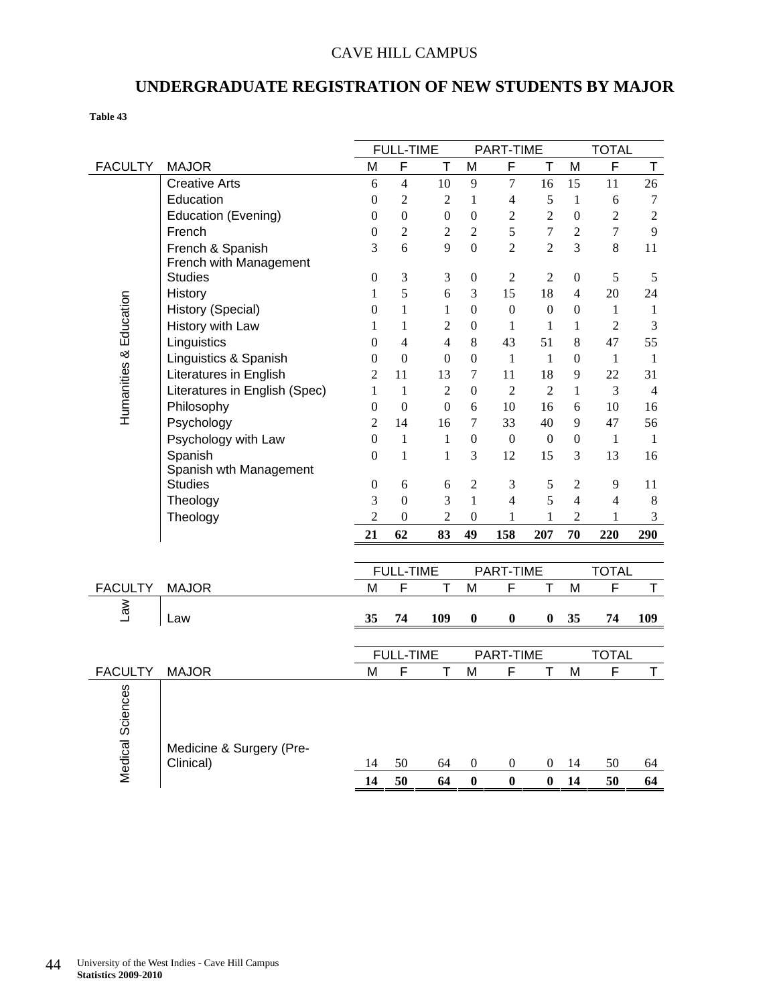### CAVE HILL CAMPUS

### **UNDERGRADUATE REGISTRATION OF NEW STUDENTS BY MAJOR**

**Table 43** 

|                        |                                       |                  | <b>FULL-TIME</b> |                          |                  | PART-TIME        |                  |                  | <b>TOTAL</b>   |                  |
|------------------------|---------------------------------------|------------------|------------------|--------------------------|------------------|------------------|------------------|------------------|----------------|------------------|
| <b>FACULTY</b>         | <b>MAJOR</b>                          | M                | F                | T                        | M                | $\mathsf{F}$     | т                | M                | F              | T                |
|                        | <b>Creative Arts</b>                  | 6                | $\overline{4}$   | 10                       | 9                | $\boldsymbol{7}$ | 16               | 15               | 11             | 26               |
|                        | Education                             | 0                | $\overline{2}$   | 2                        | $\mathbf{1}$     | $\overline{4}$   | 5                | $\mathbf{1}$     | 6              | $\boldsymbol{7}$ |
|                        | <b>Education (Evening)</b>            | $\theta$         | $\mathbf{0}$     | $\overline{0}$           | $\boldsymbol{0}$ | $\overline{2}$   | $\overline{2}$   | $\mathbf{0}$     | $\overline{c}$ | $\overline{2}$   |
|                        | French                                | $\boldsymbol{0}$ | $\overline{2}$   | $\overline{2}$           | $\overline{2}$   | 5                | $\overline{7}$   | $\overline{2}$   | $\overline{7}$ | 9                |
|                        | French & Spanish                      | 3                | 6                | 9                        | $\overline{0}$   | $\overline{2}$   | $\overline{c}$   | 3                | 8              | 11               |
|                        | French with Management                |                  |                  |                          |                  |                  |                  |                  |                |                  |
|                        | <b>Studies</b>                        | $\mathbf{0}$     | 3                | 3                        | $\theta$         | 2                | $\overline{2}$   | $\mathbf{0}$     | 5              | 5                |
|                        | History                               | $\mathbf{1}$     | 5                | 6                        | 3                | 15               | 18               | $\overline{4}$   | 20             | 24               |
|                        | History (Special)                     | $\boldsymbol{0}$ | $\mathbf{1}$     | $\mathbf{1}$             | $\boldsymbol{0}$ | $\mathbf{0}$     | $\boldsymbol{0}$ | $\boldsymbol{0}$ | $\mathbf{1}$   | $1\,$            |
|                        | History with Law                      | 1                | $\mathbf{1}$     | $\overline{2}$           | $\theta$         | $\mathbf{1}$     | 1                | 1                | $\overline{c}$ | 3                |
|                        | Linguistics                           | $\theta$         | $\overline{4}$   | $\overline{\mathcal{L}}$ | $8\,$            | 43               | 51               | $8\,$            | 47             | 55               |
|                        | Linguistics & Spanish                 | $\boldsymbol{0}$ | $\boldsymbol{0}$ | $\overline{0}$           | $\boldsymbol{0}$ | $\mathbf{1}$     | $\mathbf{1}$     | $\mathbf{0}$     | $\mathbf{1}$   | $\mathbf{1}$     |
|                        | <b>Literatures in English</b>         | $\overline{2}$   | 11               | 13                       | $\overline{7}$   | 11               | 18               | 9                | 22             | 31               |
| Humanities & Education | Literatures in English (Spec)         | $\mathbf{1}$     | 1                | $\overline{2}$           | $\theta$         | $\overline{2}$   | $\overline{2}$   | 1                | 3              | $\overline{4}$   |
|                        | Philosophy                            | $\boldsymbol{0}$ | $\boldsymbol{0}$ | $\boldsymbol{0}$         | 6                | 10               | 16               | 6                | 10             | 16               |
|                        | Psychology                            | $\overline{2}$   | 14               | 16                       | $\overline{7}$   | 33               | 40               | 9                | 47             | 56               |
|                        | Psychology with Law                   | $\theta$         | $\mathbf{1}$     | $\mathbf{1}$             | $\mathbf{0}$     | $\boldsymbol{0}$ | $\theta$         | $\boldsymbol{0}$ | $\mathbf{1}$   | 1                |
|                        | Spanish                               | $\Omega$         | $\mathbf{1}$     | $\mathbf{1}$             | 3                | 12               | 15               | 3                | 13             | 16               |
|                        | Spanish wth Management                |                  |                  |                          |                  |                  |                  |                  |                |                  |
|                        | Studies                               | $\boldsymbol{0}$ | 6                | 6                        | $\overline{2}$   | 3                | 5                | $\mathfrak{2}$   | 9              | 11               |
|                        | Theology                              | 3                | $\overline{0}$   | 3                        | $\mathbf{1}$     | $\overline{4}$   | 5                | $\overline{4}$   | $\overline{4}$ | $\,8\,$          |
|                        | Theology                              | $\overline{2}$   | $\boldsymbol{0}$ | $\overline{c}$           | $\boldsymbol{0}$ | $\mathbf{1}$     | $\mathbf{1}$     | $\overline{2}$   | $\mathbf{1}$   | $\mathfrak{Z}$   |
|                        |                                       | 21               | 62               | 83                       | 49               | 158              | 207              | 70               | 220            | 290              |
|                        |                                       |                  |                  |                          |                  |                  |                  |                  |                |                  |
|                        |                                       |                  | <b>FULL-TIME</b> |                          |                  | PART-TIME        |                  |                  | <b>TOTAL</b>   |                  |
| <b>FACULTY</b>         | <b>MAJOR</b>                          | M                | F                | T                        | M                | F                | $\mathsf T$      | M                | F              | T                |
| $\mathsf{Law}$         |                                       |                  |                  |                          |                  |                  |                  |                  |                |                  |
|                        | Law                                   | 35               | 74               | 109                      | 0                | $\boldsymbol{0}$ | 0                | 35               | 74             | 109              |
|                        |                                       |                  |                  |                          |                  |                  |                  |                  |                |                  |
|                        |                                       |                  | <b>FULL-TIME</b> |                          |                  | PART-TIME        |                  |                  | <b>TOTAL</b>   |                  |
| <b>FACULTY</b>         | <b>MAJOR</b>                          | M                | F                | T                        | M                | F                | т                | M                | F              | T                |
|                        |                                       |                  |                  |                          |                  |                  |                  |                  |                |                  |
|                        |                                       |                  |                  |                          |                  |                  |                  |                  |                |                  |
|                        |                                       |                  |                  |                          |                  |                  |                  |                  |                |                  |
|                        |                                       |                  |                  |                          |                  |                  |                  |                  |                |                  |
|                        | Medicine & Surgery (Pre-<br>Clinical) | 14               | 50               | 64                       | $\boldsymbol{0}$ | 0                | 0                | 14               | 50             |                  |
| Medical Sciences       |                                       | 14               | 50               | 64                       | $\bf{0}$         | $\bf{0}$         | $\bf{0}$         | 14               | 50             | 64<br>64         |
|                        |                                       |                  |                  |                          |                  |                  |                  |                  |                |                  |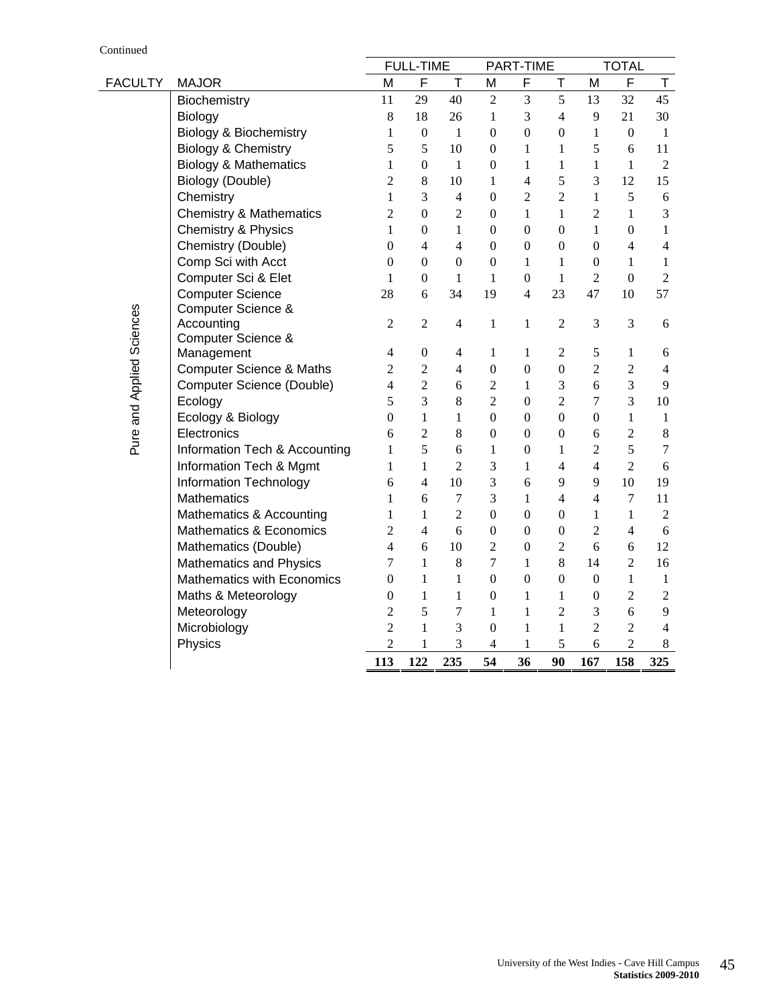|                           |                                     |                  | <b>FULL-TIME</b>         |                  |                  | PART-TIME        |                          |                  | <b>TOTAL</b>     |                |
|---------------------------|-------------------------------------|------------------|--------------------------|------------------|------------------|------------------|--------------------------|------------------|------------------|----------------|
| <b>FACULTY</b>            | <b>MAJOR</b>                        | M                | F                        | T                | M                | F                | Τ                        | M                | F                | T              |
|                           | Biochemistry                        | 11               | 29                       | 40               | $\overline{2}$   | 3                | 5                        | 13               | 32               | 45             |
|                           | Biology                             | $\,8\,$          | 18                       | 26               | $\mathbf{1}$     | 3                | $\overline{4}$           | 9                | 21               | 30             |
|                           | <b>Biology &amp; Biochemistry</b>   | $\mathbf{1}$     | $\boldsymbol{0}$         | $\mathbf{1}$     | $\boldsymbol{0}$ | $\overline{0}$   | $\boldsymbol{0}$         | $\mathbf{1}$     | $\boldsymbol{0}$ | $\mathbf{1}$   |
|                           | Biology & Chemistry                 | 5                | 5                        | 10               | $\boldsymbol{0}$ | $\mathbf{1}$     | $\mathbf{1}$             | 5                | 6                | 11             |
|                           | <b>Biology &amp; Mathematics</b>    | $\mathbf{1}$     | $\boldsymbol{0}$         | $\mathbf{1}$     | $\boldsymbol{0}$ | $\mathbf{1}$     | $\mathbf{1}$             | $\mathbf{1}$     | $\mathbf{1}$     | $\overline{2}$ |
|                           | Biology (Double)                    | $\overline{2}$   | $8\,$                    | 10               | 1                | $\overline{4}$   | 5                        | 3                | 12               | 15             |
|                           | Chemistry                           | $\mathbf{1}$     | 3                        | $\overline{4}$   | $\boldsymbol{0}$ | $\overline{2}$   | $\overline{2}$           | $\mathbf{1}$     | 5                | 6              |
|                           | <b>Chemistry &amp; Mathematics</b>  | $\overline{2}$   | $\overline{0}$           | $\overline{2}$   | $\boldsymbol{0}$ | $\mathbf{1}$     | $\mathbf{1}$             | $\overline{2}$   | $\mathbf{1}$     | 3              |
|                           | Chemistry & Physics                 | $\mathbf{1}$     | $\theta$                 | $\mathbf{1}$     | $\boldsymbol{0}$ | $\overline{0}$   | $\overline{0}$           | $\mathbf{1}$     | $\boldsymbol{0}$ | $\mathbf{1}$   |
|                           | Chemistry (Double)                  | $\boldsymbol{0}$ | $\overline{\mathcal{L}}$ | $\overline{4}$   | $\boldsymbol{0}$ | $\boldsymbol{0}$ | $\boldsymbol{0}$         | $\boldsymbol{0}$ | $\overline{4}$   | $\overline{4}$ |
|                           | Comp Sci with Acct                  | $\boldsymbol{0}$ | $\boldsymbol{0}$         | $\boldsymbol{0}$ | $\mathbf{0}$     | $\mathbf{1}$     | $\mathbf{1}$             | $\boldsymbol{0}$ | 1                | $\mathbf{1}$   |
|                           | Computer Sci & Elet                 | $\mathbf{1}$     | $\boldsymbol{0}$         | $\mathbf{1}$     | $\mathbf{1}$     | $\boldsymbol{0}$ | $\mathbf{1}$             | $\overline{2}$   | $\boldsymbol{0}$ | $\overline{2}$ |
|                           | <b>Computer Science</b>             | 28               | 6                        | 34               | 19               | $\overline{4}$   | 23                       | 47               | 10               | 57             |
|                           | Computer Science &                  |                  |                          |                  |                  |                  |                          |                  |                  |                |
|                           | Accounting                          | $\overline{2}$   | $\mathfrak{2}$           | $\overline{4}$   | $\mathbf{1}$     | 1                | $\overline{2}$           | 3                | 3                | $\sqrt{6}$     |
|                           | Computer Science &                  |                  |                          |                  |                  |                  |                          |                  |                  |                |
| Pure and Applied Sciences | Management                          | $\overline{4}$   | $\boldsymbol{0}$         | $\overline{4}$   | 1                | $\mathbf{1}$     | 2                        | 5                | 1                | 6              |
|                           | <b>Computer Science &amp; Maths</b> | $\overline{2}$   | $\overline{2}$           | $\overline{4}$   | $\boldsymbol{0}$ | $\boldsymbol{0}$ | $\mathbf{0}$             | $\overline{c}$   | $\sqrt{2}$       | $\overline{4}$ |
|                           | Computer Science (Double)           | $\overline{4}$   | $\overline{2}$           | 6                | $\overline{2}$   | $\mathbf{1}$     | 3                        | 6                | 3                | 9              |
|                           | Ecology                             | 5                | 3                        | $\,8\,$          | $\overline{2}$   | $\boldsymbol{0}$ | $\overline{2}$           | $\boldsymbol{7}$ | 3                | 10             |
|                           | Ecology & Biology                   | $\mathbf{0}$     | 1                        | $\mathbf{1}$     | $\boldsymbol{0}$ | $\boldsymbol{0}$ | $\mathbf{0}$             | $\boldsymbol{0}$ | $\mathbf{1}$     | 1              |
|                           | Electronics                         | 6                | $\overline{2}$           | 8                | $\boldsymbol{0}$ | $\boldsymbol{0}$ | $\boldsymbol{0}$         | 6                | $\overline{c}$   | 8              |
|                           | Information Tech & Accounting       | $\mathbf{1}$     | 5                        | 6                | 1                | $\mathbf{0}$     | 1                        | $\overline{2}$   | 5                | $\tau$         |
|                           | Information Tech & Mgmt             | $\mathbf{1}$     | $\mathbf{1}$             | $\overline{2}$   | 3                | $\mathbf{1}$     | $\overline{\mathbf{4}}$  | $\overline{4}$   | $\overline{2}$   | 6              |
|                           | Information Technology              | 6                | 4                        | 10               | 3                | 6                | 9                        | 9                | 10               | 19             |
|                           | <b>Mathematics</b>                  | 1                | 6                        | $\tau$           | 3                | $\mathbf{1}$     | $\overline{\mathcal{L}}$ | $\overline{4}$   | $\tau$           | 11             |
|                           | Mathematics & Accounting            | 1                | 1                        | $\overline{2}$   | $\boldsymbol{0}$ | $\mathbf{0}$     | $\boldsymbol{0}$         | $\mathbf{1}$     | 1                | $\overline{2}$ |
|                           | Mathematics & Economics             | $\overline{2}$   | $\overline{4}$           | 6                | $\boldsymbol{0}$ | $\overline{0}$   | $\boldsymbol{0}$         | $\overline{2}$   | $\overline{4}$   | 6              |
|                           | Mathematics (Double)                | 4                | 6                        | 10               | $\overline{2}$   | $\mathbf{0}$     | $\overline{2}$           | 6                | 6                | 12             |
|                           | <b>Mathematics and Physics</b>      | 7                | $\mathbf{1}$             | 8                | 7                | $\mathbf{1}$     | 8                        | 14               | $\overline{2}$   | 16             |
|                           | <b>Mathematics with Economics</b>   | $\boldsymbol{0}$ | 1                        | 1                | $\boldsymbol{0}$ | $\mathbf{0}$     | $\boldsymbol{0}$         | $\boldsymbol{0}$ | 1                | $\mathbf{1}$   |
|                           | Maths & Meteorology                 | $\mathbf{0}$     | $\mathbf{1}$             | $\mathbf{1}$     | $\boldsymbol{0}$ | $\mathbf{1}$     | $\mathbf{1}$             | $\boldsymbol{0}$ | $\overline{2}$   | $\mathbf{2}$   |
|                           | Meteorology                         | $\overline{2}$   | 5                        | $\overline{7}$   | 1                | 1                | $\overline{2}$           | 3                | 6                | 9              |
|                           | Microbiology                        | $\overline{2}$   | 1                        | 3                | $\boldsymbol{0}$ | $\mathbf{1}$     | $\mathbf{1}$             | $\overline{2}$   | $\overline{2}$   | $\overline{4}$ |
|                           | Physics                             | $\overline{c}$   | 1                        | 3                | $\overline{4}$   | 1                | 5                        | 6                | $\overline{2}$   | 8              |
|                           |                                     | 113              | 122                      | 235              | 54               | 36               | 90                       | 167              | 158              | 325            |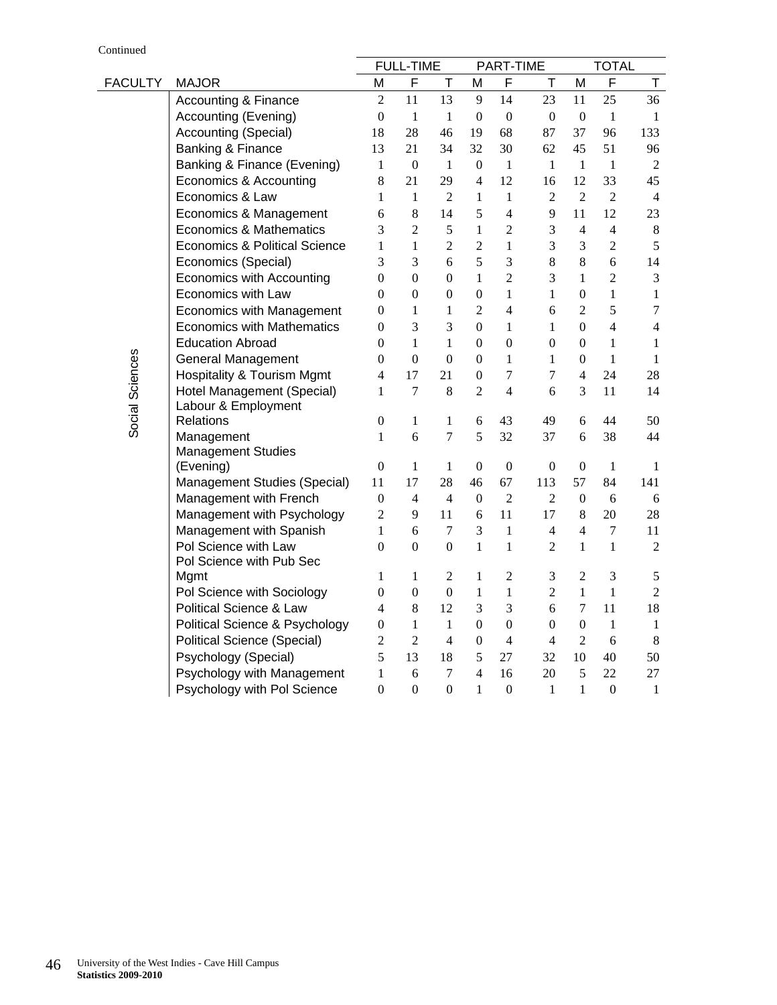Continued

|                 |                                                  |                                | <b>FULL-TIME</b>    |                  |                   | PART-TIME                    |                                  |                                | TOTAL                            |                      |
|-----------------|--------------------------------------------------|--------------------------------|---------------------|------------------|-------------------|------------------------------|----------------------------------|--------------------------------|----------------------------------|----------------------|
| <b>FACULTY</b>  | <b>MAJOR</b>                                     | М                              | F                   | Τ                | М                 | F                            | т                                | М                              | F                                | T.                   |
|                 | <b>Accounting &amp; Finance</b>                  | $\overline{2}$                 | 11                  | 13               | 9                 | 14                           | 23                               | 11                             | 25                               | 36                   |
|                 | <b>Accounting (Evening)</b>                      | $\boldsymbol{0}$               | $\mathbf{1}$        | $\mathbf{1}$     | 0                 | $\boldsymbol{0}$             | $\boldsymbol{0}$                 | $\boldsymbol{0}$               | $\mathbf{1}$                     | 1                    |
|                 | Accounting (Special)                             | 18                             | 28                  | 46               | 19                | 68                           | 87                               | 37                             | 96                               | 133                  |
|                 | Banking & Finance                                | 13                             | 21                  | 34               | 32                | 30                           | 62                               | 45                             | 51                               | 96                   |
|                 | Banking & Finance (Evening)                      | $\mathbf{1}$                   | $\boldsymbol{0}$    | 1                | $\overline{0}$    | $\mathbf{1}$                 | $\mathbf{1}$                     | $\mathbf{1}$                   | $\mathbf{1}$                     | $\mathbf{2}$         |
|                 | Economics & Accounting                           | $8\,$                          | 21                  | 29               | $\overline{4}$    | 12                           | 16                               | 12                             | 33                               | 45                   |
|                 | Economics & Law                                  | $\mathbf{1}$                   | $\mathbf{1}$        | $\overline{2}$   | $\mathbf{1}$      | $\mathbf{1}$                 | $\overline{2}$                   | $\overline{2}$                 | $\overline{2}$                   | $\overline{4}$       |
|                 | Economics & Management                           | 6                              | 8                   | 14               | 5                 | $\overline{4}$               | 9                                | 11                             | 12                               | 23                   |
|                 | Economics & Mathematics                          | 3                              | $\overline{2}$      | 5                | 1                 | $\overline{2}$               | 3                                | $\overline{4}$                 | $\overline{4}$                   | $\,8\,$              |
|                 | <b>Economics &amp; Political Science</b>         | 1                              | $\mathbf{1}$        | $\overline{2}$   | $\overline{2}$    | 1                            | 3                                | 3                              | $\overline{2}$                   | 5                    |
|                 | Economics (Special)                              | 3                              | 3                   | 6                | 5                 | 3                            | 8                                | 8                              | 6                                | 14                   |
|                 | Economics with Accounting                        | $\overline{0}$                 | $\theta$            | $\overline{0}$   | 1                 | $\overline{2}$               | 3                                | $\mathbf{1}$                   | $\overline{2}$                   | 3                    |
|                 | Economics with Law                               | $\overline{0}$                 | $\theta$            | $\theta$         | $\overline{0}$    | 1                            | $\mathbf{1}$                     | $\mathbf{0}$                   | $\mathbf{1}$                     | 1                    |
|                 | <b>Economics with Management</b>                 | $\overline{0}$                 | 1                   | 1                | $\overline{2}$    | $\overline{4}$               | 6                                | 2                              | 5                                | $\tau$               |
|                 | <b>Economics with Mathematics</b>                | $\overline{0}$                 | 3                   | 3                | $\mathbf{0}$      | $\mathbf{1}$                 | $\mathbf{1}$                     | $\Omega$                       | $\overline{4}$                   | 4                    |
|                 | <b>Education Abroad</b>                          | $\overline{0}$                 | $\mathbf{1}$        | $\mathbf{1}$     | $\mathbf{0}$      | $\mathbf{0}$                 | $\theta$                         | $\mathbf{0}$                   | $\mathbf{1}$                     | 1                    |
| Social Sciences | <b>General Management</b>                        | 0                              | $\boldsymbol{0}$    | $\boldsymbol{0}$ | $\boldsymbol{0}$  | $\mathbf{1}$                 | $\mathbf{1}$                     | $\boldsymbol{0}$               | $\mathbf{1}$                     | $\mathbf{1}$         |
|                 | <b>Hospitality &amp; Tourism Mgmt</b>            | $\overline{4}$                 | 17                  | 21               | $\boldsymbol{0}$  | $\overline{7}$               | 7                                | $\overline{4}$                 | 24                               | 28                   |
|                 | Hotel Management (Special)                       | 1                              | $\overline{7}$      | 8                | $\overline{2}$    | 4                            | 6                                | 3                              | 11                               | 14                   |
|                 | Labour & Employment                              |                                |                     |                  |                   |                              |                                  |                                |                                  |                      |
|                 | Relations                                        | $\boldsymbol{0}$               | 1                   | 1                | 6                 | 43                           | 49                               | 6                              | 44                               | 50                   |
|                 | Management                                       | 1                              | 6                   | $\overline{7}$   | 5                 | 32                           | 37                               | 6                              | 38                               | 44                   |
|                 | <b>Management Studies</b>                        |                                |                     |                  |                   |                              |                                  |                                |                                  |                      |
|                 | (Evening)                                        | $\boldsymbol{0}$               | 1                   | 1                | 0                 | $\mathbf{0}$                 | 0                                | $\boldsymbol{0}$               | 1                                | 1                    |
|                 | Management Studies (Special)                     | 11                             | 17                  | 28               | 46                | 67<br>$\overline{2}$         | 113                              | 57                             | 84                               | 141                  |
|                 | Management with French                           | $\boldsymbol{0}$               | 4                   | $\overline{4}$   | $\theta$          |                              | 2                                | $\mathbf{0}$                   | 6                                | 6                    |
|                 | Management with Psychology                       | $\overline{2}$                 | 9                   | 11               | 6                 | 11                           | 17                               | 8                              | 20                               | 28                   |
|                 | Management with Spanish                          | $\mathbf{1}$<br>$\overline{0}$ | 6<br>$\overline{0}$ | 7<br>$\Omega$    | 3<br>$\mathbf{1}$ | $\mathbf{1}$<br>$\mathbf{1}$ | $\overline{4}$<br>$\overline{2}$ | $\overline{4}$<br>$\mathbf{1}$ | $\boldsymbol{7}$<br>$\mathbf{1}$ | 11<br>$\overline{2}$ |
|                 | Pol Science with Law<br>Pol Science with Pub Sec |                                |                     |                  |                   |                              |                                  |                                |                                  |                      |
|                 | Mgmt                                             | 1                              | 1                   | 2                | 1                 | $\overline{2}$               | 3                                | $\overline{2}$                 | 3                                | 5                    |
|                 | Pol Science with Sociology                       | $\overline{0}$                 | $\mathbf{0}$        | $\mathbf{0}$     | $\mathbf{1}$      | $\mathbf{1}$                 | $\overline{2}$                   | $\mathbf{1}$                   | $\mathbf{1}$                     | $\overline{2}$       |
|                 | Political Science & Law                          | 4                              | 8                   | 12               | 3                 | 3                            | 6                                | $\tau$                         | 11                               | 18                   |
|                 | Political Science & Psychology                   | $\overline{0}$                 | 1                   | 1                | $\overline{0}$    | $\mathbf{0}$                 | $\overline{0}$                   | $\mathbf{0}$                   | $\mathbf{1}$                     | $\mathbf{1}$         |
|                 | Political Science (Special)                      | $\boldsymbol{2}$               | $\overline{2}$      | $\overline{4}$   | $\boldsymbol{0}$  | $\overline{4}$               | $\overline{4}$                   | $\overline{2}$                 | 6                                | $\,8\,$              |
|                 | Psychology (Special)                             | 5                              | 13                  | 18               | 5                 | 27                           | 32                               | 10                             | 40                               | 50                   |
|                 | Psychology with Management                       | $\mathbf{1}$                   | 6                   | $\tau$           | $\overline{4}$    | 16                           | 20                               | 5                              | 22                               | 27                   |
|                 | Psychology with Pol Science                      | $\boldsymbol{0}$               | $\theta$            | $\boldsymbol{0}$ | $\mathbf{1}$      | $\boldsymbol{0}$             | 1                                | $\mathbf{1}$                   | $\boldsymbol{0}$                 | $\mathbf{1}$         |
|                 |                                                  |                                |                     |                  |                   |                              |                                  |                                |                                  |                      |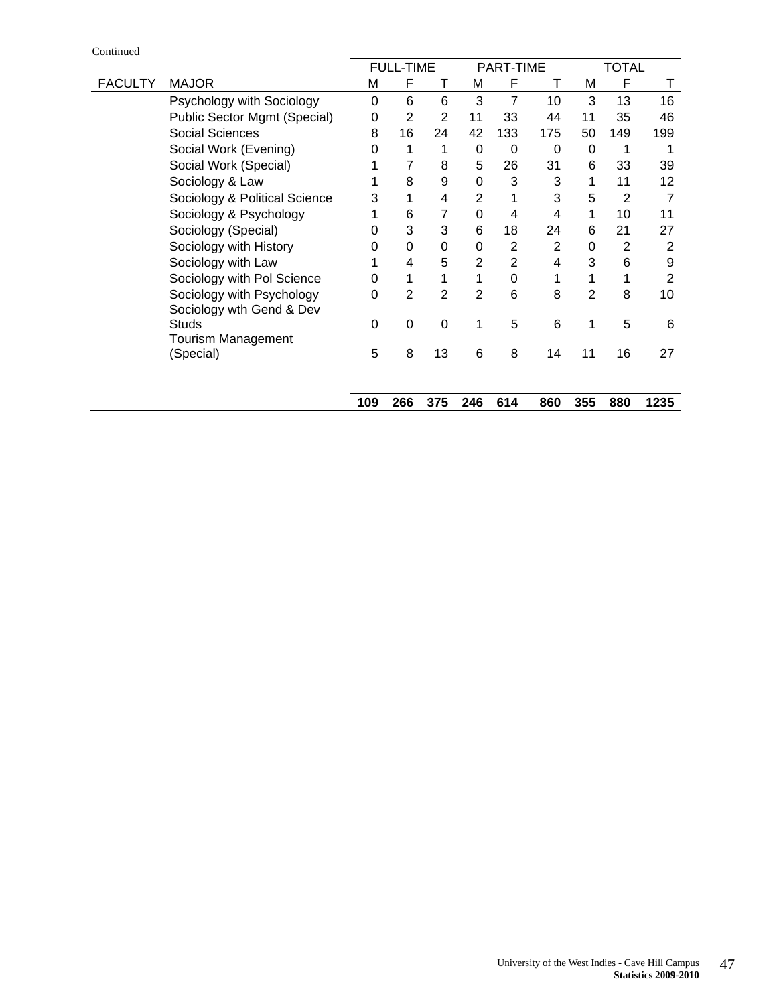Continued

|                |                               |     | <b>FULL-TIME</b> |                |                | PART-TIME       |     |                | <b>TOTAL</b> |      |
|----------------|-------------------------------|-----|------------------|----------------|----------------|-----------------|-----|----------------|--------------|------|
| <b>FACULTY</b> | <b>MAJOR</b>                  | M   | F                | т              | M              | F               | т   | M              | F            | Τ    |
|                | Psychology with Sociology     | 0   | 6                | 6              | 3              | $\overline{7}$  | 10  | 3              | 13           | 16   |
|                | Public Sector Mgmt (Special)  | 0   | $\overline{2}$   | 2              | 11             | 33              | 44  | 11             | 35           | 46   |
|                | <b>Social Sciences</b>        | 8   | 16               | 24             | 42             | 133             | 175 | 50             | 149          | 199  |
|                | Social Work (Evening)         | 0   | 1                | 1              | 0              | 0               | 0   | 0              | 1            |      |
|                | Social Work (Special)         |     | 7                | 8              | 5              | 26              | 31  | 6              | 33           | 39   |
|                | Sociology & Law               |     | 8                | 9              | 0              | 3               | 3   |                | 11           | 12   |
|                | Sociology & Political Science | 3   | 1                | $\overline{4}$ | $\overline{2}$ |                 | 3   | 5              | 2            |      |
|                | Sociology & Psychology        |     | 6                | 7              | $\Omega$       | 4               | 4   | 1              | 10           | 11   |
|                | Sociology (Special)           | 0   | 3                | 3              | 6              | 18              | 24  | 6              | 21           | 27   |
|                | Sociology with History        | 0   | 0                | 0              | 0              | $\overline{2}$  | 2   | 0              | 2            | 2    |
|                | Sociology with Law            |     | 4                | 5              | 2              | $\overline{2}$  | 4   | 3              | 6            | 9    |
|                | Sociology with Pol Science    | 0   | 1                | 1              |                | $\Omega$        |     |                |              | 2    |
|                | Sociology with Psychology     | 0   | $\overline{2}$   | $\overline{2}$ | $\overline{2}$ | 6               | 8   | $\overline{2}$ | 8            | 10   |
|                | Sociology wth Gend & Dev      |     |                  |                |                |                 |     |                |              |      |
|                | Studs                         | 0   | $\mathbf 0$      | $\mathbf 0$    | 1              | $5\phantom{.0}$ | 6   | 1              | 5            | 6    |
|                | Tourism Management            |     |                  |                |                |                 |     |                |              |      |
|                | (Special)                     | 5   | 8                | 13             | 6              | 8               | 14  | 11             | 16           | 27   |
|                |                               |     |                  |                |                |                 |     |                |              |      |
|                |                               | 109 | 266              | 375            | 246            | 614             | 860 | 355            | 880          | 1235 |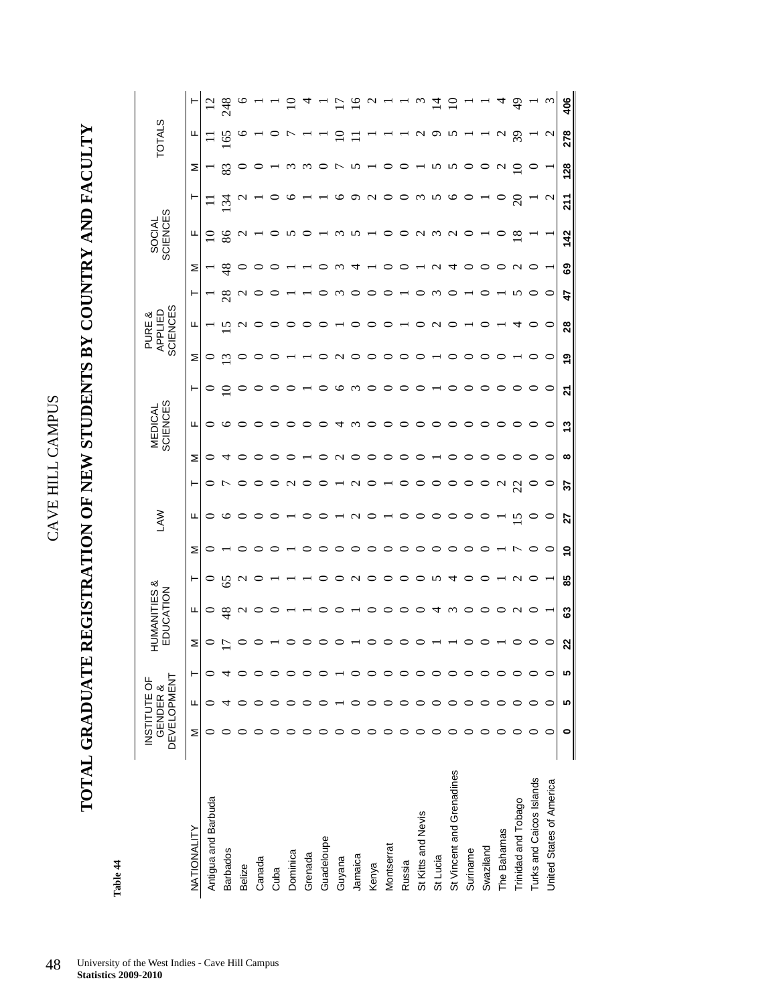**TOTAL GRADUATE REGISTRATION OF NEW STUDENTS BY COUNTRY AND FACULTY**  TOTAL GRADUATE REGISTRATION OF NEW STUDENTS BY COUNTRY AND FACULTY

> Table 44 **Table 44**

|                           | <b>DEVELOPMENT</b><br>INSTITUTE OF | GENDER & |   |                | <b>JUMANITIES &amp;</b><br>EDUCATION |         |               | Š               |    |         | <b>SCIENCES</b><br><b>MEDICAL</b> |          |          | <b>SCIENCES</b><br>APPLIED<br>PURE & |    |               | SOCIAL<br>SCIENCES      |                     |             | <b>TOTALS</b> |               |
|---------------------------|------------------------------------|----------|---|----------------|--------------------------------------|---------|---------------|-----------------|----|---------|-----------------------------------|----------|----------|--------------------------------------|----|---------------|-------------------------|---------------------|-------------|---------------|---------------|
| NATIONALITY               | Σ                                  | щ        | ⊢ | Σ              | щ                                    | ⊢       | Σ             | щ               | ۳  | Σ       | щ                                 | ⊢        | Σ        | щ                                    | ۲  | Σ             | щ                       | ۳                   | Σ           | щ             |               |
| Antigua and Barbuda       |                                    |          |   | ○              | 0                                    | $\circ$ | $\circ$       | ○               |    | 0       | ○                                 |          |          |                                      |    |               | $\overline{0}$          |                     |             |               |               |
| <b>Barbados</b>           |                                    |          |   | ┍              | $\frac{8}{3}$                        | 65      |               | ७               |    | 4       | ७                                 |          | ω)       | N                                    | 28 | $\frac{8}{4}$ | 86                      | $\mathcal{L}$       | జ           | $\mathcal{S}$ | 248           |
| Belize                    |                                    |          |   |                | $\sim$                               | $\sim$  |               |                 |    |         | ○                                 |          |          |                                      |    |               | $\mathbf{\sim}$         |                     |             |               |               |
| Canada                    |                                    |          |   |                |                                      |         |               |                 |    |         |                                   |          |          |                                      |    |               |                         |                     |             |               |               |
| Cuba                      |                                    |          |   |                |                                      |         |               |                 |    |         | ○                                 |          |          |                                      |    |               |                         |                     |             |               |               |
| Dominica                  |                                    |          |   |                |                                      |         |               |                 |    |         |                                   |          |          |                                      |    |               |                         |                     | $\omega$    |               |               |
| Grenada                   |                                    |          |   |                |                                      |         |               |                 |    |         |                                   |          |          |                                      |    |               |                         |                     |             |               |               |
| Guadeloupe                |                                    |          |   |                |                                      |         |               |                 |    |         |                                   |          |          |                                      |    |               |                         |                     |             |               |               |
| Guyana                    |                                    |          |   |                |                                      |         |               |                 |    | $\sim$  | 4                                 | ⊵        |          |                                      |    |               |                         | ७                   |             |               |               |
| Jamaica                   |                                    |          |   |                |                                      | c       | ○             | c               | c  | ○       | $\omega$                          | $\omega$ |          |                                      |    |               |                         | ᡡ                   |             |               |               |
| Kenya                     |                                    |          |   |                |                                      | ○       | $\circ$       |                 |    |         | ○                                 |          |          |                                      |    |               |                         | $\sim$              |             |               |               |
| Montserrat                |                                    |          |   |                |                                      |         |               |                 |    |         | $\circ$                           |          |          |                                      |    |               |                         | O                   |             |               |               |
| Russia                    |                                    |          |   |                |                                      |         | ○             |                 |    |         | ○                                 |          |          |                                      |    |               |                         | ◡                   |             |               |               |
| St Kitts and Nevis        |                                    |          |   |                |                                      |         |               |                 |    |         | $\circ$                           |          |          |                                      |    |               | $\mathbf{\hat{c}}$<br>Y | $\omega$            |             | c             | (پ            |
| St Lucia                  |                                    |          |   |                | 4                                    | n       | ○             | ○               |    |         | ○                                 |          |          |                                      |    | c             | $\omega$                | $\sim$              | n           | O             | $\vec{a}$     |
| St Vincent and Grenadines |                                    |          |   |                | $\omega$                             |         | ○             |                 |    |         | ○                                 |          |          |                                      |    |               | $\sim$                  | $\circ$             | N           |               |               |
| Suriname                  |                                    |          |   |                |                                      |         |               |                 |    |         | 0                                 |          |          |                                      |    |               |                         | ◡                   | ◡           |               |               |
| Swaziland                 |                                    |          |   |                |                                      |         |               |                 |    |         | 0                                 |          |          |                                      |    |               |                         |                     |             |               |               |
| The Bahamas               |                                    |          |   |                |                                      |         |               |                 | C  |         | $\circ$                           |          |          |                                      |    |               |                         |                     | $\sim$      | c<br>Y        |               |
| Trinidad and Tobago       |                                    |          |   |                | C<br>1                               | c       | ŗ             | $\overline{15}$ | 22 |         | $\circ$                           |          |          |                                      |    | c             | $\infty$                | $\overline{\Omega}$ | $\subseteq$ | $\mathcal{S}$ | $\frac{9}{4}$ |
| Turks and Caicos Islands  |                                    |          |   |                |                                      |         |               |                 |    |         | ○                                 |          |          |                                      |    |               |                         |                     |             |               |               |
| United States of America  |                                    |          |   |                |                                      |         | $\circ$       | $\circ$         | ○  | $\circ$ | ○                                 | P        |          | ⊂                                    |    |               |                         | $\mathbf{\Omega}$   |             | C             |               |
|                           | ۰                                  | 5        | S | $\overline{2}$ | යි                                   | 85      | $\frac{1}{2}$ | 27              | 22 | œ       | 13                                | ম        | <b>0</b> | 28                                   | 47 | 69            | 142                     | $\overline{211}$    | 128         | 278           | 406           |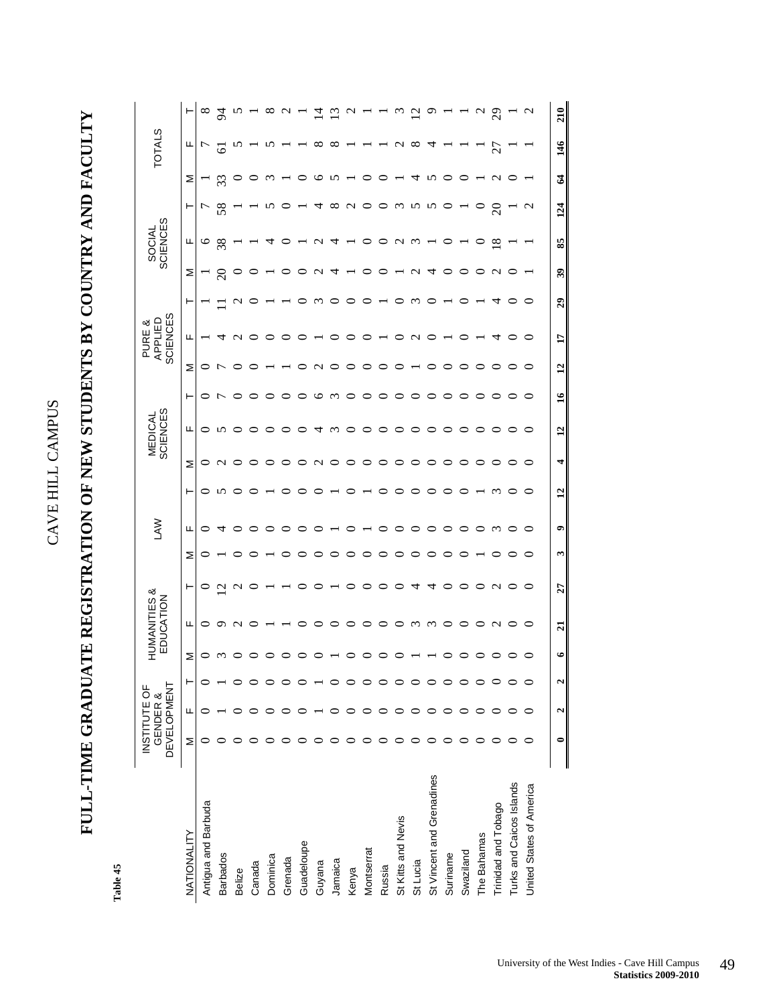## **FULL-TIME GRADUATE REGISTRATION OF NEW STUDENTS BY COUNTRY AND FACULTY**  FULL-TIME GRADUATE REGISTRATION OF NEW STUDENTS BY COUNTRY AND FACULTY

Table 45 **Table 45** 

|                           | DEVELOPMENT<br>INSTITUTE OF | GENDER & |   |           | HUMANITIES &<br>EDUCATION |                   |   | <b>NVT</b> |                |                   | <b>SCIENCES</b><br><b>MEDICAL</b> |               |                 | <b>SCIENCES</b><br>APPLIED<br>PURE & |                  |          | SOCIAL<br>SCIENCES |                 |               | <b>TOTALS</b> |                             |
|---------------------------|-----------------------------|----------|---|-----------|---------------------------|-------------------|---|------------|----------------|-------------------|-----------------------------------|---------------|-----------------|--------------------------------------|------------------|----------|--------------------|-----------------|---------------|---------------|-----------------------------|
| NATIONALITY               | Σ                           | Щ        | ۳ | Σ         | щ                         | ⊢                 | Σ | щ          | ⊢              | Σ                 | щ                                 | ⊢             | Σ               | щ                                    | ⊢                | Σ        | Щ                  | ۳               | Σ             | щ             |                             |
| Antigua and Barbuda       | ⊂                           |          |   | 0         | 0                         | 0                 | 0 | 0          | 0              | 0                 | 0                                 | ○             | 0               |                                      |                  |          | $\circ$            | ŗ               |               | <u>L</u>      | ∞                           |
| <b>Barbados</b>           |                             |          |   | $\omega$  | $\circ$                   | $\mathcal{C}$     |   | 寸          | n              | $\mathbf{\Omega}$ |                                   | t             |                 | 4                                    |                  | $\Omega$ | 38                 | 58              | 33            | ه             | 54                          |
| Belize                    |                             |          |   |           | $\mathbf{\Omega}$         | $\mathbf{\Omega}$ | ○ |            |                |                   |                                   |               |                 | C                                    | c                |          |                    |                 |               |               |                             |
| Canada                    |                             |          |   |           | ⊂                         | ⊂                 | C |            |                |                   |                                   | ⊂             |                 |                                      |                  |          |                    |                 |               |               |                             |
| Dominica                  |                             |          |   |           |                           |                   |   |            |                |                   |                                   |               |                 |                                      |                  |          | 4                  | m               | ς             |               |                             |
| Grenada                   |                             |          |   |           |                           |                   |   |            |                |                   |                                   |               |                 |                                      |                  |          |                    |                 |               |               |                             |
| Guadeloupe                |                             |          |   |           |                           |                   |   |            |                |                   |                                   |               |                 |                                      |                  |          |                    |                 |               |               |                             |
| Guyana                    |                             |          |   |           |                           |                   |   |            |                | C<br>ч            | ਧ                                 | ≌             |                 |                                      | $\omega$         | c        | c<br>4             | ₹               | ७             | ∞             |                             |
| Jamaica                   |                             |          |   |           |                           |                   |   |            |                |                   | ∾                                 | $\omega$      |                 |                                      | ⊂                | 4        | 4                  | ∞               | n             |               |                             |
| Kenya                     |                             |          |   |           | ○                         | ⊂                 | ⊂ |            |                |                   |                                   | ⊂             |                 |                                      |                  |          |                    | c<br>Ч          |               |               |                             |
| Montserrat                |                             |          |   |           | ○                         |                   | ⊂ |            |                |                   |                                   |               |                 |                                      |                  |          |                    |                 |               |               |                             |
| Russia                    |                             |          |   |           |                           | ⊂                 | ⊂ |            |                |                   |                                   |               |                 |                                      |                  |          |                    |                 |               |               |                             |
| St Kitts and Nevis        |                             |          |   |           |                           |                   | ⊂ |            |                |                   |                                   |               |                 |                                      |                  |          | c<br>₹             | $\omega$        |               | ⇃<br>С        |                             |
| St Lucia                  |                             |          |   |           | $\epsilon$                | 寸                 |   |            |                |                   |                                   |               |                 |                                      | ∾                | c        | $\omega$           | n               |               | ∝             |                             |
| St Vincent and Grenadines |                             |          |   |           | $\omega$                  | ₹                 | C |            |                |                   |                                   |               |                 |                                      |                  |          |                    | n               |               |               |                             |
| Suriname                  |                             |          |   |           | ○                         |                   |   |            |                |                   |                                   |               |                 |                                      |                  |          |                    |                 |               |               |                             |
| Swaziland                 |                             |          |   |           |                           |                   |   |            |                |                   |                                   |               |                 |                                      |                  |          |                    |                 |               |               |                             |
| The Bahamas               |                             |          |   | ○         | ○                         | ▭                 |   |            |                |                   |                                   |               |                 |                                      |                  |          | ⊃                  |                 |               |               |                             |
| Trinidad and Tobago       |                             |          |   | ○         | $\mathcal{L}$             | $\mathbf{\Omega}$ | ○ | $\epsilon$ |                |                   |                                   |               |                 |                                      | 寸                | c        | $\infty$           | $\Omega$        | c<br>⇃        | 27            | $\mathcal{S}^{\mathcal{O}}$ |
| Turks and Caicos Islands  |                             |          |   | ○         | ○                         | ○                 | ○ |            |                |                   |                                   |               |                 |                                      |                  |          |                    |                 | C             |               |                             |
| United States of America  |                             |          |   | ○         | ○                         | ○                 | ○ | ○          |                | ○                 |                                   | ○             |                 | ⊂                                    |                  |          |                    | $\mathbf{\sim}$ |               |               |                             |
|                           | 0                           | 2        | 2 | $\bullet$ | $\overline{a}$            | 27                | S | ۰          | $\overline{a}$ | 4                 | $\overline{12}$                   | $\frac{6}{1}$ | $\overline{12}$ | $\mathbf{L}$                         | $\boldsymbol{5}$ | B        | 85                 | 124             | $\mathcal{Z}$ | 146           | 210                         |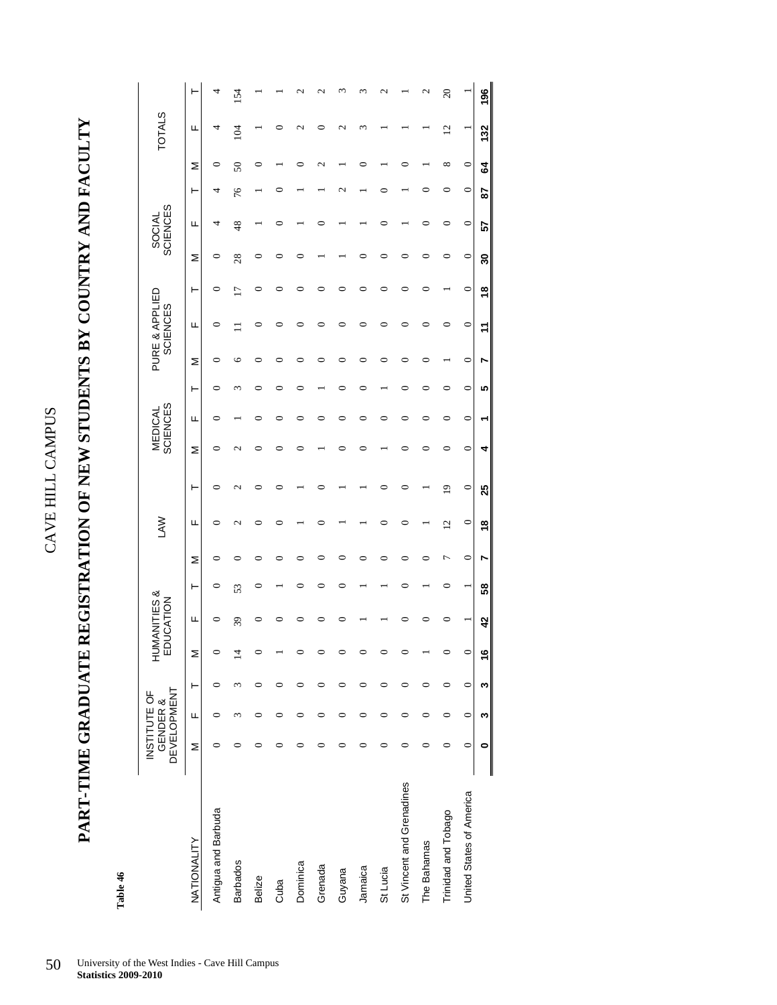**PART-TIME GRADUATE REGISTRATION OF NEW STUDENTS BY COUNTRY AND FACULTY**  PART-TIME GRADUATE REGISTRATION OF NEW STUDENTS BY COUNTRY AND FACULTY

> Table 46 **Table 46**

|                           | <b>DEVELOPMENT</b> | INSTITUTE OF<br>GENDER & |         |         | HUMANITIES &<br>EDUCATION |    |         | <b>NAU</b>     |         |                                   | <b>SCIENCES</b><br>MEDICAL |         |         | PURE & APPLIED<br><b>SCIENCES</b> |   |    | <b>SCIENCES</b><br><b>SOCIAL</b> |         |                  | <b>TOTALS</b>  |           |
|---------------------------|--------------------|--------------------------|---------|---------|---------------------------|----|---------|----------------|---------|-----------------------------------|----------------------------|---------|---------|-----------------------------------|---|----|----------------------------------|---------|------------------|----------------|-----------|
| NATIONALITY               | Σ                  | Щ                        | ۲       | Σ       | щ                         | ۲  | ⋝       | щ              | ۲       | Σ                                 | щ                          | ۲       | ⋝       | щ                                 | ۲ | Σ  | щ                                | ۲       | Σ                | щ              |           |
| Antigua and Barbuda       |                    |                          | ⊂       |         | ∊                         | ∊  | 0       | ⊂              |         | ∊                                 | ⊂                          | ⊂       | 0       | ∊                                 |   | 0  | 4                                | 4       | 0                | 4              | 4         |
| <b>Barbados</b>           |                    | 3                        | ξ       | ᅼ       | 39                        | 53 | っ       | 2              |         | $\mathop{^{\mathsf{d}}}\nolimits$ |                            |         | 6       |                                   |   | 28 | 48                               | 76      | $\boldsymbol{S}$ | 104            | 154       |
| Belize                    |                    |                          | 0       |         |                           | ∊  |         |                |         |                                   |                            |         | ⊂       |                                   |   |    |                                  |         |                  |                |           |
| Cuba                      |                    | ⊂                        | ⊂       |         |                           |    |         | ∊              |         |                                   |                            |         |         |                                   |   |    |                                  |         |                  |                |           |
| Dominica                  |                    | 0                        | 0       |         |                           | ⊂  |         |                |         |                                   | ⊂                          |         |         |                                   |   |    |                                  |         |                  | $\sim$         |           |
| Grenada                   |                    | ⊂                        | ⊂       |         |                           | ⊂  | ⊂       |                |         |                                   |                            |         | ⊂       |                                   |   |    |                                  |         |                  |                |           |
| Guyana                    |                    | ⊂                        | ⊂       |         |                           | ⊂  | ⊂       |                |         |                                   | ⊂                          |         | ⊂       |                                   |   |    |                                  |         |                  |                |           |
| Jamaica                   |                    | 0                        | 0       |         |                           |    |         |                |         |                                   |                            |         | 0       |                                   |   |    |                                  |         |                  | m              |           |
| St Lucia                  |                    | 0                        | 0       |         |                           |    | ⊂       | ∊              |         |                                   |                            |         | ⊂       | ∊                                 |   |    | ⊂                                |         |                  |                |           |
| St Vincent and Grenadines | ∊                  | 0                        | 0       |         |                           | ⊂  | ⊂       | 0              |         |                                   | ⊂                          |         | ⊂       |                                   |   |    |                                  |         |                  |                |           |
| The Bahamas               |                    | ⊂                        | ∊       |         |                           |    | ⊂       |                |         |                                   |                            |         | ⊂       | 0                                 |   |    | ⊂                                |         |                  |                | N         |
| Trinidad and Tobago       | 0                  | 0                        | 0       |         |                           | 0  | ٣       | $\overline{c}$ | 2       | 0                                 | 0                          | 0       |         | 0                                 |   |    | 0                                | 0       | ∞                | $\overline{c}$ | $\Omega$  |
| United States of America  | $\circ$            | $\circ$                  | $\circ$ | $\circ$ |                           |    | $\circ$ | $\circ$        | $\circ$ | 0                                 | $\circ$                    | $\circ$ | $\circ$ | $\circ$                           | 0 | 0  | $\circ$                          | $\circ$ | 0                |                |           |
|                           | 0                  | w                        | ∾       | 9       | 42                        | 58 | r       | $\frac{8}{5}$  | 25      | 4                                 |                            | ۱Ω      | r       | 7                                 | ≌ | 8  | 57                               | 28      | 3                | 132            | <u>96</u> |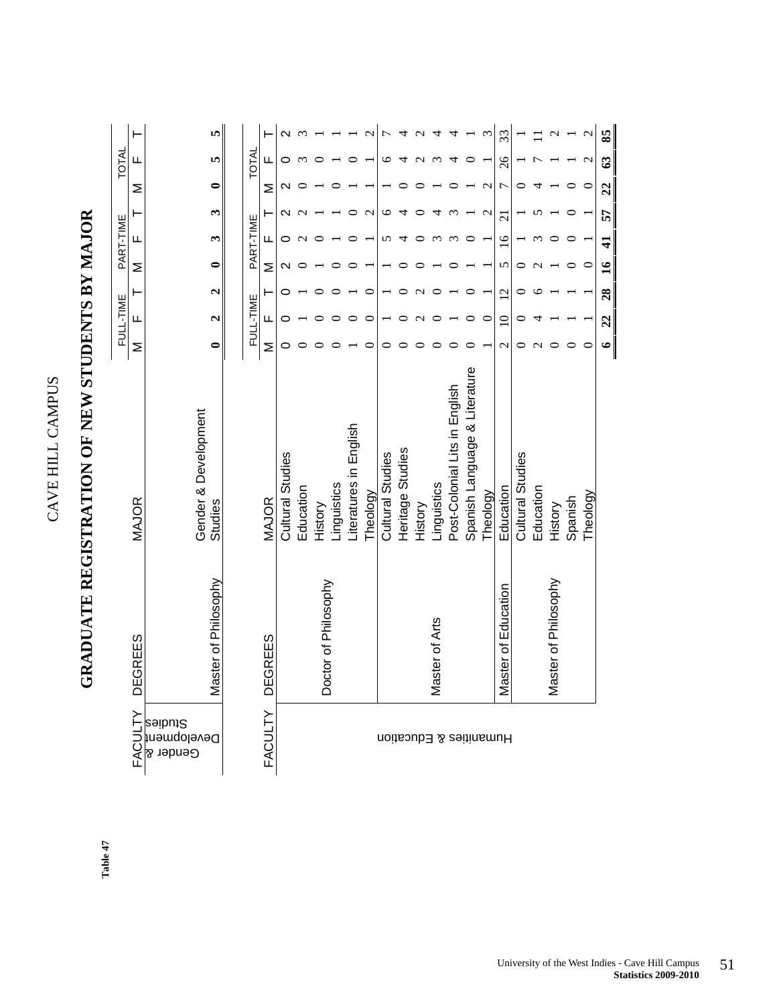|                                    |                      | <b>GRADUATE REGISTRATION OF NEW STUDENTS BY MAJOR</b> |               |                   |                   |                 |                |                   |                   |               |                   |
|------------------------------------|----------------------|-------------------------------------------------------|---------------|-------------------|-------------------|-----------------|----------------|-------------------|-------------------|---------------|-------------------|
|                                    |                      |                                                       |               | FULL-TIME         |                   |                 | PART-TIME      |                   |                   | TOTAL         |                   |
| FACULTY                            | <b>DEGREES</b>       | <b>MAJOR</b>                                          | Σ             | щ                 | ۳                 | Σ               | щ              |                   | Σ                 | щ             | ⊢                 |
| Studies<br>Development<br>Gender & | Master of Philosophy | Gender & Development<br>Studies                       | $\bullet$     | $\mathbf{\Omega}$ | $\mathbf{\Omega}$ | $\bullet$       | $\mathbf{c}$   | S                 | $\bullet$         | 5             | LΩ,               |
|                                    |                      |                                                       |               | FULL-TIME         |                   |                 | PART-TIME      |                   |                   | TOTAL         |                   |
| <b>FACULTY</b>                     | DEGREES              | <b>MAJOR</b>                                          | Σ             | Щ                 | ⊢                 | Σ               | щ              |                   | Σ                 | щ             |                   |
|                                    |                      | Cultural Studies                                      | 0             |                   |                   |                 | 0              |                   | N                 |               | $\mathbf{\Omega}$ |
|                                    |                      | Education                                             |               |                   |                   |                 |                |                   |                   |               |                   |
|                                    | Doctor of Philosophy | History                                               |               |                   |                   |                 |                |                   |                   |               |                   |
|                                    |                      | Linguistics                                           |               |                   |                   |                 |                |                   |                   |               |                   |
|                                    |                      | Literatures in English                                |               | 0                 |                   |                 | $\circ$        | 0                 |                   |               |                   |
|                                    |                      | Theology                                              | ⊂             | $\subset$         | $\subset$         |                 |                | $\mathbf{\Omega}$ |                   |               | $\mathbf{\Omega}$ |
| Humanities & Education             |                      | Cultural Studies                                      |               |                   |                   |                 | 5              | ৩                 |                   | ७             | 7                 |
|                                    |                      | Heritage Studies                                      |               |                   |                   |                 | 4              |                   |                   |               | 4                 |
|                                    |                      | History                                               |               |                   |                   |                 | ᅌ              |                   |                   |               | $\mathbf{C}$      |
|                                    | Master of Arts       | Linguistics                                           |               |                   |                   |                 | $\epsilon$     |                   |                   | $\epsilon$    | 4                 |
|                                    |                      | Post-Colonial Lits in English                         |               |                   |                   |                 | $\epsilon$     |                   |                   |               | 4                 |
|                                    |                      | Spanish Language & Literature                         |               |                   |                   |                 | 0              |                   |                   |               |                   |
|                                    |                      | Theology                                              |               |                   |                   |                 |                | $\mathbf{\Omega}$ | $\mathbf{\Omega}$ |               | $\mathfrak{c}$    |
|                                    | Master of Education  | Education                                             | $\mathcal{L}$ | $\subseteq$       | $\overline{2}$    | 5               | $\overline{6}$ | $\overline{21}$   | 7                 | 26            | 33                |
|                                    |                      | Cultural Studies                                      | 0             |                   | 0                 | 0               |                |                   | 0                 |               |                   |
|                                    |                      | Education                                             | $\mathbf{C}$  |                   |                   |                 |                |                   |                   |               |                   |
|                                    | Master of Philosophy | History                                               |               |                   |                   |                 |                |                   |                   |               | $\mathcal{L}$     |
|                                    |                      | Spanish                                               |               |                   |                   |                 |                |                   |                   |               |                   |
|                                    |                      | Theology                                              |               |                   |                   |                 |                |                   |                   |               | $\mathbf 2$       |
|                                    |                      |                                                       | $\bullet$     | 22                | 28                | $\overline{16}$ | $\frac{1}{4}$  | 57                | $\overline{c}$    | $\mathcal{C}$ | 85                |

CAVE HILL CAMPUS

CAVE HILL CAMPUS

Table 47 **Table 47**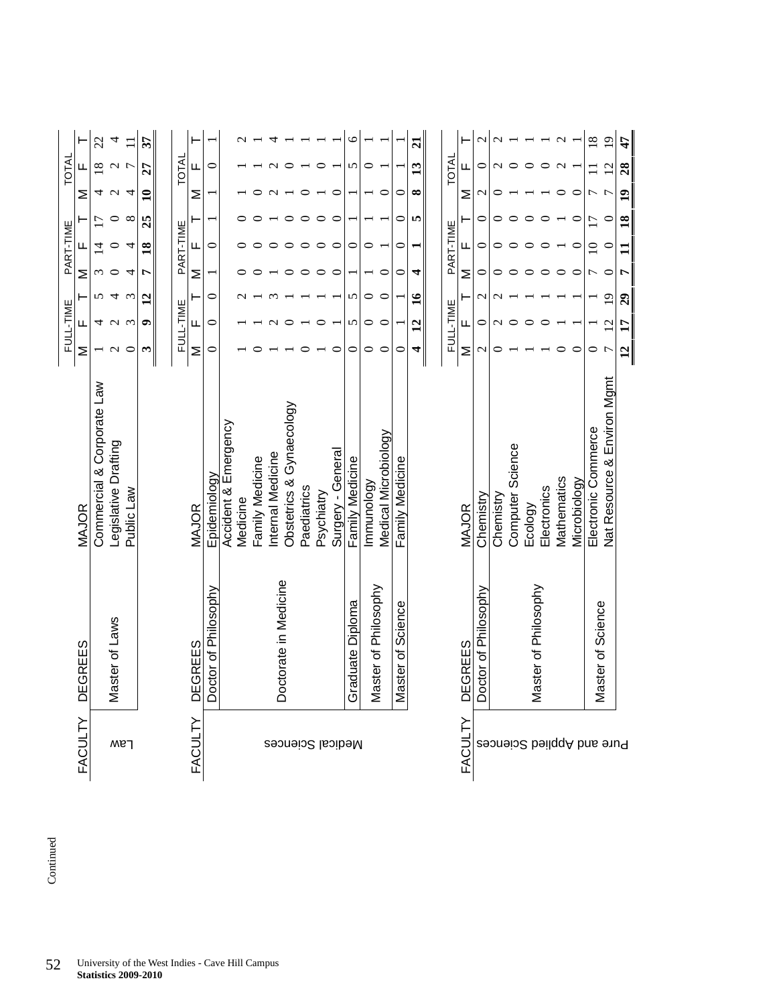|                       | MAJOR                       | Σ                | FULL-TIME<br>Щ  |                       | Σ       | PART-TIME<br>Щ  |                 | Σ                 | TOTAL<br>Щ     |                   |
|-----------------------|-----------------------------|------------------|-----------------|-----------------------|---------|-----------------|-----------------|-------------------|----------------|-------------------|
|                       | Commercial & Corporate Law  |                  | 4               | 5                     | ω       | ₫               | $\overline{1}$  | 4                 | $\infty$       | 22                |
| Master of Laws        | Legislative Drafting        |                  | $\sim$          | 4                     | ○       | 0               | 0               | $\mathbf{\Omega}$ | $\mathbf{C}$   | 4                 |
|                       | Public Law                  | $\circ$          | $\epsilon$      | $\epsilon$            | 4       | 4               | $\infty$        | ব                 |                | Ξ                 |
|                       |                             | $\mathbf{r}$     | 0               | $\overline{1}$        |         | $\overline{18}$ | 25              | ≘                 | 27             | 57                |
|                       |                             |                  |                 |                       |         |                 |                 |                   |                |                   |
|                       |                             |                  | FULL-TIME       |                       |         | PART-TIME       |                 |                   | TOTAL          |                   |
| DEGREES               | MAJOR                       | Σ                | ட               |                       | Σ       | щ               |                 | Σ                 | щ              |                   |
| Doctor of Philosophy  | Epidemiology                | 0                | $\circ$         | $\circ$               |         | $\circ$         |                 |                   | $\circ$        |                   |
|                       | Accident & Emergency        |                  |                 |                       |         |                 |                 |                   |                |                   |
|                       | Medicine                    |                  |                 |                       |         |                 |                 |                   |                |                   |
|                       | Family Medicine             |                  |                 |                       |         |                 |                 |                   |                |                   |
| Doctorate in Medicine | nternal Medicine            |                  |                 |                       |         |                 |                 |                   |                |                   |
|                       | Obstetrics & Gynaecology    |                  |                 |                       |         |                 |                 |                   |                |                   |
|                       | Paediatrics                 |                  |                 |                       |         |                 |                 |                   |                |                   |
|                       | Psychiatry                  |                  | ⊂               |                       | ⊂       | $\circ$         | ⊂               |                   |                |                   |
|                       | Surgery - General           | ⊂                |                 |                       | ⊂       | $\circ$         | $\circ$         | $\circ$           |                |                   |
| Graduate Diploma      | Family Medicine             | $\circ$          | 5               | 5                     |         | 0               |                 |                   | 5              | $\circ$           |
| Master of Philosophy  | Immunology                  | 0                | 0               | 0                     |         | 0               |                 |                   | 0              |                   |
|                       | Medical Microbiology        | $\circ$          | $\subset$       | $\subset$             | ⊂       |                 |                 | ⊂                 |                |                   |
| Master of Science     | Family Medicine             | 0                |                 |                       | 0       | 0               | 0               | 0                 |                |                   |
|                       |                             | 4                | $\overline{1}$  | $\mathbf{a}$          | 4       | ۳               | S               | $\infty$          | $\mathbf{r}$   | ন্ন               |
|                       |                             |                  |                 |                       |         |                 |                 |                   |                |                   |
|                       |                             |                  | FULL-TIME       |                       |         | PART-TIME       |                 |                   | <b>TOTAL</b>   |                   |
| <b>DEGREES</b>        | MAJOR                       | Σ                | щ.              |                       | Σ       | ட               |                 | Σ                 | щ.             |                   |
| Doctor of Philosophy  | Chemistry                   | $\mathrel{\sim}$ | 0               | $\mathop{\mathsf{C}}$ | 0       | 0               | 0               | $\mathbf{\sim}$   | 0              | $\mathrel{\sim}$  |
|                       | Chemistry                   | ⊂                |                 |                       | 0       |                 |                 |                   |                |                   |
|                       | Computer Science            |                  |                 |                       |         |                 |                 |                   |                |                   |
| Master of Philosophy  | Ecology                     |                  |                 |                       |         |                 |                 |                   |                |                   |
|                       | Electronics                 |                  |                 |                       |         |                 |                 |                   |                |                   |
|                       | Mathematics                 |                  |                 |                       | ○       |                 |                 | ○                 | $\sim$         | $\mathbf{\Omega}$ |
|                       | Microbiology                | $\circ$          |                 |                       | $\circ$ |                 | $\circ$         | $\subset$         |                |                   |
| Master of Science     | Electronic Commerce         | $\circ$          |                 |                       | Γ       | $\overline{10}$ | $\overline{17}$ |                   |                | $\overline{18}$   |
|                       | Nat Resource & Environ Mgmt |                  | $\overline{2}$  | $\overline{0}$        | $\circ$ | $\subset$       |                 |                   | $\overline{2}$ | $\overline{19}$   |
|                       |                             | $\overline{2}$   | $\overline{17}$ | $\boldsymbol{c}$      | ٣       |                 | $\overline{18}$ | $\overline{19}$   | 28             | $\ddot{t}$        |

Continued Continued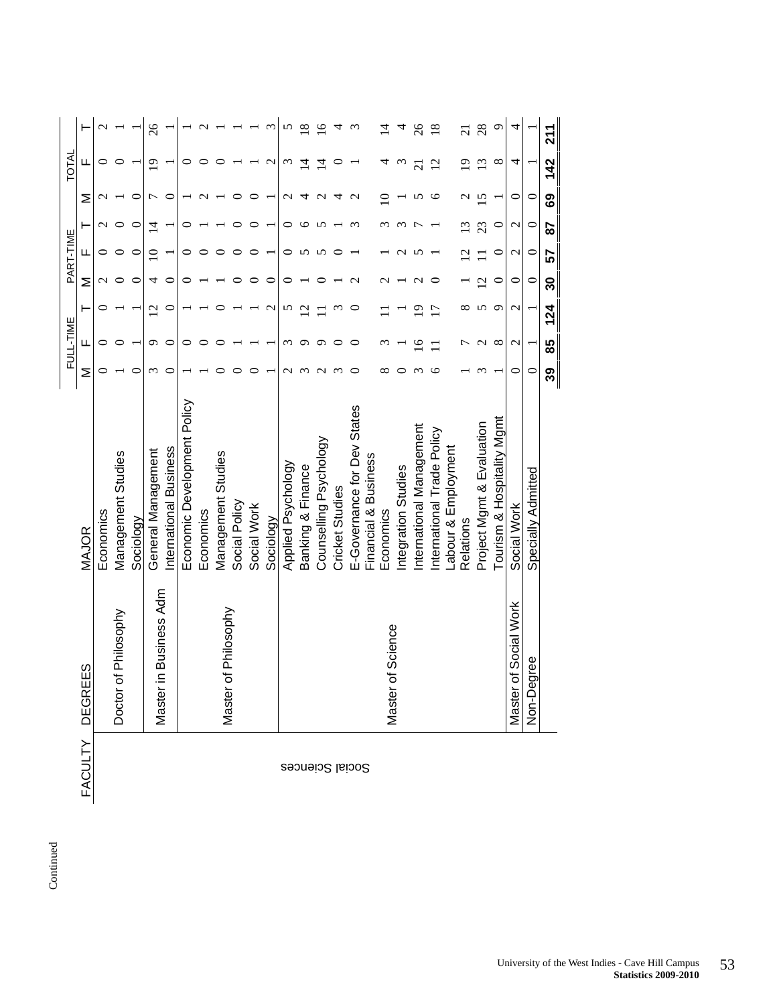| ŕ |
|---|
|   |
|   |
|   |
|   |
| ٠ |
|   |
|   |
|   |

|                 |                                |                             |            | FULL-TIME         |                   |                  | PART-TIME          |                    |                       | TOTAL           |                 |
|-----------------|--------------------------------|-----------------------------|------------|-------------------|-------------------|------------------|--------------------|--------------------|-----------------------|-----------------|-----------------|
| <b>FACULTY</b>  | ЕS<br>DEGRE                    | <b>MAJOR</b>                | Σ          | щ                 | ۲                 | Σ                | ш                  | ۲                  | Σ                     | ц               |                 |
|                 |                                | Economics                   |            |                   |                   |                  |                    |                    |                       |                 |                 |
|                 | of Philosophy<br>Doctor        | Management Studies          |            |                   |                   |                  |                    |                    |                       |                 |                 |
|                 |                                | Sociology                   | ⊂          |                   |                   | ⊂                |                    | ⊂                  | ⊂                     |                 |                 |
|                 | in Business Adm<br>Master      | General Management          | ς          | σ                 | Ń                 | 4                |                    | 4                  |                       | $\circ$         | 26              |
|                 |                                | nternational Business       | ⊂          |                   | 0                 | ⊂                |                    |                    | ⊂                     |                 |                 |
|                 |                                | Economic Development Policy |            |                   |                   |                  |                    |                    |                       |                 |                 |
|                 |                                | Economics                   |            |                   |                   |                  |                    |                    |                       |                 |                 |
|                 | of Philosophy<br><b>Master</b> | Management Studies          |            |                   |                   |                  |                    |                    |                       |                 |                 |
|                 |                                | Social Policy               |            |                   |                   |                  |                    |                    |                       |                 |                 |
|                 |                                | Social Work                 |            |                   |                   |                  |                    |                    |                       |                 |                 |
|                 |                                | Sociology                   |            |                   | $\mathbf{\sim}$   | ⊂                |                    |                    |                       | $\mathbf{\sim}$ |                 |
|                 |                                | Applied Psychology          |            | ო                 | n                 |                  |                    | ⊂                  | $\sim$                |                 | n               |
|                 |                                | Banking & Finance           |            | ᡋ                 | $\mathbf{\Omega}$ |                  |                    | ७                  |                       | 4               | $\infty$        |
| Social Sciences |                                | Counselling Psychology      | ᠭ          | ᡋ                 |                   |                  |                    |                    |                       | 4               | $\overline{6}$  |
|                 |                                | <b>Cricket Studies</b>      | $\epsilon$ | ⊂                 | $\omega$          |                  |                    |                    |                       | ⊂               |                 |
|                 |                                | E-Governance for Dev States |            | ⊂                 | 0                 | $\mathrel{\sim}$ |                    |                    | $\mathbf{\sim}$       |                 |                 |
|                 |                                | Financial & Business        |            |                   |                   |                  |                    |                    |                       |                 |                 |
|                 | of Science<br>Master           | Economics                   |            |                   |                   |                  |                    |                    | ⊂                     | 4               | ⋣               |
|                 |                                | Integration Studies         |            |                   |                   |                  |                    |                    |                       | $\omega$        | 4               |
|                 |                                | nternational Management     |            | ص                 | ₫                 | $\mathbf \sigma$ |                    |                    |                       | ಸ               | $\delta$        |
|                 |                                | International Trade Policy  | ١c         | ▀                 | $\overline{17}$   | ⊂                |                    |                    | ७                     | $\overline{c}$  | $\overline{18}$ |
|                 |                                | Labour & Employment         |            |                   |                   |                  |                    |                    |                       |                 |                 |
|                 |                                | Relations                   |            |                   | ∞                 |                  | $\bar{\omega}$     | $\Xi$              | $\mathbf{\mathsf{u}}$ | $\overline{9}$  | ត               |
|                 |                                | Project Mgmt & Evaluation   |            | $\mathbf{\Omega}$ | 5                 | $\overline{c}$   |                    | 23                 | S                     | $\mathbf{C}$    | 28              |
|                 |                                | Tourism & Hospitality Mgmt  |            | $\infty$          | $\circ$           | ∊                | ⊂                  | ○                  |                       | $\infty$        | σ               |
|                 | of Social Work<br>Master       | Social Work                 | 0          | $\mathcal{C}$     | $\mathbf{\Omega}$ | 0                | $\mathbf{\sim}$    | $\mathbf{\Omega}$  | 0                     | 4               | 4               |
|                 | gree<br>Non-De                 | Specially Admitted          | $\subset$  |                   |                   | $\subset$        | $\mathbf{\subset}$ | $\mathbf{\subset}$ | $\subset$             |                 |                 |
|                 |                                |                             | 39         | 85                | 124               | వి               | 57                 | 58                 | စ္မ                   | 142             | 211             |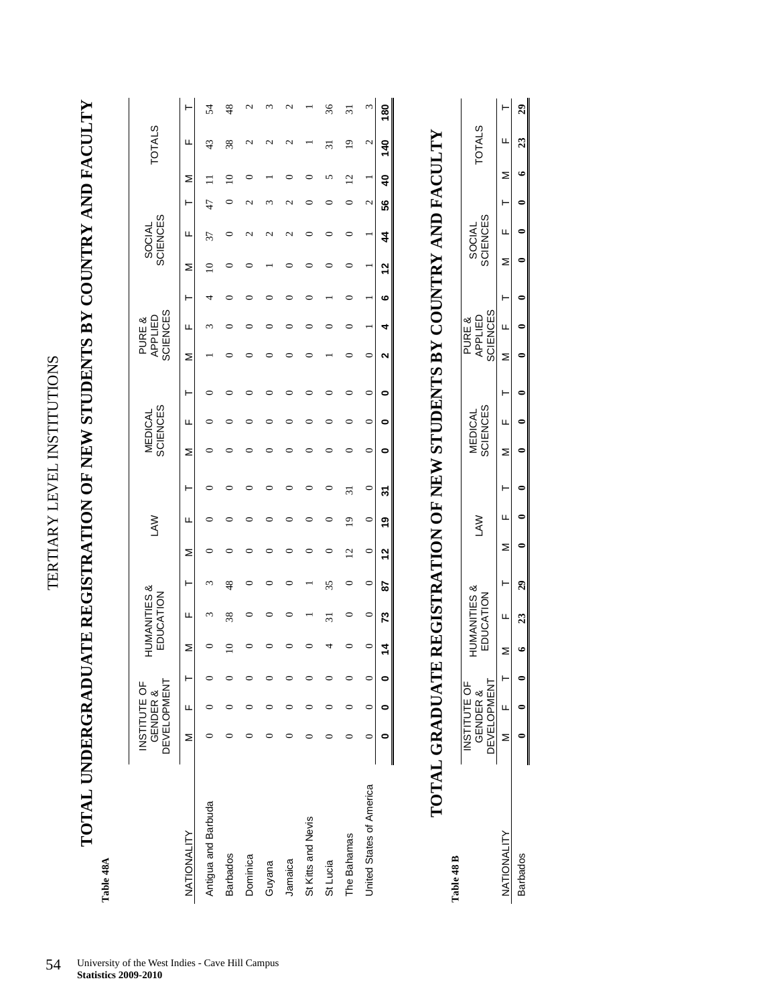TERTIARY LEVEL INSTITUTIONS TERTIARY LEVEL INSTITUTIONS

**TOTAL UNDERGRADUATE REGISTRATION OF NEW STUDENTS BY COUNTRY AND FACULTY**  TOTAL UNDERGRADUATE REGISTRATION OF NEW STUDENTS BY COUNTRY AND FACULTY

> **Table 48A**  Table 48A

|                          | INSTITUTE OF |          |   |         |                                     |         |                |                |         |         |                            |         |   | PURE &                     |   |   |                           |    |                |                 |               |
|--------------------------|--------------|----------|---|---------|-------------------------------------|---------|----------------|----------------|---------|---------|----------------------------|---------|---|----------------------------|---|---|---------------------------|----|----------------|-----------------|---------------|
|                          | DEVELOPMENT  | GENDER & |   |         | <b>HUMANITIES&amp;</b><br>EDUCATION |         |                | <b>NAJ</b>     |         |         | <b>SCIENCES</b><br>MEDICAL |         |   | <b>SCIENCES</b><br>APPLIED |   |   | <b>SCIENCES</b><br>SOCIAL |    |                | <b>TOTALS</b>   |               |
| NATIONALITY              | Σ            | Щ        | ۲ | Σ       | щ                                   | Ł       | ⋝              | ш              | ۲       | Σ       | щ                          | ۲       | ⋝ | щ                          | Ł | Σ | щ                         | Ł  | Σ              | щ               |               |
| Antigua and Barbuda      |              |          |   |         | S                                   | ξ       |                |                |         |         |                            |         |   |                            |   |   | 37                        | 47 |                | 43              | 54            |
| <b>Barbados</b>          |              |          |   |         | 38                                  | 48      |                |                |         |         |                            |         |   |                            |   |   |                           |    |                | 38              | $\frac{8}{3}$ |
| Dominica                 |              |          |   |         |                                     |         |                |                |         |         |                            |         |   |                            |   |   |                           |    |                | N               |               |
| Guyana                   |              |          |   |         |                                     |         |                |                |         |         |                            |         |   |                            |   |   |                           |    |                |                 |               |
| Jamaica                  |              |          |   |         | 0                                   | ∊       |                |                |         | ⊂       |                            |         |   |                            |   |   | N                         | ⇃  |                | N               | c             |
| St Kitts and Nevis       |              |          |   |         |                                     |         |                |                | $\circ$ |         |                            |         |   |                            |   |   |                           |    |                |                 |               |
| St Lucia                 |              |          |   |         | $\overline{31}$                     | 35      | ⊂              |                | 0       |         |                            |         |   |                            |   |   |                           |    | 5              | $\overline{31}$ | 36            |
| The Bahamas              |              |          |   |         | 0                                   | 0       | $\overline{c}$ | $\overline{9}$ | 31      | 0       |                            |         | ○ |                            |   |   |                           | 0  | $\overline{c}$ | $\overline{1}$  | 51            |
| United States of America |              | 0        | 0 | $\circ$ | $\circ$                             | $\circ$ | $\circ$        | $\circ$        | $\circ$ | $\circ$ | $\circ$                    | $\circ$ | 0 |                            |   |   |                           | 2  |                | 2               | $\omega$      |
|                          | 0            | 0        | 0 | 4       | 73                                  | 29      | 5              | e,             | 21      | 0       | 0                          | 0       | 2 | 4                          | ဖ | 5 | 44                        | 56 | $\frac{4}{3}$  | 140             | 80            |
|                          |              |          |   |         |                                     |         |                |                |         |         |                            |         |   |                            |   |   |                           |    |                |                 |               |

## **TOTAL GRADUATE REGISTRATION OF NEW STUDENTS BY COUNTRY AND FACULTY**  TOTAL GRADUATE REGISTRATION OF NEW STUDENTS BY COUNTRY AND FACULTY

Table 48 B **Table 48 B** 

| IMANITIES<br>EDUCATION | <b>DEVELOPMENT</b><br><b>JSTITUTE OF</b><br>GENDER & |
|------------------------|------------------------------------------------------|
| Ξ                      | ı                                                    |
|                        | $\boldsymbol{\mathcal{Z}}$                           |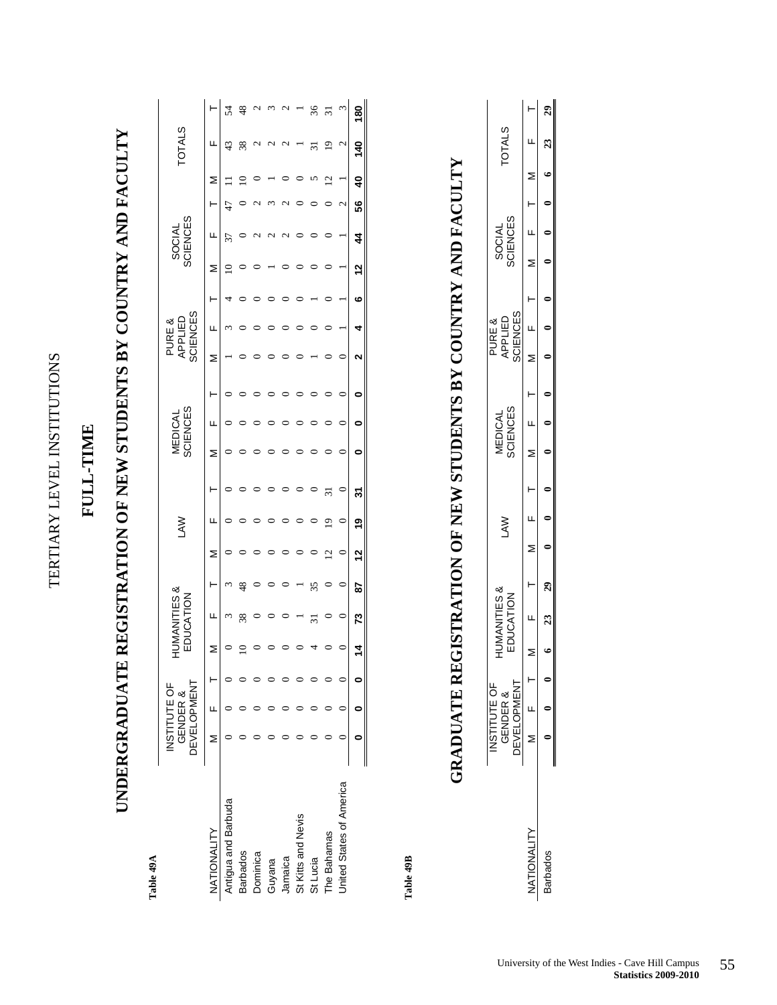| י<br>וו                                                                                                                    |  |
|----------------------------------------------------------------------------------------------------------------------------|--|
| ŗ                                                                                                                          |  |
| していい                                                                                                                       |  |
|                                                                                                                            |  |
|                                                                                                                            |  |
|                                                                                                                            |  |
| ֧֧֧֧֧֦֧֦֧֦֧֦֧֦֧֦֧֧֧֧֦֧֦֧֦֧֧֧֧֧֧֧֧֧֧֧֧֦֧֧֡֡֓֟֓֓֓֓֓֓֓֓֓֓֓֓֓֓֓֓֓֓֝֓֓֝֬֝֬֓֓֓֓֓֓֓֓֓֟֓֝֬֓֝֓֝֬֝֬֝֬֝֬֝֬֝֬<br>֧֪֪֪֪֪֪֪֪֪֪֪֪֪֪֝<br>l |  |
| ŕ                                                                                                                          |  |
| ļ                                                                                                                          |  |
|                                                                                                                            |  |
| Ē                                                                                                                          |  |

### **FULL-TIME**  FULL-TIME

## **UNDERGRADUATE REGISTRATION OF NEW STUDENTS BY COUNTRY AND FACULTY**  UNDERGRADUATE REGISTRATION OF NEW STUDENTS BY COUNTRY AND FACULTY

Table 49A **Table 49A** 

|                          | <b>DEVELOPMENT</b> | <b>INSTITUTE OF</b><br>GENDER & | <b>NANDI</b> | ა<br> ∐<br>FDICATION |         |   | ξ   |         |   | <b>SCIENCES</b><br>MEDICAL |         |   | <b>SCIENCES</b><br>APPLIED<br>PURE & |   |   | <b>SCIENCES</b><br><b>SOCIAL</b> |    |                         | <b>TOTALS</b>      |     |
|--------------------------|--------------------|---------------------------------|--------------|----------------------|---------|---|-----|---------|---|----------------------------|---------|---|--------------------------------------|---|---|----------------------------------|----|-------------------------|--------------------|-----|
| NATIONALITY              | z                  | LL.                             | ⋝            | щ                    | ŀ       | Σ | щ   | ŀ       | ⋝ | щ                          | ۲       | Σ | ц                                    |   | ⋝ | щ                                |    | ≥                       | щ                  |     |
| Antigua and Barbuda      |                    |                                 |              | ٢                    |         |   |     |         |   |                            |         |   |                                      |   |   |                                  |    |                         | 43                 |     |
| <b>Barbados</b>          |                    |                                 |              |                      |         |   |     |         |   |                            |         |   |                                      |   |   |                                  |    |                         | 38                 |     |
| Dominica                 |                    |                                 |              |                      |         |   |     |         |   |                            |         |   |                                      |   |   |                                  |    |                         |                    |     |
| <b>Guyana</b>            |                    |                                 |              |                      |         |   |     |         |   |                            |         |   |                                      |   |   |                                  |    |                         |                    |     |
| Jamaica                  |                    |                                 |              |                      |         |   |     |         |   |                            |         |   |                                      |   |   |                                  |    |                         |                    |     |
| St Kitts and Nevis       |                    |                                 |              |                      |         |   |     |         |   |                            |         |   |                                      |   |   |                                  |    |                         |                    |     |
| St Lucia                 |                    |                                 |              |                      |         |   |     |         |   |                            |         |   |                                      |   |   |                                  |    |                         |                    |     |
| The Bahamas              |                    |                                 |              |                      |         | ⊴ | ₫   |         |   |                            |         |   |                                      |   |   |                                  |    |                         | σ                  |     |
| United States of America |                    |                                 |              |                      | $\circ$ |   |     | $\circ$ |   |                            | $\circ$ |   |                                      |   |   |                                  | 2  |                         | $\mathbf{\hat{c}}$ |     |
|                          |                    |                                 |              | ౘ                    | 52      | ∾ | ల్ల | స్      |   |                            |         |   |                                      | ဖ | ∾ | 4                                | 56 | $\overline{\mathbf{a}}$ | $\ddot{\bm{z}}$    | 180 |

Table 49B **Table 49B** 

## **GRADUATE REGISTRATION OF NEW STUDENTS BY COUNTRY AND FACULTY**  GRADUATE REGISTRATION OF NEW STUDENTS BY COUNTRY AND FACULTY

| INSTITUTE OF<br>GENDER &<br>DEVELOPMENT |                          |  | <b>UMANITIES</b><br><b>JUCATION</b> | <b>SAN</b> |  | SCIENCES<br><b>VIEDICAL</b> |  | SCIENCES<br>APPLIED<br>PURE & |  | SOCIAL<br>SCIENCES |  | <b>COTALS</b> |  |
|-----------------------------------------|--------------------------|--|-------------------------------------|------------|--|-----------------------------|--|-------------------------------|--|--------------------|--|---------------|--|
|                                         | $M$ $F$                  |  |                                     |            |  |                             |  |                               |  |                    |  |               |  |
|                                         | $\overline{\phantom{0}}$ |  |                                     |            |  |                             |  |                               |  |                    |  |               |  |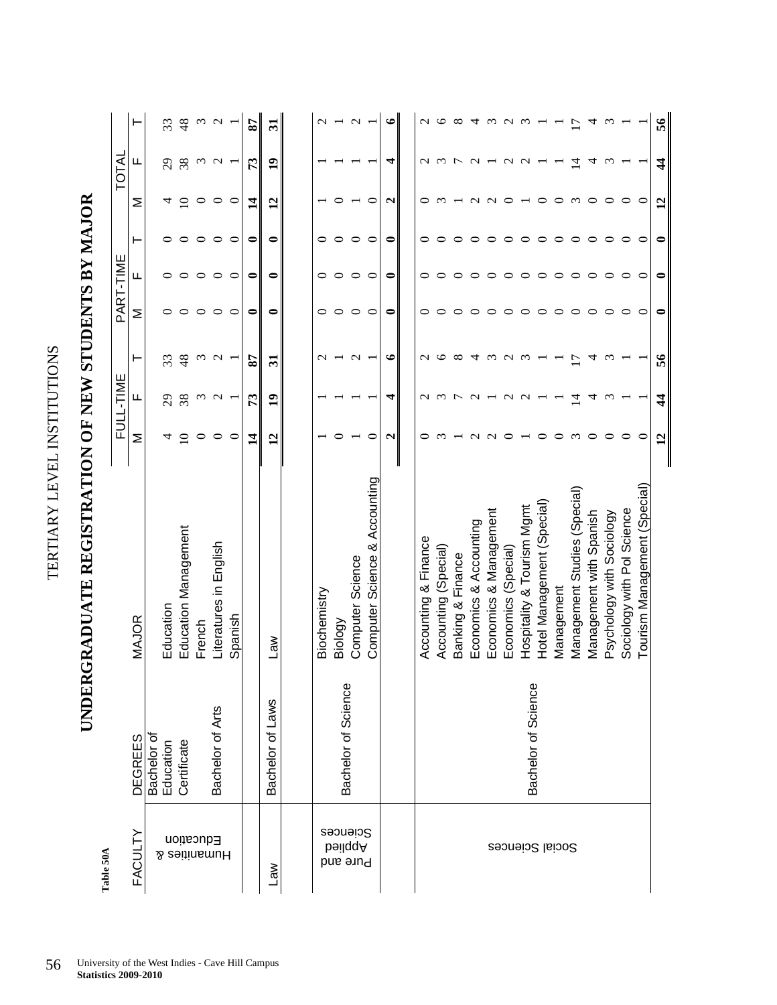| l      |
|--------|
|        |
| ׇ֠     |
| ļ      |
| j      |
|        |
|        |
| ן<br>י |
| י<br>ו |
|        |
|        |
| ĺ      |
|        |
| l      |
|        |
| ۱      |
|        |

UNDERGRADUATE REGISTRATION OF NEW STUDENTS BY MAJOR **UNDERGRADUATE REGISTRATION OF NEW STUDENTS BY MAJOR** 

> Table 50A **Table 50A**

| Table 50A                        |                          |                               |                       |                          |                   |           |           |         |                 |                   |                 |
|----------------------------------|--------------------------|-------------------------------|-----------------------|--------------------------|-------------------|-----------|-----------|---------|-----------------|-------------------|-----------------|
|                                  |                          |                               |                       | FULL-TIME                |                   |           | PART-TIME |         |                 | <b>TOTAL</b>      |                 |
| <b>FACULTY</b>                   | <b>DEGREES</b>           | MAJOR                         | Σ                     | щ                        | ۳                 | Σ         | щ         | ⊢       | Σ               | Щ                 | ⊢               |
|                                  | Bachelor of<br>Education |                               |                       |                          |                   |           |           |         |                 |                   |                 |
|                                  |                          | Education                     | 4                     | 29                       | 33                |           |           |         | 4               | $\mathcal{E}$     | 33              |
|                                  | Certificate              | Education Management          | $\Xi$                 | 38                       | $\frac{8}{3}$     |           | 0         | 0       | $\supseteq$     | 38                | 48              |
| Education<br><b>A</b> seitinsmuH |                          | French                        | $\circ$               | $\omega$                 | $\omega$          | ○         | $\circ$   | ○       | $\circ$         | $\omega$          | $\omega$        |
|                                  | Bachelor of Arts         | Literatures in English        | $\circ$               | $\sim$                   | $\sim$            | $\circ$   | $\circ$   | $\circ$ | $\circ$         | $\sim$            | $\sim$          |
|                                  |                          | Spanish                       | $\circ$               |                          |                   | $\circ$   | $\circ$   | $\circ$ | $\circ$         |                   |                 |
|                                  |                          |                               | $\vec{a}$             | $\mathbb{E}$             | $\boldsymbol{87}$ | ◒         | ◒         | ◒       | $\vec{a}$       | $\mathbb{E}$      | 28              |
| $\mathbb{R}$                     | Bachelor of Laws         | Law                           | $\mathbf{r}$          | $\overline{\phantom{0}}$ | ನ                 | ◒         | ◒         | 0       | $\mathbf{r}$    | $\mathbf{r}$      | ನ               |
|                                  |                          |                               |                       |                          |                   |           |           |         |                 |                   |                 |
|                                  |                          | Biochemistry                  |                       |                          | $\sim$            | ○         | 0         | 0       |                 |                   | $\sim$          |
| Sebences<br>bəilqqA<br>Pure and  | Bachelor of Science      | Biology                       |                       |                          |                   | $\circ$   | ᅌ         | $\circ$ |                 |                   |                 |
|                                  |                          | Computer Science              |                       |                          | $\sim$            | $\circ$   | $\circ$   | $\circ$ |                 |                   | $\mathbf{C}$    |
|                                  |                          | Computer Science & Accounting | ○                     |                          |                   | $\circ$   | $\circ$   | $\circ$ | $\circ$         |                   |                 |
|                                  |                          |                               | $\mathbf{\mathsf{u}}$ | 4                        | $\bullet$         | 0         | $\bullet$ | 0       | N               | 4                 | $\bullet$       |
|                                  |                          |                               |                       |                          |                   |           |           |         |                 |                   |                 |
|                                  |                          | Accounting & Finance          | 0                     | $\mathbf{\sim}$          | $\mathbf{\sim}$   | 0         | 0         | 0       | 0               | $\sim$            | $\mathbf 2$     |
|                                  |                          | Accounting (Special)          |                       | $\omega$                 | ७                 |           |           | ○       | $\omega$        | $\omega$          | ७               |
|                                  |                          | Banking & Finance             |                       |                          | $\infty$          | 0         |           |         |                 | $\overline{r}$    | ∞               |
|                                  |                          | Economics & Accounting        |                       | $\sim$                   | 寸                 |           |           |         | $\mathbf{\sim}$ | $\sim$            | ₹               |
|                                  |                          | Economics & Management        |                       |                          | $\omega$          |           |           |         |                 |                   | $\omega$        |
|                                  |                          | Economics (Special)           |                       | $\mathbf{\sim}$          | $\mathbf{\Omega}$ |           |           |         |                 | $\mathbf{\Omega}$ | $\mathbf{\sim}$ |
|                                  | Bachelor of Science      | Hospitality & Tourism Mgmt    |                       | $\sim$                   | $\omega$          |           |           |         |                 | $\sim$            | $\omega$        |
|                                  |                          | Hotel Management (Special)    |                       |                          |                   | ○         | 0         | ○       | ○               |                   |                 |
| Social Sciences                  |                          | Management                    |                       |                          |                   |           | ○         | ○       | $\circ$         |                   |                 |
|                                  |                          | Management Studies (Special)  | $\omega$              | 그                        |                   |           | ○         | 0       | $\epsilon$      | 그                 | Ξ               |
|                                  |                          | Management with Spanish       | ○                     | 4                        | ᆋ                 | ○         | $\circ$   | ○       | $\circ$         | 4                 | 4               |
|                                  |                          | Psychology with Sociology     | ᅌ                     | $\omega$                 | $\omega$          | ○         | $\circ$   | ○       | $\circ$         | $\omega$          | $\omega$        |
|                                  |                          | Sociology with Pol Science    | ○                     |                          |                   |           | $\circ$   | $\circ$ | $\circ$         |                   |                 |
|                                  |                          | Tourism Management (Special)  | ⊂                     |                          |                   |           | ○         | ⊂       | ⊂               |                   |                 |
|                                  |                          |                               | $\mathbf{12}$         | 4                        | 56                | $\bullet$ | 0         | 0       | $\mathbf{12}$   | $\frac{4}{3}$     | 56              |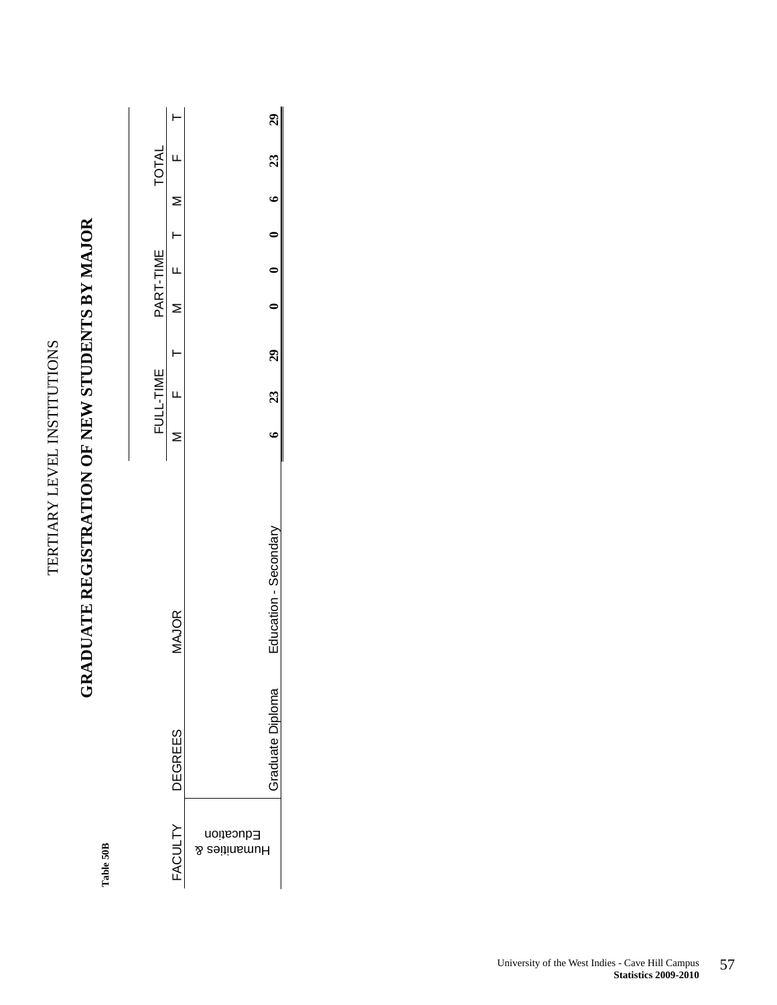TERTIARY LEVEL INSTITUTIONS TERTIARY LEVEL INSTITUTIONS

### **GRADUATE REGISTRATION OF NEW STUDENTS BY MAJOR**  GRADUATE REGISTRATION OF NEW STUDENTS BY MAJOR

Table 50B **Table 50B**

|              |              | 29                                   |
|--------------|--------------|--------------------------------------|
| <b>TOTAL</b> |              | 23                                   |
|              |              |                                      |
|              |              |                                      |
| PART-TIME    |              |                                      |
|              |              |                                      |
|              |              | <b>29</b>                            |
| FULL-TIME    |              | 23                                   |
|              |              |                                      |
|              | <b>IAJOR</b> | Education - Secondan                 |
|              | DEGREES      | Graduate Diploma                     |
|              | FACULTY      | Education<br><b>Aumanities &amp;</b> |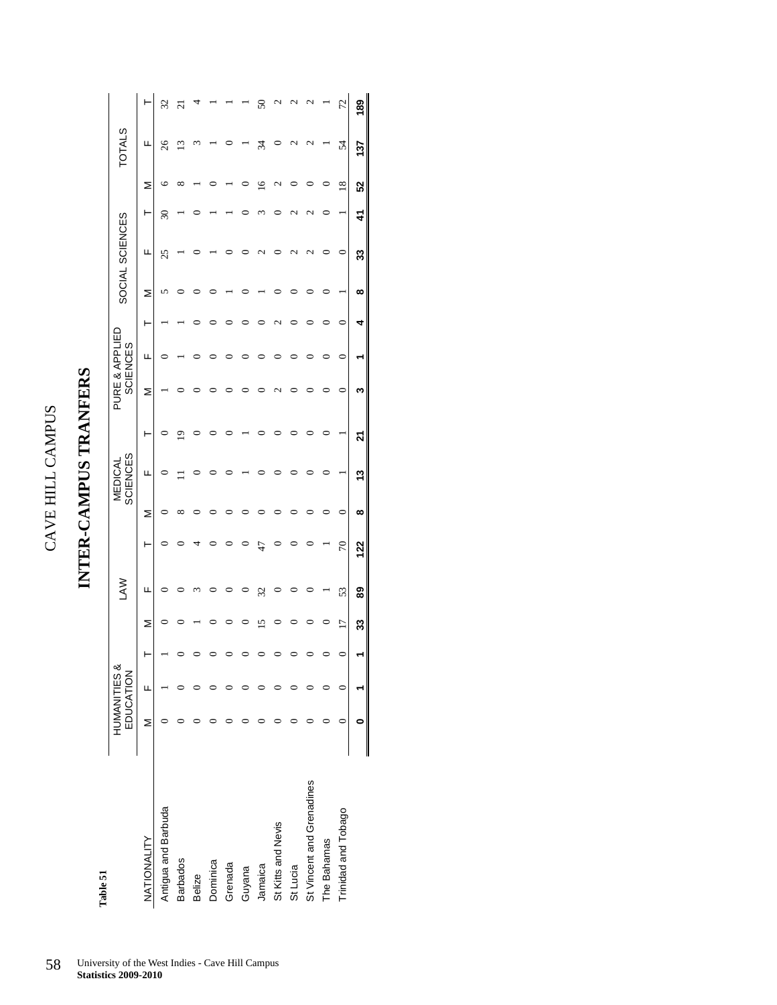### INTER-CAMPUS TRANFERS **INTER-CAMPUS TRANFERS**

Table 51 **Table 51** 

|                           | HUMANITIES & | EDUCATION |    | <b>NAJ</b> |     |             | <b>SCIENCES</b><br>MEDICAL |   | PURE & APPLIED | <b>SCIENCES</b> |   |   | SOCIAL SCIENCES |                          |               | <b>TOTALS</b> |                          |
|---------------------------|--------------|-----------|----|------------|-----|-------------|----------------------------|---|----------------|-----------------|---|---|-----------------|--------------------------|---------------|---------------|--------------------------|
| NATIONALITY               | Σ            | щ         | Σ  | щ          | ŀ   | Σ           | ш                          | ŀ | Σ              | ц               | ŀ | ⋝ | щ               | ŀ                        | Σ             | щ             |                          |
| Antigua and Barbuda       |              |           |    | c          |     |             |                            |   |                |                 |   |   | 25              | $\overline{\mathbf{30}}$ |               | 26            | 32                       |
| <b>Barbados</b>           |              |           |    |            |     | $_{\infty}$ |                            | σ |                |                 |   |   |                 |                          |               | ≌             | $\overline{\mathcal{C}}$ |
| Belize                    |              |           |    |            |     |             |                            |   |                |                 |   |   |                 |                          |               |               |                          |
| Dominica                  |              |           |    |            |     |             |                            |   |                |                 |   |   |                 |                          |               |               |                          |
| Grenada                   |              |           |    |            |     |             |                            |   |                |                 |   |   |                 |                          |               |               |                          |
| Guyana                    |              |           |    |            |     |             |                            |   |                |                 |   |   |                 |                          |               |               |                          |
| Jamaica                   |              |           |    | 32         | Ľ   |             |                            |   |                |                 |   |   |                 |                          |               | र्ज़          | ᢦ                        |
| St Kitts and Nevis        |              |           |    |            |     |             |                            |   |                |                 |   |   |                 |                          |               |               |                          |
| St Lucia                  |              |           |    |            |     |             |                            |   |                |                 |   |   |                 |                          |               |               |                          |
| St Vincent and Grenadines |              |           |    |            |     |             |                            |   |                |                 |   |   | J               |                          |               |               |                          |
| The Bahamas               |              |           |    |            |     |             |                            |   |                |                 |   |   |                 |                          |               |               |                          |
| Trinidad and Tobago       |              |           | Ľ  | 53         | 70  | $\circ$     |                            |   | ⊂              | $\circ$         | 0 |   | ⊂               |                          | $\frac{8}{2}$ | 54            | 72                       |
|                           |              |           | 33 | 89         | 122 | ထ           | 13                         | ম | ო              |                 | 4 | ∞ | 33              | 41                       | 52            | 137           | 189                      |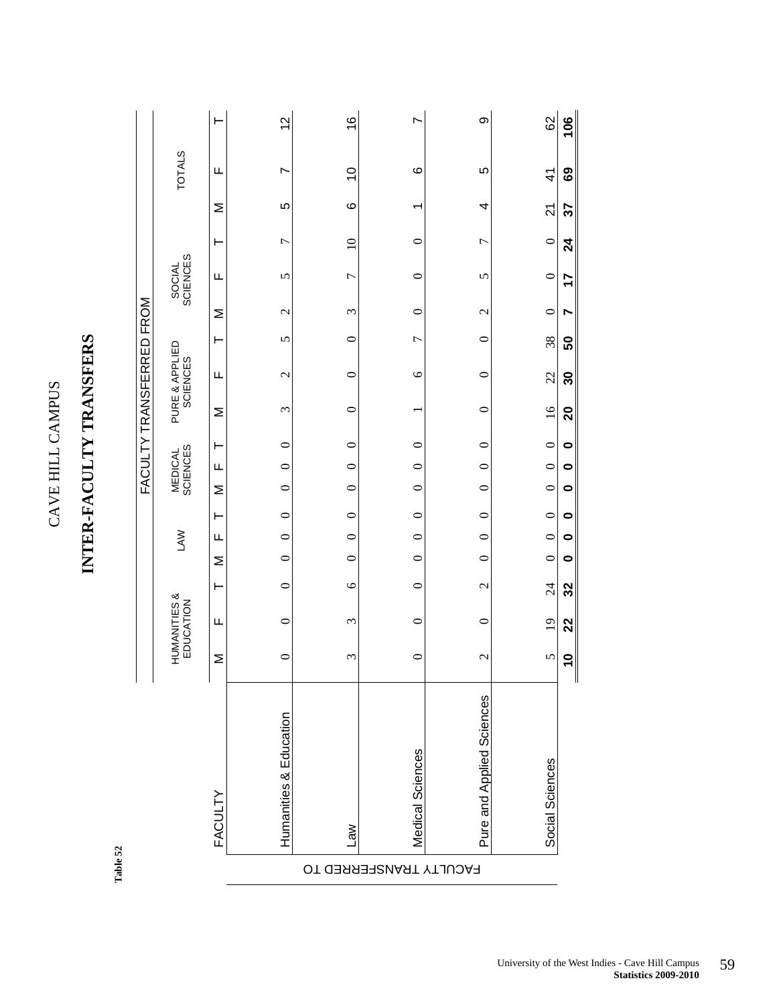|                              |                            | ۲                       | 57                     | $\frac{6}{5}$  | r                      | တ                         | 62              | $\frac{6}{10}$ |
|------------------------------|----------------------------|-------------------------|------------------------|----------------|------------------------|---------------------------|-----------------|----------------|
|                              | <b>TOTALS</b>              | щ                       | $\overline{ }$         | $\frac{0}{1}$  | $\circ$                | 5                         | $\frac{4}{3}$   | 69             |
|                              |                            | Σ                       | 5                      | $\circ$        | ٣                      | 4                         | $\overline{2}$  | 57             |
|                              |                            | ⊢                       | $\overline{ }$         | $\Omega$       | $\circ$                | 7                         | $\circ$         | $\overline{2}$ |
|                              | SOCIAL<br>SCIENCES         | Щ                       | 5                      | $\overline{C}$ | $\circ$                | 5                         | $\circ$         | 17             |
|                              |                            | Σ                       | $\mathcal{C}$          | ξ              | $\circ$                | $\mathbf 2$               | $\circ$         | r              |
|                              |                            | ⊢                       | 5                      | $\circ$        | $\overline{ }$         | $\circ$                   | 38              | 50             |
|                              |                            | щ                       | $\mathbf 2$            | 0              | $\circ$                | $\circ$                   | 22              | 30             |
| FACULTY TRANSFERRED FROM     | PURE & APPLIED<br>SCIENCES | Σ                       | 3                      | $\circ$        |                        | $\circ$                   | 16              | $\mathbf{S}$   |
|                              | <b>MEDICAL</b><br>SCIENCES | ⊢                       | $\circ$                | $\circ$        | $\circ$                | $\circ$                   | $\circ$         | $\bullet$      |
|                              |                            | Щ                       | $\circ$                | $\circ$        | $\circ$                | $\circ$                   | $\circ$         | 0              |
|                              |                            | Σ                       | $\circ$                | $\circ$        | $\circ$                | $\circ$                   | $\circ$         | 0              |
|                              |                            | ⊢                       | $\circ$                | $\circ$        | $\circ$                | $\circ$                   |                 | $\bullet$      |
|                              | <b>LAW</b>                 | Щ                       | $\circ$                | $\circ$        | $\circ$                | $\circ$                   | $0 \quad 0$     | $\bullet$      |
|                              |                            | Σ                       | $\circ$                | $\circ$        | $\circ$                | $\circ$                   | $\circ$         | 0              |
|                              |                            | ⊢                       | $\circ$                | $\circ$        | $\circ$                | $\mathbf 2$               | $\overline{24}$ | 32             |
|                              | HUMANITIES &<br>EDUCATION  | Щ                       | $\circ$                | ξ              | $\circ$                | $\circ$                   | $\overline{19}$ | 22             |
|                              |                            | Σ                       | $\circ$                | ξ              | $\circ$                | $\mathbf{\Omega}$         | 5               | $\overline{0}$ |
| $\mathbf{I}$<br>$\mathsf{l}$ |                            | $\mathsf{l}$<br>FACULTY | Humanities & Education | $\mathbb{R}$   | Medical Sciences       | Pure and Applied Sciences | Social Sciences | Ш              |
| Lable 34                     |                            |                         |                        |                | FACULTY TRANSFERRED TO |                           |                 |                |

**INTER-FACULTY TRANSFERS** 

Table 52 **Table 52**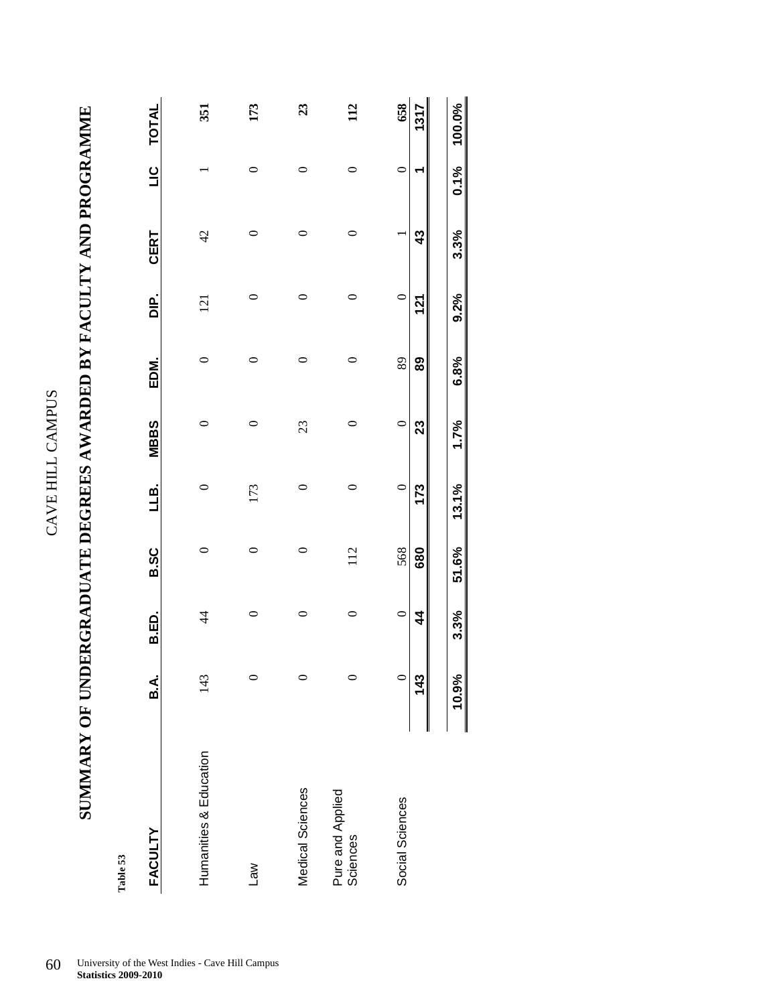| י<br>י | າ      |
|--------|--------|
| ć      |        |
|        |        |
| F      | Ξ      |
| Ľ      | J<br>Ĺ |
| f,     |        |

| י<br>ו                                                               |  |
|----------------------------------------------------------------------|--|
|                                                                      |  |
|                                                                      |  |
|                                                                      |  |
| ֖֖ׅׅׅׅ֖֧֧ׅ֖֧ׅ֧ׅׅ֧֚֚֚֚֚֚֚֚֚֚֚֚֚֚֚֚֚֚֚֚֚֚֚֚֚֚֚֚֚֚֚֚֡֝֡֓֡֡֓֞֝֓֞֝֬֓֞֝֬֝֬ |  |
|                                                                      |  |
| <br> <br>                                                            |  |
|                                                                      |  |
|                                                                      |  |
|                                                                      |  |
|                                                                      |  |
|                                                                      |  |
|                                                                      |  |
|                                                                      |  |
|                                                                      |  |
| "……"                                                                 |  |
|                                                                      |  |
|                                                                      |  |
|                                                                      |  |
|                                                                      |  |
|                                                                      |  |
|                                                                      |  |
| ĺ.                                                                   |  |
|                                                                      |  |
|                                                                      |  |
|                                                                      |  |
|                                                                      |  |
|                                                                      |  |
|                                                                      |  |
|                                                                      |  |
|                                                                      |  |
|                                                                      |  |
| <br> <br> <br>                                                       |  |
|                                                                      |  |
|                                                                      |  |
|                                                                      |  |
|                                                                      |  |
| l                                                                    |  |
|                                                                      |  |
|                                                                      |  |
|                                                                      |  |
|                                                                      |  |
|                                                                      |  |
| ļ                                                                    |  |
|                                                                      |  |
|                                                                      |  |
|                                                                      |  |
|                                                                      |  |
| ļ                                                                    |  |
| ļ<br>ľ                                                               |  |
|                                                                      |  |
|                                                                      |  |
| $\frac{1}{2}$<br>l                                                   |  |
|                                                                      |  |
| I                                                                    |  |
| $\frac{1}{2}$                                                        |  |
| I                                                                    |  |
| l<br>.<br>Į                                                          |  |
|                                                                      |  |
| י<br>י                                                               |  |
| ۱                                                                    |  |
|                                                                      |  |
|                                                                      |  |

| Table 53                     |         |                |             |         |             |      |               |                |               |              |
|------------------------------|---------|----------------|-------------|---------|-------------|------|---------------|----------------|---------------|--------------|
| <b>FACULTY</b>               | B.A.    | B.ED.          | <b>B.SC</b> | LLB.    | <b>MBBS</b> | EDM. | $\frac{p}{D}$ | CERT           | $\frac{0}{1}$ | <b>TOTAL</b> |
| Humanities & Education       | 143     | $\overline{4}$ | 0           | $\circ$ | 0           | 0    | 121           | $\overline{4}$ |               | 351          |
|                              |         |                |             |         |             |      |               |                |               |              |
| <b>Law</b>                   |         | 0              | 0           | 173     | 0           | 0    | 0             | 0              | 0             | 173          |
| Medical Sciences             |         | $\circ$        | $\circ$     | $\circ$ | 23          | 0    | 0             | 0              | 0             | 23           |
| Pure and Applied<br>Sciences |         | 0              | 112         | 0       | 0           | 0    | 0             | 0              | 0             | 112          |
| Social Sciences              | $\circ$ | $\circ$        | 568         | $\circ$ | $\circ$     | 89   | $\circ$       |                | $\circ$       | 658          |
|                              | 143     | 4              | 680         | 173     | 23          | 89   | 121           | 43             |               | 1317         |
|                              | 10.9%   | 3.3%           | 51.6%       | 13.1%   | 1.7%        | 6.8% | 9.2%          | 3.3%           | 0.1%          | 100.0%       |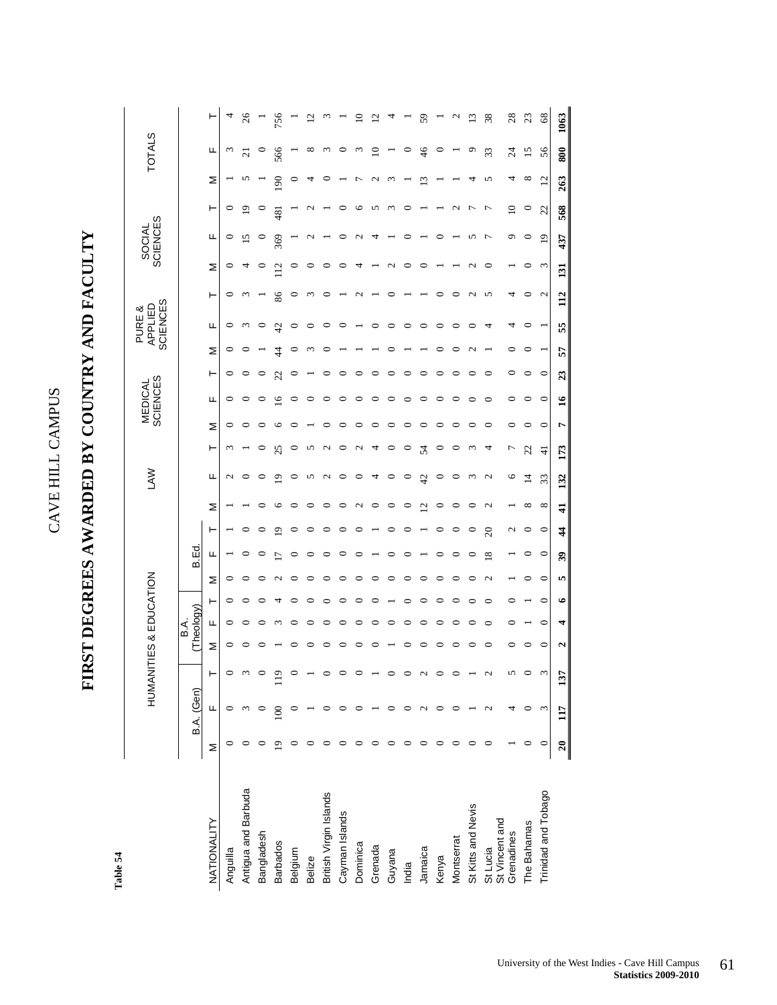### FIRST DEGREES AWARDED BY COUNTRY AND FACULTY **FIRST DEGREES AWARDED BY COUNTRY AND FACULTY**

Table 54 **Table 54** 

|                            |   |            | HUMANITIES & EDUCATION |         |                  |         |                   |                          |               |                | <b>NVT</b>        |                        |         | MEDICAL<br>SCIENCES |         | APPLIED                         | <b>SCIENCES</b><br>PURE & |                  | <b>SCIENCES</b><br>SOCIAL |                         |                       | <b>TOTALS</b>            |               |
|----------------------------|---|------------|------------------------|---------|------------------|---------|-------------------|--------------------------|---------------|----------------|-------------------|------------------------|---------|---------------------|---------|---------------------------------|---------------------------|------------------|---------------------------|-------------------------|-----------------------|--------------------------|---------------|
|                            |   | B.A. (Gen) |                        |         | Theology)<br>ВÁ. |         |                   | B.Ed.                    |               |                |                   |                        |         |                     |         |                                 |                           |                  |                           |                         |                       |                          |               |
| NATIONALITY                | Σ | щ          |                        | Σ       | щ                | ۲       | Σ                 | щ                        | ۲             | Σ              | щ                 | ۲                      | Σ       | щ                   | ۳       | щ<br>Σ                          | ۲                         | Σ                | щ                         | ۳                       | Σ                     | щ                        | ۲             |
| Anguilla                   |   |            |                        | 0       | 0                | 0       | 0                 |                          |               |                | N                 | 3                      | 0       | $\circ$             | 0       | 0<br>$\circ$                    | 0                         |                  | 0<br>0                    | 0                       |                       | W                        |               |
| Antigua and Barbuda        |   |            |                        |         |                  |         |                   |                          |               |                | $\circ$           |                        |         | $\circ$             | 0       | $\epsilon$                      | $\omega$                  |                  | 15                        | $\mathbf{\overline{5}}$ |                       | ಸ                        | 26            |
| Bangladesh                 |   |            |                        |         |                  |         |                   | 0                        | 0             | $\circ$        | $\circ$           | 0                      |         | $\circ$             | 0       | $\circ$                         |                           |                  | ∊<br>$\circ$              | P                       |                       |                          |               |
| <b>Barbados</b>            |   |            | $\overline{9}$         |         |                  |         |                   | $\overline{\phantom{0}}$ | ە             | $\circ$        | $\overline{0}$    | 25                     | c       | $\overline{9}$      | 22      | $\overline{4}$<br>$\frac{4}{4}$ | 86                        | 12               | 369                       | 481                     | 90                    | 566                      | 756           |
| Belgium                    |   |            |                        |         |                  |         |                   | 0                        | 0             | $\circ$        | $\circ$           | 0                      |         | $\circ$             |         | $\circ$                         | 0                         |                  | 0                         |                         |                       |                          |               |
| <b>Belize</b>              |   |            |                        |         |                  |         |                   | 0                        | 0             | $\circ$        | 5                 | 5                      |         | $\circ$             |         |                                 | 3                         |                  | $\circ$                   |                         |                       | ∞                        |               |
| British Virgin Islands     |   |            |                        |         |                  |         |                   |                          | 0             | $\circ$        | $\mathbf{\Omega}$ | $\mathbf{\mathcal{L}}$ |         | $\circ$             |         |                                 | 0                         |                  | ∊                         |                         |                       | $\omega$                 |               |
| Cayman Islands             |   |            |                        |         |                  |         | ∊                 |                          | 0             | $\circ$        | $\circ$           | 0                      |         | $\circ$             | ⊂       |                                 |                           |                  | ∊                         |                         |                       |                          |               |
| Dominica                   |   |            |                        |         |                  |         | ⊂                 |                          | 0             | $\mathcal{L}$  | $\circ$           | $\mathbf 2$            | ∊       | $\circ$             |         |                                 | $\mathbf{\mathcal{L}}$    | 4                | $\mathbf{\sim}$           | ℃                       | ŗ                     | $\omega$                 |               |
| Grenada                    |   |            |                        |         |                  |         | ⊂                 |                          |               | $\circ$        | 4                 | 4                      | ∊       | $\circ$             | ⊂       |                                 |                           |                  | 4                         | 5                       | $\mathbf{\mathsf{C}}$ | $\Xi$                    |               |
| Guyana                     |   |            |                        |         |                  |         | ⊂                 |                          | 0             | $\circ$        | $\circ$           | $\circ$                | 0       | $\circ$             |         | ∊                               | ⊂                         |                  | $\mathbf{\sim}$           | $\epsilon$              |                       |                          |               |
| India                      |   |            |                        |         |                  |         | ⊂                 |                          | 0             | $\circ$        | $\circ$           | 0                      | 0       | $\circ$             | ∊       | ∊                               |                           |                  | ∊                         |                         |                       | 0                        |               |
| Jamaica                    | 0 |            | 2                      |         |                  |         | 0                 |                          |               | 12             | 42                | 54                     | 0       | $\circ$             | 0       | 0                               |                           |                  | 0                         |                         | 13                    | 46                       | 59            |
| Kenya                      | 0 |            |                        | ⊂       |                  |         | ∊                 | ∊                        | 0             | $\circ$        | $\circ$           | $\circ$                | $\circ$ | $\circ$             | ∊       | $\circ$                         | $\circ$                   |                  | ⊂                         |                         |                       | $\circ$                  |               |
| Montserrat                 |   |            |                        |         |                  |         | ∊                 | 0                        | 0             | $\circ$        | $\circ$           | ∊                      | ∊       | $\circ$             | 0       | 0                               | ⊂                         |                  |                           | $\mathbf{\Omega}$       |                       |                          |               |
| St Kitts and Nevis         |   |            |                        | c       |                  |         | 0                 | 0                        | $\circ$       | $\circ$        | $\omega$          | ξ                      | 0       | $\circ$             | ∊       | 0                               | $\mathbf{\mathcal{L}}$    |                  | 5<br>$\mathbf{\sim}$      | Л                       | 4                     | O                        | $\frac{3}{2}$ |
| St Lucia<br>St Vincent and |   | 2          | 2                      | 0       | ∊                | ∊       | $\mathbf{\Omega}$ | 18                       | $\Omega$      | 2              | $\mathbf{C}$      | 4                      | $\circ$ | $\circ$             | ∊       | 4                               | 5                         |                  | 7<br>$\circ$              | $\overline{ }$          | 5                     | 33                       | 38            |
| Grenadines                 |   |            | 5                      | 0       | 0                | 0       |                   |                          | N             | $\overline{ }$ | $\circ$           | Γ                      | $\circ$ | $\circ$             | $\circ$ | 4<br>$\circ$                    | 4                         |                  | ٥                         | $\supseteq$             | 4                     | $\overline{\mathcal{L}}$ | 28            |
| The Bahamas                | 0 | 0          | 0                      | 0       |                  |         | 0                 | 0                        | $\circ$       | ${}^{\circ}$   | $\overline{1}$    | 22                     | 0       | $\circ$             | $\circ$ | 0<br>$\circ$                    | 0                         |                  | $\circ$<br>0              | $\circ$                 | ${}^{\circ}$          | 15                       | 23            |
| Trinidad and Tobago        | ∊ | 3          | S                      | $\circ$ | $\circ$          | $\circ$ | $\circ$           | $\circ$                  | $\circ$       | ${}^{\circ}$   | 33                | $\pm$                  | $\circ$ | $\circ$             | $\circ$ |                                 | $\mathbf{C}$              |                  | 19<br>3                   | 22                      | $\overline{c}$        | 56                       | 68            |
|                            |   |            | 57                     | ົ       |                  |         | n                 | 39                       | $\frac{4}{4}$ | 41             | 132               | 173                    | r       | $\frac{6}{1}$       | 23      | 55<br>57                        | 112                       | $\overline{131}$ | 437                       | 568                     | 263                   | 800                      | 1063          |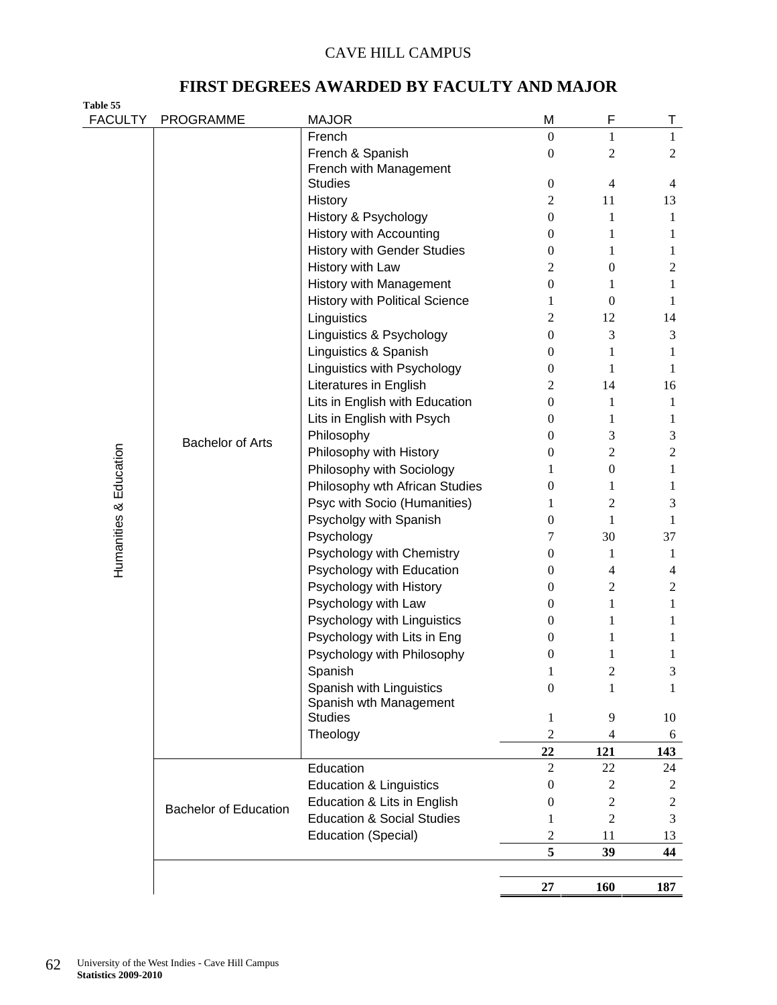### **FIRST DEGREES AWARDED BY FACULTY AND MAJOR**

| Table 55<br><b>FACULTY</b> |                              |                                                        | M                     | F                   |                   |
|----------------------------|------------------------------|--------------------------------------------------------|-----------------------|---------------------|-------------------|
|                            | <b>PROGRAMME</b>             | <b>MAJOR</b><br>French                                 | $\boldsymbol{0}$      | 1                   | Τ<br>$\mathbf{1}$ |
|                            |                              | French & Spanish                                       | $\boldsymbol{0}$      | 2                   | $\overline{2}$    |
|                            |                              | French with Management                                 |                       |                     |                   |
|                            |                              | <b>Studies</b>                                         | $\boldsymbol{0}$      | $\overline{4}$      | 4                 |
|                            |                              | History                                                | $\overline{2}$        | 11                  | 13                |
|                            |                              | History & Psychology                                   | $\boldsymbol{0}$      | 1                   | 1                 |
|                            |                              | <b>History with Accounting</b>                         | 0                     | 1                   | 1                 |
|                            |                              | <b>History with Gender Studies</b>                     | 0                     | 1                   | 1                 |
|                            |                              | History with Law                                       | 2                     | $\boldsymbol{0}$    | $\overline{2}$    |
|                            |                              | History with Management                                | 0                     | 1                   | $\mathbf{1}$      |
|                            |                              | <b>History with Political Science</b>                  | 1                     | $\mathbf{0}$        | 1                 |
|                            |                              | Linguistics                                            | 2                     | 12                  | 14                |
|                            |                              | Linguistics & Psychology                               | $\boldsymbol{0}$      | 3                   | 3                 |
|                            |                              | Linguistics & Spanish                                  | 0                     | 1                   | 1                 |
|                            |                              | Linguistics with Psychology                            | 0                     | 1                   | 1                 |
|                            |                              | Literatures in English                                 | 2                     | 14                  | 16                |
|                            |                              | Lits in English with Education                         | $\overline{0}$        | 1                   | 1                 |
|                            |                              | Lits in English with Psych                             | 0                     | 1                   | 1                 |
| Humanities & Education     | <b>Bachelor of Arts</b>      | Philosophy                                             | 0                     | 3                   | 3                 |
|                            |                              | Philosophy with History                                | 0                     | $\overline{2}$      | $\overline{2}$    |
|                            |                              | Philosophy with Sociology                              | 1                     | $\boldsymbol{0}$    | 1                 |
|                            |                              | Philosophy wth African Studies                         | 0                     | 1                   | 1                 |
|                            |                              | Psyc with Socio (Humanities)                           | 1                     | 2                   | 3                 |
|                            |                              | Psycholgy with Spanish                                 | $\overline{0}$        | 1                   | 1                 |
|                            |                              | Psychology                                             | 7                     | 30                  | 37                |
|                            |                              | Psychology with Chemistry<br>Psychology with Education | $\boldsymbol{0}$<br>0 | 1<br>$\overline{4}$ | 1<br>4            |
|                            |                              | Psychology with History                                | $\boldsymbol{0}$      | $\overline{2}$      | $\boldsymbol{2}$  |
|                            |                              | Psychology with Law                                    | $\overline{0}$        | 1                   | $\mathbf{1}$      |
|                            |                              | Psychology with Linguistics                            | $\mathbf{0}$          | 1                   | 1                 |
|                            |                              | Psychology with Lits in Eng                            | 0                     | 1                   | 1                 |
|                            |                              | Psychology with Philosophy                             | $\boldsymbol{0}$      | $\mathbf{1}$        | 1                 |
|                            |                              | Spanish                                                | 1                     | $\mathbf{2}$        | 3                 |
|                            |                              | Spanish with Linguistics                               | $\boldsymbol{0}$      | 1                   | 1                 |
|                            |                              | Spanish wth Management                                 |                       |                     |                   |
|                            |                              | <b>Studies</b>                                         | 1                     | 9                   | 10                |
|                            |                              | Theology                                               | $\overline{2}$        | 4                   | 6                 |
|                            |                              |                                                        | 22                    | 121                 | 143               |
|                            |                              | Education                                              | 2                     | 22                  | 24                |
|                            |                              | <b>Education &amp; Linguistics</b>                     | 0                     | 2                   | $\overline{c}$    |
|                            | <b>Bachelor of Education</b> | Education & Lits in English                            | 0                     | 2                   | $\boldsymbol{2}$  |
|                            |                              | <b>Education &amp; Social Studies</b>                  | 1                     | $\overline{c}$      | 3                 |
|                            |                              | <b>Education (Special)</b>                             | $\overline{c}$        | 11                  | 13                |
|                            |                              |                                                        | 5                     | 39                  | 44                |
|                            |                              |                                                        |                       |                     |                   |
|                            |                              |                                                        | 27                    | <b>160</b>          | 187               |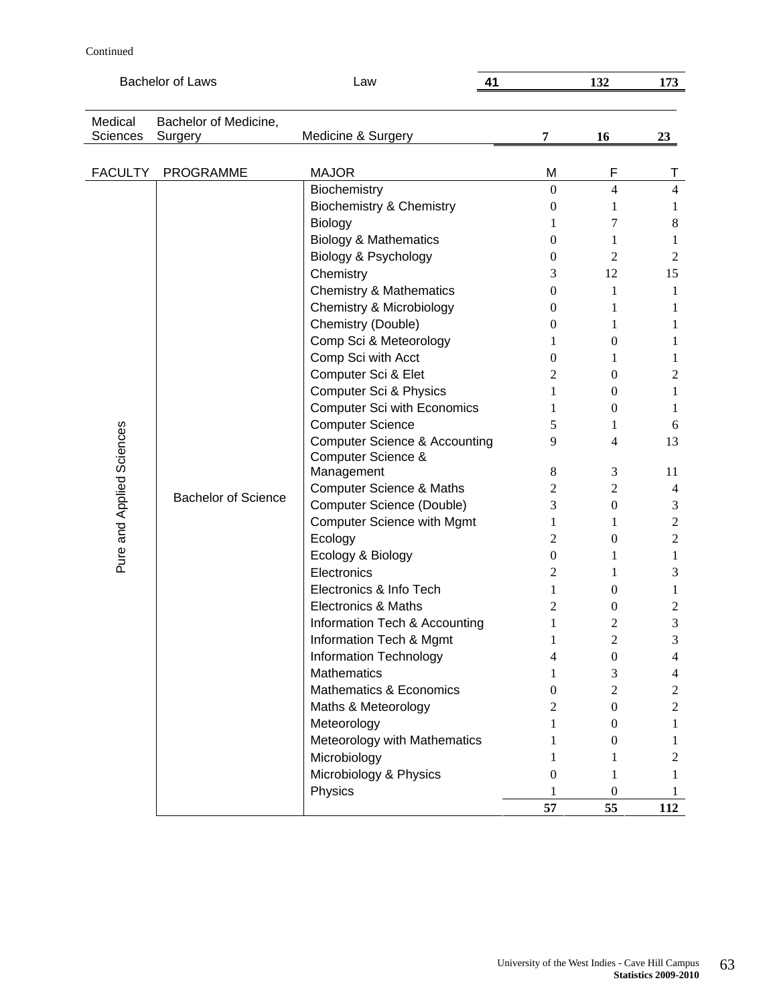### Continued

|                           | <b>Bachelor of Laws</b>    | Law<br>41                                |                  | 132              | 173            |
|---------------------------|----------------------------|------------------------------------------|------------------|------------------|----------------|
| Medical                   | Bachelor of Medicine,      |                                          |                  |                  |                |
| <b>Sciences</b>           | Surgery                    | Medicine & Surgery                       | 7                | 16               | 23             |
|                           |                            |                                          |                  |                  |                |
| <b>FACULTY</b>            | <b>PROGRAMME</b>           | <b>MAJOR</b>                             | M                | F                | т              |
|                           |                            | Biochemistry                             | $\mathbf{0}$     | $\overline{4}$   | $\overline{4}$ |
|                           |                            | <b>Biochemistry &amp; Chemistry</b>      | 0                | 1                | 1              |
|                           |                            | Biology                                  | 1                | 7                | 8              |
|                           |                            | <b>Biology &amp; Mathematics</b>         | $\overline{0}$   | 1                | 1              |
|                           |                            | Biology & Psychology                     | $\boldsymbol{0}$ | 2                | 2              |
|                           |                            | Chemistry                                | 3                | 12               | 15             |
|                           |                            | <b>Chemistry &amp; Mathematics</b>       | $\mathbf{0}$     | 1                | 1              |
|                           |                            | Chemistry & Microbiology                 | 0                | 1                | 1              |
|                           |                            | Chemistry (Double)                       | 0                | 1                | 1              |
|                           |                            | Comp Sci & Meteorology                   | 1                | $\boldsymbol{0}$ | 1              |
|                           |                            | Comp Sci with Acct                       | 0                | 1                | 1              |
|                           |                            | Computer Sci & Elet                      | 2                | $\mathbf{0}$     | 2              |
|                           |                            | <b>Computer Sci &amp; Physics</b>        | 1                | $\mathbf{0}$     | 1              |
| Pure and Applied Sciences |                            | <b>Computer Sci with Economics</b>       | 1                | $\mathbf{0}$     | 1              |
|                           |                            | <b>Computer Science</b>                  | 5                | 1                | 6              |
|                           |                            | <b>Computer Science &amp; Accounting</b> | 9                | 4                | 13             |
|                           |                            | Computer Science &                       |                  |                  |                |
|                           |                            | Management                               | 8                | 3                | 11             |
|                           | <b>Bachelor of Science</b> | <b>Computer Science &amp; Maths</b>      | 2                | 2                | 4              |
|                           |                            | Computer Science (Double)                | 3                | $\boldsymbol{0}$ | 3              |
|                           |                            | <b>Computer Science with Mgmt</b>        | 1                | 1                | $\overline{c}$ |
|                           |                            | Ecology                                  | 2                | $\boldsymbol{0}$ | $\mathfrak{2}$ |
|                           |                            | Ecology & Biology                        | $\boldsymbol{0}$ | 1                | 1              |
|                           |                            | Electronics                              | 2                | 1                | 3              |
|                           |                            | Electronics & Info Tech                  | 1                | $\mathbf{0}$     | 1              |
|                           |                            | Electronics & Maths                      | $\overline{c}$   | $\boldsymbol{0}$ | 2              |
|                           |                            | Information Tech & Accounting            | 1                | 2                | 3              |
|                           |                            | Information Tech & Mgmt                  | $\bf{l}$         | 2                | 3              |
|                           |                            | Information Technology                   | 4                | $\boldsymbol{0}$ | 4              |
|                           |                            | <b>Mathematics</b>                       | 1                | 3                | 4              |
|                           |                            | Mathematics & Economics                  | 0                | $\overline{2}$   | 2              |
|                           |                            | Maths & Meteorology                      | 2                | $\mathbf{0}$     | $\overline{2}$ |
|                           |                            | Meteorology                              |                  | $\theta$         | 1              |
|                           |                            | Meteorology with Mathematics             |                  | $\theta$         | 1              |
|                           |                            | Microbiology                             |                  | 1                | 2              |
|                           |                            | Microbiology & Physics                   | 0                | 1                | 1              |
|                           |                            | Physics                                  |                  | $\boldsymbol{0}$ |                |
|                           |                            |                                          | 57               | 55               | 112            |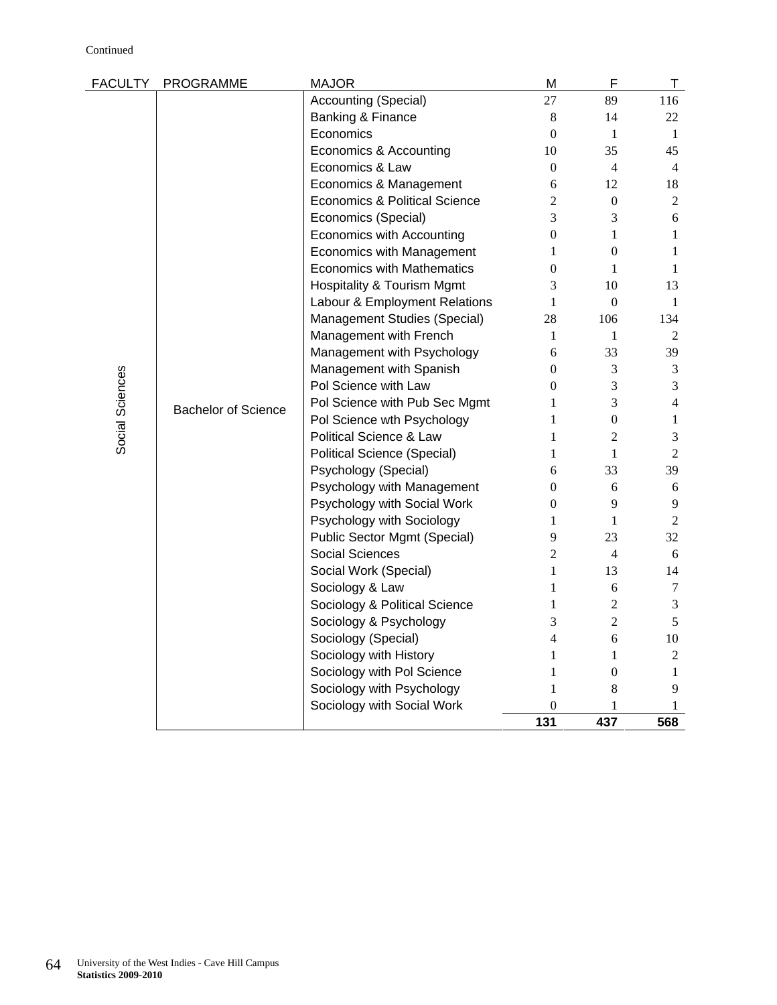| <b>FACULTY</b>  | PROGRAMME                  | <b>MAJOR</b>                             | M                        | F                | T              |
|-----------------|----------------------------|------------------------------------------|--------------------------|------------------|----------------|
|                 |                            | Accounting (Special)                     | 27                       | 89               | 116            |
|                 |                            | Banking & Finance                        | $8\phantom{1}$           | 14               | 22             |
|                 |                            | Economics                                | $\mathbf{0}$             | $\mathbf{1}$     | $\mathbf{1}$   |
|                 |                            | Economics & Accounting                   | 10                       | 35               | 45             |
|                 |                            | Economics & Law                          | $\overline{0}$           | 4                | $\overline{4}$ |
|                 |                            | Economics & Management                   | 6                        | 12               | 18             |
|                 |                            | <b>Economics &amp; Political Science</b> | $\overline{2}$           | $\boldsymbol{0}$ | 2              |
|                 |                            | Economics (Special)                      | 3                        | 3                | 6              |
|                 |                            | Economics with Accounting                | $\overline{0}$           | $\mathbf{1}$     | 1              |
|                 |                            | <b>Economics with Management</b>         | $\mathbf{1}$             | $\boldsymbol{0}$ | 1              |
|                 |                            | <b>Economics with Mathematics</b>        | $\boldsymbol{0}$         | $\mathbf{1}$     | $\mathbf{1}$   |
|                 |                            | Hospitality & Tourism Mgmt               | 3                        | 10               | 13             |
|                 |                            | Labour & Employment Relations            | $\mathbf{1}$             | $\boldsymbol{0}$ | $\mathbf{1}$   |
|                 |                            | Management Studies (Special)             | 28                       | 106              | 134            |
|                 |                            | Management with French                   | $\mathbf{1}$             | $\mathbf{1}$     | 2              |
|                 |                            | Management with Psychology               | 6                        | 33               | 39             |
| Social Sciences | <b>Bachelor of Science</b> | Management with Spanish                  | $\theta$                 | 3                | 3              |
|                 |                            | Pol Science with Law                     | $\overline{0}$           | 3                | 3              |
|                 |                            | Pol Science with Pub Sec Mgmt            | 1                        | 3                | 4              |
|                 |                            | Pol Science wth Psychology               | 1                        | $\overline{0}$   | 1              |
|                 |                            | <b>Political Science &amp; Law</b>       | 1                        | $\overline{2}$   | 3              |
|                 |                            | Political Science (Special)              | 1                        | $\mathbf{1}$     | $\overline{2}$ |
|                 |                            | Psychology (Special)                     | 6                        | 33               | 39             |
|                 |                            | Psychology with Management               | $\overline{0}$           | 6                | $6\,$          |
|                 |                            | Psychology with Social Work              | $\boldsymbol{0}$         | 9                | 9              |
|                 |                            | Psychology with Sociology                | 1                        | $\mathbf{1}$     | 2              |
|                 |                            | Public Sector Mgmt (Special)             | 9                        | 23               | 32             |
|                 |                            | Social Sciences                          | 2                        | 4                | 6              |
|                 |                            | Social Work (Special)                    | $\mathbf{1}$             | 13               | 14             |
|                 |                            | Sociology & Law                          | 1                        | 6                | 7              |
|                 |                            | Sociology & Political Science            | 1                        | $\overline{2}$   | 3              |
|                 |                            | Sociology & Psychology                   | 3                        | $\overline{2}$   | 5              |
|                 |                            | Sociology (Special)                      | $\overline{\mathcal{L}}$ | 6                | 10             |
|                 |                            | Sociology with History                   | 1                        | $\mathbf{1}$     | $\overline{2}$ |
|                 |                            | Sociology with Pol Science               | $\mathbf{1}$             | $\boldsymbol{0}$ | $\mathbf{1}$   |
|                 |                            | Sociology with Psychology                | 1                        | 8                | 9              |
|                 |                            | Sociology with Social Work               | 0                        | 1                | 1              |
|                 |                            |                                          | 131                      | 437              | 568            |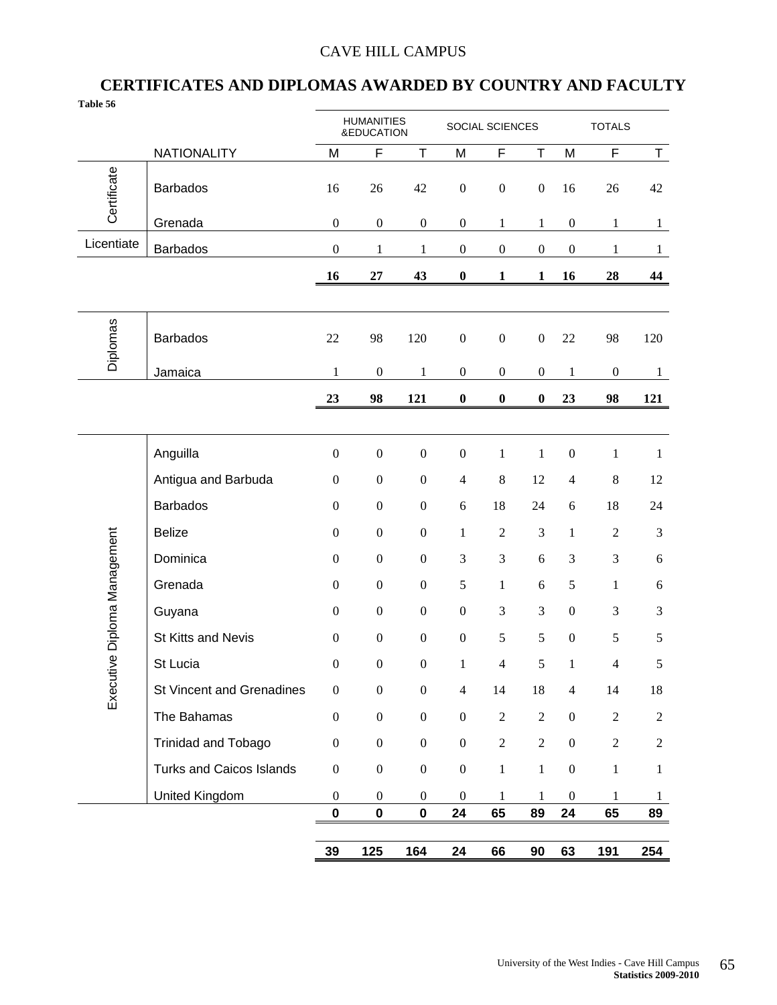### CAVE HILL CAMPUS

### **CERTIFICATES AND DIPLOMAS AWARDED BY COUNTRY AND FACULTY**

| Table 56                     |                                 |                  |                                 |                  |                  |                  |                  |                  |                  |                |
|------------------------------|---------------------------------|------------------|---------------------------------|------------------|------------------|------------------|------------------|------------------|------------------|----------------|
|                              |                                 |                  | <b>HUMANITIES</b><br>&EDUCATION |                  |                  | SOCIAL SCIENCES  |                  |                  | <b>TOTALS</b>    |                |
|                              | <b>NATIONALITY</b>              | M                | F                               | T                | M                | F                | T                | M                | F                | $\top$         |
| Certificate                  | <b>Barbados</b>                 | 16               | 26                              | 42               | $\boldsymbol{0}$ | $\boldsymbol{0}$ | $\boldsymbol{0}$ | 16               | 26               | 42             |
|                              | Grenada                         | $\boldsymbol{0}$ | $\boldsymbol{0}$                | $\boldsymbol{0}$ | $\boldsymbol{0}$ | $\mathbf{1}$     | $\mathbf{1}$     | $\boldsymbol{0}$ | $\mathbf{1}$     | $\mathbf{1}$   |
| Licentiate                   | <b>Barbados</b>                 | $\boldsymbol{0}$ | 1                               | $\mathbf{1}$     | $\boldsymbol{0}$ | $\boldsymbol{0}$ | $\boldsymbol{0}$ | $\boldsymbol{0}$ | $\mathbf{1}$     | $\mathbf{1}$   |
|                              |                                 | 16               | 27                              | 43               | $\boldsymbol{0}$ | 1                | 1                | 16               | 28               | 44             |
|                              |                                 |                  |                                 |                  |                  |                  |                  |                  |                  |                |
| <b>Diplomas</b>              | <b>Barbados</b>                 | 22               | 98                              | 120              | $\boldsymbol{0}$ | $\boldsymbol{0}$ | $\boldsymbol{0}$ | 22               | 98               | 120            |
|                              | Jamaica                         | $\mathbf{1}$     | $\boldsymbol{0}$                | $\mathbf{1}$     | $\boldsymbol{0}$ | $\boldsymbol{0}$ | $\boldsymbol{0}$ | $\mathbf{1}$     | $\boldsymbol{0}$ | $\mathbf{1}$   |
|                              |                                 | 23               | 98                              | 121              | $\boldsymbol{0}$ | $\boldsymbol{0}$ | $\boldsymbol{0}$ | 23               | 98               | 121            |
|                              |                                 |                  |                                 |                  |                  |                  |                  |                  |                  |                |
|                              | Anguilla                        | $\boldsymbol{0}$ | $\boldsymbol{0}$                | $\boldsymbol{0}$ | $\boldsymbol{0}$ | $\,1$            | $\,1$            | $\boldsymbol{0}$ | $\mathbf{1}$     | $\mathbf{1}$   |
|                              | Antigua and Barbuda             | $\boldsymbol{0}$ | $\boldsymbol{0}$                | $\boldsymbol{0}$ | $\overline{4}$   | $\,8\,$          | 12               | $\overline{4}$   | $\,$ 8 $\,$      | 12             |
|                              | <b>Barbados</b>                 | $\boldsymbol{0}$ | $\boldsymbol{0}$                | $\boldsymbol{0}$ | $\sqrt{6}$       | 18               | 24               | $\sqrt{6}$       | 18               | 24             |
|                              | <b>Belize</b>                   | $\boldsymbol{0}$ | $\boldsymbol{0}$                | $\boldsymbol{0}$ | $\mathbf 1$      | $\overline{2}$   | 3                | $\mathbf{1}$     | $\sqrt{2}$       | 3              |
|                              | Dominica                        | $\boldsymbol{0}$ | $\boldsymbol{0}$                | $\boldsymbol{0}$ | $\mathfrak{Z}$   | 3                | 6                | 3                | $\mathfrak{Z}$   | 6              |
| Executive Diploma Management | Grenada                         | $\boldsymbol{0}$ | $\boldsymbol{0}$                | $\boldsymbol{0}$ | $\sqrt{5}$       | $\mathbf{1}$     | 6                | 5                | $\mathbf{1}$     | 6              |
|                              | Guyana                          | $\boldsymbol{0}$ | $\boldsymbol{0}$                | $\boldsymbol{0}$ | $\boldsymbol{0}$ | 3                | 3                | $\boldsymbol{0}$ | 3                | 3              |
|                              | St Kitts and Nevis              | $\boldsymbol{0}$ | $\boldsymbol{0}$                | $\boldsymbol{0}$ | $\boldsymbol{0}$ | 5                | 5                | $\boldsymbol{0}$ | 5                | 5              |
|                              | St Lucia                        | $\boldsymbol{0}$ | $\boldsymbol{0}$                | $\boldsymbol{0}$ | $\mathbf{1}$     | $\overline{4}$   | 5                | $\mathbf{1}$     | $\overline{4}$   | 5              |
|                              | St Vincent and Grenadines       | $\boldsymbol{0}$ | $\boldsymbol{0}$                | $\boldsymbol{0}$ | $\overline{4}$   | 14               | 18               | $\overline{4}$   | 14               | 18             |
|                              | The Bahamas                     | $\boldsymbol{0}$ | $\boldsymbol{0}$                | $\boldsymbol{0}$ | $\boldsymbol{0}$ | $\overline{2}$   | $\overline{c}$   | $\boldsymbol{0}$ | $\overline{c}$   | $\overline{2}$ |
|                              | Trinidad and Tobago             | $\boldsymbol{0}$ | $\boldsymbol{0}$                | $\boldsymbol{0}$ | $\boldsymbol{0}$ | $\sqrt{2}$       | $\overline{c}$   | $\boldsymbol{0}$ | $\overline{2}$   | $\overline{2}$ |
|                              | <b>Turks and Caicos Islands</b> | $\boldsymbol{0}$ | $\boldsymbol{0}$                | $\boldsymbol{0}$ | $\boldsymbol{0}$ | $\,1\,$          | $\mathbf{1}$     | $\boldsymbol{0}$ | $\,1$            | $\mathbf{1}$   |
|                              | United Kingdom                  | $\boldsymbol{0}$ | $\boldsymbol{0}$                | $\mathbf{0}$     | $\boldsymbol{0}$ | 1                | 1                | $\boldsymbol{0}$ | 1                | $\mathbf{1}$   |
|                              |                                 | $\pmb{0}$        | $\pmb{0}$                       | $\pmb{0}$        | 24               | 65               | 89               | 24               | 65               | 89             |
|                              |                                 | 39               | 125                             | 164              | 24               | 66               | 90               | 63               | 191              | 254            |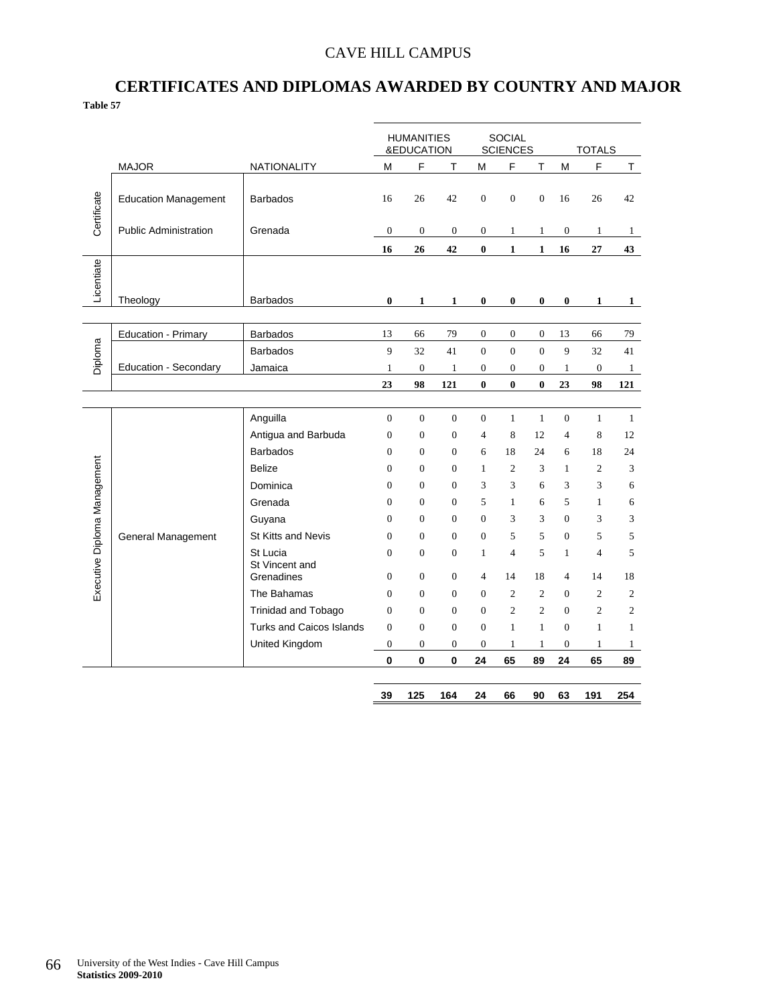### CAVE HILL CAMPUS

### **CERTIFICATES AND DIPLOMAS AWARDED BY COUNTRY AND MAJOR Table 57**

|                              |                              |                              |                  | <b>HUMANITIES</b><br>&EDUCATION |                  |                  | <b>SOCIAL</b><br><b>SCIENCES</b> |                  |                  | <b>TOTALS</b>  |                |
|------------------------------|------------------------------|------------------------------|------------------|---------------------------------|------------------|------------------|----------------------------------|------------------|------------------|----------------|----------------|
|                              | <b>MAJOR</b>                 | <b>NATIONALITY</b>           | M                | F                               | T                | М                | F                                | T                | M                | F              | T              |
| Certificate                  | <b>Education Management</b>  | <b>Barbados</b>              | 16               | 26                              | 42               | $\mathbf{0}$     | $\mathbf{0}$                     | $\overline{0}$   | 16               | 26             | 42             |
|                              | <b>Public Administration</b> | Grenada                      | $\boldsymbol{0}$ | $\boldsymbol{0}$                | $\boldsymbol{0}$ | $\boldsymbol{0}$ | $\mathbf{1}$                     | $\mathbf{1}$     | $\boldsymbol{0}$ | $\mathbf{1}$   | $\mathbf{1}$   |
|                              |                              |                              | 16               | 26                              | 42               | $\bf{0}$         | $\mathbf{1}$                     | $\mathbf{1}$     | 16               | 27             | 43             |
| Licentiate                   | Theology                     | <b>Barbados</b>              | $\bf{0}$         | 1                               | $\mathbf{1}$     | $\bf{0}$         | $\bf{0}$                         | $\bf{0}$         | $\bf{0}$         | $\mathbf{1}$   | $\mathbf{1}$   |
|                              | Education - Primary          | Barbados                     | 13               | 66                              | 79               | $\boldsymbol{0}$ | $\boldsymbol{0}$                 | $\boldsymbol{0}$ | 13               | 66             | 79             |
|                              |                              | <b>Barbados</b>              | 9                | 32                              | 41               | $\overline{0}$   | $\overline{0}$                   | $\Omega$         | 9                | 32             | 41             |
| Diploma                      | Education - Secondary        | Jamaica                      | 1                | $\boldsymbol{0}$                | $\mathbf{1}$     | $\boldsymbol{0}$ | 0                                | 0                | 1                | $\mathbf{0}$   | $\mathbf{1}$   |
|                              |                              |                              | 23               | 98                              | 121              | $\bf{0}$         | $\bf{0}$                         | $\bf{0}$         | 23               | 98             | 121            |
|                              |                              |                              |                  |                                 |                  |                  |                                  |                  |                  |                |                |
|                              |                              | Anguilla                     | $\boldsymbol{0}$ | $\boldsymbol{0}$                | $\overline{0}$   | $\boldsymbol{0}$ | $\mathbf{1}$                     | $\mathbf{1}$     | $\boldsymbol{0}$ | $\mathbf{1}$   | $\mathbf{1}$   |
| Executive Diploma Management |                              | Antigua and Barbuda          | $\overline{0}$   | $\theta$                        | $\theta$         | $\overline{4}$   | 8                                | 12               | $\overline{4}$   | 8              | 12             |
|                              |                              | <b>Barbados</b>              | $\overline{0}$   | $\mathbf{0}$                    | $\mathbf{0}$     | 6                | 18                               | 24               | 6                | 18             | 24             |
|                              | General Management           | <b>Belize</b>                | $\overline{0}$   | $\mathbf{0}$                    | $\mathbf{0}$     | $\mathbf{1}$     | $\overline{c}$                   | 3                | 1                | $\overline{c}$ | 3              |
|                              |                              | Dominica                     | $\Omega$         | $\Omega$                        | $\Omega$         | 3                | 3                                | 6                | 3                | 3              | 6              |
|                              |                              | Grenada                      | $\overline{0}$   | $\mathbf{0}$                    | $\mathbf{0}$     | 5                | 1                                | 6                | 5                | $\mathbf{1}$   | 6              |
|                              |                              | Guyana                       | $\overline{0}$   | $\mathbf{0}$                    | $\mathbf{0}$     | $\mathbf{0}$     | 3                                | 3                | $\overline{0}$   | 3              | 3              |
|                              |                              | St Kitts and Nevis           | $\Omega$         | $\Omega$                        | $\Omega$         | $\mathbf{0}$     | 5                                | 5                | $\Omega$         | 5              | 5              |
|                              |                              | St Lucia                     | $\overline{0}$   | $\mathbf{0}$                    | $\mathbf{0}$     | $\mathbf{1}$     | $\overline{4}$                   | 5                | 1                | $\overline{4}$ | 5              |
|                              |                              | St Vincent and<br>Grenadines | $\overline{0}$   | $\overline{0}$                  | $\overline{0}$   | $\overline{4}$   | 14                               | 18               | $\overline{4}$   | 14             | 18             |
|                              |                              | The Bahamas                  | $\Omega$         | $\Omega$                        | $\Omega$         | $\Omega$         | $\overline{c}$                   | $\overline{c}$   | $\Omega$         | $\overline{c}$ | $\overline{c}$ |
|                              |                              | <b>Trinidad and Tobago</b>   | $\overline{0}$   | $\mathbf{0}$                    | $\mathbf{0}$     | $\mathbf{0}$     | $\overline{c}$                   | $\overline{c}$   | $\mathbf{0}$     | $\overline{c}$ | $\mathfrak{2}$ |
|                              |                              | Turks and Caicos Islands     | $\overline{0}$   | $\mathbf{0}$                    | $\overline{0}$   | $\overline{0}$   | $\mathbf{1}$                     | $\mathbf{1}$     | $\mathbf{0}$     | $\mathbf{1}$   | $\mathbf{1}$   |
|                              |                              | United Kingdom               | $\boldsymbol{0}$ | $\boldsymbol{0}$                | $\mathbf{0}$     | $\mathbf{0}$     | $\mathbf{1}$                     | $\mathbf{1}$     | $\mathbf{0}$     | $\mathbf{1}$   | $\mathbf{1}$   |
|                              |                              |                              | 0                | $\mathbf 0$                     | 0                | 24               | 65                               | 89               | 24               | 65             | 89             |
|                              |                              |                              | 39               | 125                             | 164              | 24               | 66                               | 90               | 63               | 191            | 254            |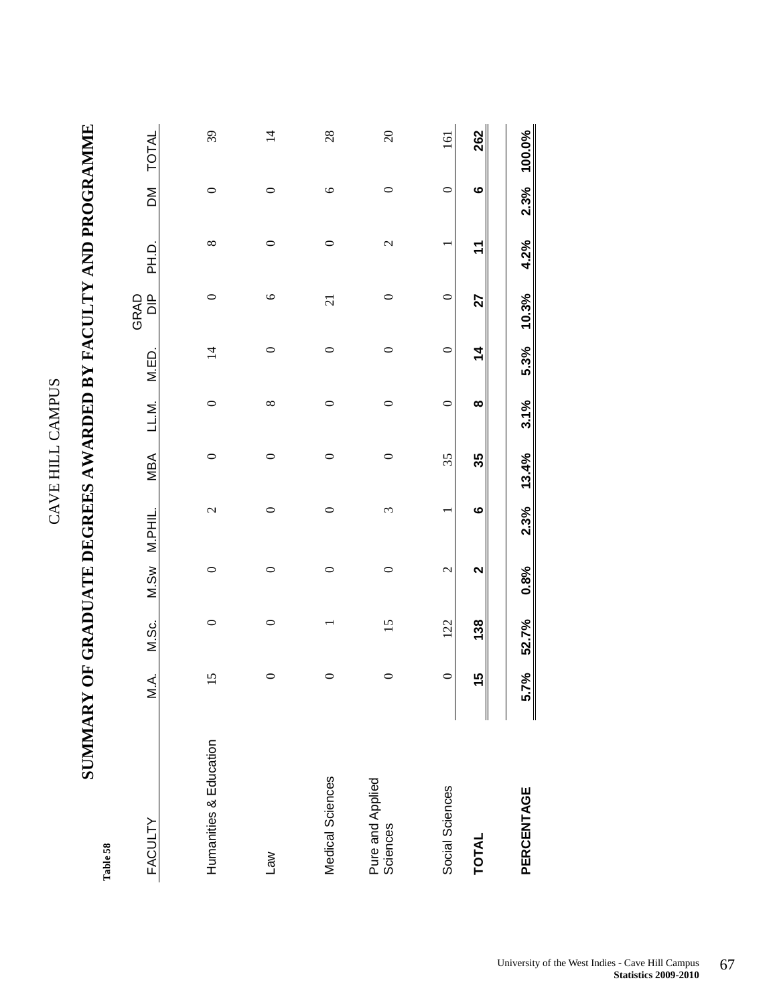| ċ<br>ŗ                  |  |
|-------------------------|--|
| $\tilde{\epsilon}$<br>Ë |  |
| ⊔<br>ĵ,<br>J<br>خ<br>آ  |  |

**SUMMARY OF GRADUATE DEGREES AWARDED BY FACULTY AND PROGRAMME**  SUMIMARY OF GRADUATE DEGREES AWARDED BY FACULTY AND PROGRAMME

 $\mathbf{r}_\mathrm{s}$ 

| Table 58                     |         |                 |              |                          |         |               |                |                          |                          |              |                |
|------------------------------|---------|-----------------|--------------|--------------------------|---------|---------------|----------------|--------------------------|--------------------------|--------------|----------------|
| <b>FACULTY</b>               | M.A.    | M.Sc.           | M.Sw         | M.PHIL.                  | MBA     | LL.M.         | M.ED.          | $\frac{p}{\Box}$<br>GRAD | D.<br>H.D.               | $\mathsf{M}$ | TOTAL          |
| Humanities & Education       | 15      | $\circ$         | $\circ$      | $\overline{\mathcal{C}}$ | $\circ$ | $\circ$       | $\overline{1}$ | $\circ$                  | $\infty$                 | $\circ$      | 39             |
| <b>Law</b>                   | $\circ$ | 0               | 0            | $\circ$                  | $\circ$ | ${}^{\infty}$ | $\circ$        | $\circ$                  | $\circ$                  | 0            | $\overline{4}$ |
|                              |         |                 |              |                          |         |               |                |                          |                          |              |                |
| Medical Sciences             | 0       |                 | 0            | $\circ$                  | $\circ$ | 0             | $\circ$        | $\overline{c}$           | $\circ$                  | $\circ$      | 28             |
| Pure and Applied<br>Sciences | $\circ$ | $\overline{15}$ | 0            | 3                        | $\circ$ | $\circ$       | $\circ$        | $\circ$                  | $\overline{\mathcal{C}}$ | 0            | $\infty$       |
| Social Sciences              | $\circ$ | 122             | $\mathbf{C}$ | ٣                        | 35      | $\circ$       | $\circ$        | $\circ$                  | ٣                        | $\circ$      | 161            |
| TOTAL                        | 15      | 138             | 2            | $\bullet$                | 35      | $\infty$      | $\frac{4}{1}$  | 27                       | $\mathbf{r}$             | $\bullet$    | 262            |
| PERCENTAGE                   | 5.7%    | 52.7%           | 0.8%         | 2.3%                     | 13.4%   | 3.1%          | 5.3%           | 10.3%                    | 4.2%                     | 2.3%         | 100.0%         |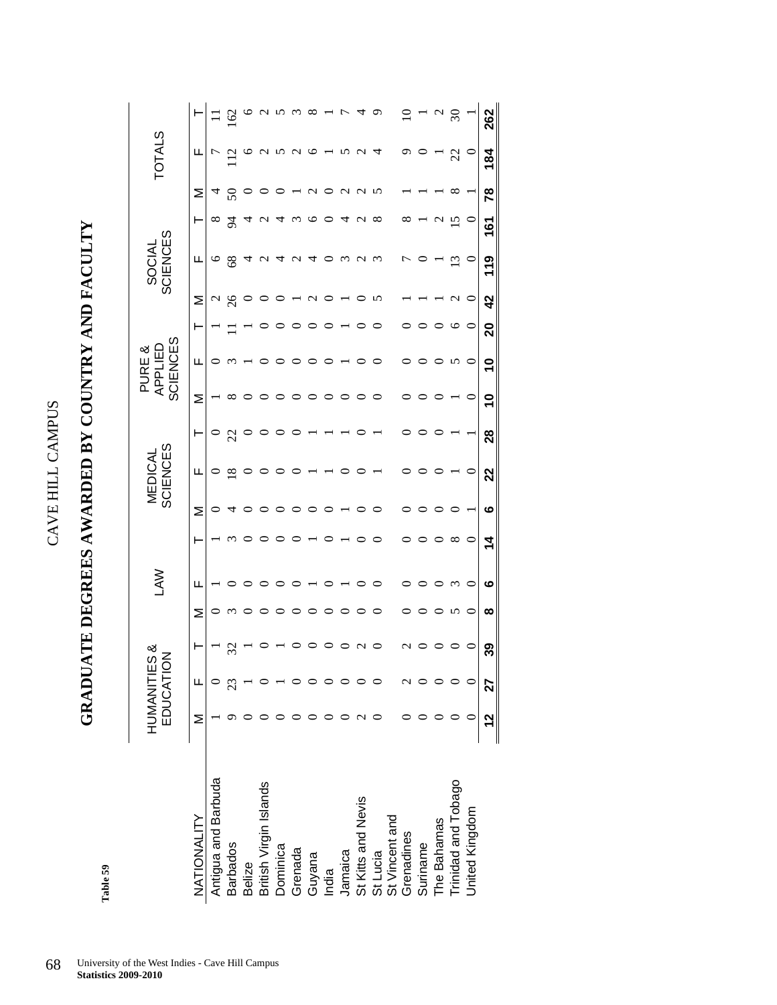**GRADUATE DEGREES AWARDED BY COUNTRY AND FACULTY**  GRADUATE DEGREES AWARDED BY COUNTRY AND FACULTY

> Table 59 **Table 59**

|                                          | HUMANITIES & | EDUCATIO |    |   | ξ        |          | ត្ថ | ਨ੍<br>NEDI<br>╙ | 53             | SCIEN | ES<br>ళ<br>APPLIED<br>PURE |         | <b>USS</b> | SOCIAL          | ES             |    | <b>TOTALS</b>     |                   |
|------------------------------------------|--------------|----------|----|---|----------|----------|-----|-----------------|----------------|-------|----------------------------|---------|------------|-----------------|----------------|----|-------------------|-------------------|
| NATIONALITY                              | $\geq$       | Щ        |    | Σ | щ        |          | Σ   | ட               |                | Σ     | щ                          |         | Σ          | ட               |                | Σ  | щ                 |                   |
| Antigua and Barbuda                      |              |          |    |   |          |          |     | 0               |                |       |                            |         |            | $\circ$         | $\infty$       |    |                   |                   |
| <b>Barbados</b>                          |              |          | 32 |   |          |          |     | $\overline{18}$ | $\mathfrak{L}$ | ∞     |                            |         |            | $\frac{8}{3}$   |                |    |                   | $\widetilde{\Xi}$ |
| <b>Belize</b>                            |              |          |    |   |          |          |     | $\circ$         |                |       |                            |         |            |                 |                |    | $\mathbf{\Phi}$   |                   |
| British Virgin Islands                   |              |          |    |   |          |          |     | ○               |                |       |                            |         |            | $\sim$          |                |    | $\omega$ $\omega$ |                   |
| Dominica                                 |              |          |    |   |          |          |     |                 |                |       |                            |         |            |                 |                |    |                   |                   |
| Grenada                                  |              |          |    |   |          |          |     |                 |                |       |                            |         |            | $\mathbf{\sim}$ |                |    | $\sim$            |                   |
| Guyana                                   |              |          |    |   |          |          |     |                 |                |       |                            |         |            | ↴               |                |    | ७                 |                   |
| India                                    |              |          |    |   |          |          |     |                 |                |       |                            |         |            |                 |                |    |                   |                   |
| Jamaica                                  |              |          |    |   |          |          |     |                 |                |       |                            |         |            | $\omega$        |                | c  | n                 |                   |
| St Kitts and Nevis                       |              |          |    |   |          |          |     |                 |                |       |                            |         |            | $\sim$          |                | C  | $\sim$            |                   |
| St Lucia<br>St Vincent and<br>Grenadines |              |          |    |   |          |          |     |                 |                |       |                            |         |            | $\omega$        | $\infty$       |    |                   |                   |
|                                          |              |          |    |   |          |          |     |                 |                |       |                            |         |            |                 |                |    |                   |                   |
|                                          |              |          |    |   |          |          |     |                 |                |       |                            |         |            |                 |                |    | ᡡ                 |                   |
| Suriname                                 |              |          |    |   |          |          |     |                 |                |       |                            |         |            |                 |                |    |                   |                   |
| The Bahamas                              |              |          |    |   |          |          |     |                 |                |       |                            |         |            |                 |                |    |                   |                   |
| Trinidad and Tobago                      |              |          |    | n | $\omega$ | $\infty$ |     |                 |                |       | ∽                          |         |            | ≌               | $\overline{5}$ |    | 22                | $\Im$             |
| United Kingdom                           |              |          |    |   | ⊂        | $\circ$  |     | $\circ$         |                |       | ⊂                          | $\circ$ |            |                 | $\circ$        |    | $\circ$           |                   |
|                                          | <u>12</u>    | 27       | ని | ∞ | ဖ        | 4        | ဖ   | 22              | 28             | ٩     | $\mathsf{P}$               | 20      | 42         | 119             | <u>161</u>     | 78 | 184               | 26<br>2           |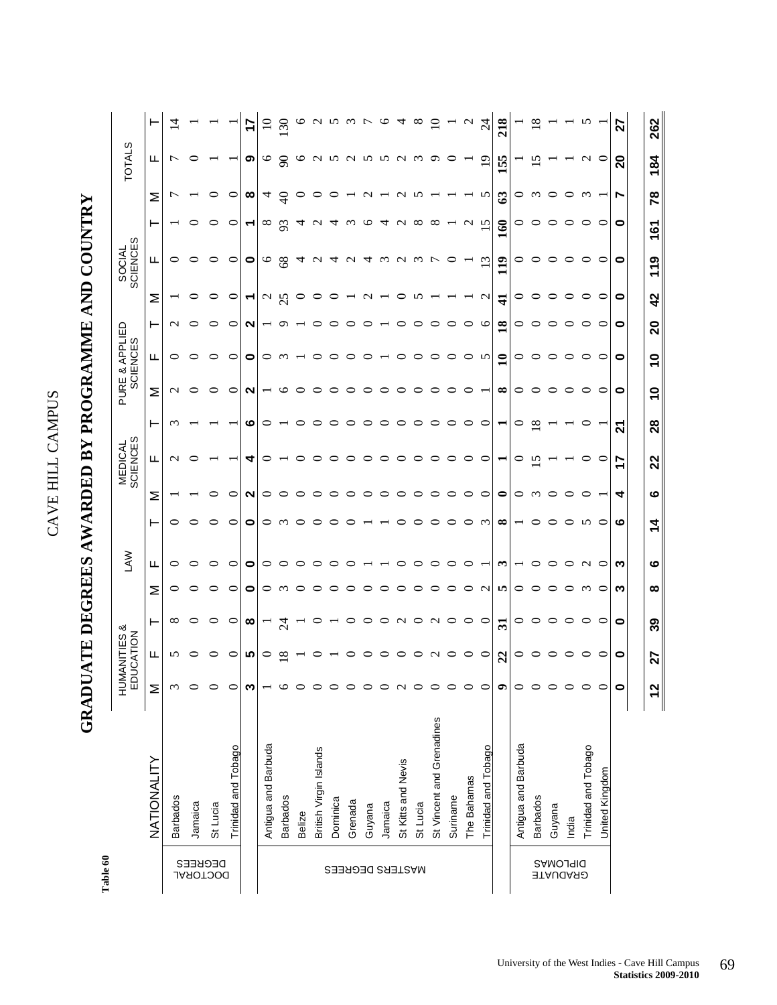### **GRADUATE DEGREES AWARDED BY PROGRAMME AND COUNTRY**  GRADUATE DEGREES AWARDED BY PROGRAMME AND COUNTRY

Table 60 **Table 60** 

|                                    |                           | ΞD            | HUMANITIES &<br><b>ICATION</b> |               |          | <b>NYT</b> |          |   | <b>SCIENCES</b><br><b>MEDICAL</b> |    |                          | PURE & APPLIED<br><b>SCIENCES</b> |                 |                  | SOCIAL<br>SCIENCES |                |          | <b>TOTALS</b>     |               |
|------------------------------------|---------------------------|---------------|--------------------------------|---------------|----------|------------|----------|---|-----------------------------------|----|--------------------------|-----------------------------------|-----------------|------------------|--------------------|----------------|----------|-------------------|---------------|
|                                    | NATIONALITY               | Σ             | ய                              | ۳             | Σ        | Щ          | ۳        | Σ | щ                                 | ۲  | Σ                        | щ                                 | ۳               | Σ                | щ                  | ۳              | Σ        | ட                 |               |
|                                    | <b>Barbados</b>           | $\omega$      | n                              | $^{\circ}$    | 0        | 0          | 0        |   | $\sim$                            | ∞  | $\mathbf{\Omega}$        | $\circ$                           | $\mathcal{C}$   |                  | 0                  |                | г        | ↽                 |               |
| DECREES<br>DOCLOKYT                | Jamaica                   | $\circ$       |                                | ⊂             | ○        |            | ○        |   |                                   |    |                          | ⊂                                 | ○               |                  | ⊂                  |                |          |                   |               |
|                                    | St Lucia                  | $\circ$       |                                |               | 0        |            | ⊂        |   |                                   |    |                          | ⊂                                 | ⊂               |                  |                    |                |          |                   |               |
|                                    | Trinidad and Tobago       | $\circ$       | ⊂                              | c             | ⊂        | 0          | 0        | ⊂ |                                   |    | ⊂                        | $\circ$                           | ⊂               | ⊂                | ⊂                  | ⊂              | ⊂        |                   |               |
|                                    |                           | ω             | ທ                              | ∞             | 0        | 0          | 0        | N | ↴                                 | ဖ  | $\sim$                   | 0                                 | N               | ↽                | 0                  | ₹              | œ        | ၜ                 |               |
|                                    | Antigua and Barbuda       |               | ⊂                              |               | 0        | 0          | 0        | 0 |                                   | ⊂  |                          | 0                                 |                 | $\sim$           | ७                  | $^{\circ}$     | 4        | ७                 |               |
|                                    | <b>Barbados</b>           | ७             | ∝                              | $\mathcal{Z}$ | $\omega$ |            | $\omega$ | ⊂ |                                   |    |                          | ∾                                 | c               | 25               | 68                 | 93             | $\Theta$ | $\infty$          | $\mathcal{S}$ |
|                                    | Belize                    | ○             |                                |               |          |            | ⊂        |   |                                   |    |                          |                                   |                 | c                | ব                  | ₹              |          | ∘                 |               |
|                                    | British Virgin Islands    | ⊂             |                                |               |          |            | ⊂        |   |                                   |    |                          |                                   |                 |                  | С                  |                |          | $\mathbf{\Omega}$ |               |
|                                    | Dominica                  | $\circ$       |                                |               |          |            |          |   |                                   |    |                          |                                   |                 |                  |                    |                |          | n                 |               |
|                                    | Grenada                   | $\circ$       |                                |               |          |            |          |   |                                   |    |                          |                                   |                 |                  | C                  |                |          | $\sim$            |               |
|                                    | Guyana                    | $\circ$       |                                |               |          |            |          |   |                                   |    |                          |                                   |                 |                  | ↴                  |                |          | n                 |               |
|                                    | Jamaica                   | $\circ$       |                                |               |          |            |          |   |                                   |    |                          |                                   |                 |                  | $\omega$           | ↴              |          | n                 | ⊵             |
| MASTERS DEGREES                    | St Kitts and Nevis        | $\mathcal{L}$ |                                |               |          |            |          | c |                                   |    |                          |                                   |                 |                  | $\sim$             |                |          | $\sim$            |               |
|                                    | St Lucia                  | $\circ$       |                                |               |          |            |          |   |                                   |    |                          |                                   |                 |                  | $\sim$             | ∝              |          | $\omega$          | ∞             |
|                                    | St Vincent and Grenadines | $\circ$       |                                |               |          |            |          |   |                                   |    |                          |                                   |                 |                  |                    | ∞              |          | ᡡ                 |               |
|                                    | Suriname                  | $\circ$       |                                | ⊂             |          |            |          |   |                                   |    |                          |                                   |                 |                  | ⊂                  |                |          | ⊂                 |               |
|                                    | The Bahamas               | $\circ$       |                                | C             | ⊂        |            | ⊂        | ⊂ |                                   |    |                          | ⊂                                 | ⊂               |                  |                    | $\sim$         |          |                   |               |
|                                    | Trinidad and Tobago       | $\circ$       | ⊂                              | C             | $\sim$   |            | $\omega$ | ⊂ | ⊂                                 |    |                          | n                                 | ७               | $\mathbf{\sim}$  | $\omega$           | ∽              | n        | $\circ$           | $\mathcal{Z}$ |
|                                    |                           | $\bullet$     | $\boldsymbol{z}$               | $\mathbf{z}$  | m        | ొ          | $\infty$ | 0 | ۳                                 |    | ∞                        | $\mathbf{1}$                      | $\overline{18}$ | $\ddot{+}$       | 119                | 160            | ශී       | 155               | 218           |
|                                    | Antigua and Barbuda       | $\circ$       | 0                              | ⊂             | c        |            |          | 0 | ○                                 | ⊂  | 0                        | ○                                 | 0               | 0                |                    | 0              | c        |                   |               |
|                                    | <b>Barbados</b>           | $\circ$       |                                | ⊂             |          |            | ⊂        | S | ∽                                 |    |                          | c                                 | ⊂               |                  |                    |                | ∾        | n                 |               |
|                                    | Guyana                    | $\circ$       |                                |               |          |            |          |   |                                   |    |                          |                                   |                 |                  |                    |                |          |                   |               |
| <b>DIPLOMAS</b><br><b>GRADUATE</b> | India                     | $\circ$       |                                |               |          |            | ⊂        |   |                                   |    |                          |                                   | c               | c                | ⊂                  |                |          |                   |               |
|                                    | Trinidad and Tobago       | $\circ$       |                                | ⊂             |          | $\sim$     | n        |   | 0                                 |    |                          | ⊂                                 | 0               | ○                | ⊂                  | ⊂              |          | $\sim$            |               |
|                                    | United Kingdom            | $\circ$       |                                | ○             | c        | ○          | ○        |   | ○                                 |    | ○                        | ○                                 | $\circ$         | ○                | ○                  | ○              |          | $\circ$           |               |
|                                    |                           | $\bullet$     | 0                              | 0             | ო        | ∾          | ဖ        | 4 | 17                                | 21 | 0                        | $\bullet$                         | 0               | $\bullet$        | 0                  | 0              | r        | $\boldsymbol{S}$  | 27            |
|                                    |                           |               |                                |               |          |            |          |   |                                   |    |                          |                                   |                 |                  |                    |                |          |                   |               |
|                                    |                           | $\frac{2}{3}$ | 27                             | ႙ၟ            | ထ        | ဖ          | 4<br>ᡪ   | ဖ | 22                                | 28 | $\overline{\phantom{0}}$ | 0<br>÷                            | <u>ន</u>        | $\boldsymbol{3}$ | ග<br>٣<br>۳        | $\overline{6}$ | 78       | 184               | 262           |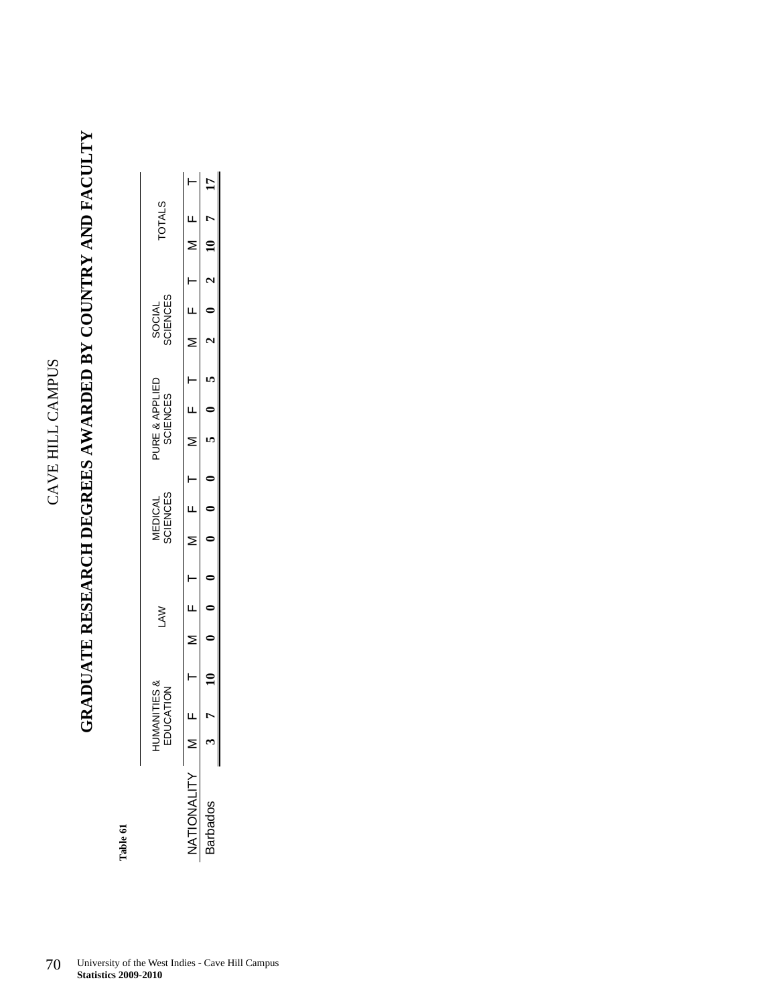# GRADUATE RESEARCH DEGREES AWARDED BY COUNTRY AND FACULTY

|                       |             |            |  |                            |                |                 |  |                    | DUATE RESEARCH DEGREES AWARDED BY COUNTRY AND FACULTY |               |
|-----------------------|-------------|------------|--|----------------------------|----------------|-----------------|--|--------------------|-------------------------------------------------------|---------------|
| HUMANITIE<br>EDUCATIC | ⊗<br>∽<br>K | <b>NYT</b> |  | SCIENCES<br><b>MEDICAL</b> | PURE & APPLIED | <b>SCIENCES</b> |  | SOCIAL<br>SCIENCES |                                                       | <b>TOTALS</b> |
|                       |             |            |  |                            |                |                 |  |                    |                                                       |               |
|                       |             |            |  |                            |                |                 |  |                    | $0 \t 2 \t 10 \t 7$                                   |               |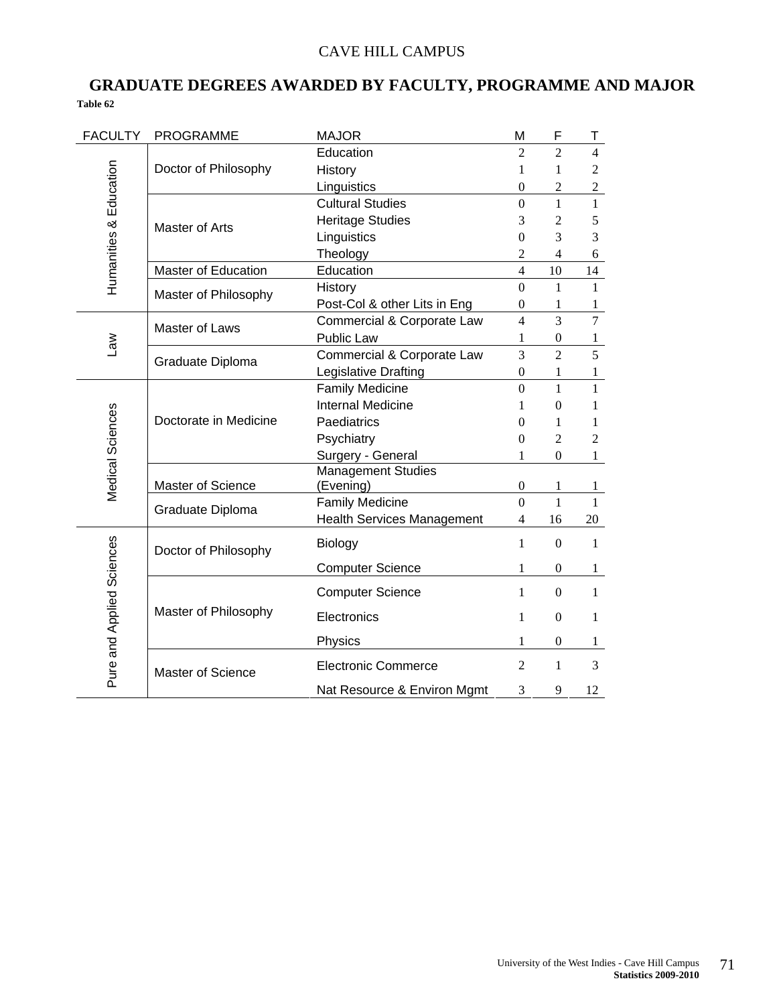### CAVE HILL CAMPUS

### **GRADUATE DEGREES AWARDED BY FACULTY, PROGRAMME AND MAJOR Table 62**

| <b>FACULTY</b>            | <b>PROGRAMME</b>           | <b>MAJOR</b>                      | M                | F                | Т                |
|---------------------------|----------------------------|-----------------------------------|------------------|------------------|------------------|
|                           |                            | Education                         | $\overline{2}$   | $\overline{2}$   | $\overline{4}$   |
|                           | Doctor of Philosophy       | History                           | 1                | 1                | $\overline{2}$   |
|                           |                            | Linguistics                       | $\boldsymbol{0}$ | $\overline{c}$   | $\boldsymbol{2}$ |
|                           |                            | <b>Cultural Studies</b>           | $\theta$         | 1                | $\mathbf{1}$     |
|                           | Master of Arts             | <b>Heritage Studies</b>           | 3                | $\overline{2}$   | 5                |
|                           |                            | Linguistics                       | $\overline{0}$   | 3                | 3                |
| Humanities & Education    |                            | Theology                          | $\overline{c}$   | 4                | 6                |
|                           | <b>Master of Education</b> | Education                         | $\overline{4}$   | 10               | 14               |
|                           | Master of Philosophy       | History                           | $\overline{0}$   | 1                | $\mathbf{1}$     |
|                           |                            | Post-Col & other Lits in Eng      | $\overline{0}$   | 1                | 1                |
|                           | Master of Laws             | Commercial & Corporate Law        | $\overline{4}$   | $\overline{3}$   | $\overline{7}$   |
| $\mathbb{R}$              |                            | Public Law                        | 1                | $\boldsymbol{0}$ | 1                |
|                           | Graduate Diploma           | Commercial & Corporate Law        | 3                | $\overline{2}$   | 5                |
|                           |                            | Legislative Drafting              | $\boldsymbol{0}$ | 1                | 1                |
|                           |                            | <b>Family Medicine</b>            | $\overline{0}$   | 1                | 1                |
| Medical Sciences          |                            | <b>Internal Medicine</b>          | 1                | $\theta$         | 1                |
|                           | Doctorate in Medicine      | Paediatrics                       | $\Omega$         | 1                | 1                |
|                           |                            | Psychiatry                        | $\Omega$         | $\overline{2}$   | $\overline{2}$   |
|                           |                            | Surgery - General                 | 1                | $\theta$         | $\mathbf{1}$     |
|                           |                            | <b>Management Studies</b>         |                  |                  |                  |
|                           | Master of Science          | (Evening)                         | $\boldsymbol{0}$ | 1                | 1                |
|                           | Graduate Diploma           | <b>Family Medicine</b>            | $\overline{0}$   | $\mathbf{1}$     | $\mathbf{1}$     |
|                           |                            | <b>Health Services Management</b> | 4                | 16               | 20               |
|                           | Doctor of Philosophy       | Biology                           | 1                | $\boldsymbol{0}$ | 1                |
|                           |                            | <b>Computer Science</b>           | 1                | $\boldsymbol{0}$ | 1                |
|                           |                            | <b>Computer Science</b>           | $\mathbf{1}$     | $\boldsymbol{0}$ | $\mathbf{1}$     |
|                           | Master of Philosophy       | Electronics                       | $\mathbf{1}$     | $\boldsymbol{0}$ | $\mathbf{1}$     |
|                           |                            | Physics                           | 1                | $\boldsymbol{0}$ | $\mathbf{1}$     |
| Pure and Applied Sciences | <b>Master of Science</b>   | <b>Electronic Commerce</b>        | $\overline{2}$   | 1                | 3                |
|                           |                            | Nat Resource & Environ Mgmt       | 3                | 9                | 12               |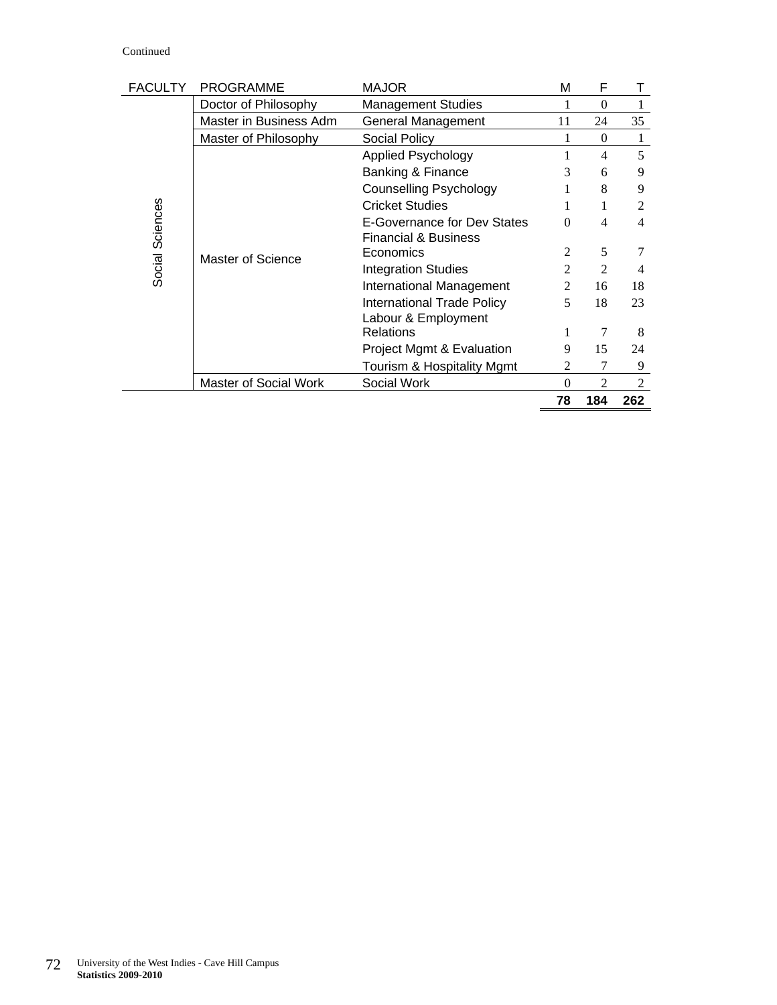#### Continued

| <b>FACULTY</b>  | <b>PROGRAMME</b>             | <b>MAJOR</b>                      | м              | F              |                |
|-----------------|------------------------------|-----------------------------------|----------------|----------------|----------------|
|                 | Doctor of Philosophy         | <b>Management Studies</b>         |                | $\theta$       | 1              |
|                 | Master in Business Adm       | General Management                | 11             | 24             | 35             |
|                 | Master of Philosophy         | Social Policy                     |                | $\mathbf{0}$   | 1              |
|                 |                              | <b>Applied Psychology</b>         |                | 4              | 5              |
|                 |                              | Banking & Finance                 | 3              | 6              | 9              |
|                 |                              | Counselling Psychology            |                | 8              | 9              |
|                 |                              | <b>Cricket Studies</b>            |                |                | $\mathfrak{D}$ |
| Social Sciences |                              | E-Governance for Dev States       | $\Omega$       | 4              | 4              |
|                 |                              | <b>Financial &amp; Business</b>   |                |                |                |
|                 | Master of Science            | Economics                         | $\mathfrak{D}$ | 5              |                |
|                 |                              | <b>Integration Studies</b>        | $\mathfrak{D}$ | $\mathfrak{D}$ | 4              |
|                 |                              | International Management          | 2              | 16             | 18             |
|                 |                              | <b>International Trade Policy</b> | 5              | 18             | 23             |
|                 |                              | Labour & Employment               |                |                |                |
|                 |                              | <b>Relations</b>                  |                | 7              | 8              |
|                 |                              | Project Mgmt & Evaluation         | 9              | 15             | 24             |
|                 |                              | Tourism & Hospitality Mgmt        | 2              | 7              | 9              |
|                 | <b>Master of Social Work</b> | Social Work                       | $\Omega$       | $\overline{2}$ | 2              |
|                 |                              |                                   | 78             | 184            | 262            |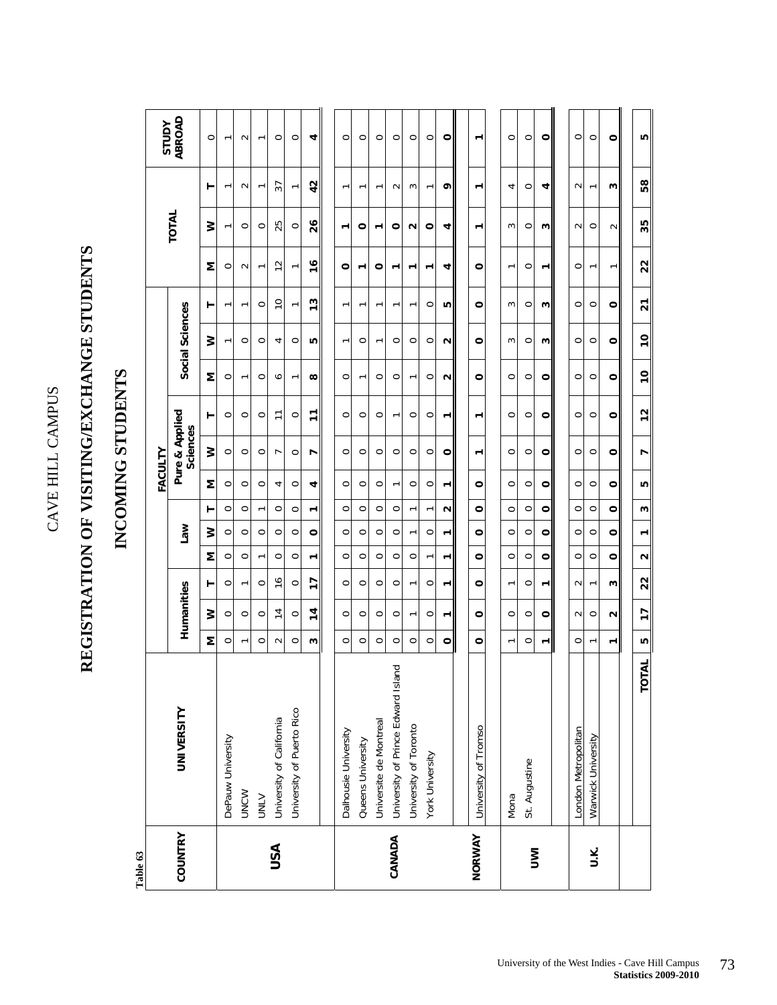CAVE HILL CAMPUS CAVE HILL CAMPUS

# **REGISTRATION OF VISITING/EXCHANGE STUDENTS**  REGISTRATION OF VISITING/EXCHANGE STUDENTS

### INCOMING STUDENTS **INCOMING STUDENTS**

| ABROAD<br><b>AdnlS</b><br>$\circ$<br>$\circ$<br>$\circ$<br>4<br>$\circ$<br>$\circ$<br>$\circ$<br>$\circ$<br>$\circ$<br>$\circ$<br>۰<br>$\circ$<br>$\circ$<br>۰<br>$\circ$<br>$\circ$<br>$\sim$<br>$\overline{\phantom{0}}$<br>$\overline{ }$<br>$\overline{ }$<br>42<br>57<br>۰<br>$\sim$<br>$\sim$<br>$\overline{ }$<br>$\sim$<br>3<br>4<br>$\circ$<br>4<br>⊢<br>٣<br>۳<br>٣<br>᠇<br>$\overline{ }$<br>ᡪ<br>ᡪ<br>TOTAL<br>26<br>25<br>≩<br>$\circ$<br>0<br>$\circ$<br>$\circ$<br>$\circ$<br>$\circ$<br>u<br>$\circ$<br>ω<br>$\circ$<br>4<br>3<br>$\sim$<br>٣<br>۳<br>᠇<br>$\overline{ }$<br>$\frac{6}{2}$<br>12<br>Σ<br>$\circ$<br>$\circ$<br>۰<br>0<br>$\sim$<br>4<br>0<br>0<br>$\overline{ }$<br>᠇<br>٣<br>᠇<br>᠇<br>᠇<br>$\overline{ }$<br>ᡕ<br>ᡕ<br>13<br>$\overline{C}$<br>$\circ$<br>$\circ$<br>۱Ω<br>$\circ$<br>$\circ$<br>$\circ$<br>Social Sciences<br>$\circ$<br>3<br>w<br>۳<br>᠇<br>$\overline{ }$<br>۳<br>۳<br>ᡕ<br>۳<br>۳<br>ᡕ<br>≷<br>$\circ$<br>ю<br>$\mathbf{\Omega}$<br>$\circ$<br>ω<br>$\circ$<br>$\circ$<br>$\circ$<br>4<br>$\circ$<br>0<br>$\circ$<br>0<br>$\circ$<br>3<br>$\circ$<br>$\overline{ }$<br>᠇<br>ᡕ<br>Σ<br>$\infty$<br>$\circ$<br>$\circ$<br>$\circ$<br>$\circ$<br>$\circ$<br>Z<br>$\circ$<br>$\circ$<br>$\circ$<br>$\circ$<br>∘<br>$\circ$<br>$\circ$<br>$\circ$<br>$\overline{ }$<br>$\overline{ }$<br>٣<br>٣<br>Pure & Applied<br>٣<br>$\overline{1}$<br>$\circ$<br>$\circ$<br>$\circ$<br>$\circ$<br>$\circ$<br>$\circ$<br>$\circ$<br>$\circ$<br>0<br>$\circ$<br>$\circ$<br>$\circ$<br>0<br>$\circ$<br>۳<br>$\overline{ }$<br>$\overline{\phantom{0}}$<br>٣<br>٣<br><b>Sciences</b><br>≷<br>FACULTY<br>$\circ$<br>$\circ$<br>$\circ$<br>$\circ$<br>$\circ$<br>$\circ$<br>$\circ$<br>$\circ$<br>$\circ$<br>$\circ$<br>$\circ$<br>$\circ$<br>$\circ$<br>$\circ$<br>$\circ$<br>$\circ$<br>r<br>∼<br>$\mathbf -$<br>Σ<br>$\circ$<br>$\circ$<br>4<br>$\circ$<br>$\circ$<br>$\circ$<br>$\circ$<br>$\circ$<br>$\circ$<br>$\circ$<br>$\circ$<br>$\circ$<br>$\circ$<br>$\circ$<br>$\circ$<br>$\circ$<br>4<br>$\overline{ }$<br>٣<br>$\circ$<br>$\circ$<br>$\circ$<br>$\circ$<br>$\circ$<br>$\circ$<br>$\circ$<br>$\circ$<br>$\circ$<br>Z<br>$\circ$<br>$\circ$<br>$\circ$<br>$\circ$<br>۳<br>$\circ$<br>٣<br>$\overline{ }$<br>$\overline{ }$<br>٣<br><b>Law</b><br>≷<br>$\circ$<br>$\circ$<br>$\circ$<br>$\circ$<br>$\circ$<br>$\circ$<br>$\circ$<br>$\circ$<br>$\circ$<br>$\circ$<br>$\circ$<br>$\circ$<br>0<br>$\circ$<br>$\circ$<br>$\circ$<br>$\circ$<br>$\overline{ }$<br>٣<br>Σ<br>$\circ$<br>$\circ$<br>$\circ$<br>$\circ$<br>$\circ$<br>$\circ$<br>$\circ$<br>$\circ$<br>$\circ$<br>$\circ$<br>$\circ$<br>$\circ$<br>$\circ$<br>$\circ$<br>$\circ$<br>$\overline{ }$<br>$\overline{ }$<br>٣<br>٣<br>$\overline{1}$<br>$\frac{6}{1}$<br>$\circ$<br>$\circ$<br>$\circ$<br>$\circ$<br>$\circ$<br>$\circ$<br>$\circ$<br>$\circ$<br>$\circ$<br>$\circ$<br>$\sim$<br>$\overline{\phantom{0}}$<br>⊢<br>٣<br>Humanities<br>$\overline{ }$<br>٣<br>$\overline{ }$<br>$\overline{ }$<br>4<br>$\overline{4}$<br>≩<br>$\circ$<br>$\circ$<br>$\circ$<br>$\circ$<br>$\circ$<br>$\circ$<br>$\circ$<br>$\circ$<br>$\circ$<br>$\circ$<br>$\circ$<br>$\circ$<br>$\sim$<br>$\circ$<br>$\circ$<br>٣<br>᠇<br>$\blacksquare$<br>Σ<br>$\circ$<br>$\circ$<br>ω<br>$\circ$<br>$\circ$<br>$\circ$<br>$\circ$<br>$\circ$<br>$\circ$<br>$\circ$<br>$\circ$<br>$\circ$<br>$\circ$<br>$\circ$<br>$\sim$<br>1<br>$\overline{ }$<br>$\overline{ }$<br>University of Prince Edward Island<br><b>UNIVERSITY</b><br>University of Puerto Rico<br>University of California<br>Universite de Montreal<br>University of Toronto<br>University of Tromso<br>London Metropolitan<br>Dalhousie University<br>Warwick University<br>DePauw University<br>Queens University<br>York University<br>St. Augustine<br><b>UNCW</b><br><b>UNLV</b><br>Mona |
|------------------------------------------------------------------------------------------------------------------------------------------------------------------------------------------------------------------------------------------------------------------------------------------------------------------------------------------------------------------------------------------------------------------------------------------------------------------------------------------------------------------------------------------------------------------------------------------------------------------------------------------------------------------------------------------------------------------------------------------------------------------------------------------------------------------------------------------------------------------------------------------------------------------------------------------------------------------------------------------------------------------------------------------------------------------------------------------------------------------------------------------------------------------------------------------------------------------------------------------------------------------------------------------------------------------------------------------------------------------------------------------------------------------------------------------------------------------------------------------------------------------------------------------------------------------------------------------------------------------------------------------------------------------------------------------------------------------------------------------------------------------------------------------------------------------------------------------------------------------------------------------------------------------------------------------------------------------------------------------------------------------------------------------------------------------------------------------------------------------------------------------------------------------------------------------------------------------------------------------------------------------------------------------------------------------------------------------------------------------------------------------------------------------------------------------------------------------------------------------------------------------------------------------------------------------------------------------------------------------------------------------------------------------------------------------------------------------------------------------------------------------------------------------------------------------------------------------------------------------------------------------------------------------------------------------------------------------------------------------------------------------------------------------------------------------------------------------------------------------------------------------------------------------------------------------------------------------------------------------------------------------------------------------------------------------------------------------------------------------------------------------------------------------------------------------------------------------------------------------------------------------------------------------------------------------------------------------------------------------------------------------------------------------------------------------------------------------------------------------------------------------------------------------------------------------------------------------------|
| ۰<br>ω<br>$\sim$<br>᠇<br>$\circ$<br>$\circ$<br>$\circ$<br>$\circ$<br>$\circ$<br>$\circ$<br>$\circ$<br>$\circ$<br>۰<br>ω<br>$\mathbf{\Omega}$<br>٣                                                                                                                                                                                                                                                                                                                                                                                                                                                                                                                                                                                                                                                                                                                                                                                                                                                                                                                                                                                                                                                                                                                                                                                                                                                                                                                                                                                                                                                                                                                                                                                                                                                                                                                                                                                                                                                                                                                                                                                                                                                                                                                                                                                                                                                                                                                                                                                                                                                                                                                                                                                                                                                                                                                                                                                                                                                                                                                                                                                                                                                                                                                                                                                                                                                                                                                                                                                                                                                                                                                                                                                                                                                                                              |
|                                                                                                                                                                                                                                                                                                                                                                                                                                                                                                                                                                                                                                                                                                                                                                                                                                                                                                                                                                                                                                                                                                                                                                                                                                                                                                                                                                                                                                                                                                                                                                                                                                                                                                                                                                                                                                                                                                                                                                                                                                                                                                                                                                                                                                                                                                                                                                                                                                                                                                                                                                                                                                                                                                                                                                                                                                                                                                                                                                                                                                                                                                                                                                                                                                                                                                                                                                                                                                                                                                                                                                                                                                                                                                                                                                                                                                                |
|                                                                                                                                                                                                                                                                                                                                                                                                                                                                                                                                                                                                                                                                                                                                                                                                                                                                                                                                                                                                                                                                                                                                                                                                                                                                                                                                                                                                                                                                                                                                                                                                                                                                                                                                                                                                                                                                                                                                                                                                                                                                                                                                                                                                                                                                                                                                                                                                                                                                                                                                                                                                                                                                                                                                                                                                                                                                                                                                                                                                                                                                                                                                                                                                                                                                                                                                                                                                                                                                                                                                                                                                                                                                                                                                                                                                                                                |
|                                                                                                                                                                                                                                                                                                                                                                                                                                                                                                                                                                                                                                                                                                                                                                                                                                                                                                                                                                                                                                                                                                                                                                                                                                                                                                                                                                                                                                                                                                                                                                                                                                                                                                                                                                                                                                                                                                                                                                                                                                                                                                                                                                                                                                                                                                                                                                                                                                                                                                                                                                                                                                                                                                                                                                                                                                                                                                                                                                                                                                                                                                                                                                                                                                                                                                                                                                                                                                                                                                                                                                                                                                                                                                                                                                                                                                                |
|                                                                                                                                                                                                                                                                                                                                                                                                                                                                                                                                                                                                                                                                                                                                                                                                                                                                                                                                                                                                                                                                                                                                                                                                                                                                                                                                                                                                                                                                                                                                                                                                                                                                                                                                                                                                                                                                                                                                                                                                                                                                                                                                                                                                                                                                                                                                                                                                                                                                                                                                                                                                                                                                                                                                                                                                                                                                                                                                                                                                                                                                                                                                                                                                                                                                                                                                                                                                                                                                                                                                                                                                                                                                                                                                                                                                                                                |
|                                                                                                                                                                                                                                                                                                                                                                                                                                                                                                                                                                                                                                                                                                                                                                                                                                                                                                                                                                                                                                                                                                                                                                                                                                                                                                                                                                                                                                                                                                                                                                                                                                                                                                                                                                                                                                                                                                                                                                                                                                                                                                                                                                                                                                                                                                                                                                                                                                                                                                                                                                                                                                                                                                                                                                                                                                                                                                                                                                                                                                                                                                                                                                                                                                                                                                                                                                                                                                                                                                                                                                                                                                                                                                                                                                                                                                                |
|                                                                                                                                                                                                                                                                                                                                                                                                                                                                                                                                                                                                                                                                                                                                                                                                                                                                                                                                                                                                                                                                                                                                                                                                                                                                                                                                                                                                                                                                                                                                                                                                                                                                                                                                                                                                                                                                                                                                                                                                                                                                                                                                                                                                                                                                                                                                                                                                                                                                                                                                                                                                                                                                                                                                                                                                                                                                                                                                                                                                                                                                                                                                                                                                                                                                                                                                                                                                                                                                                                                                                                                                                                                                                                                                                                                                                                                |
|                                                                                                                                                                                                                                                                                                                                                                                                                                                                                                                                                                                                                                                                                                                                                                                                                                                                                                                                                                                                                                                                                                                                                                                                                                                                                                                                                                                                                                                                                                                                                                                                                                                                                                                                                                                                                                                                                                                                                                                                                                                                                                                                                                                                                                                                                                                                                                                                                                                                                                                                                                                                                                                                                                                                                                                                                                                                                                                                                                                                                                                                                                                                                                                                                                                                                                                                                                                                                                                                                                                                                                                                                                                                                                                                                                                                                                                |
|                                                                                                                                                                                                                                                                                                                                                                                                                                                                                                                                                                                                                                                                                                                                                                                                                                                                                                                                                                                                                                                                                                                                                                                                                                                                                                                                                                                                                                                                                                                                                                                                                                                                                                                                                                                                                                                                                                                                                                                                                                                                                                                                                                                                                                                                                                                                                                                                                                                                                                                                                                                                                                                                                                                                                                                                                                                                                                                                                                                                                                                                                                                                                                                                                                                                                                                                                                                                                                                                                                                                                                                                                                                                                                                                                                                                                                                |
|                                                                                                                                                                                                                                                                                                                                                                                                                                                                                                                                                                                                                                                                                                                                                                                                                                                                                                                                                                                                                                                                                                                                                                                                                                                                                                                                                                                                                                                                                                                                                                                                                                                                                                                                                                                                                                                                                                                                                                                                                                                                                                                                                                                                                                                                                                                                                                                                                                                                                                                                                                                                                                                                                                                                                                                                                                                                                                                                                                                                                                                                                                                                                                                                                                                                                                                                                                                                                                                                                                                                                                                                                                                                                                                                                                                                                                                |
|                                                                                                                                                                                                                                                                                                                                                                                                                                                                                                                                                                                                                                                                                                                                                                                                                                                                                                                                                                                                                                                                                                                                                                                                                                                                                                                                                                                                                                                                                                                                                                                                                                                                                                                                                                                                                                                                                                                                                                                                                                                                                                                                                                                                                                                                                                                                                                                                                                                                                                                                                                                                                                                                                                                                                                                                                                                                                                                                                                                                                                                                                                                                                                                                                                                                                                                                                                                                                                                                                                                                                                                                                                                                                                                                                                                                                                                |
|                                                                                                                                                                                                                                                                                                                                                                                                                                                                                                                                                                                                                                                                                                                                                                                                                                                                                                                                                                                                                                                                                                                                                                                                                                                                                                                                                                                                                                                                                                                                                                                                                                                                                                                                                                                                                                                                                                                                                                                                                                                                                                                                                                                                                                                                                                                                                                                                                                                                                                                                                                                                                                                                                                                                                                                                                                                                                                                                                                                                                                                                                                                                                                                                                                                                                                                                                                                                                                                                                                                                                                                                                                                                                                                                                                                                                                                |
|                                                                                                                                                                                                                                                                                                                                                                                                                                                                                                                                                                                                                                                                                                                                                                                                                                                                                                                                                                                                                                                                                                                                                                                                                                                                                                                                                                                                                                                                                                                                                                                                                                                                                                                                                                                                                                                                                                                                                                                                                                                                                                                                                                                                                                                                                                                                                                                                                                                                                                                                                                                                                                                                                                                                                                                                                                                                                                                                                                                                                                                                                                                                                                                                                                                                                                                                                                                                                                                                                                                                                                                                                                                                                                                                                                                                                                                |
|                                                                                                                                                                                                                                                                                                                                                                                                                                                                                                                                                                                                                                                                                                                                                                                                                                                                                                                                                                                                                                                                                                                                                                                                                                                                                                                                                                                                                                                                                                                                                                                                                                                                                                                                                                                                                                                                                                                                                                                                                                                                                                                                                                                                                                                                                                                                                                                                                                                                                                                                                                                                                                                                                                                                                                                                                                                                                                                                                                                                                                                                                                                                                                                                                                                                                                                                                                                                                                                                                                                                                                                                                                                                                                                                                                                                                                                |
|                                                                                                                                                                                                                                                                                                                                                                                                                                                                                                                                                                                                                                                                                                                                                                                                                                                                                                                                                                                                                                                                                                                                                                                                                                                                                                                                                                                                                                                                                                                                                                                                                                                                                                                                                                                                                                                                                                                                                                                                                                                                                                                                                                                                                                                                                                                                                                                                                                                                                                                                                                                                                                                                                                                                                                                                                                                                                                                                                                                                                                                                                                                                                                                                                                                                                                                                                                                                                                                                                                                                                                                                                                                                                                                                                                                                                                                |
|                                                                                                                                                                                                                                                                                                                                                                                                                                                                                                                                                                                                                                                                                                                                                                                                                                                                                                                                                                                                                                                                                                                                                                                                                                                                                                                                                                                                                                                                                                                                                                                                                                                                                                                                                                                                                                                                                                                                                                                                                                                                                                                                                                                                                                                                                                                                                                                                                                                                                                                                                                                                                                                                                                                                                                                                                                                                                                                                                                                                                                                                                                                                                                                                                                                                                                                                                                                                                                                                                                                                                                                                                                                                                                                                                                                                                                                |
|                                                                                                                                                                                                                                                                                                                                                                                                                                                                                                                                                                                                                                                                                                                                                                                                                                                                                                                                                                                                                                                                                                                                                                                                                                                                                                                                                                                                                                                                                                                                                                                                                                                                                                                                                                                                                                                                                                                                                                                                                                                                                                                                                                                                                                                                                                                                                                                                                                                                                                                                                                                                                                                                                                                                                                                                                                                                                                                                                                                                                                                                                                                                                                                                                                                                                                                                                                                                                                                                                                                                                                                                                                                                                                                                                                                                                                                |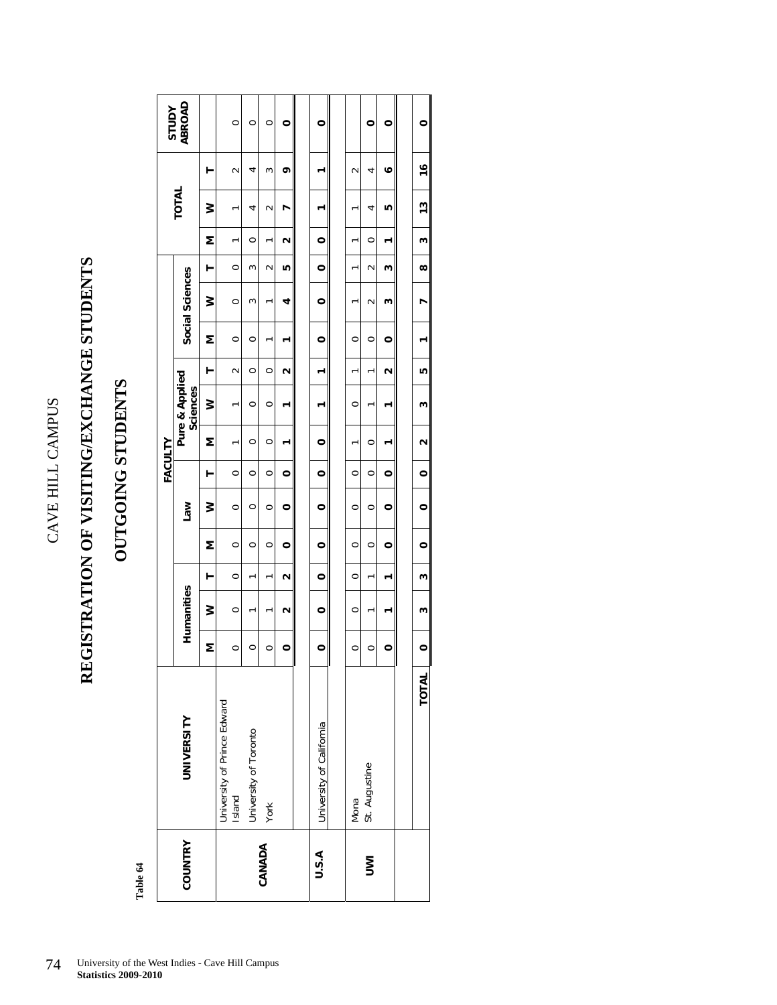CAVE HILL CAMPUS CAVE HILL CAMPUS

# REGISTRATION OF VISITING/EXCHANGE STUDENTS **REGISTRATION OF VISITING/EXCHANGE STUDENTS**

### **OUTGOING STUDENTS**  OUTGOING STUDENTS

|            |                                       |         |            |                    |         |            | FACULTY |         |                            |                      |         |                 |              |         |               |               | <b>Adnls</b>  |
|------------|---------------------------------------|---------|------------|--------------------|---------|------------|---------|---------|----------------------------|----------------------|---------|-----------------|--------------|---------|---------------|---------------|---------------|
| COUNTRY    | <b>UNIVERSITY</b>                     |         | Humanities |                    |         | <b>Law</b> |         |         | Pure & Applied<br>Sciences |                      |         | Social Sciences |              |         | TOTAL         |               | <b>ABROAD</b> |
|            |                                       | Σ       | ≷          | ۲                  | Σ       | ≷          | ۲       | Σ       | ≷                          | ۲                    | Σ       | ≷               | ۲            | Σ       | ≷             | ŀ             |               |
|            | University of Prince Edward<br>Island | $\circ$ | $\circ$    | $\circ$            | $\circ$ | $\circ$    | $\circ$ |         |                            | $\sim$               | $\circ$ | $\circ$         | $\circ$      |         |               | $\sim$        | 0             |
|            | University of Toronto                 | $\circ$ |            |                    | $\circ$ | 0          | $\circ$ | $\circ$ | $\circ$                    | 0                    | $\circ$ | ω               | S            | $\circ$ | 4             | 4             | 0             |
| CANADA     | York                                  | $\circ$ |            |                    | 0       | 0          | $\circ$ | 0       | 0                          | $\circ$              |         |                 | $\sim$       |         | $\sim$        | 3             | 0             |
|            |                                       | 0       | 2          | $\mathbf{\hat{N}}$ | 0       | 0          | $\circ$ |         |                            | $\mathbf{\tilde{c}}$ |         | 4               | ۱Ω           | 2       | ۴             | o             | 0             |
|            |                                       |         |            |                    |         |            |         |         |                            |                      |         |                 |              |         |               |               |               |
| U.S.A      | University of California              | 0       | 0          | $\circ$            | 0       | 0          | $\circ$ | $\circ$ | ٣                          | ۳                    | $\circ$ | 0               | $\circ$      | $\circ$ | ٣             | ٣             | 0             |
|            |                                       |         |            |                    |         |            |         |         |                            |                      |         |                 |              |         |               |               |               |
|            | Mona                                  | $\circ$ | $\circ$    | $\circ$            | $\circ$ | $\circ$    | $\circ$ |         | $\circ$                    |                      | $\circ$ |                 |              |         |               | $\sim$        |               |
| <b>NNI</b> | St. Augustine                         | $\circ$ |            | ۳                  | $\circ$ | 0          | $\circ$ | $\circ$ |                            |                      | $\circ$ | $\sim$          | $\sim$       | $\circ$ | 4             | 4             | 0             |
|            |                                       | 0       |            | ٣                  | 0       | 0          | $\circ$ |         |                            | $\mathbf{\hat{z}}$   | $\circ$ | S               | $\mathbf{c}$ | ٣       | Ю             | ∘             | 0             |
|            |                                       |         |            |                    |         |            |         |         |                            |                      |         |                 |              |         |               |               |               |
|            | <b>TOTAL</b>                          | 0       | S          | S                  | 0       | 0          | $\circ$ | N       | ω                          | Ю                    |         | r               | $\infty$     | S       | $\frac{3}{2}$ | $\frac{6}{1}$ | 0             |
|            |                                       |         |            |                    |         |            |         |         |                            |                      |         |                 |              |         |               |               |               |